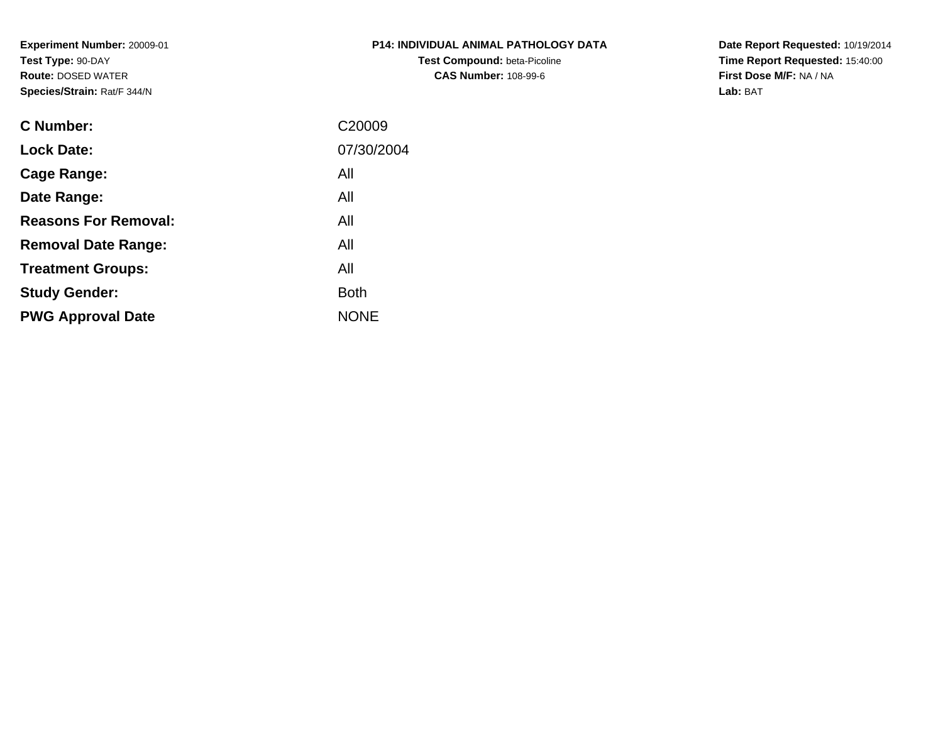**Experiment Number:** 20009-01**Test Type:** 90-DAY **Route:** DOSED WATER**Species/Strain:** Rat/F 344/N

| <b>P14: INDIVIDUAL ANIMAL PATHOLOGY DATA</b> |
|----------------------------------------------|
| <b>Test Compound: beta-Picoline</b>          |
| <b>CAS Number: 108-99-6</b>                  |

**Date Report Requested:** 10/19/2014 **Time Report Requested:** 15:40:00**First Dose M/F:** NA / NA**Lab:** BAT

| C Number:                   | C <sub>20009</sub> |
|-----------------------------|--------------------|
| <b>Lock Date:</b>           | 07/30/2004         |
| Cage Range:                 | All                |
| Date Range:                 | All                |
| <b>Reasons For Removal:</b> | All                |
| <b>Removal Date Range:</b>  | All                |
| <b>Treatment Groups:</b>    | All                |
| <b>Study Gender:</b>        | <b>Both</b>        |
| <b>PWG Approval Date</b>    | <b>NONE</b>        |
|                             |                    |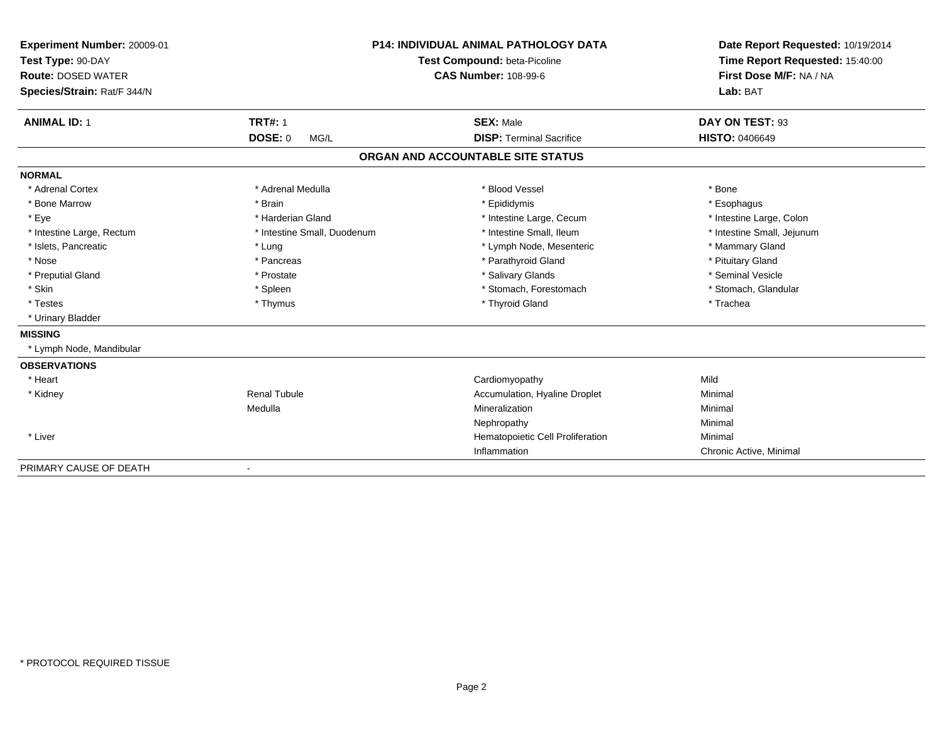| Experiment Number: 20009-01                    | <b>P14: INDIVIDUAL ANIMAL PATHOLOGY DATA</b> |                                   | Date Report Requested: 10/19/2014 |  |
|------------------------------------------------|----------------------------------------------|-----------------------------------|-----------------------------------|--|
| Test Type: 90-DAY<br><b>Route: DOSED WATER</b> |                                              | Test Compound: beta-Picoline      | Time Report Requested: 15:40:00   |  |
|                                                |                                              | <b>CAS Number: 108-99-6</b>       | First Dose M/F: NA / NA           |  |
| Species/Strain: Rat/F 344/N                    |                                              |                                   | Lab: BAT                          |  |
|                                                |                                              |                                   |                                   |  |
| <b>ANIMAL ID: 1</b>                            | <b>TRT#: 1</b>                               | <b>SEX: Male</b>                  | DAY ON TEST: 93                   |  |
|                                                | <b>DOSE: 0</b><br>MG/L                       | <b>DISP: Terminal Sacrifice</b>   | <b>HISTO: 0406649</b>             |  |
|                                                |                                              | ORGAN AND ACCOUNTABLE SITE STATUS |                                   |  |
| <b>NORMAL</b>                                  |                                              |                                   |                                   |  |
| * Adrenal Cortex                               | * Adrenal Medulla                            | * Blood Vessel                    | * Bone                            |  |
| * Bone Marrow                                  | * Brain                                      | * Epididymis                      | * Esophagus                       |  |
| * Eye                                          | * Harderian Gland                            | * Intestine Large, Cecum          | * Intestine Large, Colon          |  |
| * Intestine Large, Rectum                      | * Intestine Small, Duodenum                  | * Intestine Small, Ileum          | * Intestine Small, Jejunum        |  |
| * Islets, Pancreatic                           | * Lung                                       | * Lymph Node, Mesenteric          | * Mammary Gland                   |  |
| * Nose                                         | * Pancreas                                   | * Parathyroid Gland               | * Pituitary Gland                 |  |
| * Preputial Gland                              | * Prostate                                   | * Salivary Glands                 | * Seminal Vesicle                 |  |
| * Skin                                         | * Spleen                                     | * Stomach, Forestomach            | * Stomach, Glandular              |  |
| * Testes                                       | * Thymus                                     | * Thyroid Gland                   | * Trachea                         |  |
| * Urinary Bladder                              |                                              |                                   |                                   |  |
| <b>MISSING</b>                                 |                                              |                                   |                                   |  |
| * Lymph Node, Mandibular                       |                                              |                                   |                                   |  |
| <b>OBSERVATIONS</b>                            |                                              |                                   |                                   |  |
| * Heart                                        |                                              | Cardiomyopathy                    | Mild                              |  |
| * Kidney                                       | <b>Renal Tubule</b>                          | Accumulation, Hyaline Droplet     | Minimal                           |  |
|                                                | Medulla                                      | Mineralization                    | Minimal                           |  |
|                                                |                                              | Nephropathy                       | Minimal                           |  |
| * Liver                                        |                                              | Hematopoietic Cell Proliferation  | Minimal                           |  |
|                                                |                                              | Inflammation                      | Chronic Active, Minimal           |  |
| PRIMARY CAUSE OF DEATH                         | $\blacksquare$                               |                                   |                                   |  |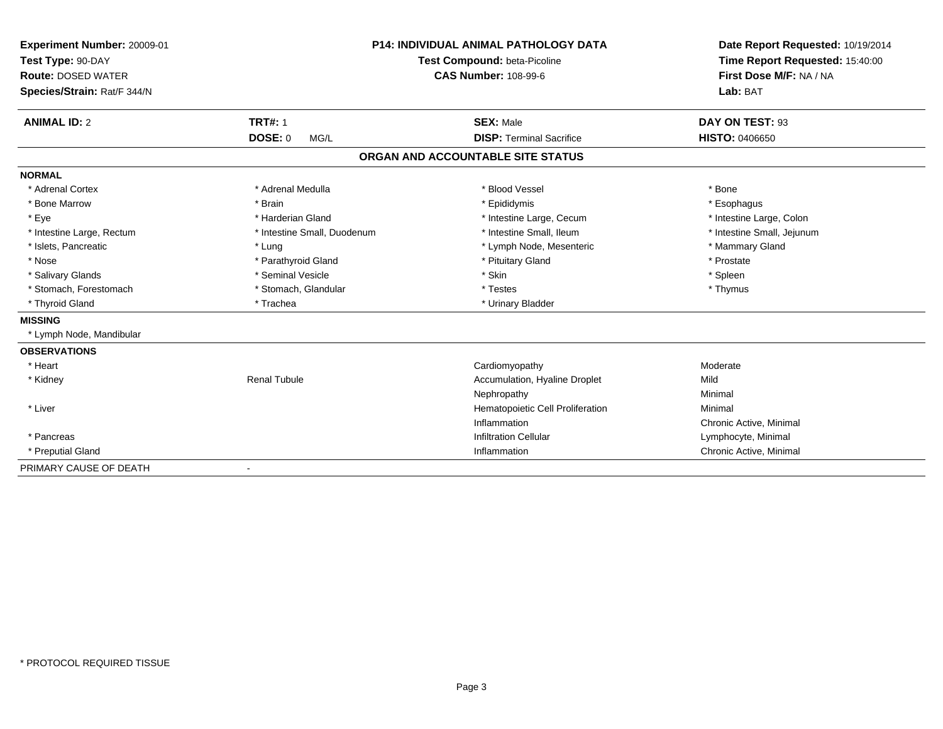| Experiment Number: 20009-01<br>Test Type: 90-DAY<br><b>Route: DOSED WATER</b><br>Species/Strain: Rat/F 344/N |                              | <b>P14: INDIVIDUAL ANIMAL PATHOLOGY DATA</b><br>Test Compound: beta-Picoline<br><b>CAS Number: 108-99-6</b> | Date Report Requested: 10/19/2014<br>Time Report Requested: 15:40:00<br>First Dose M/F: NA / NA<br>Lab: BAT |
|--------------------------------------------------------------------------------------------------------------|------------------------------|-------------------------------------------------------------------------------------------------------------|-------------------------------------------------------------------------------------------------------------|
| <b>ANIMAL ID: 2</b>                                                                                          | <b>TRT#: 1</b>               | <b>SEX: Male</b>                                                                                            | DAY ON TEST: 93                                                                                             |
|                                                                                                              | <b>DOSE: 0</b><br>MG/L       | <b>DISP: Terminal Sacrifice</b>                                                                             | <b>HISTO: 0406650</b>                                                                                       |
|                                                                                                              |                              | ORGAN AND ACCOUNTABLE SITE STATUS                                                                           |                                                                                                             |
| <b>NORMAL</b>                                                                                                |                              |                                                                                                             |                                                                                                             |
| * Adrenal Cortex                                                                                             | * Adrenal Medulla            | * Blood Vessel                                                                                              | * Bone                                                                                                      |
| * Bone Marrow                                                                                                | * Brain                      | * Epididymis                                                                                                | * Esophagus                                                                                                 |
| * Eye                                                                                                        | * Harderian Gland            | * Intestine Large, Cecum                                                                                    | * Intestine Large, Colon                                                                                    |
| * Intestine Large, Rectum                                                                                    | * Intestine Small, Duodenum  | * Intestine Small, Ileum                                                                                    | * Intestine Small, Jejunum                                                                                  |
| * Islets, Pancreatic                                                                                         | * Lung                       | * Lymph Node, Mesenteric                                                                                    | * Mammary Gland                                                                                             |
| * Nose                                                                                                       | * Parathyroid Gland          | * Pituitary Gland                                                                                           | * Prostate                                                                                                  |
| * Salivary Glands                                                                                            | * Seminal Vesicle            | * Skin                                                                                                      | * Spleen                                                                                                    |
| * Stomach, Forestomach                                                                                       | * Stomach, Glandular         | * Testes                                                                                                    | * Thymus                                                                                                    |
| * Thyroid Gland                                                                                              | * Trachea                    | * Urinary Bladder                                                                                           |                                                                                                             |
| <b>MISSING</b>                                                                                               |                              |                                                                                                             |                                                                                                             |
| * Lymph Node, Mandibular                                                                                     |                              |                                                                                                             |                                                                                                             |
| <b>OBSERVATIONS</b>                                                                                          |                              |                                                                                                             |                                                                                                             |
| * Heart                                                                                                      |                              | Cardiomyopathy                                                                                              | Moderate                                                                                                    |
| * Kidney                                                                                                     | <b>Renal Tubule</b>          | Accumulation, Hyaline Droplet                                                                               | Mild                                                                                                        |
|                                                                                                              |                              | Nephropathy                                                                                                 | Minimal                                                                                                     |
| * Liver                                                                                                      |                              | Hematopoietic Cell Proliferation                                                                            | Minimal                                                                                                     |
|                                                                                                              |                              | Inflammation                                                                                                | Chronic Active, Minimal                                                                                     |
| * Pancreas                                                                                                   |                              | <b>Infiltration Cellular</b>                                                                                | Lymphocyte, Minimal                                                                                         |
| * Preputial Gland                                                                                            |                              | Inflammation                                                                                                | Chronic Active, Minimal                                                                                     |
| PRIMARY CAUSE OF DEATH                                                                                       | $\qquad \qquad \blacksquare$ |                                                                                                             |                                                                                                             |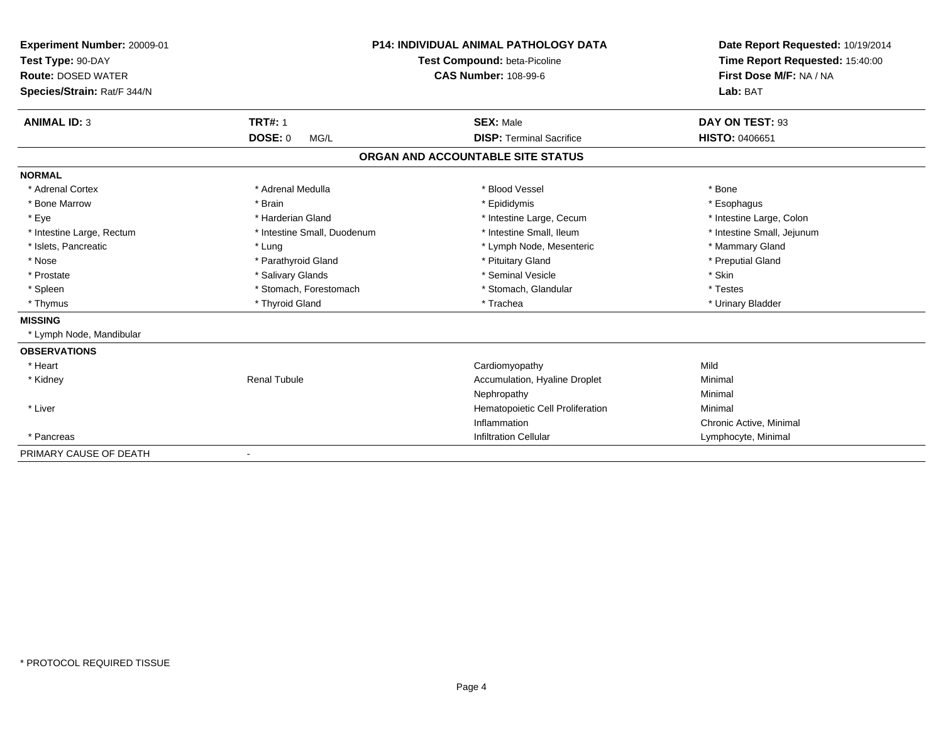| Experiment Number: 20009-01 |                              | <b>P14: INDIVIDUAL ANIMAL PATHOLOGY DATA</b> | Date Report Requested: 10/19/2014<br>Time Report Requested: 15:40:00 |
|-----------------------------|------------------------------|----------------------------------------------|----------------------------------------------------------------------|
| Test Type: 90-DAY           | Test Compound: beta-Picoline |                                              |                                                                      |
| <b>Route: DOSED WATER</b>   |                              | <b>CAS Number: 108-99-6</b>                  | First Dose M/F: NA / NA                                              |
| Species/Strain: Rat/F 344/N |                              |                                              | Lab: BAT                                                             |
| <b>ANIMAL ID: 3</b>         | <b>TRT#: 1</b>               | <b>SEX: Male</b>                             | DAY ON TEST: 93                                                      |
|                             | DOSE: 0<br>MG/L              | <b>DISP: Terminal Sacrifice</b>              | <b>HISTO: 0406651</b>                                                |
|                             |                              | ORGAN AND ACCOUNTABLE SITE STATUS            |                                                                      |
| <b>NORMAL</b>               |                              |                                              |                                                                      |
| * Adrenal Cortex            | * Adrenal Medulla            | * Blood Vessel                               | * Bone                                                               |
| * Bone Marrow               | * Brain                      | * Epididymis                                 | * Esophagus                                                          |
| * Eye                       | * Harderian Gland            | * Intestine Large, Cecum                     | * Intestine Large, Colon                                             |
| * Intestine Large, Rectum   | * Intestine Small, Duodenum  | * Intestine Small, Ileum                     | * Intestine Small, Jejunum                                           |
| * Islets, Pancreatic        | * Lung                       | * Lymph Node, Mesenteric                     | * Mammary Gland                                                      |
| * Nose                      | * Parathyroid Gland          | * Pituitary Gland                            | * Preputial Gland                                                    |
| * Prostate                  | * Salivary Glands            | * Seminal Vesicle                            | * Skin                                                               |
| * Spleen                    | * Stomach, Forestomach       | * Stomach, Glandular                         | * Testes                                                             |
| * Thymus                    | * Thyroid Gland              | * Trachea                                    | * Urinary Bladder                                                    |
| <b>MISSING</b>              |                              |                                              |                                                                      |
| * Lymph Node, Mandibular    |                              |                                              |                                                                      |
| <b>OBSERVATIONS</b>         |                              |                                              |                                                                      |
| * Heart                     |                              | Cardiomyopathy                               | Mild                                                                 |
| * Kidney                    | <b>Renal Tubule</b>          | Accumulation, Hyaline Droplet                | Minimal                                                              |
|                             |                              | Nephropathy                                  | Minimal                                                              |
| * Liver                     |                              | Hematopoietic Cell Proliferation             | Minimal                                                              |
|                             |                              | Inflammation                                 | Chronic Active, Minimal                                              |
| * Pancreas                  |                              | <b>Infiltration Cellular</b>                 | Lymphocyte, Minimal                                                  |
| PRIMARY CAUSE OF DEATH      | -                            |                                              |                                                                      |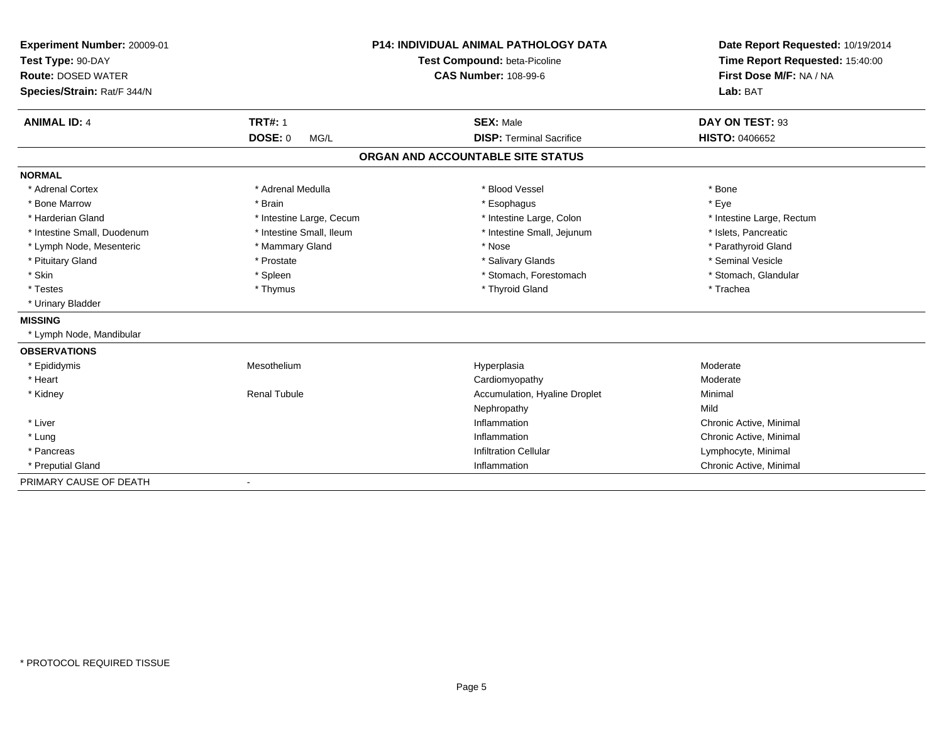| Experiment Number: 20009-01 | <b>P14: INDIVIDUAL ANIMAL PATHOLOGY DATA</b><br>Test Compound: beta-Picoline |                                   | Date Report Requested: 10/19/2014 |
|-----------------------------|------------------------------------------------------------------------------|-----------------------------------|-----------------------------------|
| Test Type: 90-DAY           |                                                                              |                                   | Time Report Requested: 15:40:00   |
| <b>Route: DOSED WATER</b>   |                                                                              | <b>CAS Number: 108-99-6</b>       | First Dose M/F: NA / NA           |
| Species/Strain: Rat/F 344/N |                                                                              |                                   | Lab: BAT                          |
| <b>ANIMAL ID: 4</b>         | <b>TRT#: 1</b>                                                               | <b>SEX: Male</b>                  | DAY ON TEST: 93                   |
|                             | DOSE: 0<br>MG/L                                                              | <b>DISP: Terminal Sacrifice</b>   | <b>HISTO: 0406652</b>             |
|                             |                                                                              | ORGAN AND ACCOUNTABLE SITE STATUS |                                   |
| <b>NORMAL</b>               |                                                                              |                                   |                                   |
| * Adrenal Cortex            | * Adrenal Medulla                                                            | * Blood Vessel                    | * Bone                            |
| * Bone Marrow               | * Brain                                                                      | * Esophagus                       | * Eye                             |
| * Harderian Gland           | * Intestine Large, Cecum                                                     | * Intestine Large, Colon          | * Intestine Large, Rectum         |
| * Intestine Small, Duodenum | * Intestine Small, Ileum                                                     | * Intestine Small, Jejunum        | * Islets, Pancreatic              |
| * Lymph Node, Mesenteric    | * Mammary Gland                                                              | * Nose                            | * Parathyroid Gland               |
| * Pituitary Gland           | * Prostate                                                                   | * Salivary Glands                 | * Seminal Vesicle                 |
| * Skin                      | * Spleen                                                                     | * Stomach, Forestomach            | * Stomach, Glandular              |
| * Testes                    | * Thymus                                                                     | * Thyroid Gland                   | * Trachea                         |
| * Urinary Bladder           |                                                                              |                                   |                                   |
| <b>MISSING</b>              |                                                                              |                                   |                                   |
| * Lymph Node, Mandibular    |                                                                              |                                   |                                   |
| <b>OBSERVATIONS</b>         |                                                                              |                                   |                                   |
| * Epididymis                | Mesothelium                                                                  | Hyperplasia                       | Moderate                          |
| * Heart                     |                                                                              | Cardiomyopathy                    | Moderate                          |
| * Kidney                    | <b>Renal Tubule</b>                                                          | Accumulation, Hyaline Droplet     | Minimal                           |
|                             |                                                                              | Nephropathy                       | Mild                              |
| * Liver                     |                                                                              | Inflammation                      | Chronic Active, Minimal           |
| * Lung                      |                                                                              | Inflammation                      | Chronic Active, Minimal           |
| * Pancreas                  |                                                                              | <b>Infiltration Cellular</b>      | Lymphocyte, Minimal               |
| * Preputial Gland           |                                                                              | Inflammation                      | Chronic Active, Minimal           |
| PRIMARY CAUSE OF DEATH      | $\blacksquare$                                                               |                                   |                                   |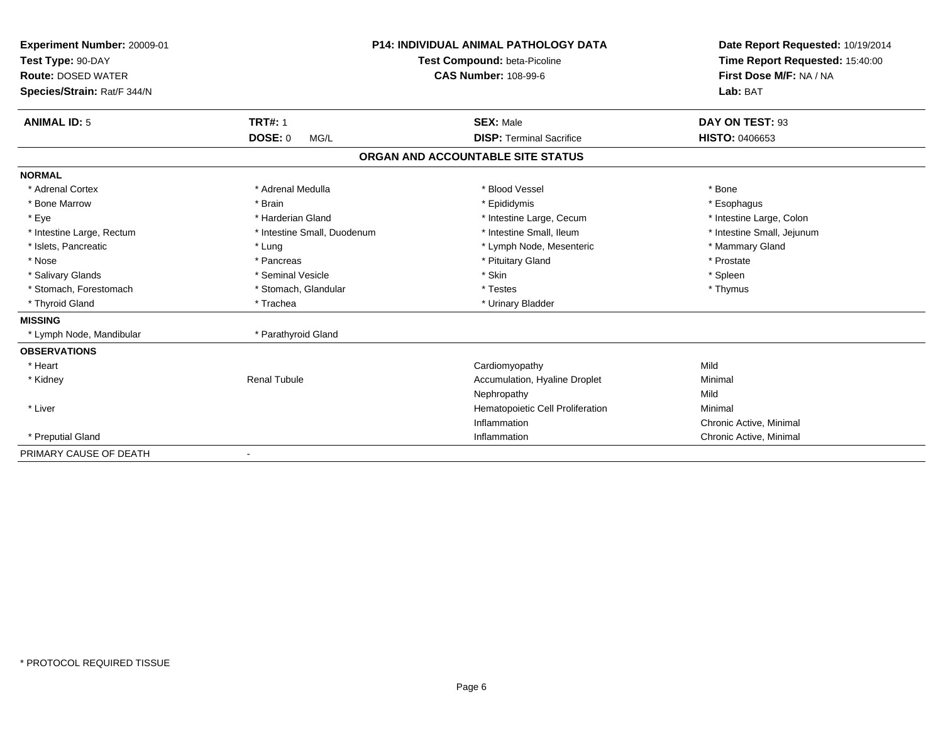| Experiment Number: 20009-01<br>Test Type: 90-DAY<br><b>Route: DOSED WATER</b><br>Species/Strain: Rat/F 344/N |                                          | <b>P14: INDIVIDUAL ANIMAL PATHOLOGY DATA</b><br>Test Compound: beta-Picoline<br><b>CAS Number: 108-99-6</b> | Date Report Requested: 10/19/2014<br>Time Report Requested: 15:40:00<br>First Dose M/F: NA / NA<br>Lab: BAT |
|--------------------------------------------------------------------------------------------------------------|------------------------------------------|-------------------------------------------------------------------------------------------------------------|-------------------------------------------------------------------------------------------------------------|
| <b>ANIMAL ID: 5</b>                                                                                          | <b>TRT#: 1</b><br><b>DOSE: 0</b><br>MG/L | <b>SEX: Male</b><br><b>DISP: Terminal Sacrifice</b>                                                         | DAY ON TEST: 93<br><b>HISTO: 0406653</b>                                                                    |
|                                                                                                              |                                          | ORGAN AND ACCOUNTABLE SITE STATUS                                                                           |                                                                                                             |
| <b>NORMAL</b>                                                                                                |                                          |                                                                                                             |                                                                                                             |
| * Adrenal Cortex                                                                                             | * Adrenal Medulla                        | * Blood Vessel                                                                                              | * Bone                                                                                                      |
| * Bone Marrow                                                                                                | * Brain                                  | * Epididymis                                                                                                | * Esophagus                                                                                                 |
| * Eye                                                                                                        | * Harderian Gland                        | * Intestine Large, Cecum                                                                                    | * Intestine Large, Colon                                                                                    |
| * Intestine Large, Rectum                                                                                    | * Intestine Small, Duodenum              | * Intestine Small, Ileum                                                                                    | * Intestine Small, Jejunum                                                                                  |
| * Islets, Pancreatic                                                                                         | * Lung                                   | * Lymph Node, Mesenteric                                                                                    | * Mammary Gland                                                                                             |
| * Nose                                                                                                       | * Pancreas                               | * Pituitary Gland                                                                                           | * Prostate                                                                                                  |
| * Salivary Glands                                                                                            | * Seminal Vesicle                        | * Skin                                                                                                      | * Spleen                                                                                                    |
| * Stomach, Forestomach                                                                                       | * Stomach, Glandular                     | * Testes                                                                                                    | * Thymus                                                                                                    |
| * Thyroid Gland                                                                                              | * Trachea                                | * Urinary Bladder                                                                                           |                                                                                                             |
| <b>MISSING</b>                                                                                               |                                          |                                                                                                             |                                                                                                             |
| * Lymph Node, Mandibular                                                                                     | * Parathyroid Gland                      |                                                                                                             |                                                                                                             |
| <b>OBSERVATIONS</b>                                                                                          |                                          |                                                                                                             |                                                                                                             |
| * Heart                                                                                                      |                                          | Cardiomyopathy                                                                                              | Mild                                                                                                        |
| * Kidney                                                                                                     | <b>Renal Tubule</b>                      | Accumulation, Hyaline Droplet                                                                               | Minimal                                                                                                     |
|                                                                                                              |                                          | Nephropathy                                                                                                 | Mild                                                                                                        |
| * Liver                                                                                                      |                                          | Hematopoietic Cell Proliferation                                                                            | Minimal                                                                                                     |
|                                                                                                              |                                          | Inflammation                                                                                                | Chronic Active, Minimal                                                                                     |
| * Preputial Gland                                                                                            |                                          | Inflammation                                                                                                | Chronic Active, Minimal                                                                                     |
| PRIMARY CAUSE OF DEATH                                                                                       |                                          |                                                                                                             |                                                                                                             |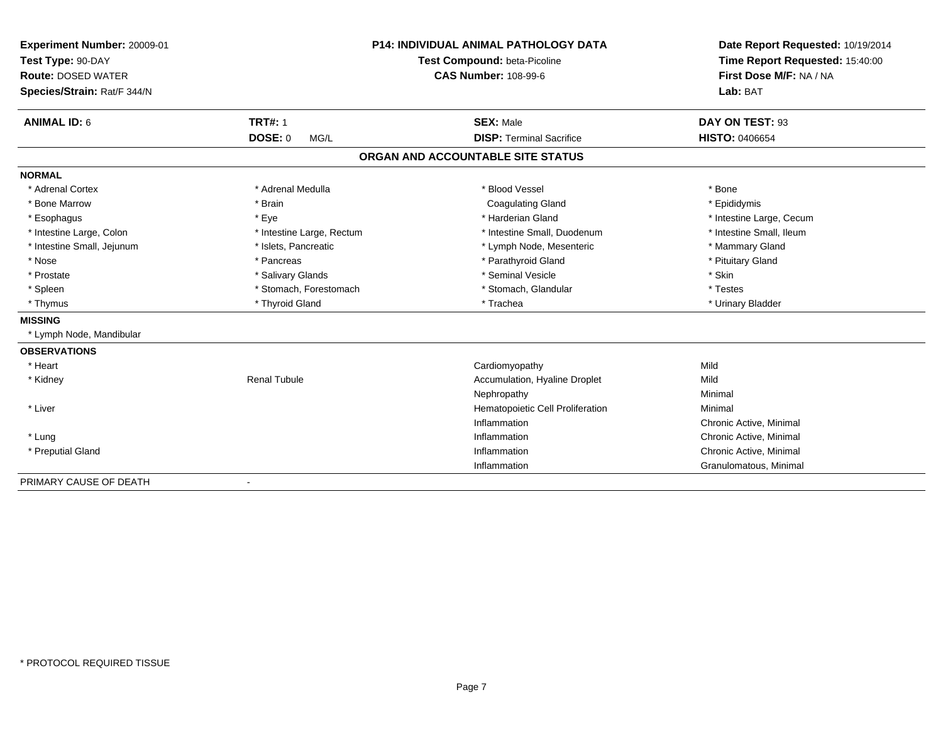| Experiment Number: 20009-01 | <b>P14: INDIVIDUAL ANIMAL PATHOLOGY DATA</b><br>Test Compound: beta-Picoline<br><b>CAS Number: 108-99-6</b> |                                   | Date Report Requested: 10/19/2014 |  |
|-----------------------------|-------------------------------------------------------------------------------------------------------------|-----------------------------------|-----------------------------------|--|
| Test Type: 90-DAY           |                                                                                                             |                                   | Time Report Requested: 15:40:00   |  |
| <b>Route: DOSED WATER</b>   |                                                                                                             |                                   | First Dose M/F: NA / NA           |  |
| Species/Strain: Rat/F 344/N |                                                                                                             |                                   | Lab: BAT                          |  |
| <b>ANIMAL ID: 6</b>         | <b>TRT#: 1</b>                                                                                              | <b>SEX: Male</b>                  | DAY ON TEST: 93                   |  |
|                             | <b>DOSE: 0</b><br>MG/L                                                                                      | <b>DISP: Terminal Sacrifice</b>   | <b>HISTO: 0406654</b>             |  |
|                             |                                                                                                             | ORGAN AND ACCOUNTABLE SITE STATUS |                                   |  |
| <b>NORMAL</b>               |                                                                                                             |                                   |                                   |  |
| * Adrenal Cortex            | * Adrenal Medulla                                                                                           | * Blood Vessel                    | * Bone                            |  |
| * Bone Marrow               | * Brain                                                                                                     | <b>Coagulating Gland</b>          | * Epididymis                      |  |
| * Esophagus                 | * Eye                                                                                                       | * Harderian Gland                 | * Intestine Large, Cecum          |  |
| * Intestine Large, Colon    | * Intestine Large, Rectum                                                                                   | * Intestine Small, Duodenum       | * Intestine Small. Ileum          |  |
| * Intestine Small, Jejunum  | * Islets, Pancreatic                                                                                        | * Lymph Node, Mesenteric          | * Mammary Gland                   |  |
| * Nose                      | * Pancreas                                                                                                  | * Parathyroid Gland               | * Pituitary Gland                 |  |
| * Prostate                  | * Salivary Glands                                                                                           | * Seminal Vesicle                 | * Skin                            |  |
| * Spleen                    | * Stomach, Forestomach                                                                                      | * Stomach, Glandular              | * Testes                          |  |
| * Thymus                    | * Thyroid Gland                                                                                             | * Trachea                         | * Urinary Bladder                 |  |
| <b>MISSING</b>              |                                                                                                             |                                   |                                   |  |
| * Lymph Node, Mandibular    |                                                                                                             |                                   |                                   |  |
| <b>OBSERVATIONS</b>         |                                                                                                             |                                   |                                   |  |
| * Heart                     |                                                                                                             | Cardiomyopathy                    | Mild                              |  |
| * Kidney                    | <b>Renal Tubule</b>                                                                                         | Accumulation, Hyaline Droplet     | Mild                              |  |
|                             |                                                                                                             | Nephropathy                       | Minimal                           |  |
| * Liver                     |                                                                                                             | Hematopoietic Cell Proliferation  | Minimal                           |  |
|                             |                                                                                                             | Inflammation                      | Chronic Active, Minimal           |  |
| * Lung                      |                                                                                                             | Inflammation                      | Chronic Active, Minimal           |  |
| * Preputial Gland           |                                                                                                             | Inflammation                      | Chronic Active, Minimal           |  |
|                             |                                                                                                             | Inflammation                      | Granulomatous, Minimal            |  |
| PRIMARY CAUSE OF DEATH      | $\overline{\phantom{a}}$                                                                                    |                                   |                                   |  |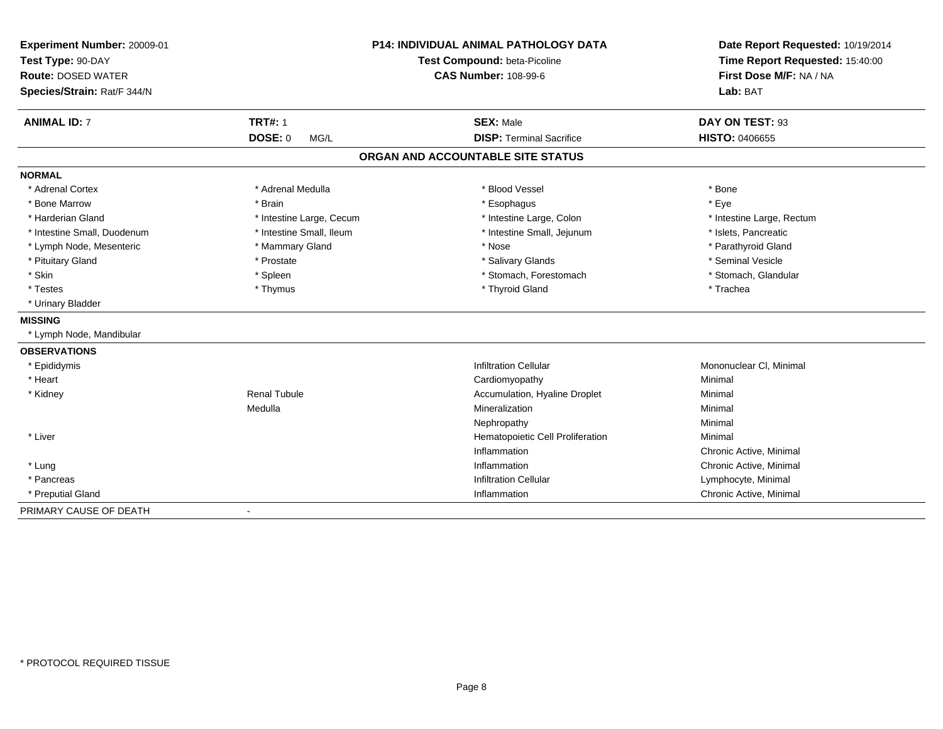| Experiment Number: 20009-01<br>Test Type: 90-DAY<br><b>Route: DOSED WATER</b><br>Species/Strain: Rat/F 344/N | <b>P14: INDIVIDUAL ANIMAL PATHOLOGY DATA</b><br>Test Compound: beta-Picoline<br><b>CAS Number: 108-99-6</b> |                                   | Date Report Requested: 10/19/2014<br>Time Report Requested: 15:40:00<br>First Dose M/F: NA / NA<br>Lab: BAT |  |
|--------------------------------------------------------------------------------------------------------------|-------------------------------------------------------------------------------------------------------------|-----------------------------------|-------------------------------------------------------------------------------------------------------------|--|
| <b>ANIMAL ID: 7</b>                                                                                          | <b>TRT#: 1</b>                                                                                              | <b>SEX: Male</b>                  | DAY ON TEST: 93                                                                                             |  |
|                                                                                                              | <b>DOSE: 0</b><br>MG/L                                                                                      | <b>DISP: Terminal Sacrifice</b>   | <b>HISTO: 0406655</b>                                                                                       |  |
|                                                                                                              |                                                                                                             | ORGAN AND ACCOUNTABLE SITE STATUS |                                                                                                             |  |
| <b>NORMAL</b>                                                                                                |                                                                                                             |                                   |                                                                                                             |  |
| * Adrenal Cortex                                                                                             | * Adrenal Medulla                                                                                           | * Blood Vessel                    | * Bone                                                                                                      |  |
| * Bone Marrow                                                                                                | * Brain                                                                                                     | * Esophagus                       | * Eye                                                                                                       |  |
| * Harderian Gland                                                                                            | * Intestine Large, Cecum                                                                                    | * Intestine Large, Colon          | * Intestine Large, Rectum                                                                                   |  |
| * Intestine Small, Duodenum                                                                                  | * Intestine Small, Ileum                                                                                    | * Intestine Small, Jejunum        | * Islets, Pancreatic                                                                                        |  |
| * Lymph Node, Mesenteric                                                                                     | * Mammary Gland                                                                                             | * Nose                            | * Parathyroid Gland                                                                                         |  |
| * Pituitary Gland                                                                                            | * Prostate                                                                                                  | * Salivary Glands                 | * Seminal Vesicle                                                                                           |  |
| * Skin                                                                                                       | * Spleen                                                                                                    | * Stomach, Forestomach            | * Stomach, Glandular                                                                                        |  |
| * Testes                                                                                                     | * Thymus                                                                                                    | * Thyroid Gland                   | * Trachea                                                                                                   |  |
| * Urinary Bladder                                                                                            |                                                                                                             |                                   |                                                                                                             |  |
| <b>MISSING</b>                                                                                               |                                                                                                             |                                   |                                                                                                             |  |
| * Lymph Node, Mandibular                                                                                     |                                                                                                             |                                   |                                                                                                             |  |
| <b>OBSERVATIONS</b>                                                                                          |                                                                                                             |                                   |                                                                                                             |  |
| * Epididymis                                                                                                 |                                                                                                             | <b>Infiltration Cellular</b>      | Mononuclear CI, Minimal                                                                                     |  |
| * Heart                                                                                                      |                                                                                                             | Cardiomyopathy                    | Minimal                                                                                                     |  |
| * Kidney                                                                                                     | <b>Renal Tubule</b>                                                                                         | Accumulation, Hyaline Droplet     | Minimal                                                                                                     |  |
|                                                                                                              | Medulla                                                                                                     | Mineralization                    | Minimal                                                                                                     |  |
|                                                                                                              |                                                                                                             | Nephropathy                       | Minimal                                                                                                     |  |
| * Liver                                                                                                      |                                                                                                             | Hematopoietic Cell Proliferation  | Minimal                                                                                                     |  |
|                                                                                                              |                                                                                                             | Inflammation                      | Chronic Active, Minimal                                                                                     |  |
| * Lung                                                                                                       |                                                                                                             | Inflammation                      | Chronic Active, Minimal                                                                                     |  |
| * Pancreas                                                                                                   |                                                                                                             | <b>Infiltration Cellular</b>      | Lymphocyte, Minimal                                                                                         |  |
| * Preputial Gland                                                                                            |                                                                                                             | Inflammation                      | Chronic Active, Minimal                                                                                     |  |
| PRIMARY CAUSE OF DEATH                                                                                       | $\blacksquare$                                                                                              |                                   |                                                                                                             |  |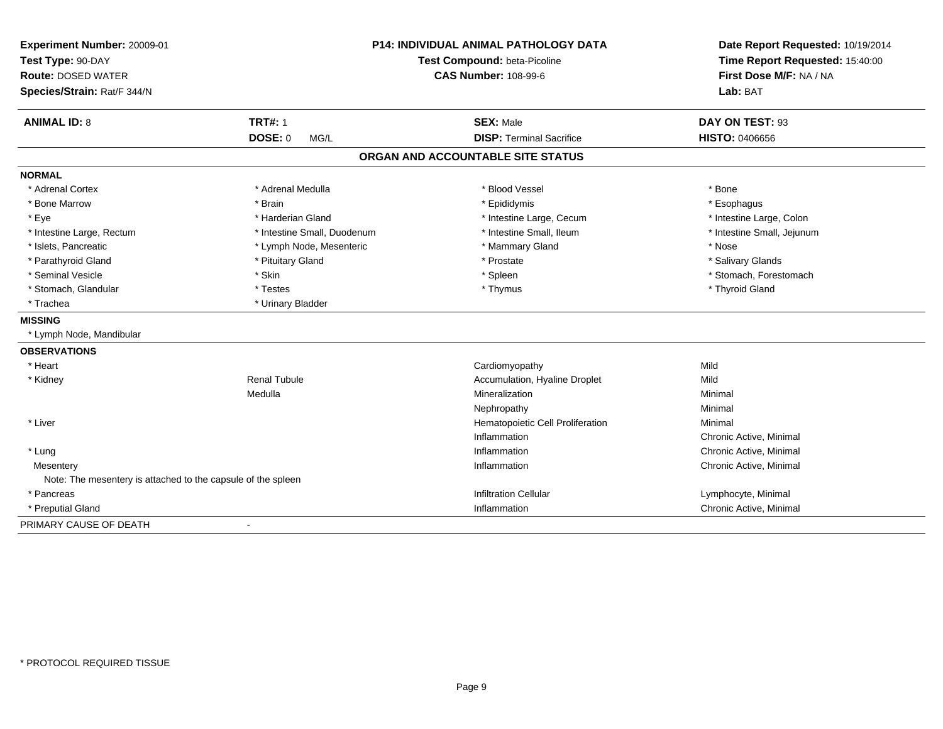| Experiment Number: 20009-01                                  | <b>P14: INDIVIDUAL ANIMAL PATHOLOGY DATA</b><br>Test Compound: beta-Picoline |                                   | Date Report Requested: 10/19/2014 |
|--------------------------------------------------------------|------------------------------------------------------------------------------|-----------------------------------|-----------------------------------|
| Test Type: 90-DAY                                            |                                                                              |                                   | Time Report Requested: 15:40:00   |
| <b>Route: DOSED WATER</b>                                    |                                                                              | <b>CAS Number: 108-99-6</b>       | First Dose M/F: NA / NA           |
| Species/Strain: Rat/F 344/N                                  |                                                                              |                                   | Lab: BAT                          |
| <b>ANIMAL ID: 8</b>                                          | <b>TRT#: 1</b>                                                               | <b>SEX: Male</b>                  | DAY ON TEST: 93                   |
|                                                              | <b>DOSE: 0</b><br>MG/L                                                       | <b>DISP: Terminal Sacrifice</b>   | <b>HISTO: 0406656</b>             |
|                                                              |                                                                              | ORGAN AND ACCOUNTABLE SITE STATUS |                                   |
| <b>NORMAL</b>                                                |                                                                              |                                   |                                   |
| * Adrenal Cortex                                             | * Adrenal Medulla                                                            | * Blood Vessel                    | * Bone                            |
| * Bone Marrow                                                | * Brain                                                                      | * Epididymis                      | * Esophagus                       |
| * Eye                                                        | * Harderian Gland                                                            | * Intestine Large, Cecum          | * Intestine Large, Colon          |
| * Intestine Large, Rectum                                    | * Intestine Small, Duodenum                                                  | * Intestine Small. Ileum          | * Intestine Small, Jejunum        |
| * Islets, Pancreatic                                         | * Lymph Node, Mesenteric                                                     | * Mammary Gland                   | * Nose                            |
| * Parathyroid Gland                                          | * Pituitary Gland                                                            | * Prostate                        | * Salivary Glands                 |
| * Seminal Vesicle                                            | * Skin                                                                       | * Spleen                          | * Stomach, Forestomach            |
| * Stomach, Glandular                                         | * Testes                                                                     | * Thymus                          | * Thyroid Gland                   |
| * Trachea                                                    | * Urinary Bladder                                                            |                                   |                                   |
| <b>MISSING</b>                                               |                                                                              |                                   |                                   |
| * Lymph Node, Mandibular                                     |                                                                              |                                   |                                   |
| <b>OBSERVATIONS</b>                                          |                                                                              |                                   |                                   |
| * Heart                                                      |                                                                              | Cardiomyopathy                    | Mild                              |
| * Kidney                                                     | <b>Renal Tubule</b>                                                          | Accumulation, Hyaline Droplet     | Mild                              |
|                                                              | Medulla                                                                      | Mineralization                    | Minimal                           |
|                                                              |                                                                              | Nephropathy                       | Minimal                           |
| * Liver                                                      |                                                                              | Hematopoietic Cell Proliferation  | Minimal                           |
|                                                              |                                                                              | Inflammation                      | Chronic Active, Minimal           |
| * Lung                                                       |                                                                              | Inflammation                      | Chronic Active, Minimal           |
| Mesentery                                                    |                                                                              | Inflammation                      | Chronic Active, Minimal           |
| Note: The mesentery is attached to the capsule of the spleen |                                                                              |                                   |                                   |
| * Pancreas                                                   |                                                                              | <b>Infiltration Cellular</b>      | Lymphocyte, Minimal               |
| * Preputial Gland                                            |                                                                              | Inflammation                      | Chronic Active, Minimal           |
| PRIMARY CAUSE OF DEATH                                       | $\blacksquare$                                                               |                                   |                                   |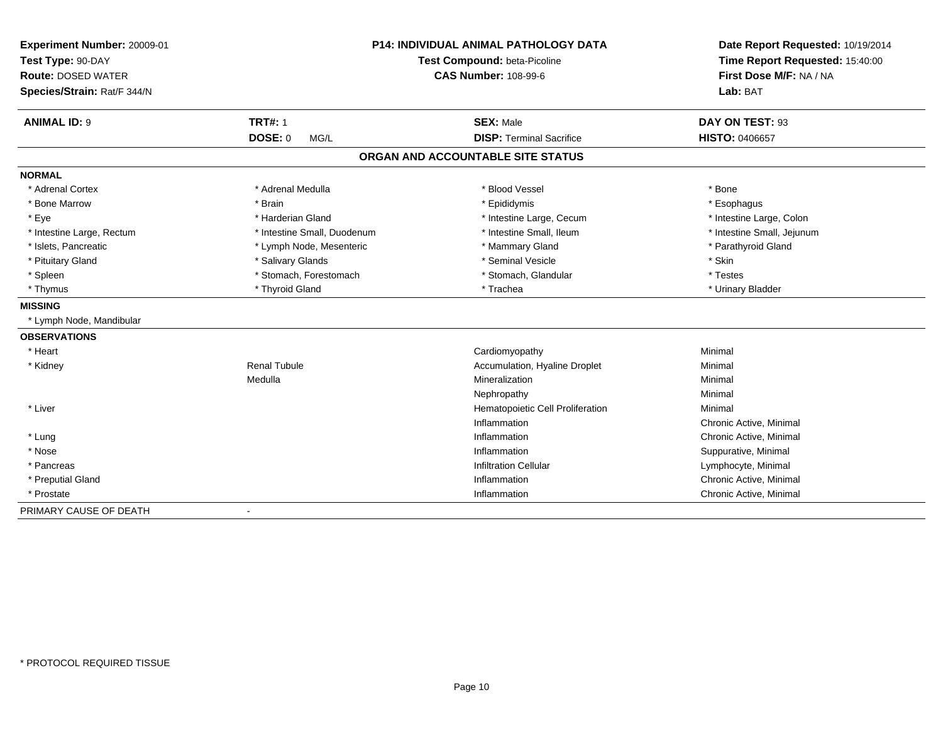| Experiment Number: 20009-01<br>Test Type: 90-DAY<br><b>Route: DOSED WATER</b><br>Species/Strain: Rat/F 344/N | <b>P14: INDIVIDUAL ANIMAL PATHOLOGY DATA</b><br>Test Compound: beta-Picoline<br><b>CAS Number: 108-99-6</b> |                                   | Date Report Requested: 10/19/2014<br>Time Report Requested: 15:40:00<br>First Dose M/F: NA / NA<br>Lab: BAT |  |
|--------------------------------------------------------------------------------------------------------------|-------------------------------------------------------------------------------------------------------------|-----------------------------------|-------------------------------------------------------------------------------------------------------------|--|
| <b>ANIMAL ID: 9</b>                                                                                          | <b>TRT#: 1</b>                                                                                              | <b>SEX: Male</b>                  | DAY ON TEST: 93                                                                                             |  |
|                                                                                                              | <b>DOSE: 0</b><br>MG/L                                                                                      | <b>DISP: Terminal Sacrifice</b>   | HISTO: 0406657                                                                                              |  |
|                                                                                                              |                                                                                                             | ORGAN AND ACCOUNTABLE SITE STATUS |                                                                                                             |  |
| <b>NORMAL</b>                                                                                                |                                                                                                             |                                   |                                                                                                             |  |
| * Adrenal Cortex                                                                                             | * Adrenal Medulla                                                                                           | * Blood Vessel                    | * Bone                                                                                                      |  |
| * Bone Marrow                                                                                                | * Brain                                                                                                     | * Epididymis                      | * Esophagus                                                                                                 |  |
| * Eye                                                                                                        | * Harderian Gland                                                                                           | * Intestine Large, Cecum          | * Intestine Large, Colon                                                                                    |  |
| * Intestine Large, Rectum                                                                                    | * Intestine Small, Duodenum                                                                                 | * Intestine Small, Ileum          | * Intestine Small, Jejunum                                                                                  |  |
| * Islets, Pancreatic                                                                                         | * Lymph Node, Mesenteric                                                                                    | * Mammary Gland                   | * Parathyroid Gland                                                                                         |  |
| * Pituitary Gland                                                                                            | * Salivary Glands                                                                                           | * Seminal Vesicle                 | * Skin                                                                                                      |  |
| * Spleen                                                                                                     | * Stomach, Forestomach                                                                                      | * Stomach, Glandular              | * Testes                                                                                                    |  |
| * Thymus                                                                                                     | * Thyroid Gland                                                                                             | * Trachea                         | * Urinary Bladder                                                                                           |  |
| <b>MISSING</b>                                                                                               |                                                                                                             |                                   |                                                                                                             |  |
| * Lymph Node, Mandibular                                                                                     |                                                                                                             |                                   |                                                                                                             |  |
| <b>OBSERVATIONS</b>                                                                                          |                                                                                                             |                                   |                                                                                                             |  |
| * Heart                                                                                                      |                                                                                                             | Cardiomyopathy                    | Minimal                                                                                                     |  |
| * Kidney                                                                                                     | <b>Renal Tubule</b>                                                                                         | Accumulation, Hyaline Droplet     | Minimal                                                                                                     |  |
|                                                                                                              | Medulla                                                                                                     | Mineralization                    | Minimal                                                                                                     |  |
|                                                                                                              |                                                                                                             | Nephropathy                       | Minimal                                                                                                     |  |
| * Liver                                                                                                      |                                                                                                             | Hematopoietic Cell Proliferation  | Minimal                                                                                                     |  |
|                                                                                                              |                                                                                                             | Inflammation                      | Chronic Active, Minimal                                                                                     |  |
| * Lung                                                                                                       |                                                                                                             | Inflammation                      | Chronic Active, Minimal                                                                                     |  |
| * Nose                                                                                                       |                                                                                                             | Inflammation                      | Suppurative, Minimal                                                                                        |  |
| * Pancreas                                                                                                   |                                                                                                             | <b>Infiltration Cellular</b>      | Lymphocyte, Minimal                                                                                         |  |
| * Preputial Gland                                                                                            |                                                                                                             | Inflammation                      | Chronic Active, Minimal                                                                                     |  |
| * Prostate                                                                                                   |                                                                                                             | Inflammation                      | Chronic Active, Minimal                                                                                     |  |
| PRIMARY CAUSE OF DEATH                                                                                       | $\blacksquare$                                                                                              |                                   |                                                                                                             |  |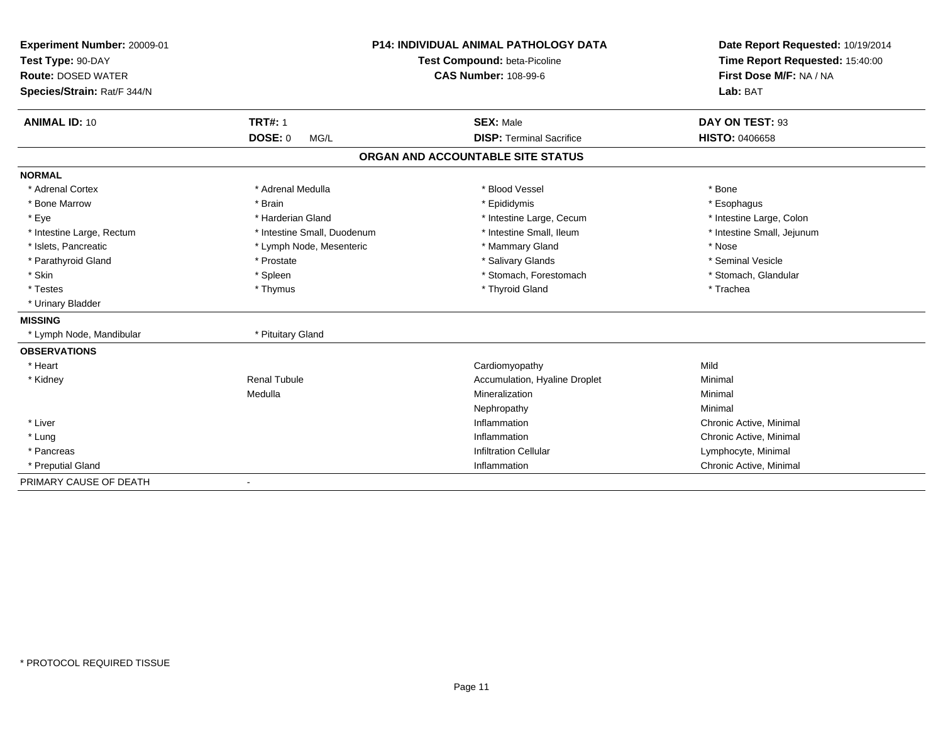| Experiment Number: 20009-01 | <b>P14: INDIVIDUAL ANIMAL PATHOLOGY DATA</b><br>Test Compound: beta-Picoline |                                   | Date Report Requested: 10/19/2014 |
|-----------------------------|------------------------------------------------------------------------------|-----------------------------------|-----------------------------------|
| Test Type: 90-DAY           |                                                                              |                                   | Time Report Requested: 15:40:00   |
| <b>Route: DOSED WATER</b>   |                                                                              | <b>CAS Number: 108-99-6</b>       | First Dose M/F: NA / NA           |
| Species/Strain: Rat/F 344/N |                                                                              |                                   | Lab: BAT                          |
| <b>ANIMAL ID: 10</b>        | <b>TRT#: 1</b>                                                               | <b>SEX: Male</b>                  | DAY ON TEST: 93                   |
|                             | DOSE: 0<br>MG/L                                                              | <b>DISP: Terminal Sacrifice</b>   | <b>HISTO: 0406658</b>             |
|                             |                                                                              | ORGAN AND ACCOUNTABLE SITE STATUS |                                   |
| <b>NORMAL</b>               |                                                                              |                                   |                                   |
| * Adrenal Cortex            | * Adrenal Medulla                                                            | * Blood Vessel                    | * Bone                            |
| * Bone Marrow               | * Brain                                                                      | * Epididymis                      | * Esophagus                       |
| * Eye                       | * Harderian Gland                                                            | * Intestine Large, Cecum          | * Intestine Large, Colon          |
| * Intestine Large, Rectum   | * Intestine Small, Duodenum                                                  | * Intestine Small, Ileum          | * Intestine Small, Jejunum        |
| * Islets, Pancreatic        | * Lymph Node, Mesenteric                                                     | * Mammary Gland                   | * Nose                            |
| * Parathyroid Gland         | * Prostate                                                                   | * Salivary Glands                 | * Seminal Vesicle                 |
| * Skin                      | * Spleen                                                                     | * Stomach, Forestomach            | * Stomach, Glandular              |
| * Testes                    | * Thymus                                                                     | * Thyroid Gland                   | * Trachea                         |
| * Urinary Bladder           |                                                                              |                                   |                                   |
| <b>MISSING</b>              |                                                                              |                                   |                                   |
| * Lymph Node, Mandibular    | * Pituitary Gland                                                            |                                   |                                   |
| <b>OBSERVATIONS</b>         |                                                                              |                                   |                                   |
| * Heart                     |                                                                              | Cardiomyopathy                    | Mild                              |
| * Kidney                    | Renal Tubule                                                                 | Accumulation, Hyaline Droplet     | Minimal                           |
|                             | Medulla                                                                      | Mineralization                    | Minimal                           |
|                             |                                                                              | Nephropathy                       | Minimal                           |
| * Liver                     |                                                                              | Inflammation                      | Chronic Active, Minimal           |
| * Lung                      |                                                                              | Inflammation                      | Chronic Active, Minimal           |
| * Pancreas                  |                                                                              | <b>Infiltration Cellular</b>      | Lymphocyte, Minimal               |
| * Preputial Gland           |                                                                              | Inflammation                      | Chronic Active, Minimal           |
| PRIMARY CAUSE OF DEATH      | $\overline{\phantom{a}}$                                                     |                                   |                                   |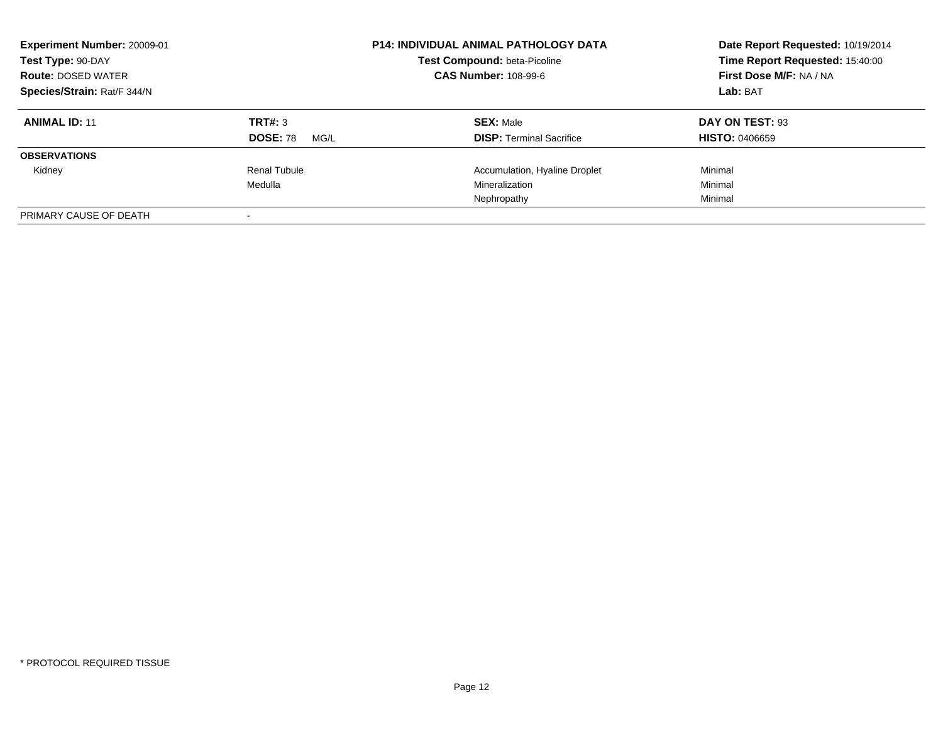| Experiment Number: 20009-01<br>Test Type: 90-DAY<br><b>Route: DOSED WATER</b><br>Species/Strain: Rat/F 344/N |                                    | <b>P14: INDIVIDUAL ANIMAL PATHOLOGY DATA</b><br>Test Compound: beta-Picoline<br><b>CAS Number: 108-99-6</b> | Date Report Requested: 10/19/2014<br>Time Report Requested: 15:40:00<br>First Dose M/F: NA / NA<br>Lab: BAT |
|--------------------------------------------------------------------------------------------------------------|------------------------------------|-------------------------------------------------------------------------------------------------------------|-------------------------------------------------------------------------------------------------------------|
| <b>ANIMAL ID: 11</b>                                                                                         | TRT#: 3<br><b>DOSE: 78</b><br>MG/L | <b>SEX: Male</b><br><b>DISP:</b> Terminal Sacrifice                                                         | DAY ON TEST: 93<br><b>HISTO: 0406659</b>                                                                    |
| <b>OBSERVATIONS</b>                                                                                          |                                    |                                                                                                             |                                                                                                             |
| Kidney                                                                                                       | Renal Tubule                       | Accumulation, Hyaline Droplet                                                                               | Minimal                                                                                                     |
|                                                                                                              | Medulla                            | Mineralization                                                                                              | Minimal                                                                                                     |
|                                                                                                              |                                    | Nephropathy                                                                                                 | Minimal                                                                                                     |
| PRIMARY CAUSE OF DEATH                                                                                       |                                    |                                                                                                             |                                                                                                             |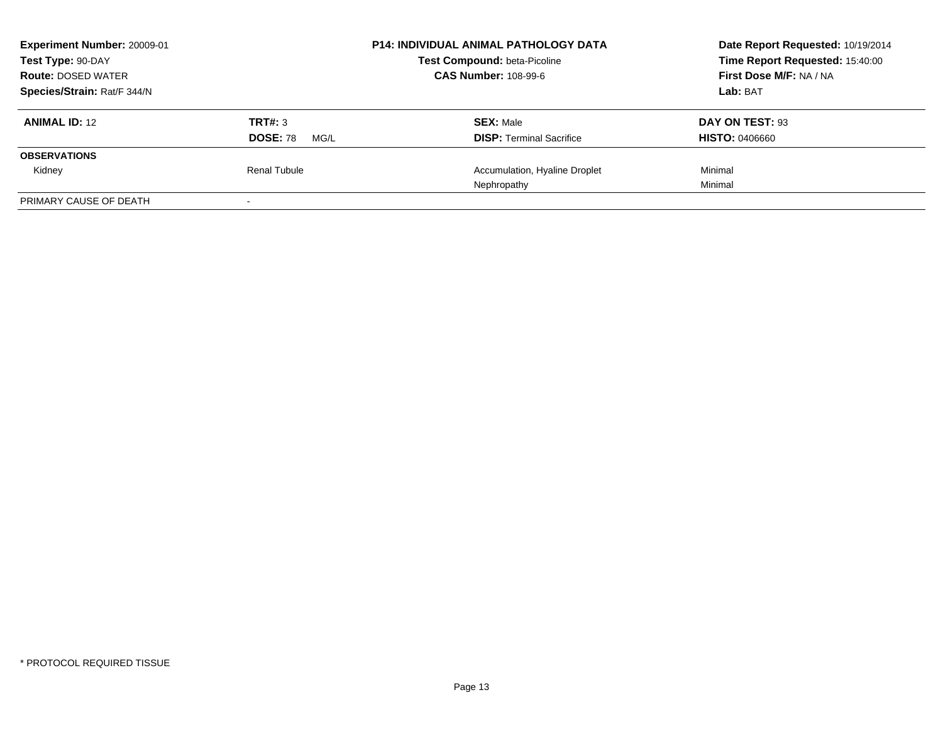| Experiment Number: 20009-01<br>Test Type: 90-DAY<br><b>Route: DOSED WATER</b> |                                    | <b>P14: INDIVIDUAL ANIMAL PATHOLOGY DATA</b><br>Test Compound: beta-Picoline<br><b>CAS Number: 108-99-6</b> | Date Report Requested: 10/19/2014<br>Time Report Requested: 15:40:00<br>First Dose M/F: NA / NA |  |
|-------------------------------------------------------------------------------|------------------------------------|-------------------------------------------------------------------------------------------------------------|-------------------------------------------------------------------------------------------------|--|
| Species/Strain: Rat/F 344/N                                                   |                                    |                                                                                                             | Lab: BAT                                                                                        |  |
| <b>ANIMAL ID: 12</b>                                                          | TRT#: 3<br><b>DOSE: 78</b><br>MG/L | <b>SEX: Male</b><br><b>DISP:</b> Terminal Sacrifice                                                         | DAY ON TEST: 93<br><b>HISTO: 0406660</b>                                                        |  |
| <b>OBSERVATIONS</b>                                                           |                                    |                                                                                                             |                                                                                                 |  |
| Kidney                                                                        | Renal Tubule                       | Accumulation, Hyaline Droplet<br>Nephropathy                                                                | Minimal<br>Minimal                                                                              |  |
| PRIMARY CAUSE OF DEATH                                                        |                                    |                                                                                                             |                                                                                                 |  |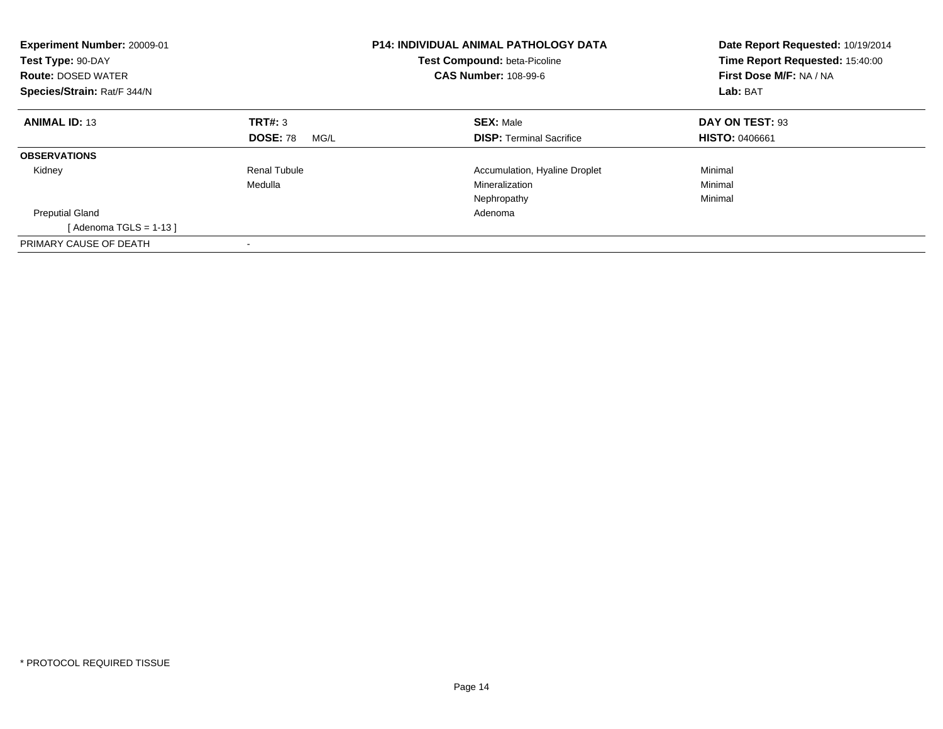| <b>Experiment Number: 20009-01</b><br>Test Type: 90-DAY<br><b>Route: DOSED WATER</b><br>Species/Strain: Rat/F 344/N |                         | <b>P14: INDIVIDUAL ANIMAL PATHOLOGY DATA</b><br><b>Test Compound: beta-Picoline</b><br><b>CAS Number: 108-99-6</b> | Date Report Requested: 10/19/2014<br>Time Report Requested: 15:40:00<br>First Dose M/F: NA / NA<br>Lab: BAT |
|---------------------------------------------------------------------------------------------------------------------|-------------------------|--------------------------------------------------------------------------------------------------------------------|-------------------------------------------------------------------------------------------------------------|
| <b>ANIMAL ID: 13</b>                                                                                                | <b>TRT#: 3</b>          | <b>SEX: Male</b>                                                                                                   | DAY ON TEST: 93                                                                                             |
|                                                                                                                     | <b>DOSE: 78</b><br>MG/L | <b>DISP:</b> Terminal Sacrifice                                                                                    | <b>HISTO: 0406661</b>                                                                                       |
| <b>OBSERVATIONS</b>                                                                                                 |                         |                                                                                                                    |                                                                                                             |
| Kidney                                                                                                              | Renal Tubule            | Accumulation, Hyaline Droplet                                                                                      | Minimal                                                                                                     |
|                                                                                                                     | Medulla                 | Mineralization                                                                                                     | Minimal                                                                                                     |
|                                                                                                                     |                         | Nephropathy                                                                                                        | Minimal                                                                                                     |
| <b>Preputial Gland</b>                                                                                              |                         | Adenoma                                                                                                            |                                                                                                             |
| [Adenoma TGLS = $1-13$ ]                                                                                            |                         |                                                                                                                    |                                                                                                             |
| PRIMARY CAUSE OF DEATH                                                                                              |                         |                                                                                                                    |                                                                                                             |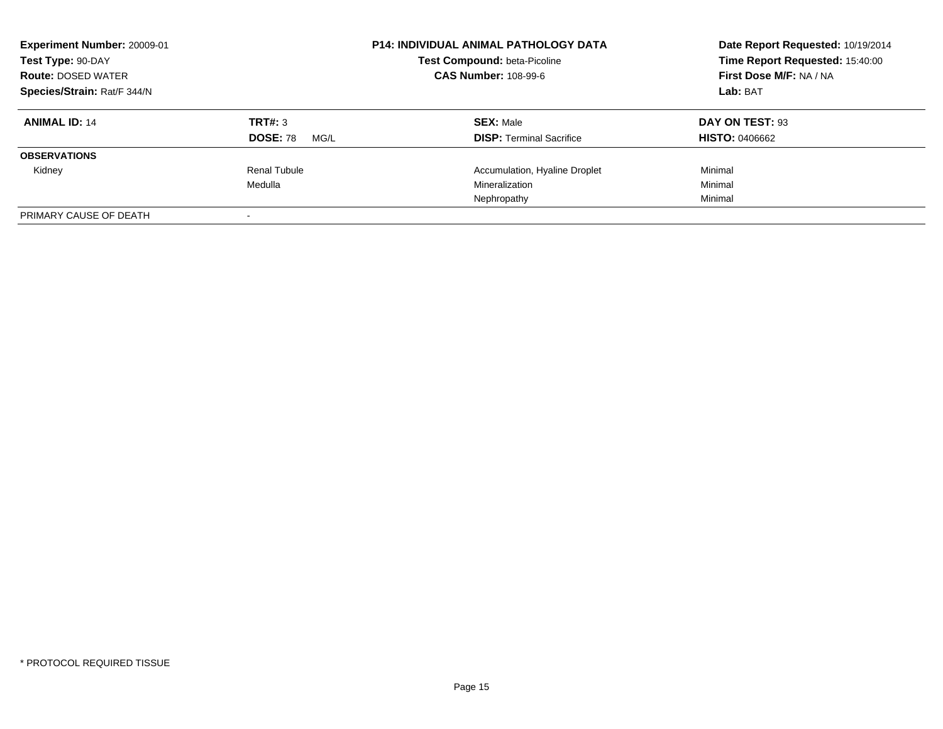| Experiment Number: 20009-01<br>Test Type: 90-DAY<br><b>Route: DOSED WATER</b><br>Species/Strain: Rat/F 344/N |                                    | <b>P14: INDIVIDUAL ANIMAL PATHOLOGY DATA</b><br>Test Compound: beta-Picoline<br><b>CAS Number: 108-99-6</b> | Date Report Requested: 10/19/2014<br>Time Report Requested: 15:40:00<br>First Dose M/F: NA / NA<br>Lab: BAT |
|--------------------------------------------------------------------------------------------------------------|------------------------------------|-------------------------------------------------------------------------------------------------------------|-------------------------------------------------------------------------------------------------------------|
| <b>ANIMAL ID: 14</b>                                                                                         | TRT#: 3<br><b>DOSE: 78</b><br>MG/L | <b>SEX: Male</b><br><b>DISP:</b> Terminal Sacrifice                                                         | DAY ON TEST: 93<br><b>HISTO: 0406662</b>                                                                    |
| <b>OBSERVATIONS</b>                                                                                          |                                    |                                                                                                             |                                                                                                             |
| Kidney                                                                                                       | Renal Tubule<br>Medulla            | Accumulation, Hyaline Droplet<br>Mineralization<br>Nephropathy                                              | Minimal<br>Minimal<br>Minimal                                                                               |
| PRIMARY CAUSE OF DEATH                                                                                       |                                    |                                                                                                             |                                                                                                             |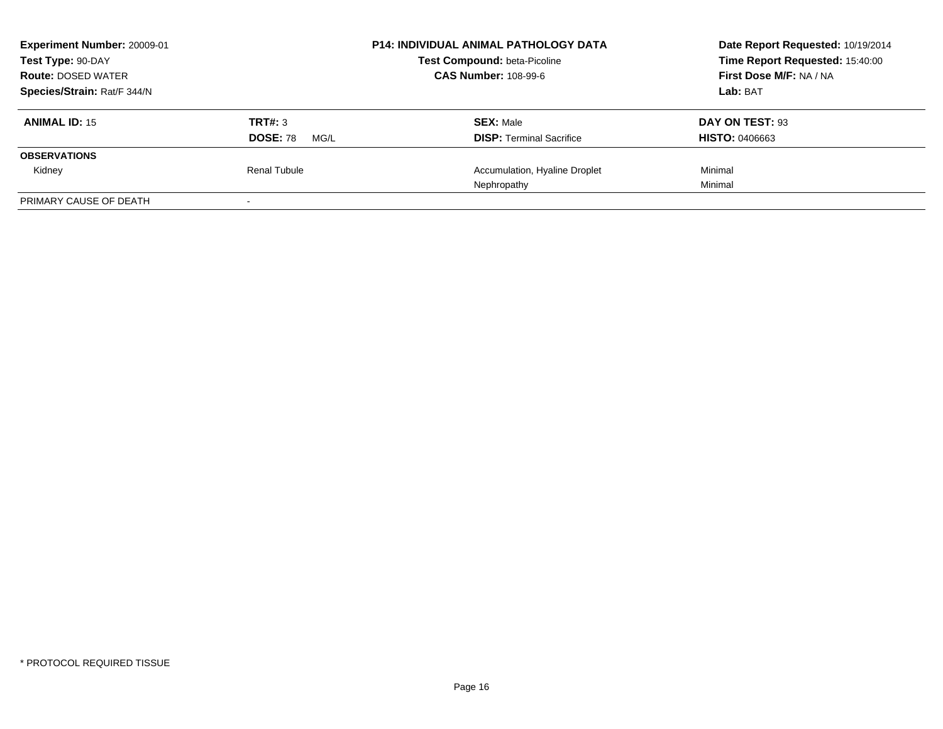| Experiment Number: 20009-01<br>Test Type: 90-DAY<br><b>Route: DOSED WATER</b> |                                    | <b>P14: INDIVIDUAL ANIMAL PATHOLOGY DATA</b><br>Test Compound: beta-Picoline<br><b>CAS Number: 108-99-6</b> | Date Report Requested: 10/19/2014<br>Time Report Requested: 15:40:00<br>First Dose M/F: NA / NA |
|-------------------------------------------------------------------------------|------------------------------------|-------------------------------------------------------------------------------------------------------------|-------------------------------------------------------------------------------------------------|
| Species/Strain: Rat/F 344/N                                                   |                                    |                                                                                                             | Lab: BAT                                                                                        |
| <b>ANIMAL ID: 15</b>                                                          | TRT#: 3<br><b>DOSE: 78</b><br>MG/L | <b>SEX: Male</b><br><b>DISP:</b> Terminal Sacrifice                                                         | DAY ON TEST: 93<br><b>HISTO: 0406663</b>                                                        |
| <b>OBSERVATIONS</b>                                                           |                                    |                                                                                                             |                                                                                                 |
| Kidney                                                                        | Renal Tubule                       | Accumulation, Hyaline Droplet<br>Nephropathy                                                                | Minimal<br>Minimal                                                                              |
| PRIMARY CAUSE OF DEATH                                                        |                                    |                                                                                                             |                                                                                                 |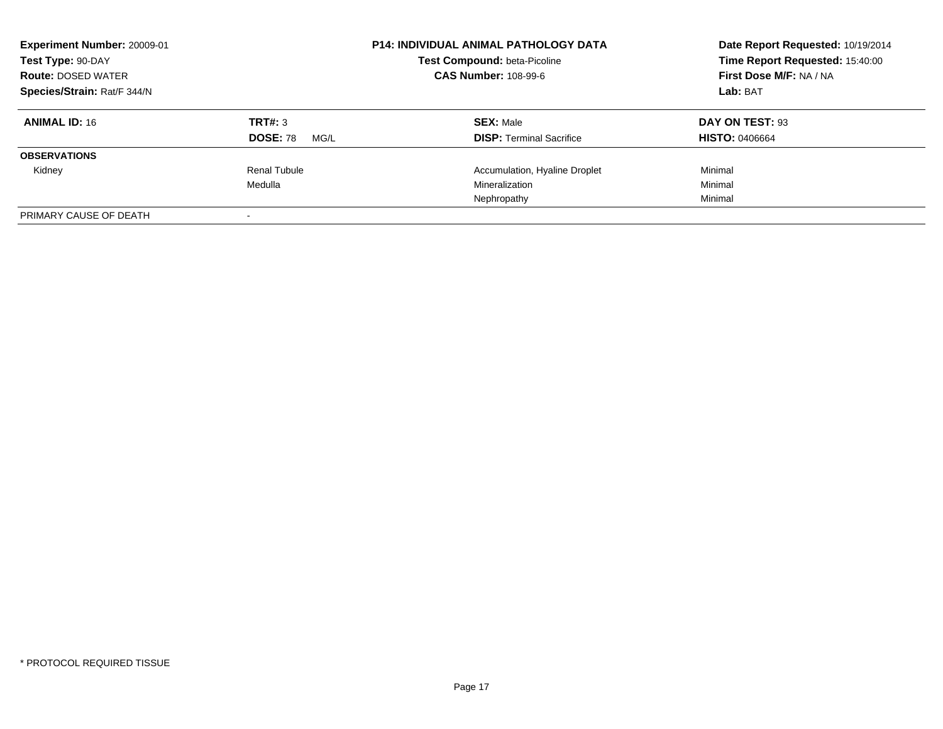| Experiment Number: 20009-01<br>Test Type: 90-DAY<br><b>Route: DOSED WATER</b><br>Species/Strain: Rat/F 344/N |                                    | <b>P14: INDIVIDUAL ANIMAL PATHOLOGY DATA</b><br>Test Compound: beta-Picoline<br><b>CAS Number: 108-99-6</b> | Date Report Requested: 10/19/2014<br>Time Report Requested: 15:40:00<br>First Dose M/F: NA / NA<br>Lab: BAT |
|--------------------------------------------------------------------------------------------------------------|------------------------------------|-------------------------------------------------------------------------------------------------------------|-------------------------------------------------------------------------------------------------------------|
| <b>ANIMAL ID: 16</b>                                                                                         | TRT#: 3<br><b>DOSE: 78</b><br>MG/L | <b>SEX: Male</b><br><b>DISP:</b> Terminal Sacrifice                                                         | DAY ON TEST: 93<br><b>HISTO: 0406664</b>                                                                    |
| <b>OBSERVATIONS</b>                                                                                          |                                    |                                                                                                             |                                                                                                             |
| Kidney                                                                                                       | Renal Tubule<br>Medulla            | Accumulation, Hyaline Droplet<br>Mineralization<br>Nephropathy                                              | Minimal<br>Minimal<br>Minimal                                                                               |
| PRIMARY CAUSE OF DEATH                                                                                       |                                    |                                                                                                             |                                                                                                             |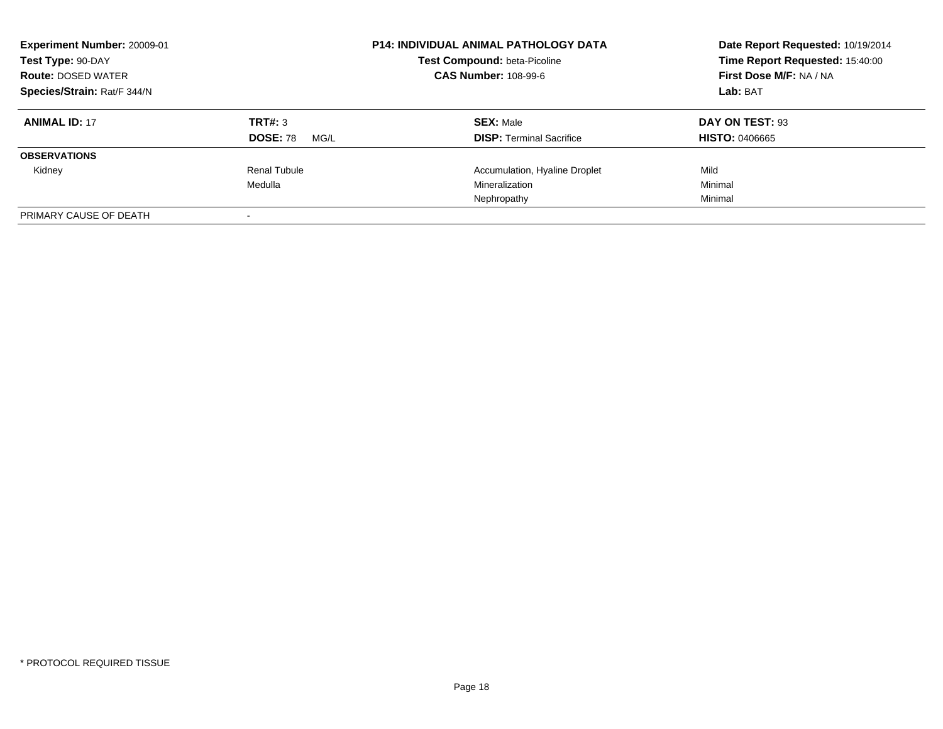| Experiment Number: 20009-01<br>Test Type: 90-DAY<br><b>Route: DOSED WATER</b><br>Species/Strain: Rat/F 344/N |                                    | <b>P14: INDIVIDUAL ANIMAL PATHOLOGY DATA</b><br>Test Compound: beta-Picoline<br><b>CAS Number: 108-99-6</b> | Date Report Requested: 10/19/2014<br>Time Report Requested: 15:40:00<br>First Dose M/F: NA / NA<br>Lab: BAT |
|--------------------------------------------------------------------------------------------------------------|------------------------------------|-------------------------------------------------------------------------------------------------------------|-------------------------------------------------------------------------------------------------------------|
| <b>ANIMAL ID: 17</b>                                                                                         | TRT#: 3<br><b>DOSE: 78</b><br>MG/L | <b>SEX: Male</b><br><b>DISP:</b> Terminal Sacrifice                                                         | DAY ON TEST: 93<br><b>HISTO: 0406665</b>                                                                    |
| <b>OBSERVATIONS</b>                                                                                          |                                    |                                                                                                             |                                                                                                             |
| Kidney                                                                                                       | Renal Tubule<br>Medulla            | Accumulation, Hyaline Droplet<br>Mineralization<br>Nephropathy                                              | Mild<br>Minimal<br>Minimal                                                                                  |
| PRIMARY CAUSE OF DEATH                                                                                       |                                    |                                                                                                             |                                                                                                             |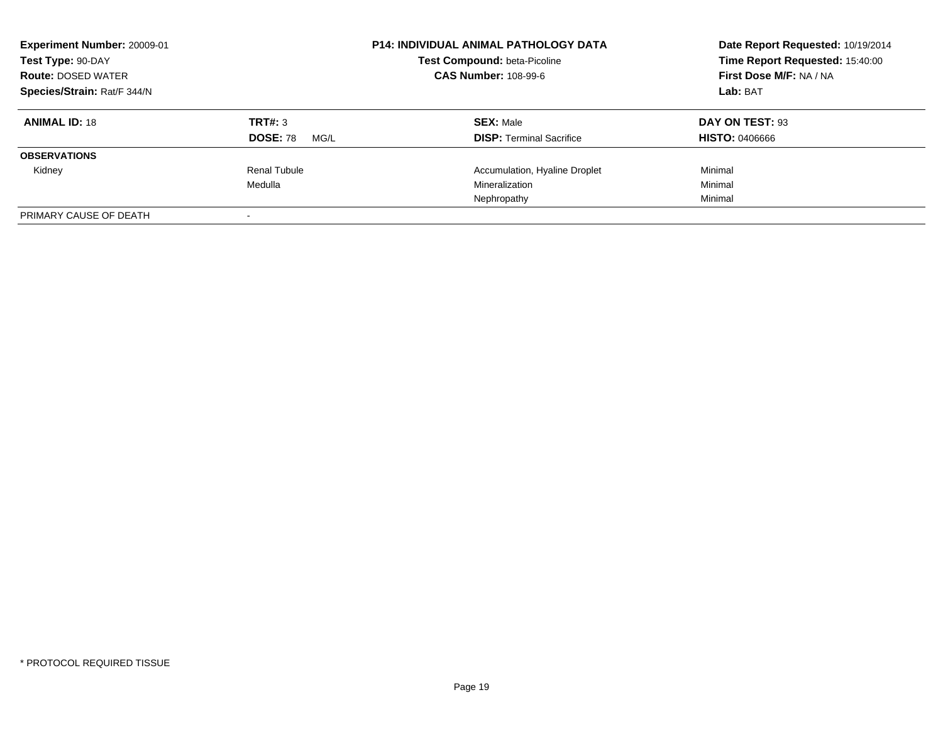| Experiment Number: 20009-01<br>Test Type: 90-DAY<br><b>Route: DOSED WATER</b><br>Species/Strain: Rat/F 344/N |                                    | <b>P14: INDIVIDUAL ANIMAL PATHOLOGY DATA</b><br>Test Compound: beta-Picoline<br><b>CAS Number: 108-99-6</b> | Date Report Requested: 10/19/2014<br>Time Report Requested: 15:40:00<br>First Dose M/F: NA / NA<br>Lab: BAT |
|--------------------------------------------------------------------------------------------------------------|------------------------------------|-------------------------------------------------------------------------------------------------------------|-------------------------------------------------------------------------------------------------------------|
| <b>ANIMAL ID: 18</b>                                                                                         | TRT#: 3<br><b>DOSE: 78</b><br>MG/L | <b>SEX: Male</b><br><b>DISP:</b> Terminal Sacrifice                                                         | DAY ON TEST: 93<br><b>HISTO: 0406666</b>                                                                    |
| <b>OBSERVATIONS</b>                                                                                          |                                    |                                                                                                             |                                                                                                             |
| Kidney                                                                                                       | Renal Tubule<br>Medulla            | Accumulation, Hyaline Droplet<br>Mineralization<br>Nephropathy                                              | Minimal<br>Minimal<br>Minimal                                                                               |
| PRIMARY CAUSE OF DEATH                                                                                       |                                    |                                                                                                             |                                                                                                             |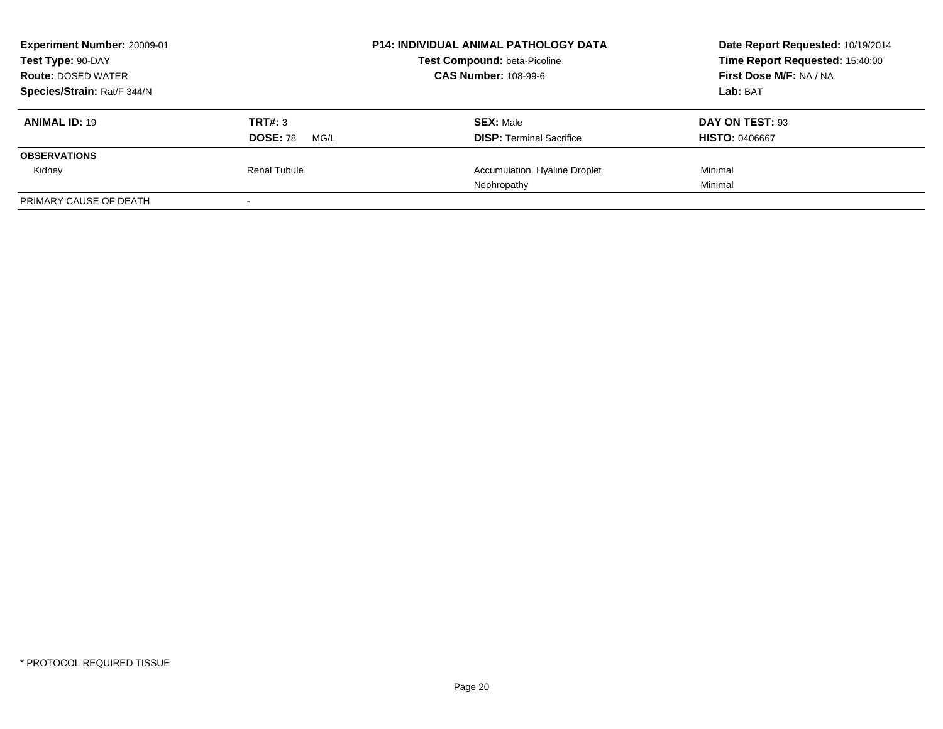| Experiment Number: 20009-01<br>Test Type: 90-DAY<br><b>Route: DOSED WATER</b> |                                    | <b>P14: INDIVIDUAL ANIMAL PATHOLOGY DATA</b><br>Test Compound: beta-Picoline<br><b>CAS Number: 108-99-6</b> | Date Report Requested: 10/19/2014<br>Time Report Requested: 15:40:00<br>First Dose M/F: NA / NA |  |
|-------------------------------------------------------------------------------|------------------------------------|-------------------------------------------------------------------------------------------------------------|-------------------------------------------------------------------------------------------------|--|
| Species/Strain: Rat/F 344/N                                                   |                                    |                                                                                                             | Lab: BAT                                                                                        |  |
| <b>ANIMAL ID: 19</b>                                                          | TRT#: 3<br><b>DOSE: 78</b><br>MG/L | <b>SEX: Male</b><br><b>DISP:</b> Terminal Sacrifice                                                         | DAY ON TEST: 93<br><b>HISTO: 0406667</b>                                                        |  |
| <b>OBSERVATIONS</b>                                                           |                                    |                                                                                                             |                                                                                                 |  |
| Kidney                                                                        | Renal Tubule                       | Accumulation, Hyaline Droplet<br>Nephropathy                                                                | Minimal<br>Minimal                                                                              |  |
| PRIMARY CAUSE OF DEATH                                                        |                                    |                                                                                                             |                                                                                                 |  |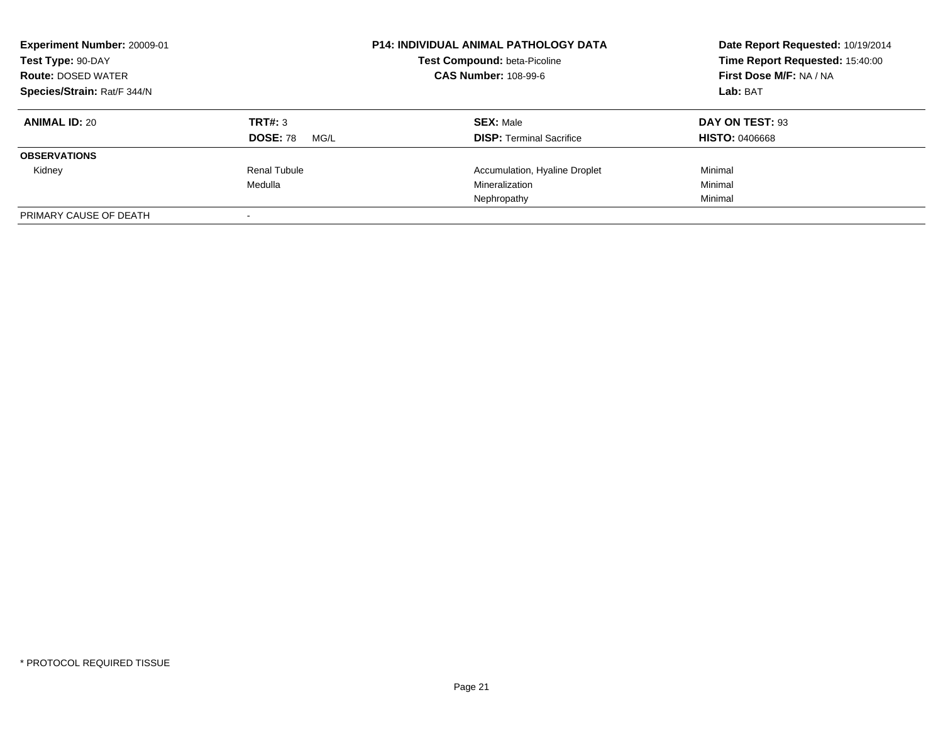| Experiment Number: 20009-01<br>Test Type: 90-DAY<br><b>Route: DOSED WATER</b><br>Species/Strain: Rat/F 344/N |                                    | <b>P14: INDIVIDUAL ANIMAL PATHOLOGY DATA</b><br>Test Compound: beta-Picoline<br><b>CAS Number: 108-99-6</b> | Date Report Requested: 10/19/2014<br>Time Report Requested: 15:40:00<br>First Dose M/F: NA / NA<br>Lab: BAT |
|--------------------------------------------------------------------------------------------------------------|------------------------------------|-------------------------------------------------------------------------------------------------------------|-------------------------------------------------------------------------------------------------------------|
| <b>ANIMAL ID: 20</b>                                                                                         | TRT#: 3<br><b>DOSE: 78</b><br>MG/L | <b>SEX: Male</b><br><b>DISP:</b> Terminal Sacrifice                                                         | DAY ON TEST: 93<br><b>HISTO: 0406668</b>                                                                    |
| <b>OBSERVATIONS</b>                                                                                          |                                    |                                                                                                             |                                                                                                             |
| Kidney                                                                                                       | Renal Tubule<br>Medulla            | Accumulation, Hyaline Droplet<br>Mineralization<br>Nephropathy                                              | Minimal<br>Minimal<br>Minimal                                                                               |
| PRIMARY CAUSE OF DEATH                                                                                       |                                    |                                                                                                             |                                                                                                             |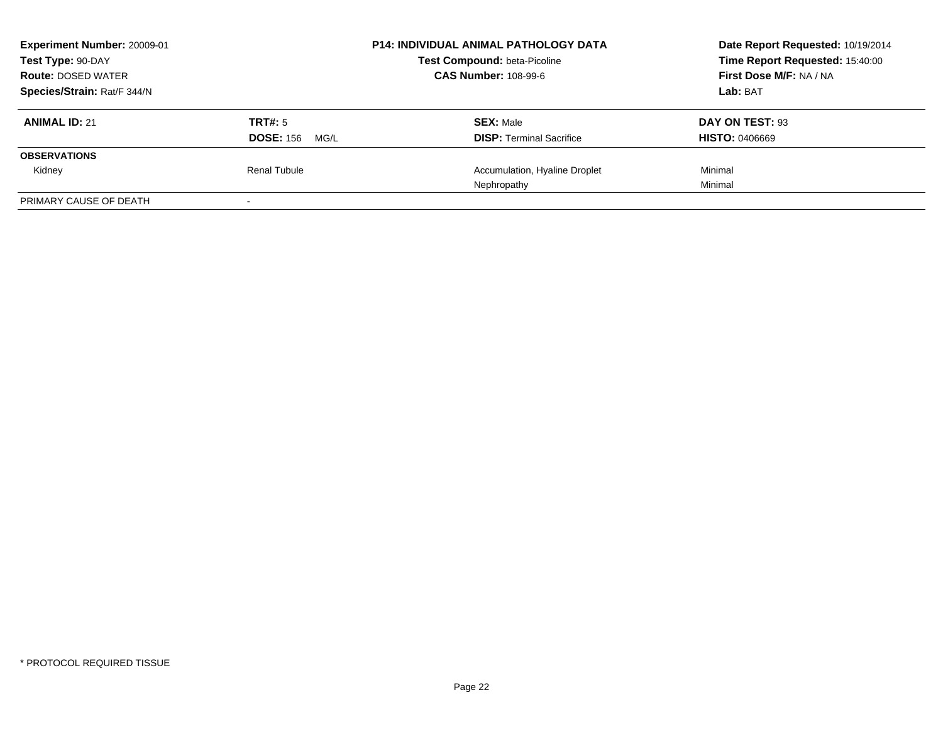| Experiment Number: 20009-01<br>Test Type: 90-DAY |                          | <b>P14: INDIVIDUAL ANIMAL PATHOLOGY DATA</b><br><b>Test Compound: beta-Picoline</b> | Date Report Requested: 10/19/2014<br>Time Report Requested: 15:40:00 |
|--------------------------------------------------|--------------------------|-------------------------------------------------------------------------------------|----------------------------------------------------------------------|
| <b>Route: DOSED WATER</b>                        |                          | <b>CAS Number: 108-99-6</b>                                                         | <b>First Dose M/F: NA / NA</b>                                       |
| Species/Strain: Rat/F 344/N                      |                          |                                                                                     | Lab: BAT                                                             |
| <b>ANIMAL ID: 21</b>                             | <b>TRT#: 5</b>           | <b>SEX: Male</b>                                                                    | DAY ON TEST: 93                                                      |
|                                                  | <b>DOSE: 156</b><br>MG/L | <b>DISP: Terminal Sacrifice</b>                                                     | <b>HISTO: 0406669</b>                                                |
| <b>OBSERVATIONS</b>                              |                          |                                                                                     |                                                                      |
| Kidney                                           | Renal Tubule             | Accumulation, Hyaline Droplet                                                       | Minimal                                                              |
|                                                  |                          | Nephropathy                                                                         | Minimal                                                              |
| PRIMARY CAUSE OF DEATH                           |                          |                                                                                     |                                                                      |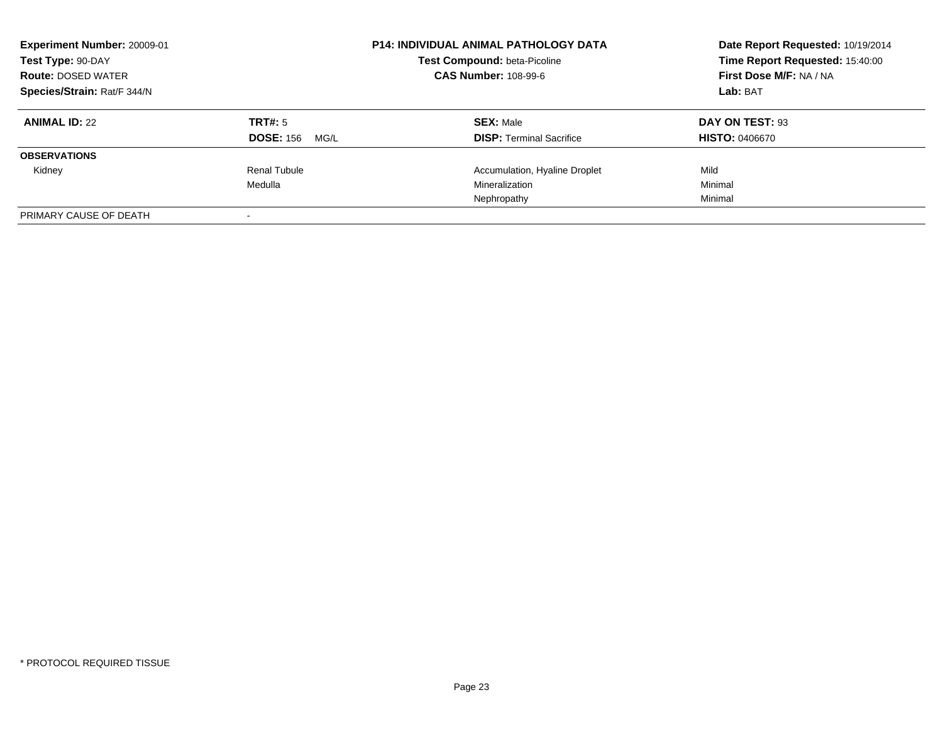| Experiment Number: 20009-01<br>Test Type: 90-DAY<br><b>Route: DOSED WATER</b><br>Species/Strain: Rat/F 344/N |                                     | <b>P14: INDIVIDUAL ANIMAL PATHOLOGY DATA</b><br>Test Compound: beta-Picoline<br><b>CAS Number: 108-99-6</b> | Date Report Requested: 10/19/2014<br>Time Report Requested: 15:40:00<br>First Dose M/F: NA / NA<br>Lab: BAT |
|--------------------------------------------------------------------------------------------------------------|-------------------------------------|-------------------------------------------------------------------------------------------------------------|-------------------------------------------------------------------------------------------------------------|
| <b>ANIMAL ID: 22</b>                                                                                         | TRT#: 5<br><b>DOSE: 156</b><br>MG/L | <b>SEX: Male</b><br><b>DISP:</b> Terminal Sacrifice                                                         | DAY ON TEST: 93<br><b>HISTO: 0406670</b>                                                                    |
| <b>OBSERVATIONS</b>                                                                                          |                                     |                                                                                                             |                                                                                                             |
| Kidney                                                                                                       | Renal Tubule                        | Accumulation, Hyaline Droplet                                                                               | Mild                                                                                                        |
|                                                                                                              | Medulla                             | Mineralization                                                                                              | Minimal                                                                                                     |
|                                                                                                              |                                     | Nephropathy                                                                                                 | Minimal                                                                                                     |
| PRIMARY CAUSE OF DEATH                                                                                       |                                     |                                                                                                             |                                                                                                             |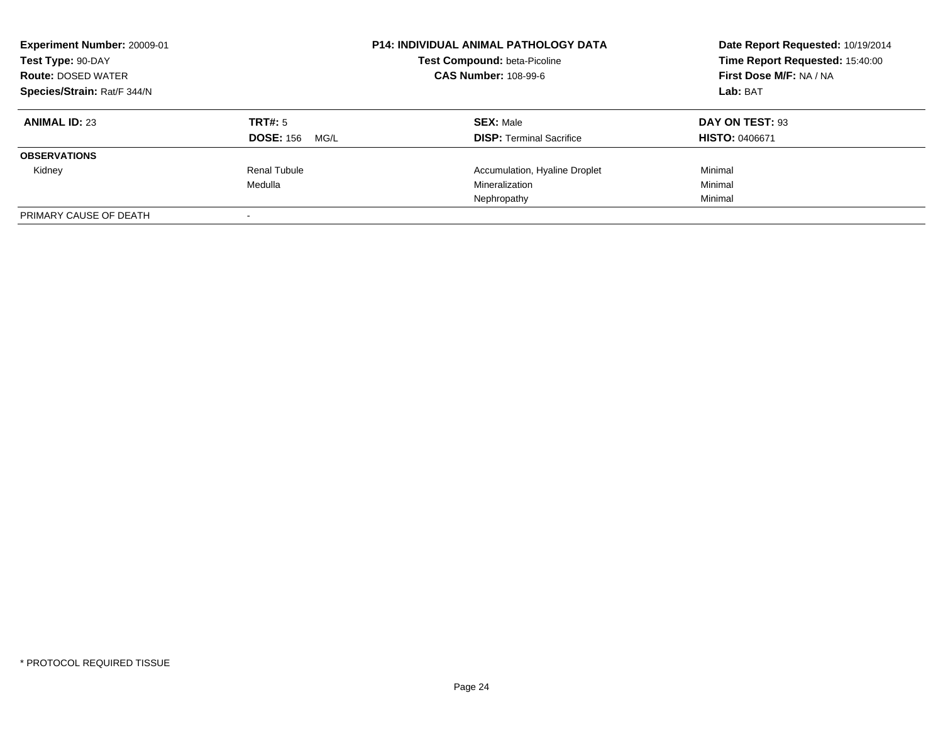| Experiment Number: 20009-01<br>Test Type: 90-DAY<br><b>Route: DOSED WATER</b><br>Species/Strain: Rat/F 344/N |                                     | <b>P14: INDIVIDUAL ANIMAL PATHOLOGY DATA</b><br>Test Compound: beta-Picoline<br><b>CAS Number: 108-99-6</b> | Date Report Requested: 10/19/2014<br>Time Report Requested: 15:40:00<br>First Dose M/F: NA / NA<br>Lab: BAT |
|--------------------------------------------------------------------------------------------------------------|-------------------------------------|-------------------------------------------------------------------------------------------------------------|-------------------------------------------------------------------------------------------------------------|
| <b>ANIMAL ID: 23</b>                                                                                         | TRT#: 5<br><b>DOSE: 156</b><br>MG/L | <b>SEX: Male</b><br><b>DISP:</b> Terminal Sacrifice                                                         | DAY ON TEST: 93<br><b>HISTO: 0406671</b>                                                                    |
| <b>OBSERVATIONS</b>                                                                                          |                                     |                                                                                                             |                                                                                                             |
| Kidney                                                                                                       | Renal Tubule                        | Accumulation, Hyaline Droplet                                                                               | Minimal                                                                                                     |
|                                                                                                              | Medulla                             | Mineralization                                                                                              | Minimal                                                                                                     |
|                                                                                                              |                                     | Nephropathy                                                                                                 | Minimal                                                                                                     |
| PRIMARY CAUSE OF DEATH                                                                                       |                                     |                                                                                                             |                                                                                                             |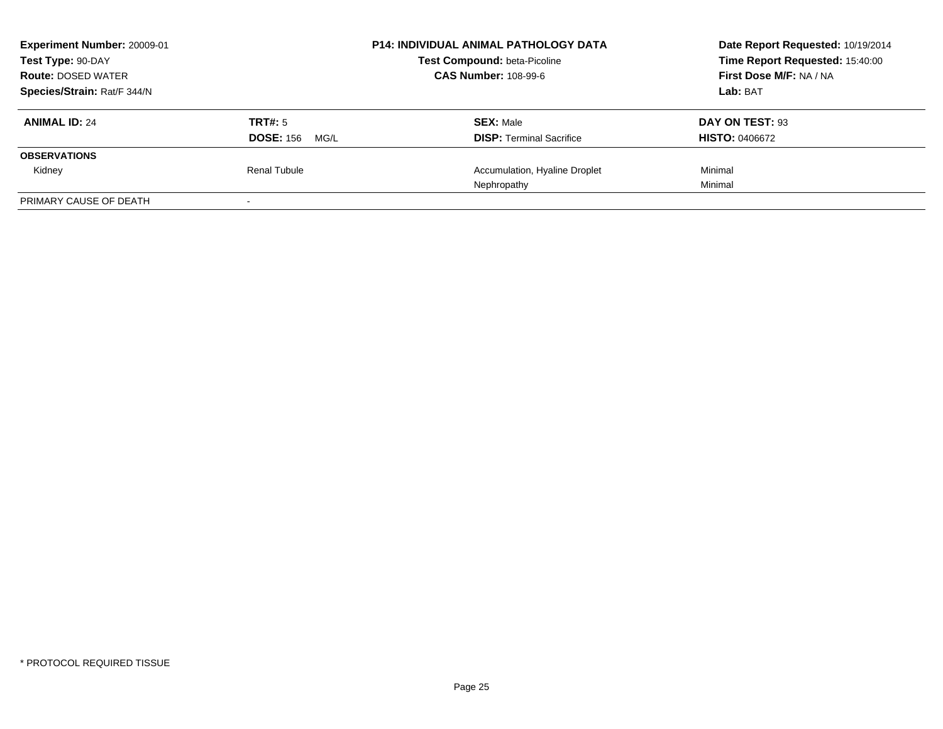| Experiment Number: 20009-01<br>Test Type: 90-DAY |                          | <b>P14: INDIVIDUAL ANIMAL PATHOLOGY DATA</b><br><b>Test Compound: beta-Picoline</b> | Date Report Requested: 10/19/2014<br>Time Report Requested: 15:40:00 |
|--------------------------------------------------|--------------------------|-------------------------------------------------------------------------------------|----------------------------------------------------------------------|
| <b>Route: DOSED WATER</b>                        |                          | <b>CAS Number: 108-99-6</b>                                                         | <b>First Dose M/F: NA / NA</b>                                       |
| Species/Strain: Rat/F 344/N                      |                          |                                                                                     | Lab: BAT                                                             |
| <b>ANIMAL ID: 24</b>                             | <b>TRT#: 5</b>           | <b>SEX: Male</b>                                                                    | DAY ON TEST: 93                                                      |
|                                                  | <b>DOSE: 156</b><br>MG/L | <b>DISP: Terminal Sacrifice</b>                                                     | <b>HISTO: 0406672</b>                                                |
| <b>OBSERVATIONS</b>                              |                          |                                                                                     |                                                                      |
| Kidney                                           | Renal Tubule             | Accumulation, Hyaline Droplet                                                       | Minimal                                                              |
|                                                  |                          | Nephropathy                                                                         | Minimal                                                              |
| PRIMARY CAUSE OF DEATH                           |                          |                                                                                     |                                                                      |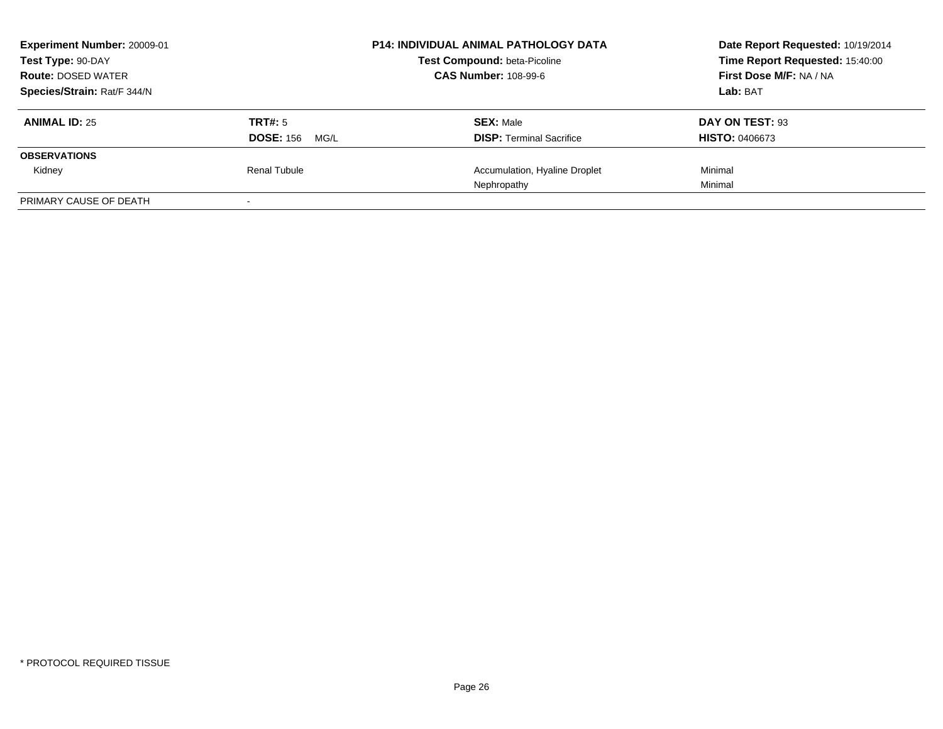| Experiment Number: 20009-01<br>Test Type: 90-DAY |                          | <b>P14: INDIVIDUAL ANIMAL PATHOLOGY DATA</b><br><b>Test Compound: beta-Picoline</b> | Date Report Requested: 10/19/2014<br>Time Report Requested: 15:40:00 |
|--------------------------------------------------|--------------------------|-------------------------------------------------------------------------------------|----------------------------------------------------------------------|
| <b>Route: DOSED WATER</b>                        |                          | <b>CAS Number: 108-99-6</b>                                                         | <b>First Dose M/F: NA / NA</b>                                       |
| Species/Strain: Rat/F 344/N                      |                          |                                                                                     | Lab: BAT                                                             |
| <b>ANIMAL ID: 25</b>                             | <b>TRT#: 5</b>           | <b>SEX: Male</b>                                                                    | DAY ON TEST: 93                                                      |
|                                                  | <b>DOSE: 156</b><br>MG/L | <b>DISP: Terminal Sacrifice</b>                                                     | <b>HISTO: 0406673</b>                                                |
| <b>OBSERVATIONS</b>                              |                          |                                                                                     |                                                                      |
| Kidney                                           | Renal Tubule             | Accumulation, Hyaline Droplet                                                       | Minimal                                                              |
|                                                  |                          | Nephropathy                                                                         | Minimal                                                              |
| PRIMARY CAUSE OF DEATH                           |                          |                                                                                     |                                                                      |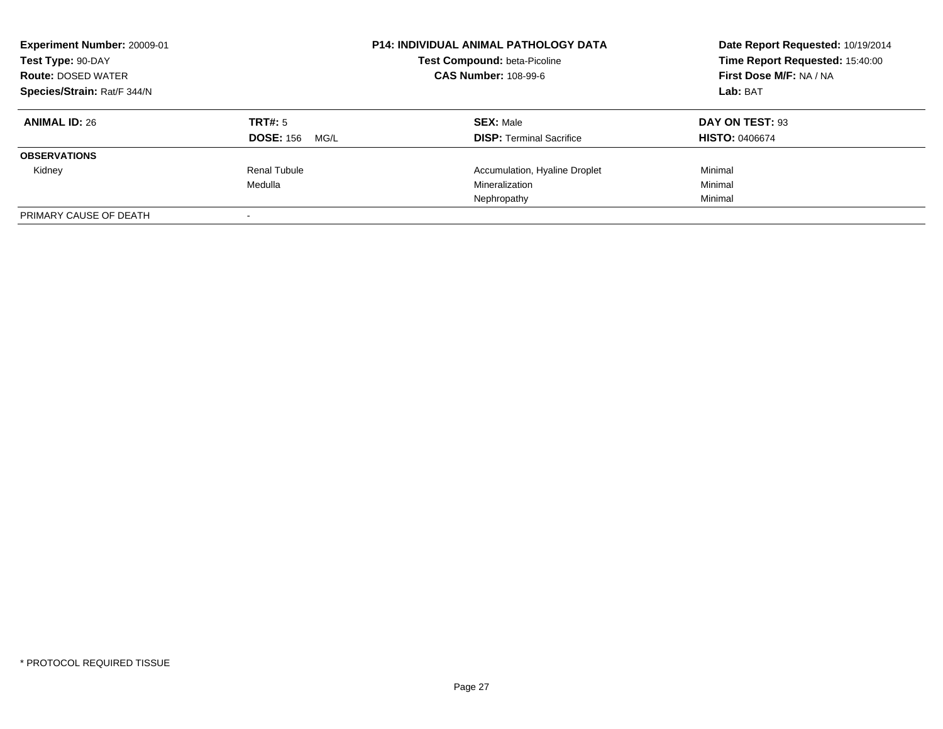| Experiment Number: 20009-01<br>Test Type: 90-DAY<br><b>Route: DOSED WATER</b><br>Species/Strain: Rat/F 344/N |                                     | <b>P14: INDIVIDUAL ANIMAL PATHOLOGY DATA</b><br>Test Compound: beta-Picoline<br><b>CAS Number: 108-99-6</b> | Date Report Requested: 10/19/2014<br>Time Report Requested: 15:40:00<br>First Dose M/F: NA / NA<br>Lab: BAT |
|--------------------------------------------------------------------------------------------------------------|-------------------------------------|-------------------------------------------------------------------------------------------------------------|-------------------------------------------------------------------------------------------------------------|
| <b>ANIMAL ID: 26</b>                                                                                         | TRT#: 5<br><b>DOSE: 156</b><br>MG/L | <b>SEX: Male</b><br><b>DISP: Terminal Sacrifice</b>                                                         | DAY ON TEST: 93<br><b>HISTO: 0406674</b>                                                                    |
| <b>OBSERVATIONS</b>                                                                                          |                                     |                                                                                                             |                                                                                                             |
| Kidney                                                                                                       | Renal Tubule                        | Accumulation, Hyaline Droplet                                                                               | Minimal                                                                                                     |
|                                                                                                              | Medulla                             | Mineralization                                                                                              | Minimal                                                                                                     |
|                                                                                                              |                                     | Nephropathy                                                                                                 | Minimal                                                                                                     |
| PRIMARY CAUSE OF DEATH                                                                                       |                                     |                                                                                                             |                                                                                                             |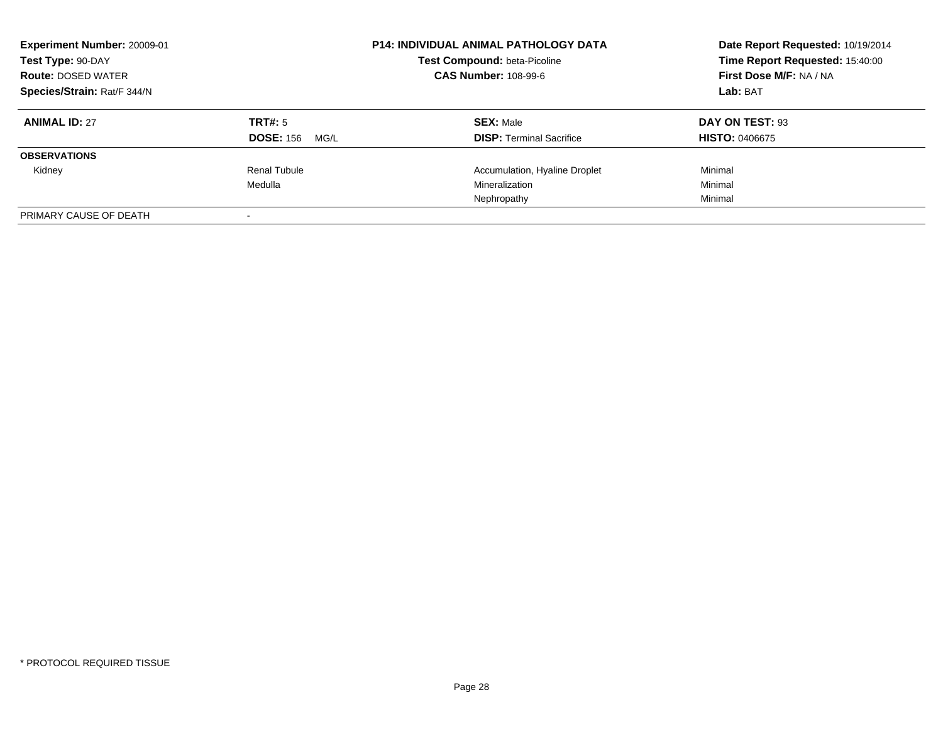| Experiment Number: 20009-01<br>Test Type: 90-DAY<br><b>Route: DOSED WATER</b><br>Species/Strain: Rat/F 344/N |                                     | <b>P14: INDIVIDUAL ANIMAL PATHOLOGY DATA</b><br>Test Compound: beta-Picoline<br><b>CAS Number: 108-99-6</b> | Date Report Requested: 10/19/2014<br>Time Report Requested: 15:40:00<br>First Dose M/F: NA / NA<br>Lab: BAT |
|--------------------------------------------------------------------------------------------------------------|-------------------------------------|-------------------------------------------------------------------------------------------------------------|-------------------------------------------------------------------------------------------------------------|
| <b>ANIMAL ID: 27</b>                                                                                         | TRT#: 5<br><b>DOSE: 156</b><br>MG/L | <b>SEX: Male</b><br><b>DISP:</b> Terminal Sacrifice                                                         | DAY ON TEST: 93<br><b>HISTO: 0406675</b>                                                                    |
| <b>OBSERVATIONS</b>                                                                                          |                                     |                                                                                                             |                                                                                                             |
| Kidney                                                                                                       | Renal Tubule                        | Accumulation, Hyaline Droplet                                                                               | Minimal                                                                                                     |
|                                                                                                              | Medulla                             | Mineralization                                                                                              | Minimal                                                                                                     |
|                                                                                                              |                                     | Nephropathy                                                                                                 | Minimal                                                                                                     |
| PRIMARY CAUSE OF DEATH                                                                                       |                                     |                                                                                                             |                                                                                                             |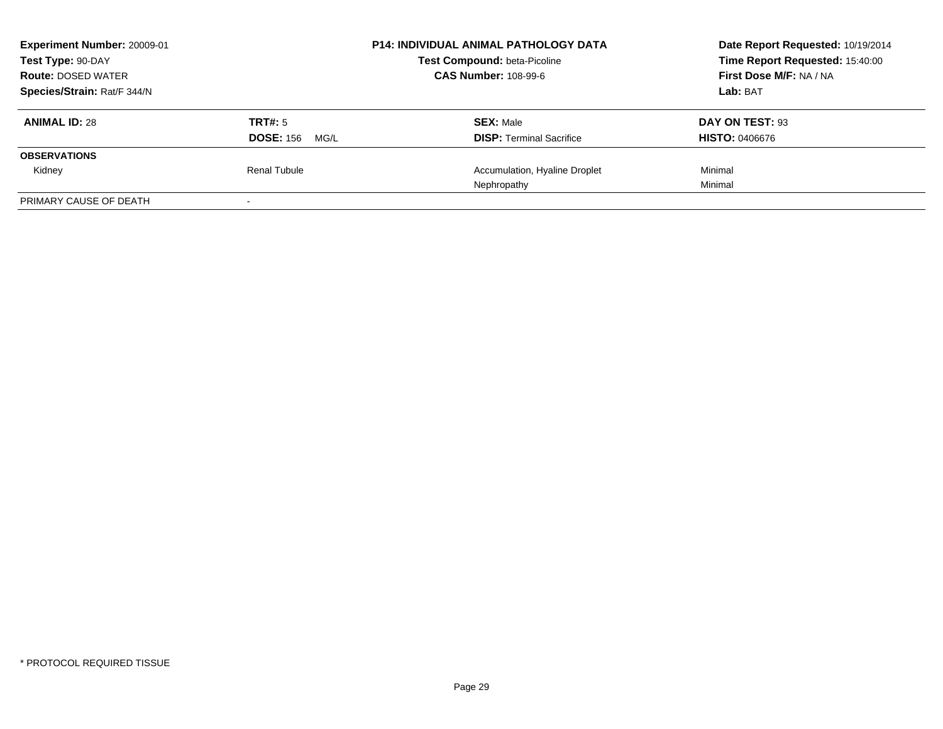| Experiment Number: 20009-01<br>Test Type: 90-DAY |                          | <b>P14: INDIVIDUAL ANIMAL PATHOLOGY DATA</b><br><b>Test Compound: beta-Picoline</b> | Date Report Requested: 10/19/2014<br>Time Report Requested: 15:40:00 |
|--------------------------------------------------|--------------------------|-------------------------------------------------------------------------------------|----------------------------------------------------------------------|
| <b>Route: DOSED WATER</b>                        |                          | <b>CAS Number: 108-99-6</b>                                                         | <b>First Dose M/F: NA / NA</b>                                       |
| Species/Strain: Rat/F 344/N                      |                          |                                                                                     | Lab: BAT                                                             |
| <b>ANIMAL ID: 28</b>                             | <b>TRT#: 5</b>           | <b>SEX: Male</b>                                                                    | DAY ON TEST: 93                                                      |
|                                                  | <b>DOSE: 156</b><br>MG/L | <b>DISP: Terminal Sacrifice</b>                                                     | <b>HISTO: 0406676</b>                                                |
| <b>OBSERVATIONS</b>                              |                          |                                                                                     |                                                                      |
| Kidney                                           | Renal Tubule             | Accumulation, Hyaline Droplet                                                       | Minimal                                                              |
|                                                  |                          | Nephropathy                                                                         | Minimal                                                              |
| PRIMARY CAUSE OF DEATH                           |                          |                                                                                     |                                                                      |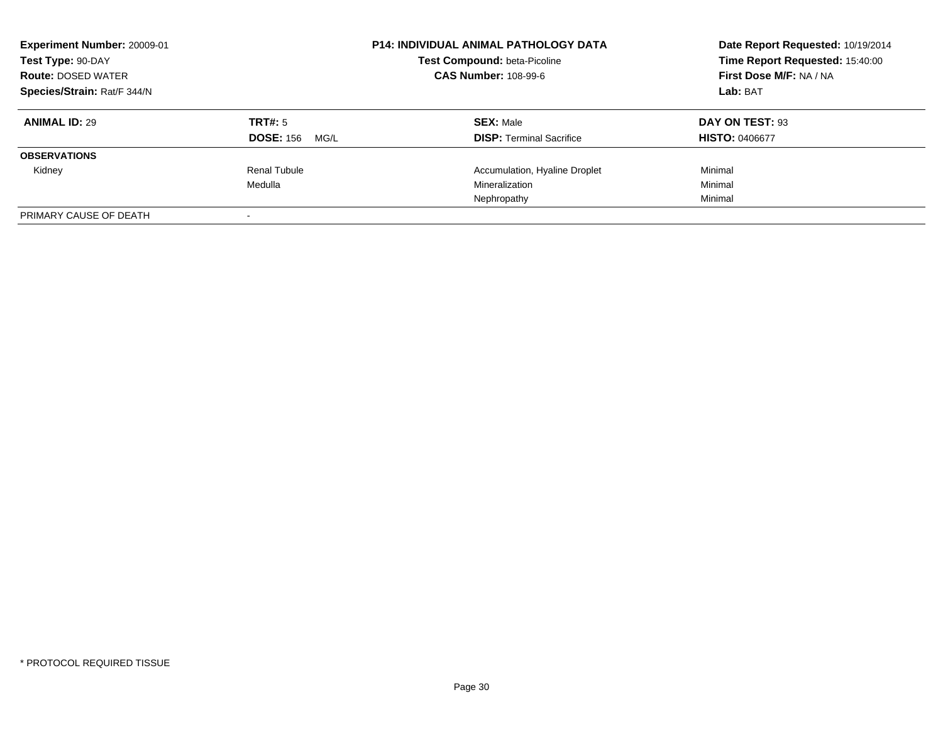| Experiment Number: 20009-01<br>Test Type: 90-DAY<br><b>Route: DOSED WATER</b><br>Species/Strain: Rat/F 344/N |                                     | <b>P14: INDIVIDUAL ANIMAL PATHOLOGY DATA</b><br>Test Compound: beta-Picoline<br><b>CAS Number: 108-99-6</b> | Date Report Requested: 10/19/2014<br>Time Report Requested: 15:40:00<br>First Dose M/F: NA / NA<br>Lab: BAT |
|--------------------------------------------------------------------------------------------------------------|-------------------------------------|-------------------------------------------------------------------------------------------------------------|-------------------------------------------------------------------------------------------------------------|
| <b>ANIMAL ID: 29</b>                                                                                         | TRT#: 5<br><b>DOSE: 156</b><br>MG/L | <b>SEX: Male</b><br><b>DISP:</b> Terminal Sacrifice                                                         | DAY ON TEST: 93<br><b>HISTO: 0406677</b>                                                                    |
| <b>OBSERVATIONS</b>                                                                                          |                                     |                                                                                                             |                                                                                                             |
| Kidney                                                                                                       | Renal Tubule<br>Medulla             | Accumulation, Hyaline Droplet<br>Mineralization<br>Nephropathy                                              | Minimal<br>Minimal<br>Minimal                                                                               |
| PRIMARY CAUSE OF DEATH                                                                                       |                                     |                                                                                                             |                                                                                                             |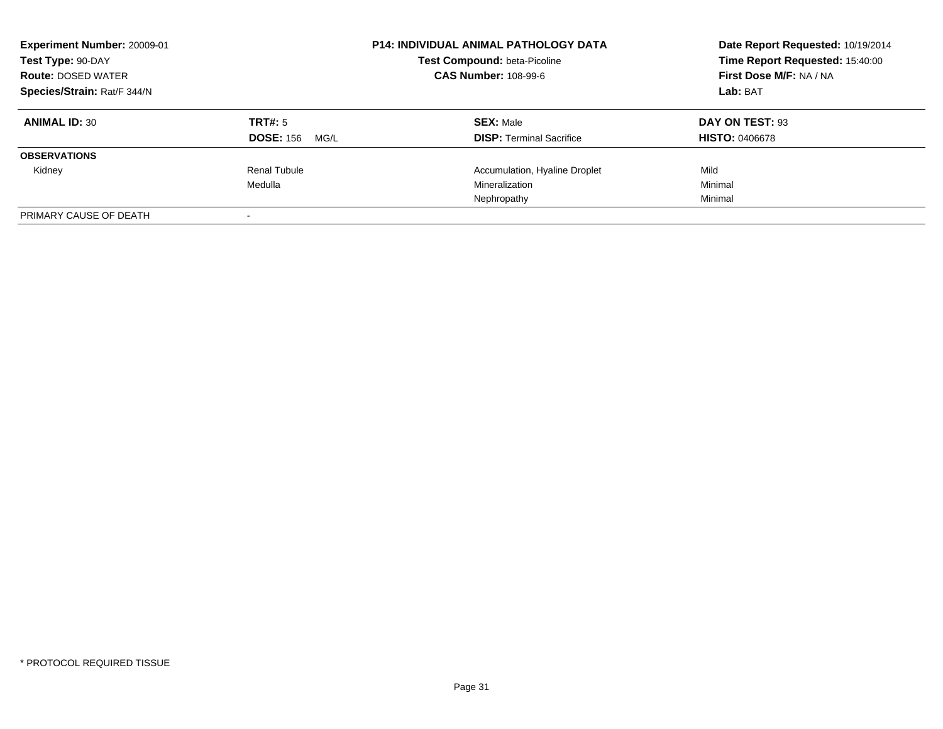| Experiment Number: 20009-01<br>Test Type: 90-DAY<br><b>Route: DOSED WATER</b><br>Species/Strain: Rat/F 344/N |                                     | <b>P14: INDIVIDUAL ANIMAL PATHOLOGY DATA</b><br>Test Compound: beta-Picoline<br><b>CAS Number: 108-99-6</b> | Date Report Requested: 10/19/2014<br>Time Report Requested: 15:40:00<br>First Dose M/F: NA / NA<br>Lab: BAT |
|--------------------------------------------------------------------------------------------------------------|-------------------------------------|-------------------------------------------------------------------------------------------------------------|-------------------------------------------------------------------------------------------------------------|
| <b>ANIMAL ID: 30</b>                                                                                         | TRT#: 5<br><b>DOSE: 156</b><br>MG/L | <b>SEX: Male</b><br><b>DISP:</b> Terminal Sacrifice                                                         | DAY ON TEST: 93<br><b>HISTO: 0406678</b>                                                                    |
| <b>OBSERVATIONS</b>                                                                                          |                                     |                                                                                                             |                                                                                                             |
| Kidney                                                                                                       | Renal Tubule<br>Medulla             | Accumulation, Hyaline Droplet<br>Mineralization<br>Nephropathy                                              | Mild<br>Minimal<br>Minimal                                                                                  |
| PRIMARY CAUSE OF DEATH                                                                                       |                                     |                                                                                                             |                                                                                                             |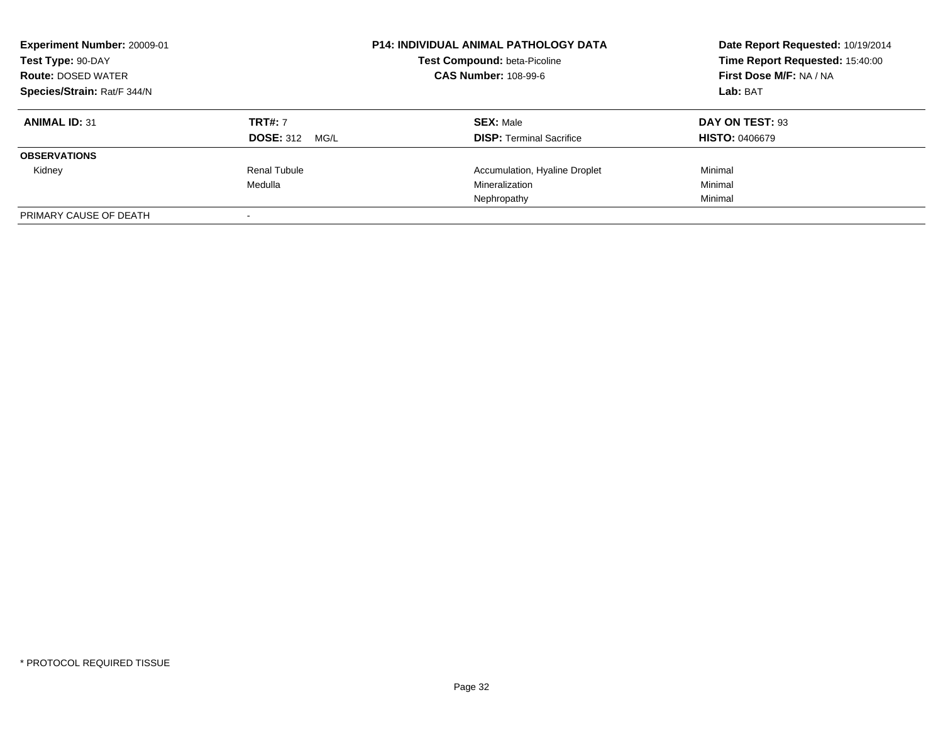| Experiment Number: 20009-01<br>Test Type: 90-DAY<br><b>Route: DOSED WATER</b><br>Species/Strain: Rat/F 344/N |                                         | <b>P14: INDIVIDUAL ANIMAL PATHOLOGY DATA</b><br>Test Compound: beta-Picoline<br><b>CAS Number: 108-99-6</b> | Date Report Requested: 10/19/2014<br>Time Report Requested: 15:40:00<br>First Dose M/F: NA / NA<br>Lab: BAT |
|--------------------------------------------------------------------------------------------------------------|-----------------------------------------|-------------------------------------------------------------------------------------------------------------|-------------------------------------------------------------------------------------------------------------|
| <b>ANIMAL ID: 31</b>                                                                                         | <b>TRT#: 7</b><br><b>DOSE: 312 MG/L</b> | <b>SEX: Male</b><br><b>DISP:</b> Terminal Sacrifice                                                         | DAY ON TEST: 93<br><b>HISTO: 0406679</b>                                                                    |
| <b>OBSERVATIONS</b>                                                                                          |                                         |                                                                                                             |                                                                                                             |
| Kidney                                                                                                       | Renal Tubule<br>Medulla                 | Accumulation, Hyaline Droplet<br>Mineralization<br>Nephropathy                                              | Minimal<br>Minimal<br>Minimal                                                                               |
| PRIMARY CAUSE OF DEATH                                                                                       |                                         |                                                                                                             |                                                                                                             |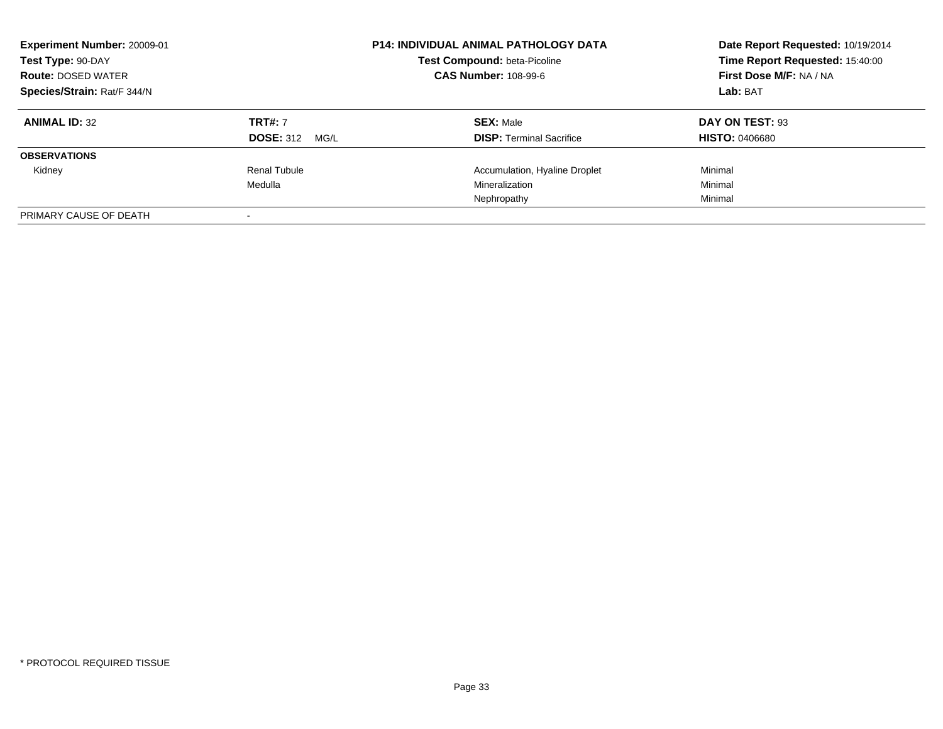| Experiment Number: 20009-01<br>Test Type: 90-DAY<br><b>Route: DOSED WATER</b><br>Species/Strain: Rat/F 344/N |                                         | <b>P14: INDIVIDUAL ANIMAL PATHOLOGY DATA</b><br>Test Compound: beta-Picoline<br><b>CAS Number: 108-99-6</b> | Date Report Requested: 10/19/2014<br>Time Report Requested: 15:40:00<br>First Dose M/F: NA / NA<br>Lab: BAT |
|--------------------------------------------------------------------------------------------------------------|-----------------------------------------|-------------------------------------------------------------------------------------------------------------|-------------------------------------------------------------------------------------------------------------|
| <b>ANIMAL ID: 32</b>                                                                                         | <b>TRT#: 7</b><br><b>DOSE: 312 MG/L</b> | <b>SEX: Male</b><br><b>DISP:</b> Terminal Sacrifice                                                         | DAY ON TEST: 93<br><b>HISTO: 0406680</b>                                                                    |
| <b>OBSERVATIONS</b>                                                                                          |                                         |                                                                                                             |                                                                                                             |
| Kidney                                                                                                       | Renal Tubule<br>Medulla                 | Accumulation, Hyaline Droplet<br>Mineralization<br>Nephropathy                                              | Minimal<br>Minimal<br>Minimal                                                                               |
| PRIMARY CAUSE OF DEATH                                                                                       |                                         |                                                                                                             |                                                                                                             |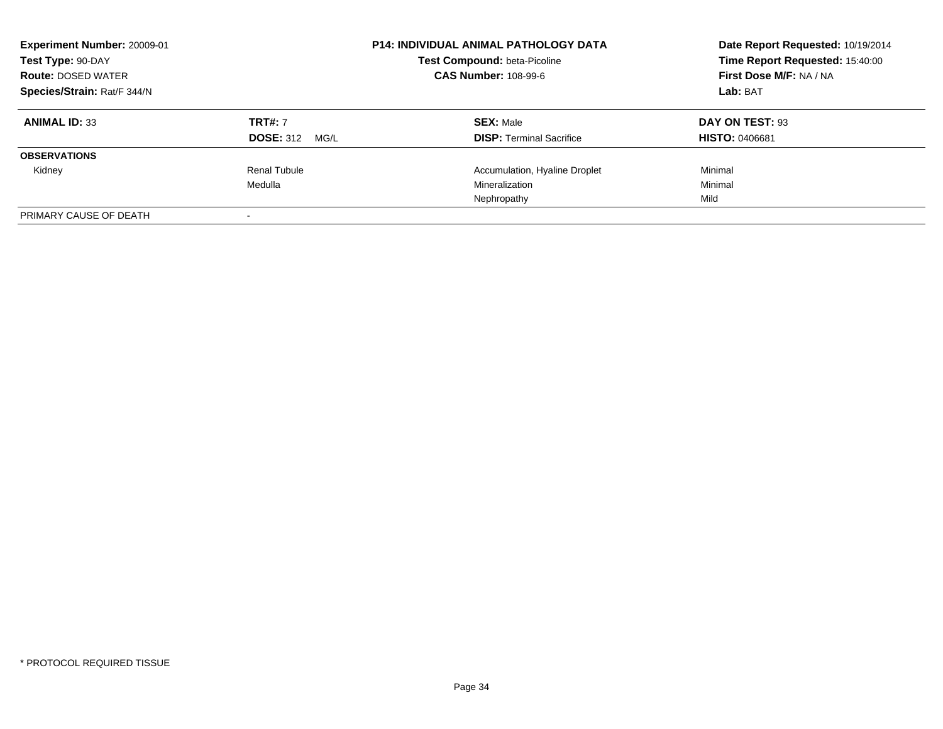| Experiment Number: 20009-01<br>Test Type: 90-DAY<br><b>Route: DOSED WATER</b><br>Species/Strain: Rat/F 344/N |                                         | <b>P14: INDIVIDUAL ANIMAL PATHOLOGY DATA</b><br>Test Compound: beta-Picoline<br><b>CAS Number: 108-99-6</b> | Date Report Requested: 10/19/2014<br>Time Report Requested: 15:40:00<br>First Dose M/F: NA / NA<br>Lab: BAT |
|--------------------------------------------------------------------------------------------------------------|-----------------------------------------|-------------------------------------------------------------------------------------------------------------|-------------------------------------------------------------------------------------------------------------|
| <b>ANIMAL ID: 33</b>                                                                                         | <b>TRT#: 7</b><br><b>DOSE: 312 MG/L</b> | <b>SEX: Male</b><br><b>DISP:</b> Terminal Sacrifice                                                         | DAY ON TEST: 93<br><b>HISTO: 0406681</b>                                                                    |
| <b>OBSERVATIONS</b>                                                                                          |                                         |                                                                                                             |                                                                                                             |
| Kidney                                                                                                       | Renal Tubule<br>Medulla                 | Accumulation, Hyaline Droplet<br>Mineralization<br>Nephropathy                                              | Minimal<br>Minimal<br>Mild                                                                                  |
| PRIMARY CAUSE OF DEATH                                                                                       |                                         |                                                                                                             |                                                                                                             |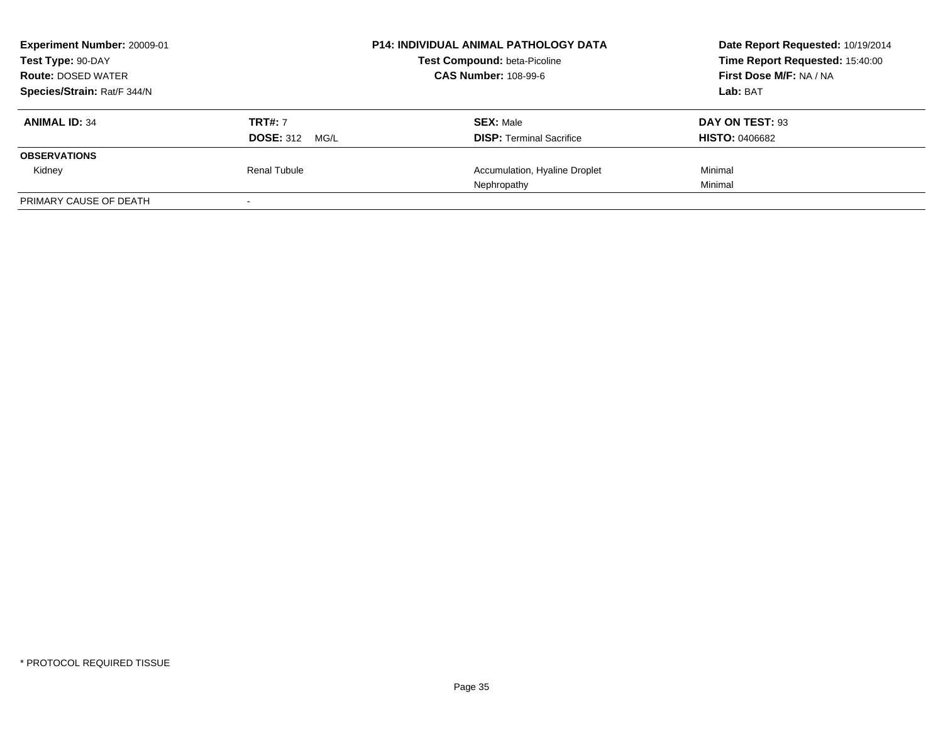| Experiment Number: 20009-01<br>Test Type: 90-DAY<br><b>Route: DOSED WATER</b> |                                         | <b>P14: INDIVIDUAL ANIMAL PATHOLOGY DATA</b><br>Test Compound: beta-Picoline<br><b>CAS Number: 108-99-6</b> | Date Report Requested: 10/19/2014<br>Time Report Requested: 15:40:00<br>First Dose M/F: NA / NA |
|-------------------------------------------------------------------------------|-----------------------------------------|-------------------------------------------------------------------------------------------------------------|-------------------------------------------------------------------------------------------------|
| Species/Strain: Rat/F 344/N                                                   |                                         |                                                                                                             | Lab: BAT                                                                                        |
| <b>ANIMAL ID: 34</b>                                                          | <b>TRT#: 7</b><br><b>DOSE: 312 MG/L</b> | <b>SEX: Male</b><br><b>DISP:</b> Terminal Sacrifice                                                         | DAY ON TEST: 93<br><b>HISTO: 0406682</b>                                                        |
| <b>OBSERVATIONS</b>                                                           |                                         |                                                                                                             |                                                                                                 |
| Kidney                                                                        | Renal Tubule                            | Accumulation, Hyaline Droplet<br>Nephropathy                                                                | Minimal<br>Minimal                                                                              |
| PRIMARY CAUSE OF DEATH                                                        |                                         |                                                                                                             |                                                                                                 |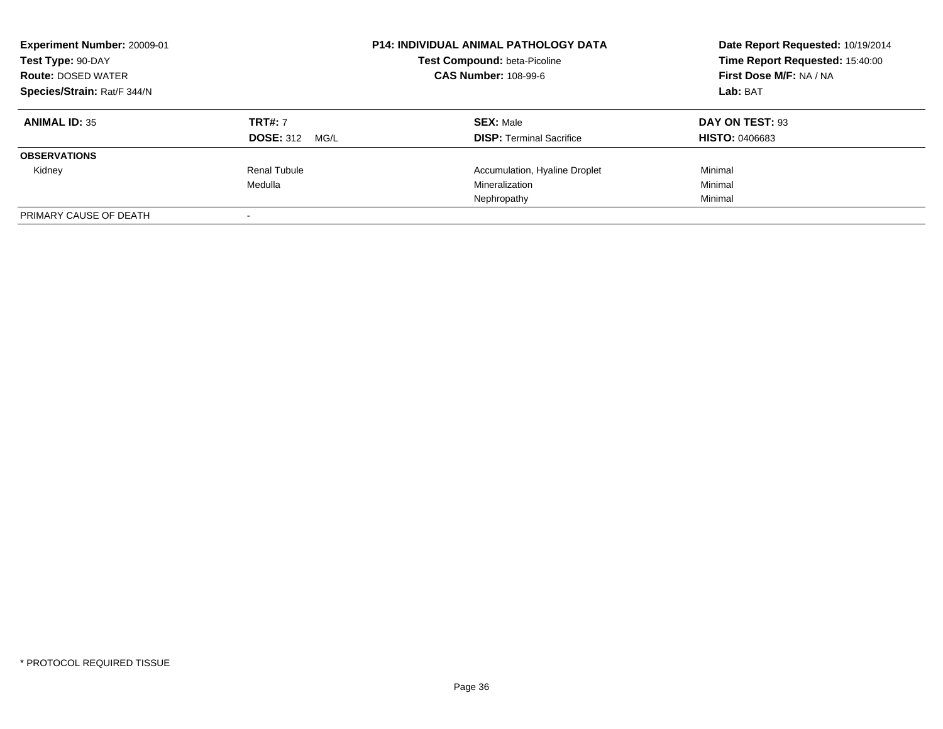| Experiment Number: 20009-01<br>Test Type: 90-DAY<br><b>Route: DOSED WATER</b><br>Species/Strain: Rat/F 344/N |                                         | <b>P14: INDIVIDUAL ANIMAL PATHOLOGY DATA</b><br>Test Compound: beta-Picoline<br><b>CAS Number: 108-99-6</b> | Date Report Requested: 10/19/2014<br>Time Report Requested: 15:40:00<br>First Dose M/F: NA / NA<br>Lab: BAT |
|--------------------------------------------------------------------------------------------------------------|-----------------------------------------|-------------------------------------------------------------------------------------------------------------|-------------------------------------------------------------------------------------------------------------|
| <b>ANIMAL ID: 35</b>                                                                                         | <b>TRT#: 7</b><br><b>DOSE: 312 MG/L</b> | <b>SEX: Male</b><br><b>DISP:</b> Terminal Sacrifice                                                         | DAY ON TEST: 93<br><b>HISTO: 0406683</b>                                                                    |
| <b>OBSERVATIONS</b>                                                                                          |                                         |                                                                                                             |                                                                                                             |
| Kidney                                                                                                       | Renal Tubule<br>Medulla                 | Accumulation, Hyaline Droplet<br>Mineralization<br>Nephropathy                                              | Minimal<br>Minimal<br>Minimal                                                                               |
| PRIMARY CAUSE OF DEATH                                                                                       |                                         |                                                                                                             |                                                                                                             |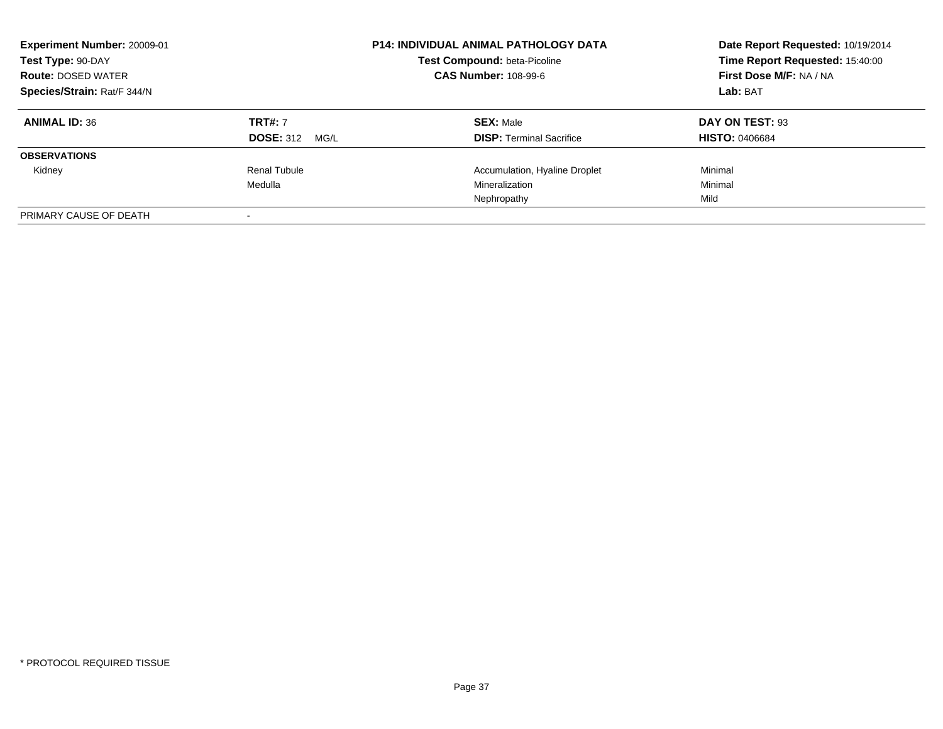| Experiment Number: 20009-01<br>Test Type: 90-DAY<br><b>Route: DOSED WATER</b><br>Species/Strain: Rat/F 344/N |                                         | <b>P14: INDIVIDUAL ANIMAL PATHOLOGY DATA</b><br>Test Compound: beta-Picoline<br><b>CAS Number: 108-99-6</b> | Date Report Requested: 10/19/2014<br>Time Report Requested: 15:40:00<br>First Dose M/F: NA / NA<br>Lab: BAT |
|--------------------------------------------------------------------------------------------------------------|-----------------------------------------|-------------------------------------------------------------------------------------------------------------|-------------------------------------------------------------------------------------------------------------|
| <b>ANIMAL ID: 36</b>                                                                                         | <b>TRT#: 7</b><br><b>DOSE: 312 MG/L</b> | <b>SEX: Male</b><br><b>DISP:</b> Terminal Sacrifice                                                         | DAY ON TEST: 93<br><b>HISTO: 0406684</b>                                                                    |
| <b>OBSERVATIONS</b>                                                                                          |                                         |                                                                                                             |                                                                                                             |
| Kidney                                                                                                       | Renal Tubule<br>Medulla                 | Accumulation, Hyaline Droplet<br>Mineralization<br>Nephropathy                                              | Minimal<br>Minimal<br>Mild                                                                                  |
| PRIMARY CAUSE OF DEATH                                                                                       |                                         |                                                                                                             |                                                                                                             |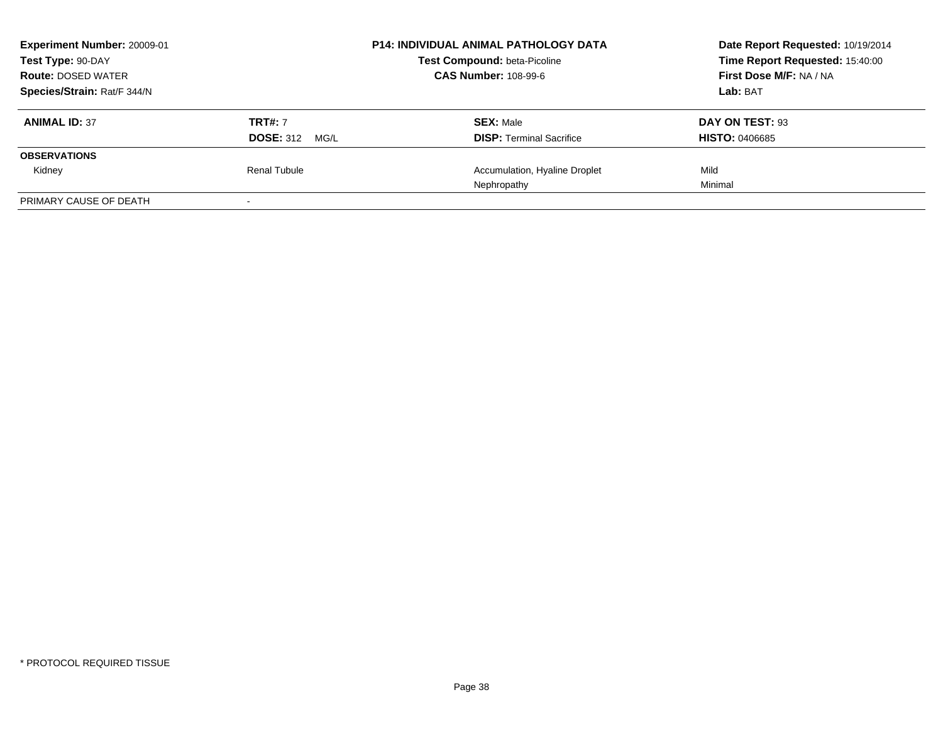| Experiment Number: 20009-01<br>Test Type: 90-DAY<br><b>Route: DOSED WATER</b> |                       | <b>P14: INDIVIDUAL ANIMAL PATHOLOGY DATA</b><br>Test Compound: beta-Picoline<br><b>CAS Number: 108-99-6</b> | Date Report Requested: 10/19/2014<br>Time Report Requested: 15:40:00<br>First Dose M/F: NA / NA |
|-------------------------------------------------------------------------------|-----------------------|-------------------------------------------------------------------------------------------------------------|-------------------------------------------------------------------------------------------------|
|                                                                               |                       |                                                                                                             |                                                                                                 |
| Species/Strain: Rat/F 344/N                                                   |                       |                                                                                                             | Lab: BAT                                                                                        |
| <b>ANIMAL ID: 37</b>                                                          | <b>TRT#: 7</b>        | <b>SEX: Male</b>                                                                                            | DAY ON TEST: 93                                                                                 |
|                                                                               | <b>DOSE: 312 MG/L</b> | <b>DISP: Terminal Sacrifice</b>                                                                             | <b>HISTO: 0406685</b>                                                                           |
| <b>OBSERVATIONS</b>                                                           |                       |                                                                                                             |                                                                                                 |
| Kidney                                                                        | Renal Tubule          | Accumulation, Hyaline Droplet                                                                               | Mild                                                                                            |
|                                                                               |                       | Nephropathy                                                                                                 | Minimal                                                                                         |
| PRIMARY CAUSE OF DEATH                                                        |                       |                                                                                                             |                                                                                                 |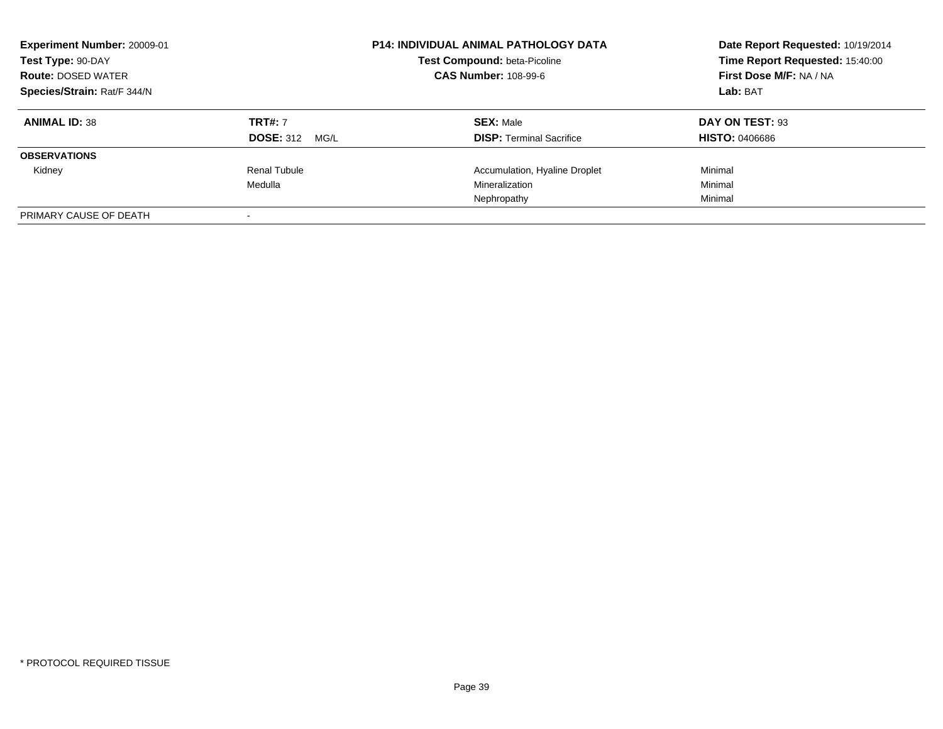| Experiment Number: 20009-01<br>Test Type: 90-DAY<br><b>Route: DOSED WATER</b><br>Species/Strain: Rat/F 344/N |                                         | <b>P14: INDIVIDUAL ANIMAL PATHOLOGY DATA</b><br>Test Compound: beta-Picoline<br><b>CAS Number: 108-99-6</b> | Date Report Requested: 10/19/2014<br>Time Report Requested: 15:40:00<br>First Dose M/F: NA / NA<br>Lab: BAT |
|--------------------------------------------------------------------------------------------------------------|-----------------------------------------|-------------------------------------------------------------------------------------------------------------|-------------------------------------------------------------------------------------------------------------|
| <b>ANIMAL ID: 38</b>                                                                                         | <b>TRT#: 7</b><br><b>DOSE: 312 MG/L</b> | <b>SEX: Male</b><br><b>DISP:</b> Terminal Sacrifice                                                         | DAY ON TEST: 93<br><b>HISTO: 0406686</b>                                                                    |
| <b>OBSERVATIONS</b>                                                                                          |                                         |                                                                                                             |                                                                                                             |
| Kidney                                                                                                       | Renal Tubule<br>Medulla                 | Accumulation, Hyaline Droplet<br>Mineralization<br>Nephropathy                                              | Minimal<br>Minimal<br>Minimal                                                                               |
| PRIMARY CAUSE OF DEATH                                                                                       |                                         |                                                                                                             |                                                                                                             |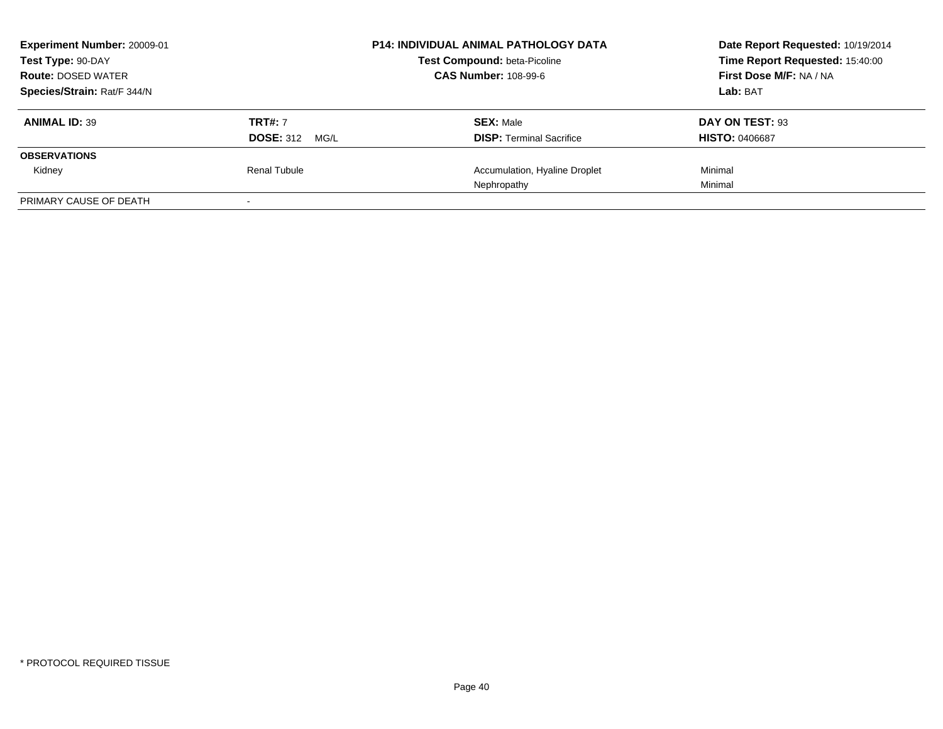| Experiment Number: 20009-01<br>Test Type: 90-DAY |                          | <b>P14: INDIVIDUAL ANIMAL PATHOLOGY DATA</b><br><b>Test Compound: beta-Picoline</b> | Date Report Requested: 10/19/2014<br>Time Report Requested: 15:40:00 |
|--------------------------------------------------|--------------------------|-------------------------------------------------------------------------------------|----------------------------------------------------------------------|
| <b>Route: DOSED WATER</b>                        |                          | <b>CAS Number: 108-99-6</b>                                                         | First Dose M/F: NA / NA                                              |
| Species/Strain: Rat/F 344/N                      |                          |                                                                                     | Lab: BAT                                                             |
| <b>ANIMAL ID: 39</b>                             | <b>TRT#: 7</b>           | <b>SEX: Male</b>                                                                    | DAY ON TEST: 93                                                      |
|                                                  | <b>DOSE: 312</b><br>MG/L | <b>DISP: Terminal Sacrifice</b>                                                     | <b>HISTO: 0406687</b>                                                |
| <b>OBSERVATIONS</b>                              |                          |                                                                                     |                                                                      |
| Kidney                                           | Renal Tubule             | Accumulation, Hyaline Droplet                                                       | Minimal                                                              |
|                                                  |                          | Nephropathy                                                                         | Minimal                                                              |
| PRIMARY CAUSE OF DEATH                           |                          |                                                                                     |                                                                      |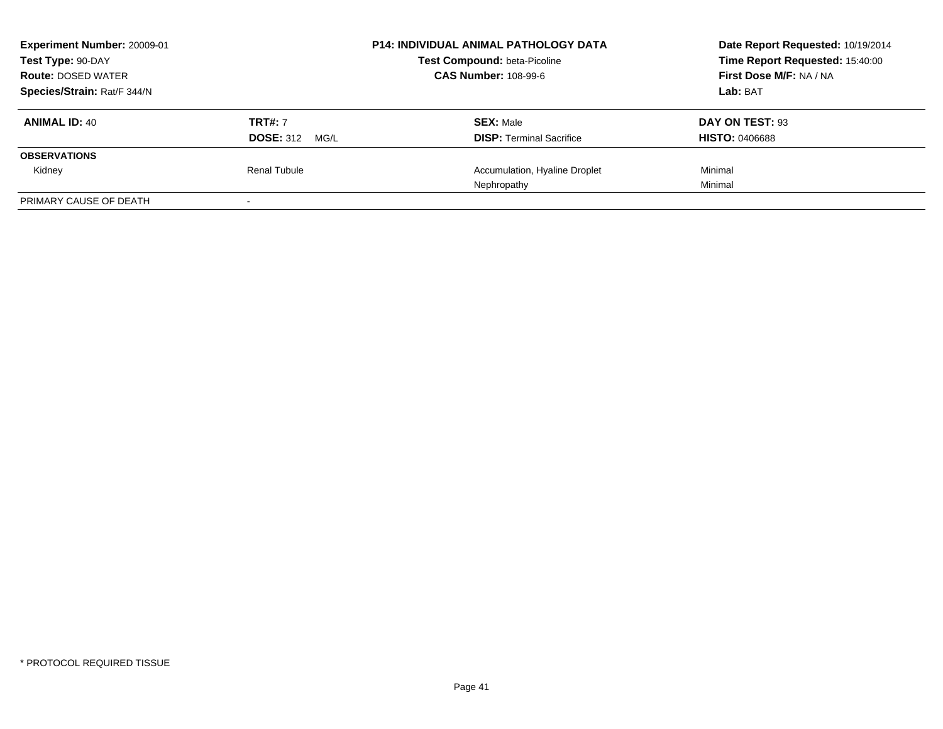| Experiment Number: 20009-01<br>Test Type: 90-DAY<br><b>Route: DOSED WATER</b> |                       | <b>P14: INDIVIDUAL ANIMAL PATHOLOGY DATA</b><br>Test Compound: beta-Picoline<br><b>CAS Number: 108-99-6</b> | Date Report Requested: 10/19/2014<br>Time Report Requested: 15:40:00<br>First Dose M/F: NA / NA |
|-------------------------------------------------------------------------------|-----------------------|-------------------------------------------------------------------------------------------------------------|-------------------------------------------------------------------------------------------------|
|                                                                               |                       |                                                                                                             |                                                                                                 |
| Species/Strain: Rat/F 344/N                                                   |                       |                                                                                                             | Lab: BAT                                                                                        |
| <b>ANIMAL ID: 40</b>                                                          | <b>TRT#: 7</b>        | <b>SEX: Male</b>                                                                                            | DAY ON TEST: 93                                                                                 |
|                                                                               | <b>DOSE: 312 MG/L</b> | <b>DISP:</b> Terminal Sacrifice                                                                             | <b>HISTO: 0406688</b>                                                                           |
| <b>OBSERVATIONS</b>                                                           |                       |                                                                                                             |                                                                                                 |
| Kidney                                                                        | Renal Tubule          | Accumulation, Hyaline Droplet                                                                               | Minimal                                                                                         |
|                                                                               |                       | Nephropathy                                                                                                 | Minimal                                                                                         |
| PRIMARY CAUSE OF DEATH                                                        |                       |                                                                                                             |                                                                                                 |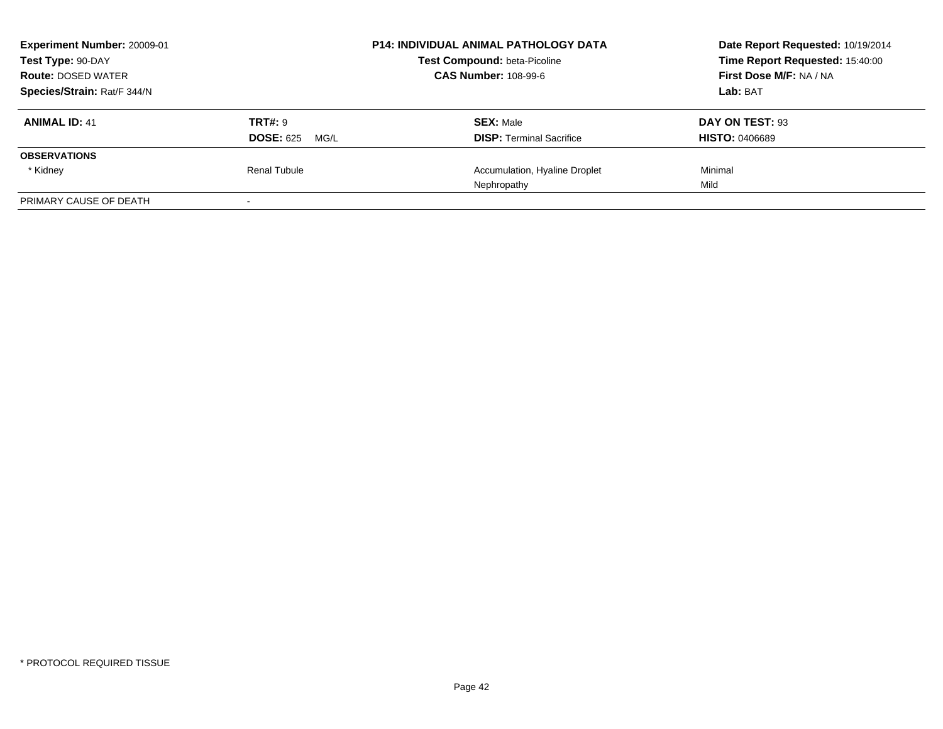| Experiment Number: 20009-01<br>Test Type: 90-DAY | <b>P14: INDIVIDUAL ANIMAL PATHOLOGY DATA</b><br><b>Test Compound: beta-Picoline</b> |                                 | Date Report Requested: 10/19/2014<br>Time Report Requested: 15:40:00 |
|--------------------------------------------------|-------------------------------------------------------------------------------------|---------------------------------|----------------------------------------------------------------------|
| <b>Route: DOSED WATER</b>                        |                                                                                     | <b>CAS Number: 108-99-6</b>     | First Dose M/F: NA / NA                                              |
| Species/Strain: Rat/F 344/N                      |                                                                                     |                                 | Lab: BAT                                                             |
| <b>ANIMAL ID: 41</b>                             | <b>TRT#: 9</b>                                                                      | <b>SEX: Male</b>                | DAY ON TEST: 93                                                      |
|                                                  | <b>DOSE: 625</b><br>MG/L                                                            | <b>DISP: Terminal Sacrifice</b> | <b>HISTO: 0406689</b>                                                |
| <b>OBSERVATIONS</b>                              |                                                                                     |                                 |                                                                      |
| * Kidney                                         | Renal Tubule                                                                        | Accumulation, Hyaline Droplet   | Minimal                                                              |
|                                                  |                                                                                     | Nephropathy                     | Mild                                                                 |
| PRIMARY CAUSE OF DEATH                           |                                                                                     |                                 |                                                                      |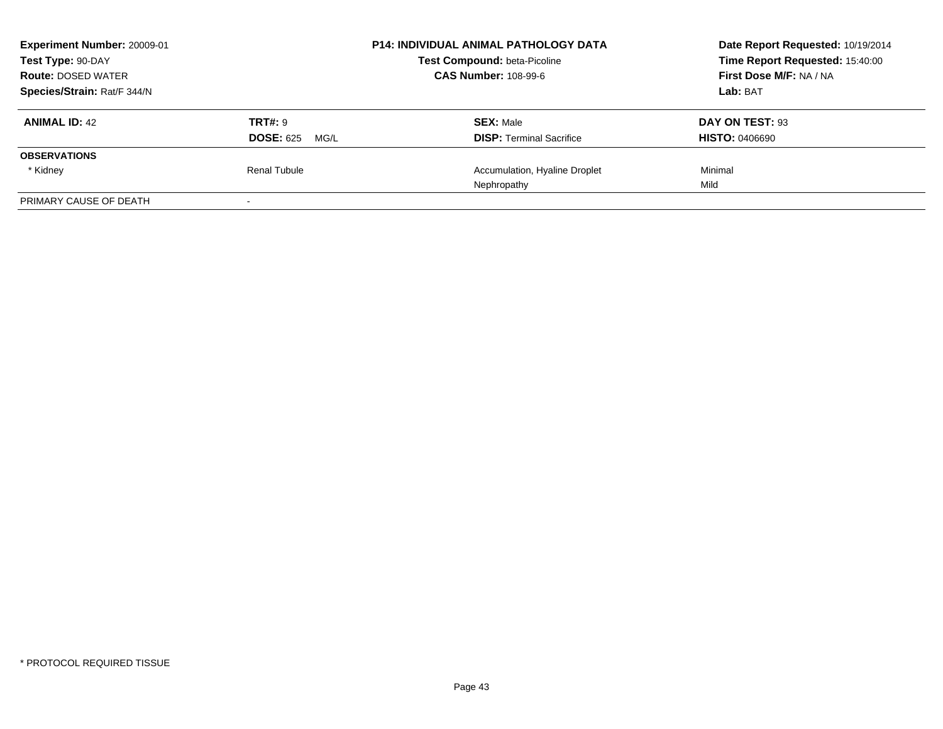| Experiment Number: 20009-01 | <b>P14: INDIVIDUAL ANIMAL PATHOLOGY DATA</b> |                                     | Date Report Requested: 10/19/2014 |
|-----------------------------|----------------------------------------------|-------------------------------------|-----------------------------------|
| Test Type: 90-DAY           |                                              | <b>Test Compound: beta-Picoline</b> | Time Report Requested: 15:40:00   |
| <b>Route: DOSED WATER</b>   |                                              | <b>CAS Number: 108-99-6</b>         | First Dose M/F: NA / NA           |
| Species/Strain: Rat/F 344/N |                                              |                                     | Lab: BAT                          |
| <b>ANIMAL ID: 42</b>        | <b>TRT#: 9</b>                               | <b>SEX: Male</b>                    | DAY ON TEST: 93                   |
|                             | <b>DOSE: 625</b><br>MG/L                     | <b>DISP: Terminal Sacrifice</b>     | <b>HISTO: 0406690</b>             |
| <b>OBSERVATIONS</b>         |                                              |                                     |                                   |
| * Kidney                    | Renal Tubule                                 | Accumulation, Hyaline Droplet       | Minimal                           |
|                             |                                              | Nephropathy                         | Mild                              |
| PRIMARY CAUSE OF DEATH      |                                              |                                     |                                   |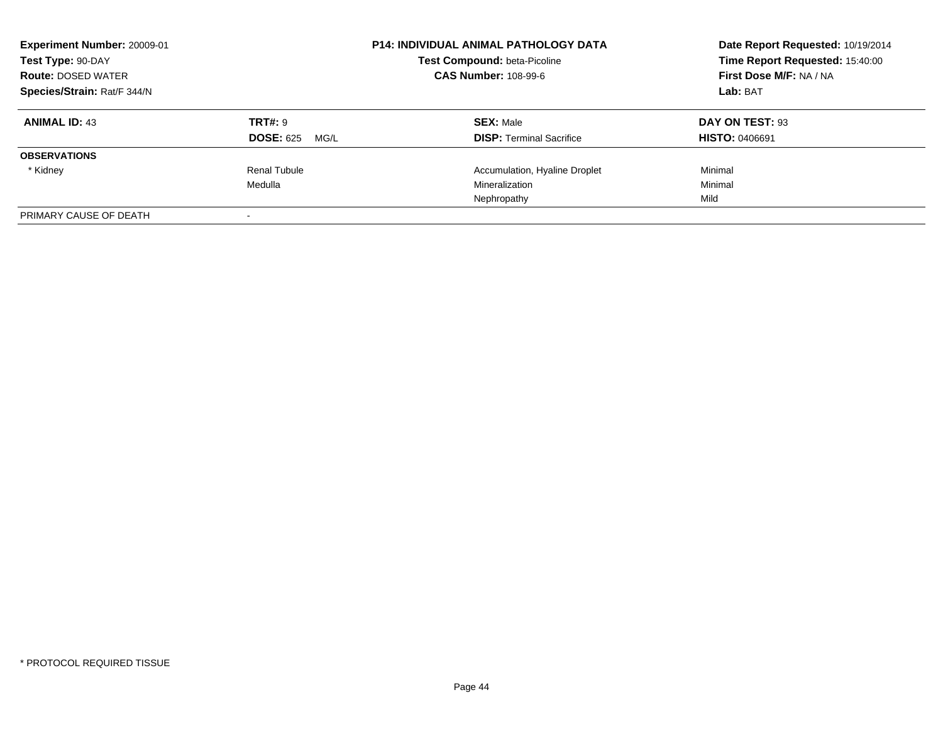| Experiment Number: 20009-01<br>Test Type: 90-DAY<br><b>Route: DOSED WATER</b><br>Species/Strain: Rat/F 344/N |                                            | <b>P14: INDIVIDUAL ANIMAL PATHOLOGY DATA</b><br>Test Compound: beta-Picoline<br><b>CAS Number: 108-99-6</b> | Date Report Requested: 10/19/2014<br>Time Report Requested: 15:40:00<br>First Dose M/F: NA / NA<br>Lab: BAT |
|--------------------------------------------------------------------------------------------------------------|--------------------------------------------|-------------------------------------------------------------------------------------------------------------|-------------------------------------------------------------------------------------------------------------|
| <b>ANIMAL ID: 43</b>                                                                                         | <b>TRT#: 9</b><br><b>DOSE: 625</b><br>MG/L | <b>SEX: Male</b><br><b>DISP:</b> Terminal Sacrifice                                                         | DAY ON TEST: 93<br><b>HISTO: 0406691</b>                                                                    |
| <b>OBSERVATIONS</b>                                                                                          |                                            |                                                                                                             |                                                                                                             |
| * Kidney                                                                                                     | Renal Tubule<br>Medulla                    | Accumulation, Hyaline Droplet<br>Mineralization<br>Nephropathy                                              | Minimal<br>Minimal<br>Mild                                                                                  |
| PRIMARY CAUSE OF DEATH                                                                                       |                                            |                                                                                                             |                                                                                                             |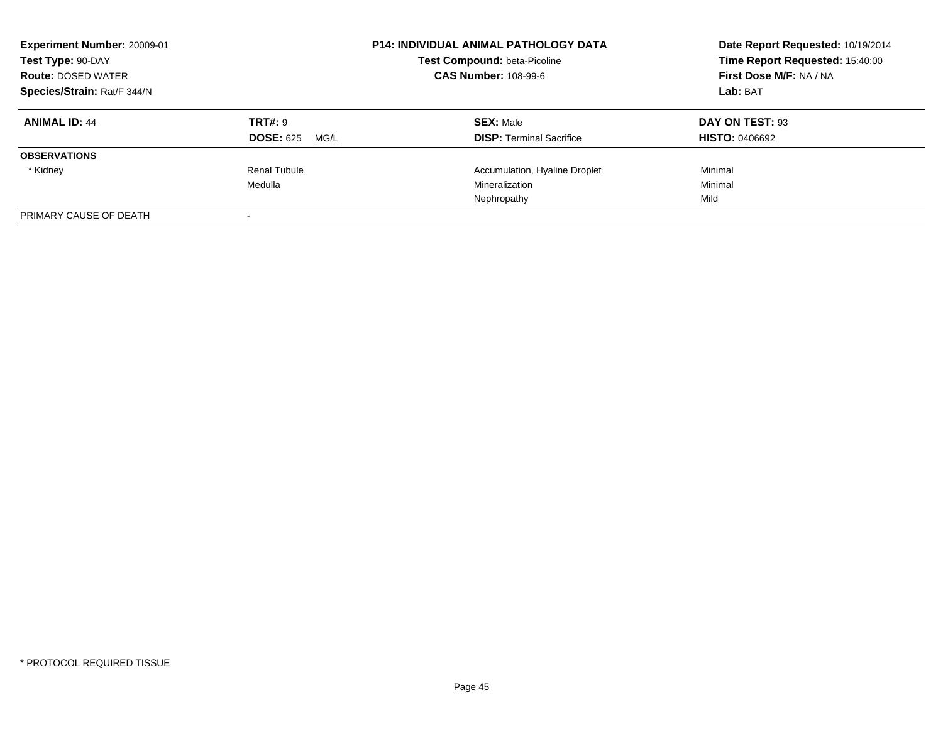| Experiment Number: 20009-01<br>Test Type: 90-DAY<br><b>Route: DOSED WATER</b><br>Species/Strain: Rat/F 344/N |                                            | <b>P14: INDIVIDUAL ANIMAL PATHOLOGY DATA</b><br>Test Compound: beta-Picoline<br><b>CAS Number: 108-99-6</b> | Date Report Requested: 10/19/2014<br>Time Report Requested: 15:40:00<br>First Dose M/F: NA / NA<br>Lab: BAT |
|--------------------------------------------------------------------------------------------------------------|--------------------------------------------|-------------------------------------------------------------------------------------------------------------|-------------------------------------------------------------------------------------------------------------|
| <b>ANIMAL ID: 44</b>                                                                                         | <b>TRT#: 9</b><br><b>DOSE: 625</b><br>MG/L | <b>SEX: Male</b><br><b>DISP:</b> Terminal Sacrifice                                                         | DAY ON TEST: 93<br><b>HISTO: 0406692</b>                                                                    |
| <b>OBSERVATIONS</b>                                                                                          |                                            |                                                                                                             |                                                                                                             |
| * Kidney                                                                                                     | Renal Tubule<br>Medulla                    | Accumulation, Hyaline Droplet<br>Mineralization<br>Nephropathy                                              | Minimal<br>Minimal<br>Mild                                                                                  |
| PRIMARY CAUSE OF DEATH                                                                                       |                                            |                                                                                                             |                                                                                                             |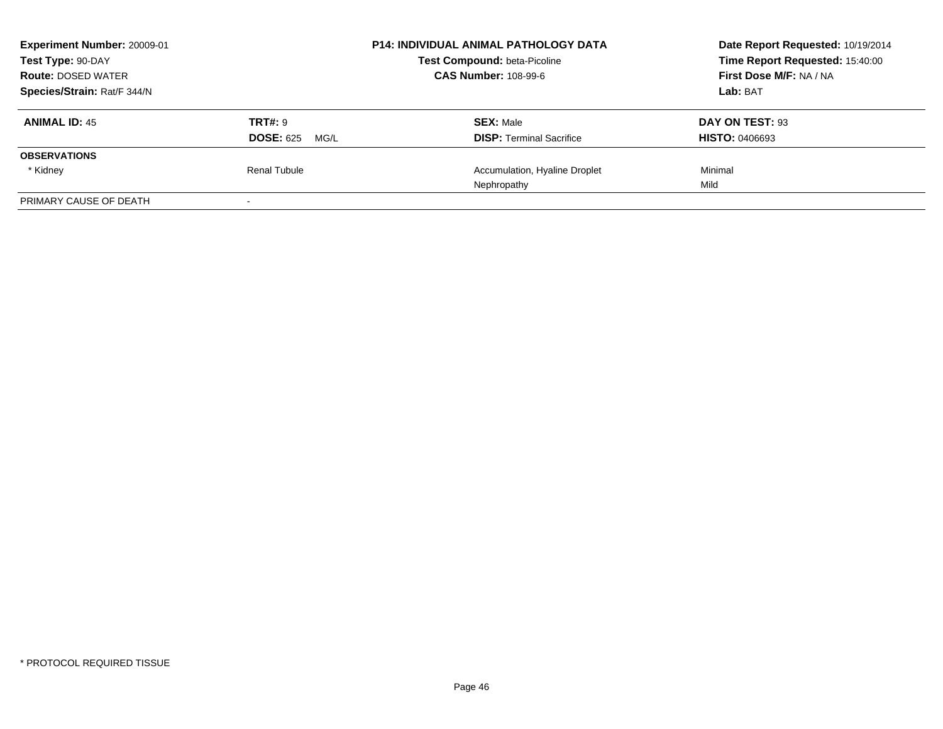| Experiment Number: 20009-01<br>Test Type: 90-DAY<br><b>Route: DOSED WATER</b> |                                            | <b>P14: INDIVIDUAL ANIMAL PATHOLOGY DATA</b><br>Test Compound: beta-Picoline<br><b>CAS Number: 108-99-6</b> | Date Report Requested: 10/19/2014<br>Time Report Requested: 15:40:00<br>First Dose M/F: NA / NA |
|-------------------------------------------------------------------------------|--------------------------------------------|-------------------------------------------------------------------------------------------------------------|-------------------------------------------------------------------------------------------------|
| Species/Strain: Rat/F 344/N                                                   |                                            |                                                                                                             | Lab: BAT                                                                                        |
| <b>ANIMAL ID: 45</b>                                                          | <b>TRT#: 9</b><br><b>DOSE: 625</b><br>MG/L | <b>SEX: Male</b><br><b>DISP:</b> Terminal Sacrifice                                                         | DAY ON TEST: 93<br><b>HISTO: 0406693</b>                                                        |
| <b>OBSERVATIONS</b>                                                           |                                            |                                                                                                             |                                                                                                 |
| * Kidney                                                                      | Renal Tubule                               | Accumulation, Hyaline Droplet<br>Nephropathy                                                                | Minimal<br>Mild                                                                                 |
| PRIMARY CAUSE OF DEATH                                                        |                                            |                                                                                                             |                                                                                                 |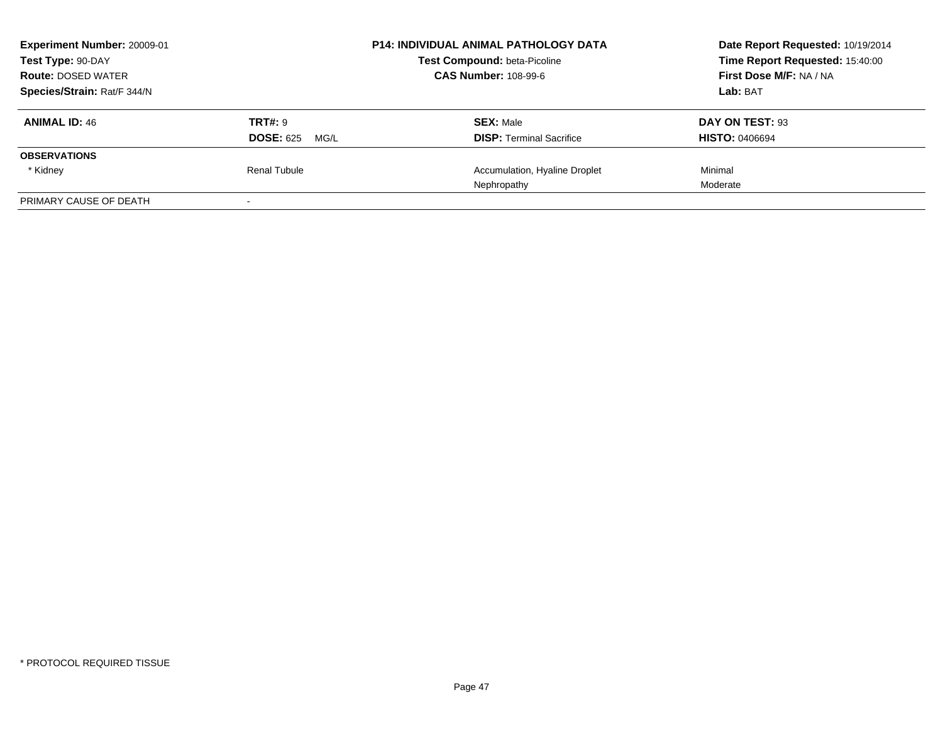| Experiment Number: 20009-01<br>Test Type: 90-DAY |                          | <b>P14: INDIVIDUAL ANIMAL PATHOLOGY DATA</b><br><b>Test Compound: beta-Picoline</b> | Date Report Requested: 10/19/2014<br>Time Report Requested: 15:40:00 |
|--------------------------------------------------|--------------------------|-------------------------------------------------------------------------------------|----------------------------------------------------------------------|
| <b>Route: DOSED WATER</b>                        |                          | <b>CAS Number: 108-99-6</b>                                                         | First Dose M/F: NA / NA                                              |
| Species/Strain: Rat/F 344/N                      |                          |                                                                                     | Lab: BAT                                                             |
| <b>ANIMAL ID: 46</b>                             | <b>TRT#: 9</b>           | <b>SEX: Male</b>                                                                    | DAY ON TEST: 93                                                      |
|                                                  | <b>DOSE: 625</b><br>MG/L | <b>DISP: Terminal Sacrifice</b>                                                     | <b>HISTO: 0406694</b>                                                |
| <b>OBSERVATIONS</b>                              |                          |                                                                                     |                                                                      |
| * Kidney                                         | Renal Tubule             | Accumulation, Hyaline Droplet                                                       | Minimal                                                              |
|                                                  |                          | Nephropathy                                                                         | Moderate                                                             |
| PRIMARY CAUSE OF DEATH                           |                          |                                                                                     |                                                                      |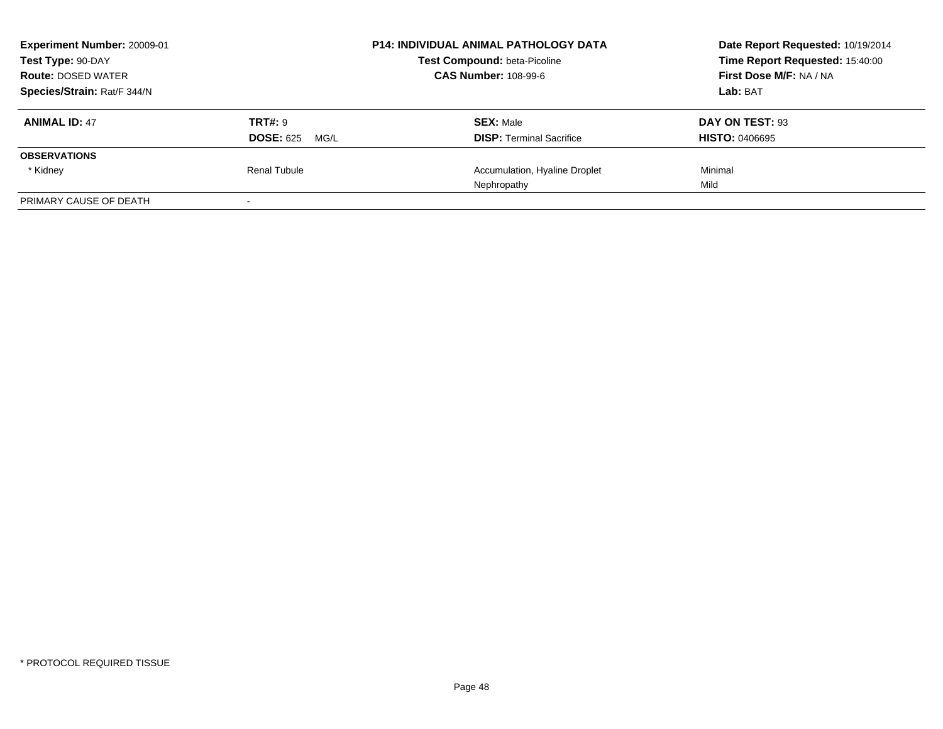| Experiment Number: 20009-01<br>Test Type: 90-DAY<br><b>Route: DOSED WATER</b> |                                            | <b>P14: INDIVIDUAL ANIMAL PATHOLOGY DATA</b><br>Test Compound: beta-Picoline<br><b>CAS Number: 108-99-6</b> | Date Report Requested: 10/19/2014<br>Time Report Requested: 15:40:00<br>First Dose M/F: NA / NA |  |
|-------------------------------------------------------------------------------|--------------------------------------------|-------------------------------------------------------------------------------------------------------------|-------------------------------------------------------------------------------------------------|--|
| Species/Strain: Rat/F 344/N                                                   |                                            |                                                                                                             | Lab: BAT                                                                                        |  |
| <b>ANIMAL ID: 47</b>                                                          | <b>TRT#: 9</b><br><b>DOSE: 625</b><br>MG/L | <b>SEX: Male</b><br><b>DISP:</b> Terminal Sacrifice                                                         | DAY ON TEST: 93<br><b>HISTO: 0406695</b>                                                        |  |
| <b>OBSERVATIONS</b>                                                           |                                            |                                                                                                             |                                                                                                 |  |
| * Kidney                                                                      | Renal Tubule                               | Accumulation, Hyaline Droplet<br>Nephropathy                                                                | Minimal<br>Mild                                                                                 |  |
| PRIMARY CAUSE OF DEATH                                                        |                                            |                                                                                                             |                                                                                                 |  |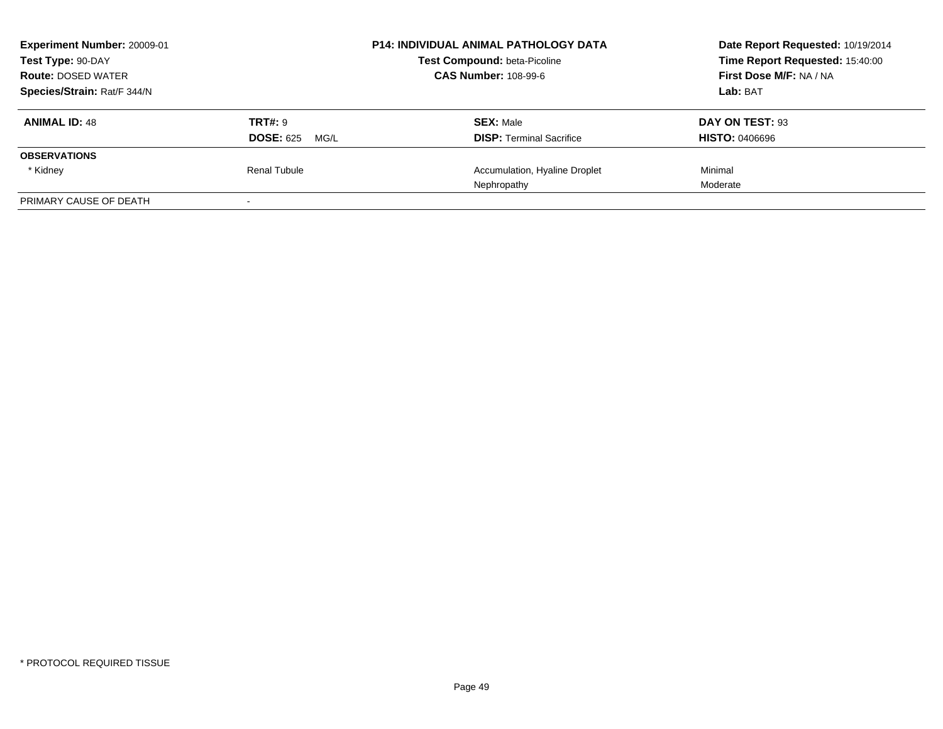| Experiment Number: 20009-01<br>Test Type: 90-DAY |                          | <b>P14: INDIVIDUAL ANIMAL PATHOLOGY DATA</b><br><b>Test Compound: beta-Picoline</b> | Date Report Requested: 10/19/2014<br>Time Report Requested: 15:40:00 |
|--------------------------------------------------|--------------------------|-------------------------------------------------------------------------------------|----------------------------------------------------------------------|
| <b>Route: DOSED WATER</b>                        |                          | <b>CAS Number: 108-99-6</b>                                                         | First Dose M/F: NA / NA                                              |
| Species/Strain: Rat/F 344/N                      |                          |                                                                                     | Lab: BAT                                                             |
| <b>ANIMAL ID: 48</b>                             | <b>TRT#: 9</b>           | <b>SEX: Male</b>                                                                    | DAY ON TEST: 93                                                      |
|                                                  | <b>DOSE: 625</b><br>MG/L | <b>DISP: Terminal Sacrifice</b>                                                     | <b>HISTO: 0406696</b>                                                |
| <b>OBSERVATIONS</b>                              |                          |                                                                                     |                                                                      |
| * Kidney                                         | Renal Tubule             | Accumulation, Hyaline Droplet                                                       | Minimal                                                              |
|                                                  |                          | Nephropathy                                                                         | Moderate                                                             |
| PRIMARY CAUSE OF DEATH                           |                          |                                                                                     |                                                                      |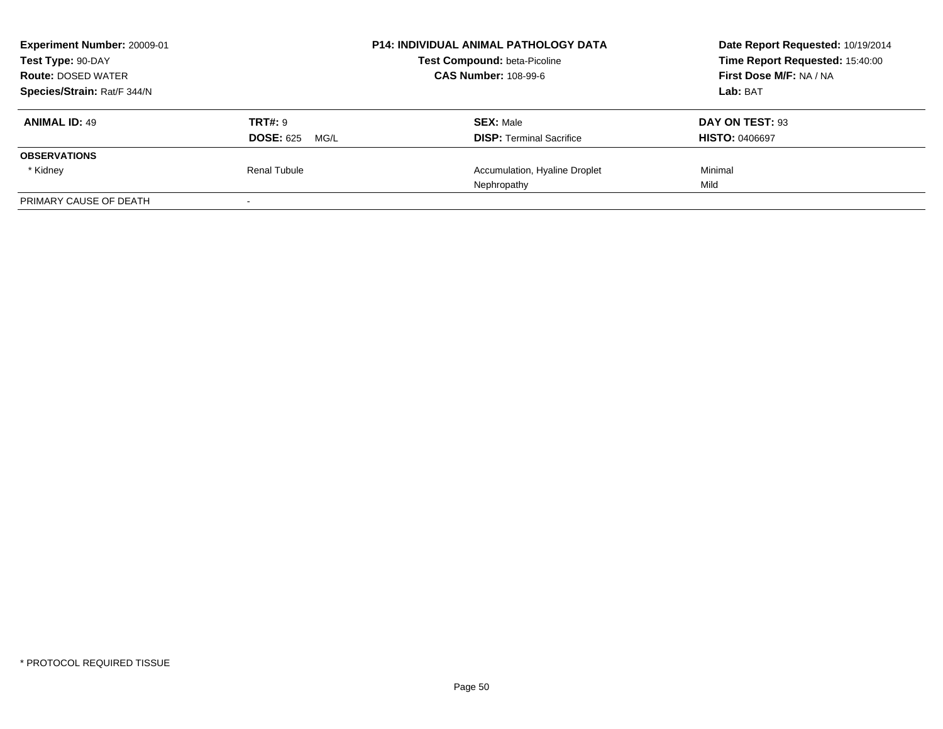| Experiment Number: 20009-01<br>Test Type: 90-DAY<br><b>Route: DOSED WATER</b><br>Species/Strain: Rat/F 344/N |                          | <b>P14: INDIVIDUAL ANIMAL PATHOLOGY DATA</b><br><b>Test Compound: beta-Picoline</b> | Date Report Requested: 10/19/2014<br>Time Report Requested: 15:40:00 |
|--------------------------------------------------------------------------------------------------------------|--------------------------|-------------------------------------------------------------------------------------|----------------------------------------------------------------------|
|                                                                                                              |                          | <b>CAS Number: 108-99-6</b>                                                         | First Dose M/F: NA / NA                                              |
|                                                                                                              |                          |                                                                                     | Lab: BAT                                                             |
| <b>ANIMAL ID: 49</b>                                                                                         | <b>TRT#: 9</b>           | <b>SEX: Male</b>                                                                    | DAY ON TEST: 93                                                      |
|                                                                                                              | <b>DOSE: 625</b><br>MG/L | <b>DISP: Terminal Sacrifice</b>                                                     | <b>HISTO: 0406697</b>                                                |
| <b>OBSERVATIONS</b>                                                                                          |                          |                                                                                     |                                                                      |
| * Kidney                                                                                                     | Renal Tubule             | Accumulation, Hyaline Droplet                                                       | Minimal                                                              |
|                                                                                                              |                          | Nephropathy                                                                         | Mild                                                                 |
| PRIMARY CAUSE OF DEATH                                                                                       |                          |                                                                                     |                                                                      |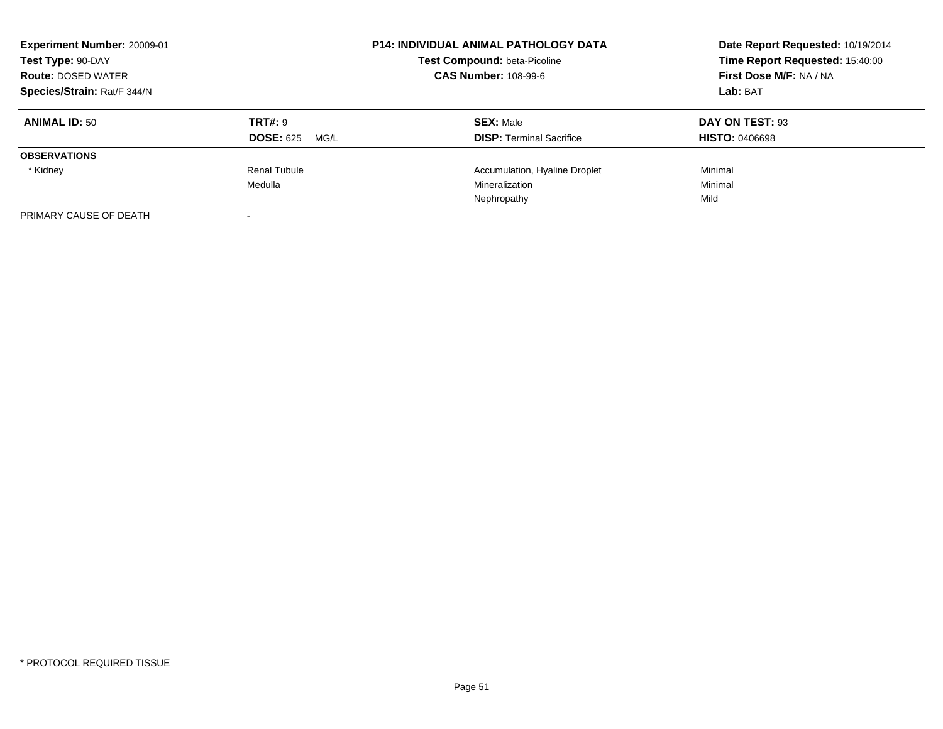|                                     | <b>P14: INDIVIDUAL ANIMAL PATHOLOGY DATA</b><br>Test Compound: beta-Picoline<br><b>CAS Number: 108-99-6</b> | Date Report Requested: 10/19/2014<br>Time Report Requested: 15:40:00<br>First Dose M/F: NA / NA<br>Lab: BAT |
|-------------------------------------|-------------------------------------------------------------------------------------------------------------|-------------------------------------------------------------------------------------------------------------|
| TRT#: 9<br><b>DOSE: 625</b><br>MG/L | <b>SEX: Male</b><br><b>DISP:</b> Terminal Sacrifice                                                         | DAY ON TEST: 93<br><b>HISTO: 0406698</b>                                                                    |
|                                     |                                                                                                             |                                                                                                             |
| Renal Tubule<br>Medulla             | Accumulation, Hyaline Droplet<br>Mineralization                                                             | Minimal<br>Minimal                                                                                          |
|                                     | Nephropathy                                                                                                 | Mild                                                                                                        |
|                                     |                                                                                                             |                                                                                                             |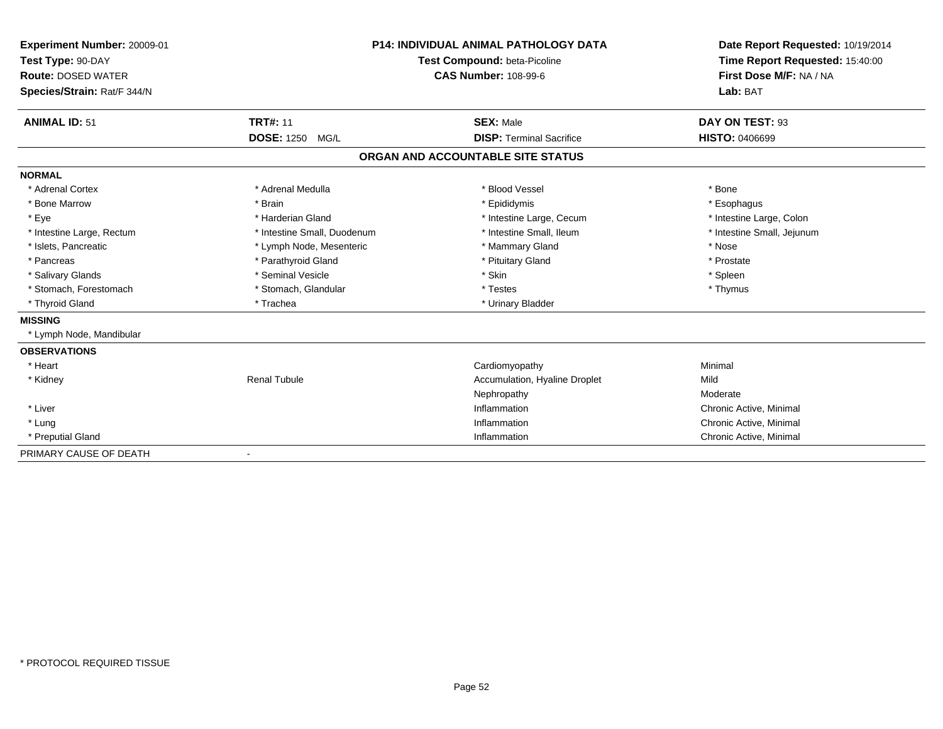| <b>Experiment Number: 20009-01</b><br>Test Type: 90-DAY<br><b>Route: DOSED WATER</b><br>Species/Strain: Rat/F 344/N |                                              | <b>P14: INDIVIDUAL ANIMAL PATHOLOGY DATA</b><br>Test Compound: beta-Picoline<br><b>CAS Number: 108-99-6</b> | Date Report Requested: 10/19/2014<br>Time Report Requested: 15:40:00<br>First Dose M/F: NA / NA<br>Lab: BAT |
|---------------------------------------------------------------------------------------------------------------------|----------------------------------------------|-------------------------------------------------------------------------------------------------------------|-------------------------------------------------------------------------------------------------------------|
| <b>ANIMAL ID: 51</b>                                                                                                | <b>TRT#: 11</b><br><b>DOSE: 1250</b><br>MG/L | <b>SEX: Male</b><br><b>DISP: Terminal Sacrifice</b>                                                         | DAY ON TEST: 93<br><b>HISTO: 0406699</b>                                                                    |
|                                                                                                                     |                                              | ORGAN AND ACCOUNTABLE SITE STATUS                                                                           |                                                                                                             |
| <b>NORMAL</b>                                                                                                       |                                              |                                                                                                             |                                                                                                             |
| * Adrenal Cortex                                                                                                    | * Adrenal Medulla                            | * Blood Vessel                                                                                              | * Bone                                                                                                      |
| * Bone Marrow                                                                                                       | * Brain                                      | * Epididymis                                                                                                | * Esophagus                                                                                                 |
| * Eye                                                                                                               | * Harderian Gland                            | * Intestine Large, Cecum                                                                                    | * Intestine Large, Colon                                                                                    |
| * Intestine Large, Rectum                                                                                           | * Intestine Small, Duodenum                  | * Intestine Small. Ileum                                                                                    | * Intestine Small, Jejunum                                                                                  |
| * Islets, Pancreatic                                                                                                | * Lymph Node, Mesenteric                     | * Mammary Gland                                                                                             | * Nose                                                                                                      |
| * Pancreas                                                                                                          | * Parathyroid Gland                          | * Pituitary Gland                                                                                           | * Prostate                                                                                                  |
| * Salivary Glands                                                                                                   | * Seminal Vesicle                            | * Skin                                                                                                      | * Spleen                                                                                                    |
| * Stomach, Forestomach                                                                                              | * Stomach, Glandular                         | * Testes                                                                                                    | * Thymus                                                                                                    |
| * Thyroid Gland                                                                                                     | * Trachea                                    | * Urinary Bladder                                                                                           |                                                                                                             |
| <b>MISSING</b>                                                                                                      |                                              |                                                                                                             |                                                                                                             |
| * Lymph Node, Mandibular                                                                                            |                                              |                                                                                                             |                                                                                                             |
| <b>OBSERVATIONS</b>                                                                                                 |                                              |                                                                                                             |                                                                                                             |
| * Heart                                                                                                             |                                              | Cardiomyopathy                                                                                              | Minimal                                                                                                     |
| * Kidney                                                                                                            | <b>Renal Tubule</b>                          | Accumulation, Hyaline Droplet                                                                               | Mild                                                                                                        |
|                                                                                                                     |                                              | Nephropathy                                                                                                 | Moderate                                                                                                    |
| * Liver                                                                                                             |                                              | Inflammation                                                                                                | Chronic Active, Minimal                                                                                     |
| * Lung                                                                                                              |                                              | Inflammation                                                                                                | Chronic Active, Minimal                                                                                     |
| * Preputial Gland                                                                                                   |                                              | Inflammation                                                                                                | Chronic Active, Minimal                                                                                     |
| PRIMARY CAUSE OF DEATH                                                                                              |                                              |                                                                                                             |                                                                                                             |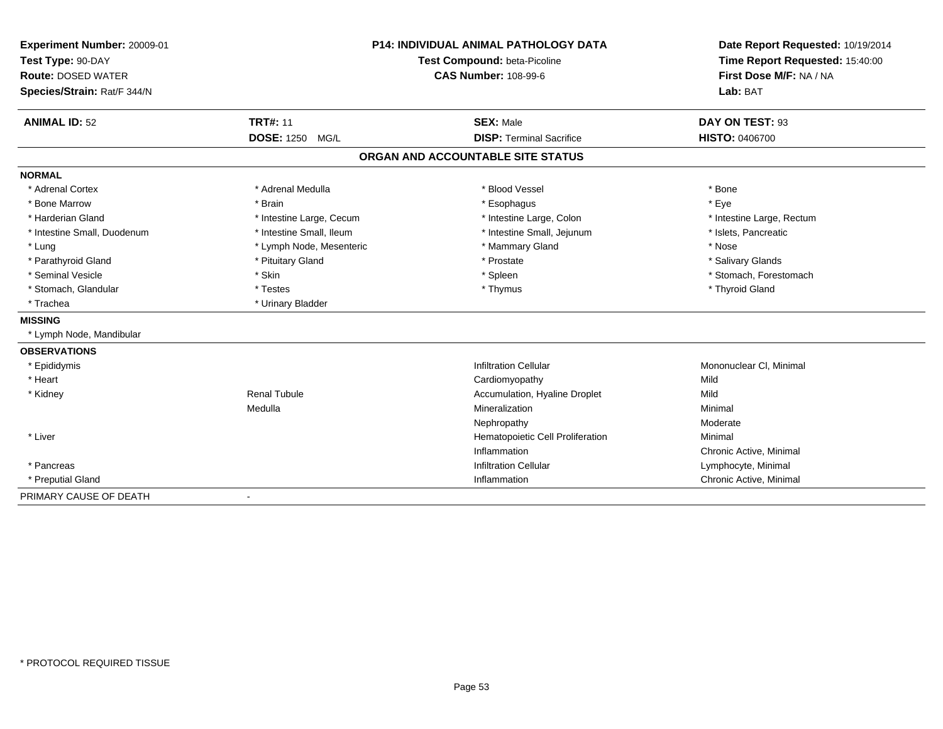| Experiment Number: 20009-01<br>Test Type: 90-DAY |                           | P14: INDIVIDUAL ANIMAL PATHOLOGY DATA<br>Test Compound: beta-Picoline | Date Report Requested: 10/19/2014<br>Time Report Requested: 15:40:00<br>First Dose M/F: NA / NA |
|--------------------------------------------------|---------------------------|-----------------------------------------------------------------------|-------------------------------------------------------------------------------------------------|
| <b>Route: DOSED WATER</b>                        |                           | <b>CAS Number: 108-99-6</b>                                           |                                                                                                 |
|                                                  |                           |                                                                       | Lab: BAT                                                                                        |
| Species/Strain: Rat/F 344/N                      |                           |                                                                       |                                                                                                 |
| <b>ANIMAL ID: 52</b>                             | <b>TRT#: 11</b>           | <b>SEX: Male</b>                                                      | DAY ON TEST: 93                                                                                 |
|                                                  | <b>DOSE: 1250</b><br>MG/L | <b>DISP: Terminal Sacrifice</b>                                       | <b>HISTO: 0406700</b>                                                                           |
|                                                  |                           | ORGAN AND ACCOUNTABLE SITE STATUS                                     |                                                                                                 |
| <b>NORMAL</b>                                    |                           |                                                                       |                                                                                                 |
| * Adrenal Cortex                                 | * Adrenal Medulla         | * Blood Vessel                                                        | * Bone                                                                                          |
| * Bone Marrow                                    | * Brain                   | * Esophagus                                                           | * Eye                                                                                           |
| * Harderian Gland                                | * Intestine Large, Cecum  | * Intestine Large, Colon                                              | * Intestine Large, Rectum                                                                       |
| * Intestine Small, Duodenum                      | * Intestine Small. Ileum  | * Intestine Small, Jejunum                                            | * Islets, Pancreatic                                                                            |
| * Lung                                           | * Lymph Node, Mesenteric  | * Mammary Gland                                                       | * Nose                                                                                          |
| * Parathyroid Gland                              | * Pituitary Gland         | * Prostate                                                            | * Salivary Glands                                                                               |
| * Seminal Vesicle                                | * Skin                    | * Spleen                                                              | * Stomach, Forestomach                                                                          |
| * Stomach, Glandular                             | * Testes                  | * Thymus                                                              | * Thyroid Gland                                                                                 |
| * Trachea                                        | * Urinary Bladder         |                                                                       |                                                                                                 |
| <b>MISSING</b>                                   |                           |                                                                       |                                                                                                 |
| * Lymph Node, Mandibular                         |                           |                                                                       |                                                                                                 |
| <b>OBSERVATIONS</b>                              |                           |                                                                       |                                                                                                 |
| * Epididymis                                     |                           | <b>Infiltration Cellular</b>                                          | Mononuclear CI, Minimal                                                                         |
| * Heart                                          |                           | Cardiomyopathy                                                        | Mild                                                                                            |
| * Kidney                                         | <b>Renal Tubule</b>       | Accumulation, Hyaline Droplet                                         | Mild                                                                                            |
|                                                  | Medulla                   | Mineralization                                                        | Minimal                                                                                         |
|                                                  |                           | Nephropathy                                                           | Moderate                                                                                        |
| * Liver                                          |                           | Hematopoietic Cell Proliferation                                      | Minimal                                                                                         |
|                                                  |                           | Inflammation                                                          | Chronic Active, Minimal                                                                         |
| * Pancreas                                       |                           | <b>Infiltration Cellular</b>                                          | Lymphocyte, Minimal                                                                             |
| * Preputial Gland                                |                           | Inflammation                                                          | Chronic Active, Minimal                                                                         |
| PRIMARY CAUSE OF DEATH                           | $\blacksquare$            |                                                                       |                                                                                                 |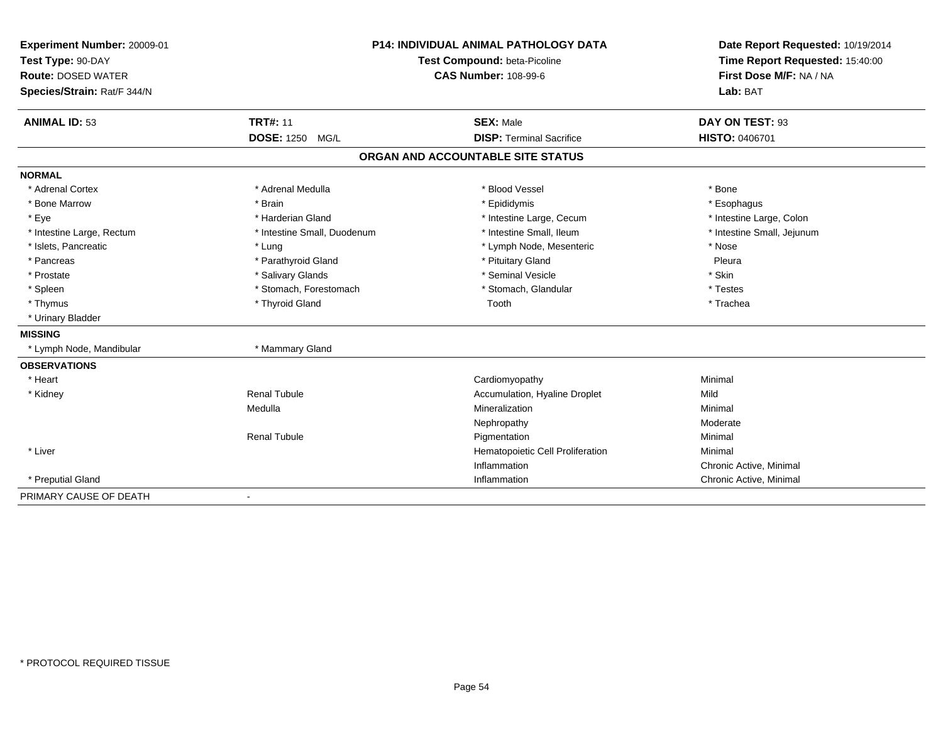| Experiment Number: 20009-01 | P14: INDIVIDUAL ANIMAL PATHOLOGY DATA<br>Test Compound: beta-Picoline |                                   | Date Report Requested: 10/19/2014 |
|-----------------------------|-----------------------------------------------------------------------|-----------------------------------|-----------------------------------|
| Test Type: 90-DAY           |                                                                       |                                   | Time Report Requested: 15:40:00   |
| <b>Route: DOSED WATER</b>   |                                                                       | <b>CAS Number: 108-99-6</b>       | First Dose M/F: NA / NA           |
| Species/Strain: Rat/F 344/N |                                                                       |                                   | Lab: BAT                          |
| <b>ANIMAL ID: 53</b>        | <b>TRT#: 11</b>                                                       | <b>SEX: Male</b>                  | DAY ON TEST: 93                   |
|                             | DOSE: 1250 MG/L                                                       | <b>DISP: Terminal Sacrifice</b>   | <b>HISTO: 0406701</b>             |
|                             |                                                                       | ORGAN AND ACCOUNTABLE SITE STATUS |                                   |
| <b>NORMAL</b>               |                                                                       |                                   |                                   |
| * Adrenal Cortex            | * Adrenal Medulla                                                     | * Blood Vessel                    | * Bone                            |
| * Bone Marrow               | * Brain                                                               | * Epididymis                      | * Esophagus                       |
| * Eye                       | * Harderian Gland                                                     | * Intestine Large, Cecum          | * Intestine Large, Colon          |
| * Intestine Large, Rectum   | * Intestine Small, Duodenum                                           | * Intestine Small. Ileum          | * Intestine Small, Jejunum        |
| * Islets, Pancreatic        | * Lung                                                                | * Lymph Node, Mesenteric          | * Nose                            |
| * Pancreas                  | * Parathyroid Gland                                                   | * Pituitary Gland                 | Pleura                            |
| * Prostate                  | * Salivary Glands                                                     | * Seminal Vesicle                 | * Skin                            |
| * Spleen                    | * Stomach, Forestomach                                                | * Stomach, Glandular              | * Testes                          |
| * Thymus                    | * Thyroid Gland                                                       | Tooth                             | * Trachea                         |
| * Urinary Bladder           |                                                                       |                                   |                                   |
| <b>MISSING</b>              |                                                                       |                                   |                                   |
| * Lymph Node, Mandibular    | * Mammary Gland                                                       |                                   |                                   |
| <b>OBSERVATIONS</b>         |                                                                       |                                   |                                   |
| * Heart                     |                                                                       | Cardiomyopathy                    | Minimal                           |
| * Kidney                    | <b>Renal Tubule</b>                                                   | Accumulation, Hyaline Droplet     | Mild                              |
|                             | Medulla                                                               | Mineralization                    | Minimal                           |
|                             |                                                                       | Nephropathy                       | Moderate                          |
|                             | <b>Renal Tubule</b>                                                   | Pigmentation                      | Minimal                           |
| * Liver                     |                                                                       | Hematopoietic Cell Proliferation  | Minimal                           |
|                             |                                                                       | Inflammation                      | Chronic Active, Minimal           |
| * Preputial Gland           |                                                                       | Inflammation                      | Chronic Active, Minimal           |
| PRIMARY CAUSE OF DEATH      | $\blacksquare$                                                        |                                   |                                   |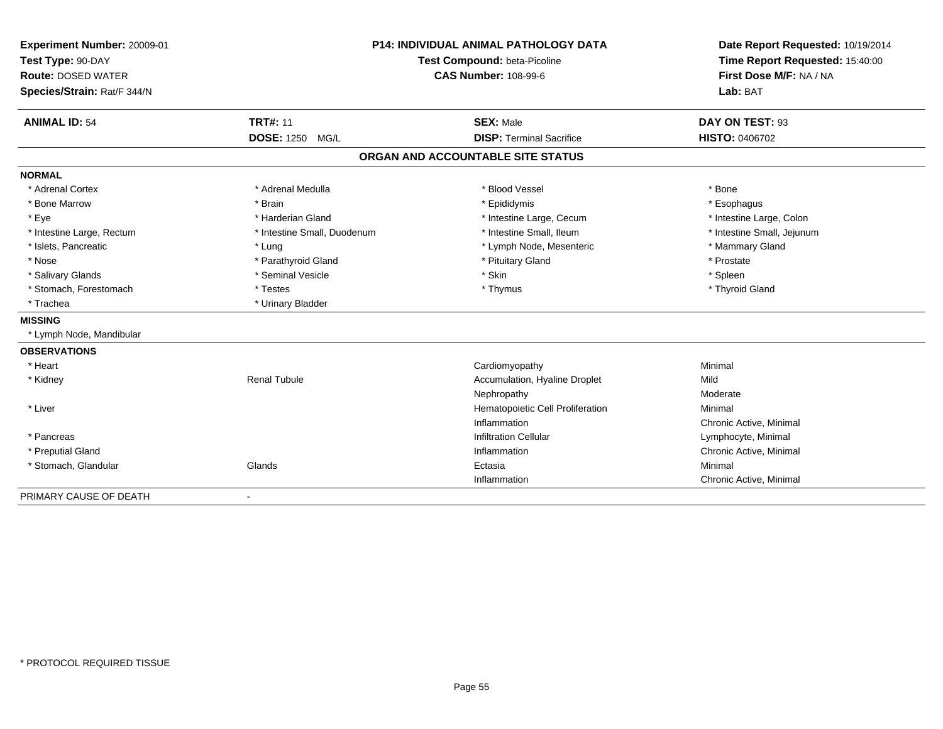| Experiment Number: 20009-01 |                             | <b>P14: INDIVIDUAL ANIMAL PATHOLOGY DATA</b> | Date Report Requested: 10/19/2014 |  |
|-----------------------------|-----------------------------|----------------------------------------------|-----------------------------------|--|
| Test Type: 90-DAY           |                             | Test Compound: beta-Picoline                 |                                   |  |
| <b>Route: DOSED WATER</b>   |                             | <b>CAS Number: 108-99-6</b>                  | First Dose M/F: NA / NA           |  |
| Species/Strain: Rat/F 344/N |                             |                                              | Lab: BAT                          |  |
| <b>ANIMAL ID: 54</b>        | <b>TRT#: 11</b>             | <b>SEX: Male</b>                             | DAY ON TEST: 93                   |  |
|                             | DOSE: 1250 MG/L             | <b>DISP: Terminal Sacrifice</b>              | HISTO: 0406702                    |  |
|                             |                             | ORGAN AND ACCOUNTABLE SITE STATUS            |                                   |  |
| <b>NORMAL</b>               |                             |                                              |                                   |  |
| * Adrenal Cortex            | * Adrenal Medulla           | * Blood Vessel                               | * Bone                            |  |
| * Bone Marrow               | * Brain                     | * Epididymis                                 | * Esophagus                       |  |
| * Eye                       | * Harderian Gland           | * Intestine Large, Cecum                     | * Intestine Large, Colon          |  |
| * Intestine Large, Rectum   | * Intestine Small, Duodenum | * Intestine Small, Ileum                     | * Intestine Small, Jejunum        |  |
| * Islets, Pancreatic        | * Lung                      | * Lymph Node, Mesenteric                     | * Mammary Gland                   |  |
| * Nose                      | * Parathyroid Gland         | * Pituitary Gland                            | * Prostate                        |  |
| * Salivary Glands           | * Seminal Vesicle           | * Skin                                       | * Spleen                          |  |
| * Stomach, Forestomach      | * Testes                    | * Thymus                                     | * Thyroid Gland                   |  |
| * Trachea                   | * Urinary Bladder           |                                              |                                   |  |
| <b>MISSING</b>              |                             |                                              |                                   |  |
| * Lymph Node, Mandibular    |                             |                                              |                                   |  |
| <b>OBSERVATIONS</b>         |                             |                                              |                                   |  |
| * Heart                     |                             | Cardiomyopathy                               | Minimal                           |  |
| * Kidney                    | Renal Tubule                | Accumulation, Hyaline Droplet                | Mild                              |  |
|                             |                             | Nephropathy                                  | Moderate                          |  |
| * Liver                     |                             | Hematopoietic Cell Proliferation             | Minimal                           |  |
|                             |                             | Inflammation                                 | Chronic Active, Minimal           |  |
| * Pancreas                  |                             | <b>Infiltration Cellular</b>                 | Lymphocyte, Minimal               |  |
| * Preputial Gland           |                             | Inflammation                                 | Chronic Active, Minimal           |  |
| * Stomach, Glandular        | Glands                      | Ectasia                                      | Minimal                           |  |
|                             |                             | Inflammation                                 | Chronic Active, Minimal           |  |
| PRIMARY CAUSE OF DEATH      | $\blacksquare$              |                                              |                                   |  |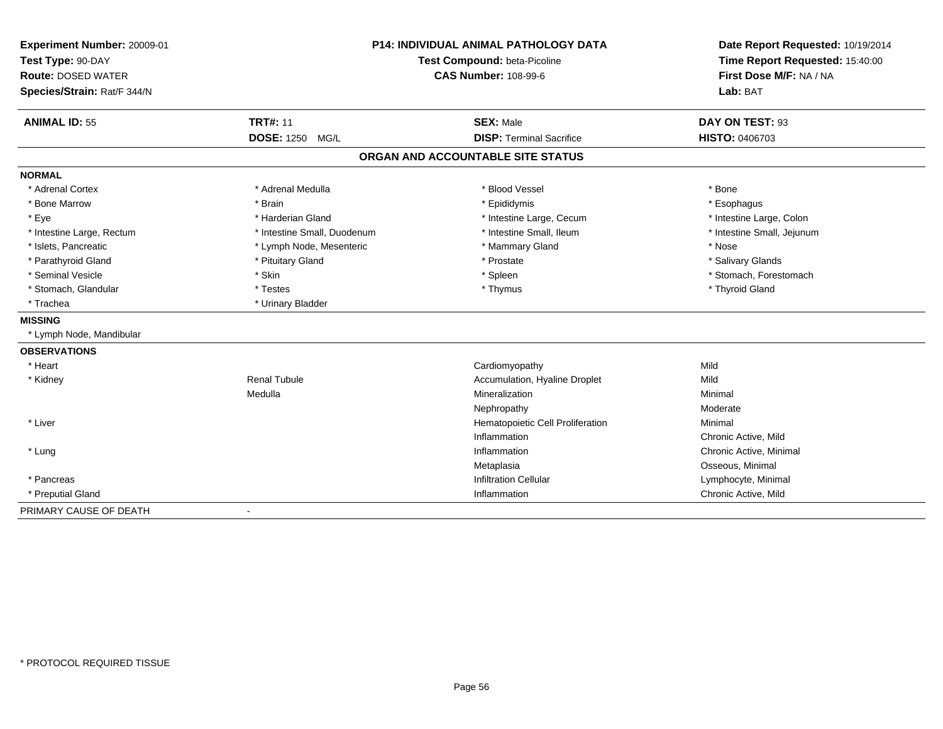| Experiment Number: 20009-01<br>Test Type: 90-DAY<br><b>Route: DOSED WATER</b><br>Species/Strain: Rat/F 344/N |                             | <b>P14: INDIVIDUAL ANIMAL PATHOLOGY DATA</b><br>Test Compound: beta-Picoline<br><b>CAS Number: 108-99-6</b> | Date Report Requested: 10/19/2014<br>Time Report Requested: 15:40:00<br>First Dose M/F: NA / NA<br>Lab: BAT |
|--------------------------------------------------------------------------------------------------------------|-----------------------------|-------------------------------------------------------------------------------------------------------------|-------------------------------------------------------------------------------------------------------------|
| <b>ANIMAL ID: 55</b>                                                                                         | <b>TRT#: 11</b>             | <b>SEX: Male</b>                                                                                            | DAY ON TEST: 93                                                                                             |
|                                                                                                              | DOSE: 1250 MG/L             | <b>DISP: Terminal Sacrifice</b>                                                                             | HISTO: 0406703                                                                                              |
|                                                                                                              |                             | ORGAN AND ACCOUNTABLE SITE STATUS                                                                           |                                                                                                             |
| <b>NORMAL</b>                                                                                                |                             |                                                                                                             |                                                                                                             |
| * Adrenal Cortex                                                                                             | * Adrenal Medulla           | * Blood Vessel                                                                                              | * Bone                                                                                                      |
| * Bone Marrow                                                                                                | * Brain                     | * Epididymis                                                                                                | * Esophagus                                                                                                 |
| * Eye                                                                                                        | * Harderian Gland           | * Intestine Large, Cecum                                                                                    | * Intestine Large, Colon                                                                                    |
| * Intestine Large, Rectum                                                                                    | * Intestine Small, Duodenum | * Intestine Small, Ileum                                                                                    | * Intestine Small, Jejunum                                                                                  |
| * Islets, Pancreatic                                                                                         | * Lymph Node, Mesenteric    | * Mammary Gland                                                                                             | * Nose                                                                                                      |
| * Parathyroid Gland                                                                                          | * Pituitary Gland           | * Prostate                                                                                                  | * Salivary Glands                                                                                           |
| * Seminal Vesicle                                                                                            | * Skin                      | * Spleen                                                                                                    | * Stomach, Forestomach                                                                                      |
| * Stomach, Glandular                                                                                         | * Testes                    | * Thymus                                                                                                    | * Thyroid Gland                                                                                             |
| * Trachea                                                                                                    | * Urinary Bladder           |                                                                                                             |                                                                                                             |
| <b>MISSING</b>                                                                                               |                             |                                                                                                             |                                                                                                             |
| * Lymph Node, Mandibular                                                                                     |                             |                                                                                                             |                                                                                                             |
| <b>OBSERVATIONS</b>                                                                                          |                             |                                                                                                             |                                                                                                             |
| * Heart                                                                                                      |                             | Cardiomyopathy                                                                                              | Mild                                                                                                        |
| * Kidney                                                                                                     | <b>Renal Tubule</b>         | Accumulation, Hyaline Droplet                                                                               | Mild                                                                                                        |
|                                                                                                              | Medulla                     | Mineralization                                                                                              | Minimal                                                                                                     |
|                                                                                                              |                             | Nephropathy                                                                                                 | Moderate                                                                                                    |
| * Liver                                                                                                      |                             | Hematopoietic Cell Proliferation                                                                            | Minimal                                                                                                     |
|                                                                                                              |                             | Inflammation                                                                                                | Chronic Active, Mild                                                                                        |
| * Lung                                                                                                       |                             | Inflammation                                                                                                | Chronic Active, Minimal                                                                                     |
|                                                                                                              |                             | Metaplasia                                                                                                  | Osseous, Minimal                                                                                            |
| * Pancreas                                                                                                   |                             | <b>Infiltration Cellular</b>                                                                                | Lymphocyte, Minimal                                                                                         |
| * Preputial Gland                                                                                            |                             | Inflammation                                                                                                | Chronic Active, Mild                                                                                        |
| PRIMARY CAUSE OF DEATH                                                                                       | $\blacksquare$              |                                                                                                             |                                                                                                             |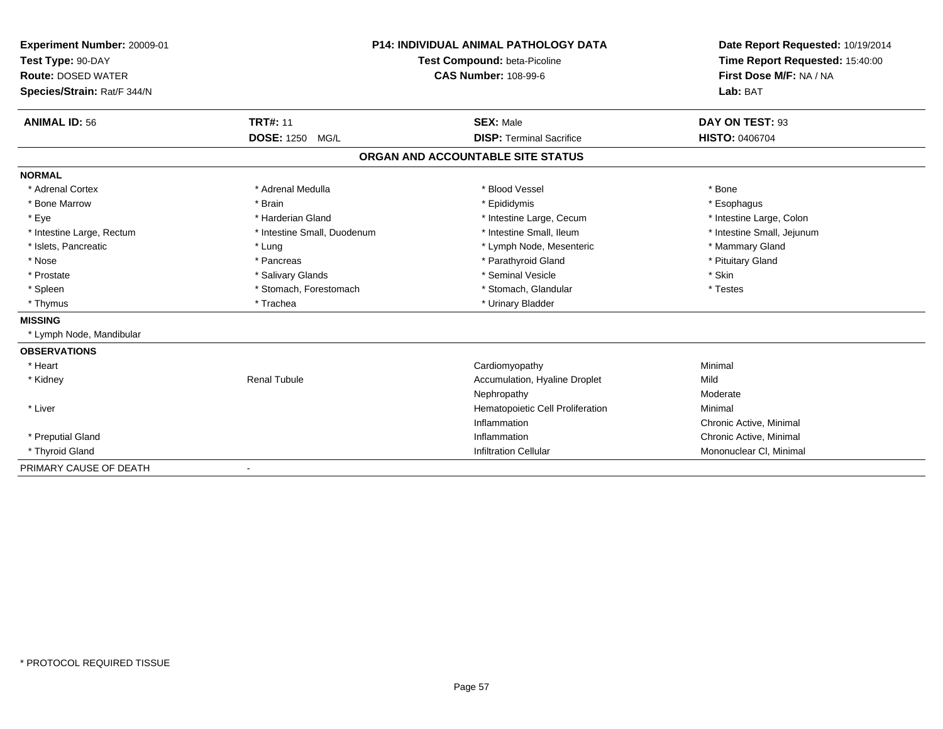| <b>Experiment Number: 20009-01</b><br>Test Type: 90-DAY<br><b>Route: DOSED WATER</b><br>Species/Strain: Rat/F 344/N |                              | <b>P14: INDIVIDUAL ANIMAL PATHOLOGY DATA</b><br>Test Compound: beta-Picoline<br><b>CAS Number: 108-99-6</b> | Date Report Requested: 10/19/2014<br>Time Report Requested: 15:40:00<br>First Dose M/F: NA / NA<br>Lab: BAT |
|---------------------------------------------------------------------------------------------------------------------|------------------------------|-------------------------------------------------------------------------------------------------------------|-------------------------------------------------------------------------------------------------------------|
| <b>ANIMAL ID: 56</b>                                                                                                | <b>TRT#: 11</b>              | <b>SEX: Male</b>                                                                                            | DAY ON TEST: 93                                                                                             |
|                                                                                                                     | DOSE: 1250 MG/L              | <b>DISP: Terminal Sacrifice</b>                                                                             | <b>HISTO: 0406704</b>                                                                                       |
|                                                                                                                     |                              | ORGAN AND ACCOUNTABLE SITE STATUS                                                                           |                                                                                                             |
| <b>NORMAL</b>                                                                                                       |                              |                                                                                                             |                                                                                                             |
| * Adrenal Cortex                                                                                                    | * Adrenal Medulla            | * Blood Vessel                                                                                              | * Bone                                                                                                      |
| * Bone Marrow                                                                                                       | * Brain                      | * Epididymis                                                                                                | * Esophagus                                                                                                 |
| * Eye                                                                                                               | * Harderian Gland            | * Intestine Large, Cecum                                                                                    | * Intestine Large, Colon                                                                                    |
| * Intestine Large, Rectum                                                                                           | * Intestine Small, Duodenum  | * Intestine Small, Ileum                                                                                    | * Intestine Small, Jejunum                                                                                  |
| * Islets, Pancreatic                                                                                                | * Lung                       | * Lymph Node, Mesenteric                                                                                    | * Mammary Gland                                                                                             |
| * Nose                                                                                                              | * Pancreas                   | * Parathyroid Gland                                                                                         | * Pituitary Gland                                                                                           |
| * Prostate                                                                                                          | * Salivary Glands            | * Seminal Vesicle                                                                                           | * Skin                                                                                                      |
| * Spleen                                                                                                            | * Stomach, Forestomach       | * Stomach, Glandular                                                                                        | * Testes                                                                                                    |
| * Thymus                                                                                                            | * Trachea                    | * Urinary Bladder                                                                                           |                                                                                                             |
| <b>MISSING</b>                                                                                                      |                              |                                                                                                             |                                                                                                             |
| * Lymph Node, Mandibular                                                                                            |                              |                                                                                                             |                                                                                                             |
| <b>OBSERVATIONS</b>                                                                                                 |                              |                                                                                                             |                                                                                                             |
| * Heart                                                                                                             |                              | Cardiomyopathy                                                                                              | Minimal                                                                                                     |
| * Kidney                                                                                                            | <b>Renal Tubule</b>          | Accumulation, Hyaline Droplet                                                                               | Mild                                                                                                        |
|                                                                                                                     |                              | Nephropathy                                                                                                 | Moderate                                                                                                    |
| * Liver                                                                                                             |                              | Hematopoietic Cell Proliferation                                                                            | Minimal                                                                                                     |
|                                                                                                                     |                              | Inflammation                                                                                                | Chronic Active, Minimal                                                                                     |
| * Preputial Gland                                                                                                   |                              | Inflammation                                                                                                | Chronic Active, Minimal                                                                                     |
| * Thyroid Gland                                                                                                     |                              | <b>Infiltration Cellular</b>                                                                                | Mononuclear CI, Minimal                                                                                     |
| PRIMARY CAUSE OF DEATH                                                                                              | $\qquad \qquad \blacksquare$ |                                                                                                             |                                                                                                             |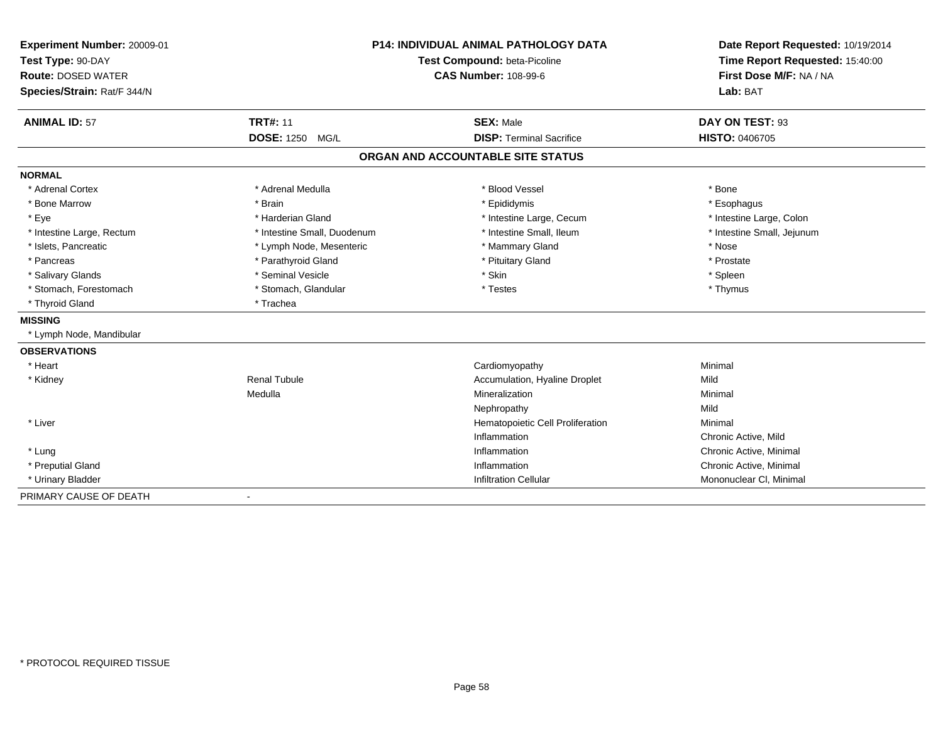| Experiment Number: 20009-01<br>Test Type: 90-DAY<br><b>Route: DOSED WATER</b> |                             | <b>P14: INDIVIDUAL ANIMAL PATHOLOGY DATA</b><br>Test Compound: beta-Picoline<br><b>CAS Number: 108-99-6</b> |                                     |
|-------------------------------------------------------------------------------|-----------------------------|-------------------------------------------------------------------------------------------------------------|-------------------------------------|
| Species/Strain: Rat/F 344/N                                                   |                             |                                                                                                             | First Dose M/F: NA / NA<br>Lab: BAT |
| <b>ANIMAL ID: 57</b>                                                          | <b>TRT#: 11</b>             | <b>SEX: Male</b>                                                                                            | DAY ON TEST: 93                     |
|                                                                               | DOSE: 1250 MG/L             | <b>DISP: Terminal Sacrifice</b>                                                                             | HISTO: 0406705                      |
|                                                                               |                             | ORGAN AND ACCOUNTABLE SITE STATUS                                                                           |                                     |
| <b>NORMAL</b>                                                                 |                             |                                                                                                             |                                     |
| * Adrenal Cortex                                                              | * Adrenal Medulla           | * Blood Vessel                                                                                              | * Bone                              |
| * Bone Marrow                                                                 | * Brain                     | * Epididymis                                                                                                | * Esophagus                         |
| * Eye                                                                         | * Harderian Gland           | * Intestine Large, Cecum                                                                                    | * Intestine Large, Colon            |
| * Intestine Large, Rectum                                                     | * Intestine Small, Duodenum | * Intestine Small, Ileum                                                                                    | * Intestine Small, Jejunum          |
| * Islets, Pancreatic                                                          | * Lymph Node, Mesenteric    | * Mammary Gland                                                                                             | * Nose                              |
| * Pancreas                                                                    | * Parathyroid Gland         | * Pituitary Gland                                                                                           | * Prostate                          |
| * Salivary Glands                                                             | * Seminal Vesicle           | * Skin                                                                                                      | * Spleen                            |
| * Stomach, Forestomach                                                        | * Stomach, Glandular        | * Testes                                                                                                    | * Thymus                            |
| * Thyroid Gland                                                               | * Trachea                   |                                                                                                             |                                     |
| <b>MISSING</b>                                                                |                             |                                                                                                             |                                     |
| * Lymph Node, Mandibular                                                      |                             |                                                                                                             |                                     |
| <b>OBSERVATIONS</b>                                                           |                             |                                                                                                             |                                     |
| * Heart                                                                       |                             | Cardiomyopathy                                                                                              | Minimal                             |
| * Kidney                                                                      | <b>Renal Tubule</b>         | Accumulation, Hyaline Droplet                                                                               | Mild                                |
|                                                                               | Medulla                     | Mineralization                                                                                              | Minimal                             |
|                                                                               |                             | Nephropathy                                                                                                 | Mild                                |
| * Liver                                                                       |                             | Hematopoietic Cell Proliferation                                                                            | Minimal                             |
|                                                                               |                             | Inflammation                                                                                                | Chronic Active, Mild                |
| * Lung                                                                        |                             | Inflammation                                                                                                | Chronic Active, Minimal             |
| * Preputial Gland                                                             |                             | Inflammation                                                                                                | Chronic Active, Minimal             |
| * Urinary Bladder                                                             |                             | <b>Infiltration Cellular</b>                                                                                | Mononuclear CI, Minimal             |
| PRIMARY CAUSE OF DEATH                                                        | $\blacksquare$              |                                                                                                             |                                     |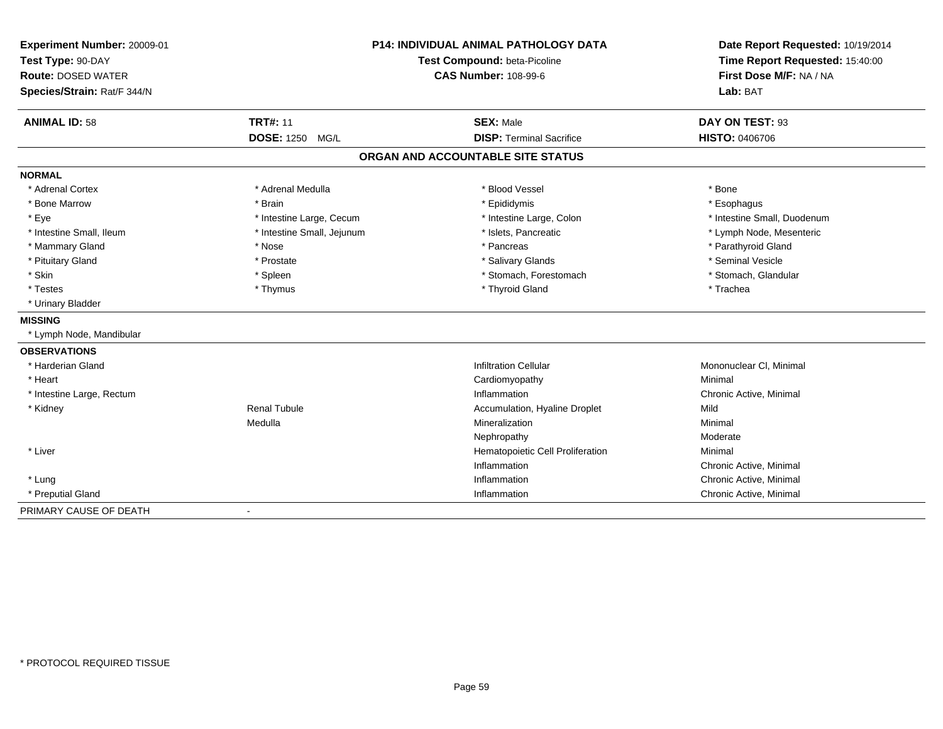| <b>P14: INDIVIDUAL ANIMAL PATHOLOGY DATA</b><br>Experiment Number: 20009-01<br>Test Type: 90-DAY<br>Test Compound: beta-Picoline<br><b>Route: DOSED WATER</b><br><b>CAS Number: 108-99-6</b><br>Species/Strain: Rat/F 344/N |                            | Date Report Requested: 10/19/2014<br>Time Report Requested: 15:40:00<br>First Dose M/F: NA / NA<br>Lab: BAT |                             |
|-----------------------------------------------------------------------------------------------------------------------------------------------------------------------------------------------------------------------------|----------------------------|-------------------------------------------------------------------------------------------------------------|-----------------------------|
| <b>ANIMAL ID: 58</b>                                                                                                                                                                                                        | <b>TRT#: 11</b>            | <b>SEX: Male</b>                                                                                            | DAY ON TEST: 93             |
|                                                                                                                                                                                                                             | DOSE: 1250 MG/L            | <b>DISP: Terminal Sacrifice</b>                                                                             | <b>HISTO: 0406706</b>       |
|                                                                                                                                                                                                                             |                            | ORGAN AND ACCOUNTABLE SITE STATUS                                                                           |                             |
| <b>NORMAL</b>                                                                                                                                                                                                               |                            |                                                                                                             |                             |
| * Adrenal Cortex                                                                                                                                                                                                            | * Adrenal Medulla          | * Blood Vessel                                                                                              | * Bone                      |
| * Bone Marrow                                                                                                                                                                                                               | * Brain                    | * Epididymis                                                                                                | * Esophagus                 |
| * Eye                                                                                                                                                                                                                       | * Intestine Large, Cecum   | * Intestine Large, Colon                                                                                    | * Intestine Small, Duodenum |
| * Intestine Small, Ileum                                                                                                                                                                                                    | * Intestine Small, Jejunum | * Islets, Pancreatic                                                                                        | * Lymph Node, Mesenteric    |
| * Mammary Gland                                                                                                                                                                                                             | * Nose                     | * Pancreas                                                                                                  | * Parathyroid Gland         |
| * Pituitary Gland                                                                                                                                                                                                           | * Prostate                 | * Salivary Glands                                                                                           | * Seminal Vesicle           |
| * Skin                                                                                                                                                                                                                      | * Spleen                   | * Stomach, Forestomach                                                                                      | * Stomach, Glandular        |
| * Testes                                                                                                                                                                                                                    | * Thymus                   | * Thyroid Gland                                                                                             | * Trachea                   |
| * Urinary Bladder                                                                                                                                                                                                           |                            |                                                                                                             |                             |
| <b>MISSING</b>                                                                                                                                                                                                              |                            |                                                                                                             |                             |
| * Lymph Node, Mandibular                                                                                                                                                                                                    |                            |                                                                                                             |                             |
| <b>OBSERVATIONS</b>                                                                                                                                                                                                         |                            |                                                                                                             |                             |
| * Harderian Gland                                                                                                                                                                                                           |                            | <b>Infiltration Cellular</b>                                                                                | Mononuclear CI, Minimal     |
| * Heart                                                                                                                                                                                                                     |                            | Cardiomyopathy                                                                                              | Minimal                     |
| * Intestine Large, Rectum                                                                                                                                                                                                   |                            | Inflammation                                                                                                | Chronic Active, Minimal     |
| * Kidney                                                                                                                                                                                                                    | <b>Renal Tubule</b>        | Accumulation, Hyaline Droplet                                                                               | Mild                        |
|                                                                                                                                                                                                                             | Medulla                    | Mineralization                                                                                              | Minimal                     |
|                                                                                                                                                                                                                             |                            | Nephropathy                                                                                                 | Moderate                    |
| * Liver                                                                                                                                                                                                                     |                            | Hematopoietic Cell Proliferation                                                                            | Minimal                     |
|                                                                                                                                                                                                                             |                            | Inflammation                                                                                                | Chronic Active, Minimal     |
| * Lung                                                                                                                                                                                                                      |                            | Inflammation                                                                                                | Chronic Active, Minimal     |
| * Preputial Gland                                                                                                                                                                                                           |                            | Inflammation                                                                                                | Chronic Active, Minimal     |
| PRIMARY CAUSE OF DEATH                                                                                                                                                                                                      | $\blacksquare$             |                                                                                                             |                             |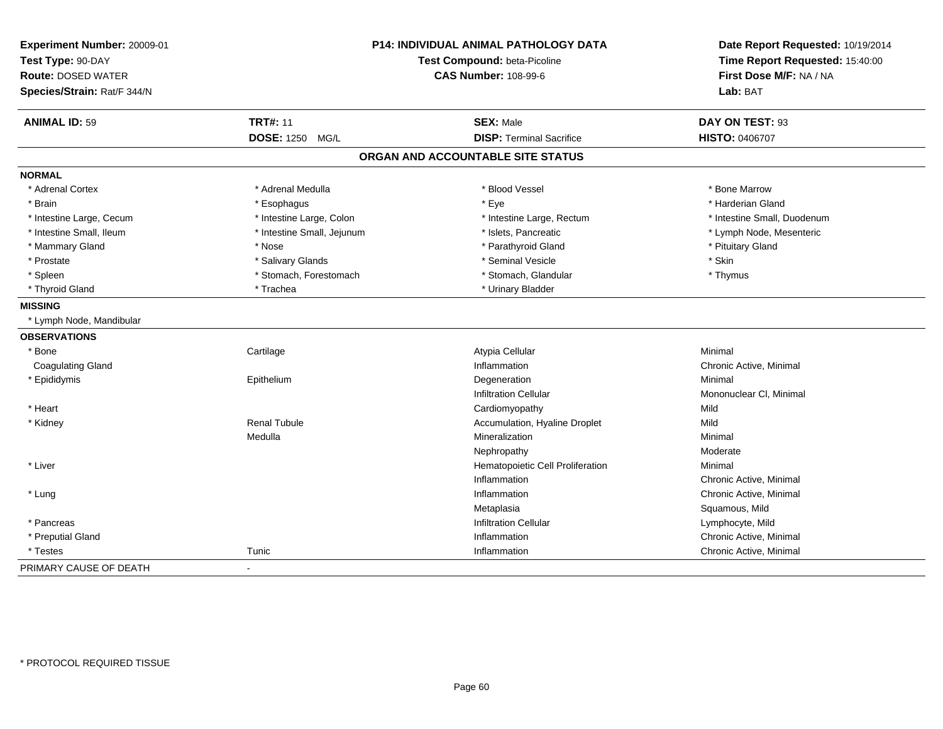| Experiment Number: 20009-01<br>Test Type: 90-DAY<br><b>Route: DOSED WATER</b><br>Species/Strain: Rat/F 344/N | P14: INDIVIDUAL ANIMAL PATHOLOGY DATA<br>Test Compound: beta-Picoline<br><b>CAS Number: 108-99-6</b> |                                   | Date Report Requested: 10/19/2014<br>Time Report Requested: 15:40:00<br>First Dose M/F: NA / NA<br>Lab: BAT |
|--------------------------------------------------------------------------------------------------------------|------------------------------------------------------------------------------------------------------|-----------------------------------|-------------------------------------------------------------------------------------------------------------|
| <b>ANIMAL ID: 59</b>                                                                                         | <b>TRT#: 11</b>                                                                                      | <b>SEX: Male</b>                  | DAY ON TEST: 93                                                                                             |
|                                                                                                              | DOSE: 1250 MG/L                                                                                      | <b>DISP: Terminal Sacrifice</b>   | <b>HISTO: 0406707</b>                                                                                       |
|                                                                                                              |                                                                                                      | ORGAN AND ACCOUNTABLE SITE STATUS |                                                                                                             |
| <b>NORMAL</b>                                                                                                |                                                                                                      |                                   |                                                                                                             |
| * Adrenal Cortex                                                                                             | * Adrenal Medulla                                                                                    | * Blood Vessel                    | * Bone Marrow                                                                                               |
| * Brain                                                                                                      | * Esophagus                                                                                          | * Eye                             | * Harderian Gland                                                                                           |
| * Intestine Large, Cecum                                                                                     | * Intestine Large, Colon                                                                             | * Intestine Large, Rectum         | * Intestine Small, Duodenum                                                                                 |
| * Intestine Small, Ileum                                                                                     | * Intestine Small, Jejunum                                                                           | * Islets, Pancreatic              | * Lymph Node, Mesenteric                                                                                    |
| * Mammary Gland                                                                                              | * Nose                                                                                               | * Parathyroid Gland               | * Pituitary Gland                                                                                           |
| * Prostate                                                                                                   | * Salivary Glands                                                                                    | * Seminal Vesicle                 | * Skin                                                                                                      |
| * Spleen                                                                                                     | * Stomach, Forestomach                                                                               | * Stomach, Glandular              | * Thymus                                                                                                    |
| * Thyroid Gland                                                                                              | * Trachea                                                                                            | * Urinary Bladder                 |                                                                                                             |
| <b>MISSING</b>                                                                                               |                                                                                                      |                                   |                                                                                                             |
| * Lymph Node, Mandibular                                                                                     |                                                                                                      |                                   |                                                                                                             |
| <b>OBSERVATIONS</b>                                                                                          |                                                                                                      |                                   |                                                                                                             |
| * Bone                                                                                                       | Cartilage                                                                                            | Atypia Cellular                   | Minimal                                                                                                     |
| <b>Coagulating Gland</b>                                                                                     |                                                                                                      | Inflammation                      | Chronic Active, Minimal                                                                                     |
| * Epididymis                                                                                                 | Epithelium                                                                                           | Degeneration                      | Minimal                                                                                                     |
|                                                                                                              |                                                                                                      | <b>Infiltration Cellular</b>      | Mononuclear CI, Minimal                                                                                     |
| * Heart                                                                                                      |                                                                                                      | Cardiomyopathy                    | Mild                                                                                                        |
| * Kidney                                                                                                     | <b>Renal Tubule</b>                                                                                  | Accumulation, Hyaline Droplet     | Mild                                                                                                        |
|                                                                                                              | Medulla                                                                                              | Mineralization                    | Minimal                                                                                                     |
|                                                                                                              |                                                                                                      | Nephropathy                       | Moderate                                                                                                    |
| * Liver                                                                                                      |                                                                                                      | Hematopoietic Cell Proliferation  | Minimal                                                                                                     |
|                                                                                                              |                                                                                                      | Inflammation                      | Chronic Active, Minimal                                                                                     |
| * Lung                                                                                                       |                                                                                                      | Inflammation                      | Chronic Active, Minimal                                                                                     |
|                                                                                                              |                                                                                                      | Metaplasia                        | Squamous, Mild                                                                                              |
| * Pancreas                                                                                                   |                                                                                                      | <b>Infiltration Cellular</b>      | Lymphocyte, Mild                                                                                            |
| * Preputial Gland                                                                                            |                                                                                                      | Inflammation                      | Chronic Active, Minimal                                                                                     |
| * Testes                                                                                                     | Tunic                                                                                                | Inflammation                      | Chronic Active, Minimal                                                                                     |
| PRIMARY CAUSE OF DEATH                                                                                       |                                                                                                      |                                   |                                                                                                             |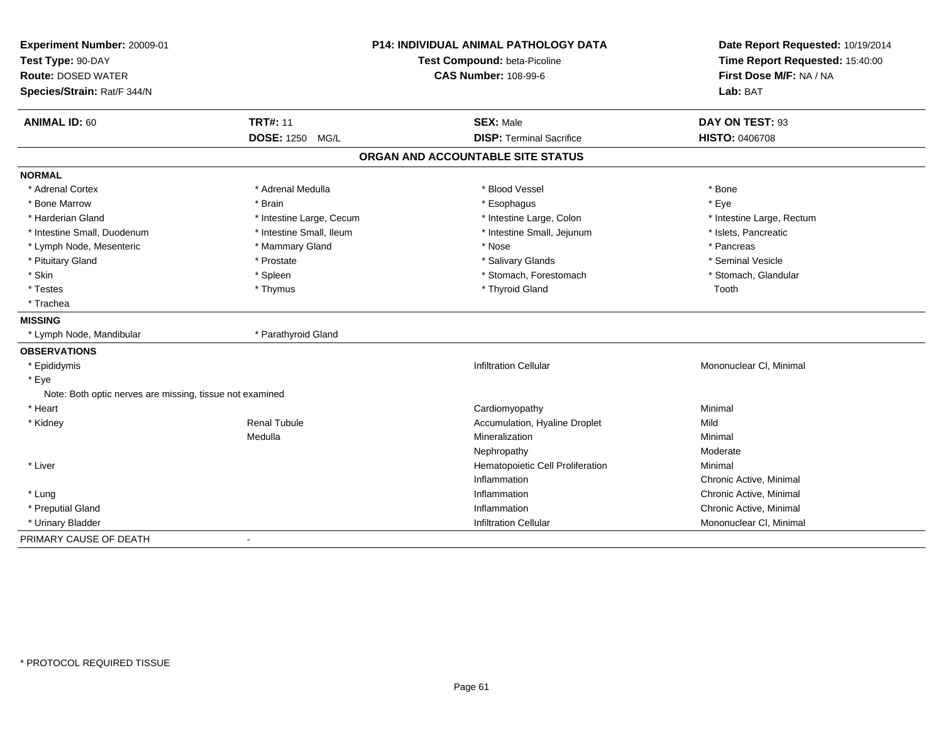| Experiment Number: 20009-01<br>Test Type: 90-DAY<br><b>Route: DOSED WATER</b><br>Species/Strain: Rat/F 344/N |                          | <b>P14: INDIVIDUAL ANIMAL PATHOLOGY DATA</b><br>Test Compound: beta-Picoline<br><b>CAS Number: 108-99-6</b> | Date Report Requested: 10/19/2014<br>Time Report Requested: 15:40:00<br>First Dose M/F: NA / NA<br>Lab: BAT |
|--------------------------------------------------------------------------------------------------------------|--------------------------|-------------------------------------------------------------------------------------------------------------|-------------------------------------------------------------------------------------------------------------|
| <b>ANIMAL ID: 60</b>                                                                                         | <b>TRT#: 11</b>          | <b>SEX: Male</b>                                                                                            | DAY ON TEST: 93                                                                                             |
|                                                                                                              | <b>DOSE: 1250 MG/L</b>   | <b>DISP: Terminal Sacrifice</b>                                                                             | <b>HISTO: 0406708</b>                                                                                       |
|                                                                                                              |                          | ORGAN AND ACCOUNTABLE SITE STATUS                                                                           |                                                                                                             |
| <b>NORMAL</b>                                                                                                |                          |                                                                                                             |                                                                                                             |
| * Adrenal Cortex                                                                                             | * Adrenal Medulla        | * Blood Vessel                                                                                              | * Bone                                                                                                      |
| * Bone Marrow                                                                                                | * Brain                  | * Esophagus                                                                                                 | * Eye                                                                                                       |
| * Harderian Gland                                                                                            | * Intestine Large, Cecum | * Intestine Large, Colon                                                                                    | * Intestine Large, Rectum                                                                                   |
| * Intestine Small, Duodenum                                                                                  | * Intestine Small, Ileum | * Intestine Small, Jejunum                                                                                  | * Islets, Pancreatic                                                                                        |
| * Lymph Node, Mesenteric                                                                                     | * Mammary Gland          | * Nose                                                                                                      | * Pancreas                                                                                                  |
| * Pituitary Gland                                                                                            | * Prostate               | * Salivary Glands                                                                                           | * Seminal Vesicle                                                                                           |
| * Skin                                                                                                       | * Spleen                 | * Stomach, Forestomach                                                                                      | * Stomach, Glandular                                                                                        |
| * Testes                                                                                                     | * Thymus                 | * Thyroid Gland                                                                                             | Tooth                                                                                                       |
| * Trachea                                                                                                    |                          |                                                                                                             |                                                                                                             |
| <b>MISSING</b>                                                                                               |                          |                                                                                                             |                                                                                                             |
| * Lymph Node, Mandibular                                                                                     | * Parathyroid Gland      |                                                                                                             |                                                                                                             |
| <b>OBSERVATIONS</b>                                                                                          |                          |                                                                                                             |                                                                                                             |
| * Epididymis                                                                                                 |                          | <b>Infiltration Cellular</b>                                                                                | Mononuclear CI, Minimal                                                                                     |
| * Eye                                                                                                        |                          |                                                                                                             |                                                                                                             |
| Note: Both optic nerves are missing, tissue not examined                                                     |                          |                                                                                                             |                                                                                                             |
| * Heart                                                                                                      |                          | Cardiomyopathy                                                                                              | Minimal                                                                                                     |
| * Kidney                                                                                                     | Renal Tubule             | Accumulation, Hyaline Droplet                                                                               | Mild                                                                                                        |
|                                                                                                              | Medulla                  | Mineralization                                                                                              | Minimal                                                                                                     |
|                                                                                                              |                          | Nephropathy                                                                                                 | Moderate                                                                                                    |
| * Liver                                                                                                      |                          | Hematopoietic Cell Proliferation                                                                            | Minimal                                                                                                     |
|                                                                                                              |                          | Inflammation                                                                                                | Chronic Active, Minimal                                                                                     |
| * Lung                                                                                                       |                          | Inflammation                                                                                                | Chronic Active, Minimal                                                                                     |
| * Preputial Gland                                                                                            |                          | Inflammation                                                                                                | Chronic Active, Minimal                                                                                     |
| * Urinary Bladder                                                                                            |                          | <b>Infiltration Cellular</b>                                                                                | Mononuclear CI, Minimal                                                                                     |
| PRIMARY CAUSE OF DEATH                                                                                       | $\blacksquare$           |                                                                                                             |                                                                                                             |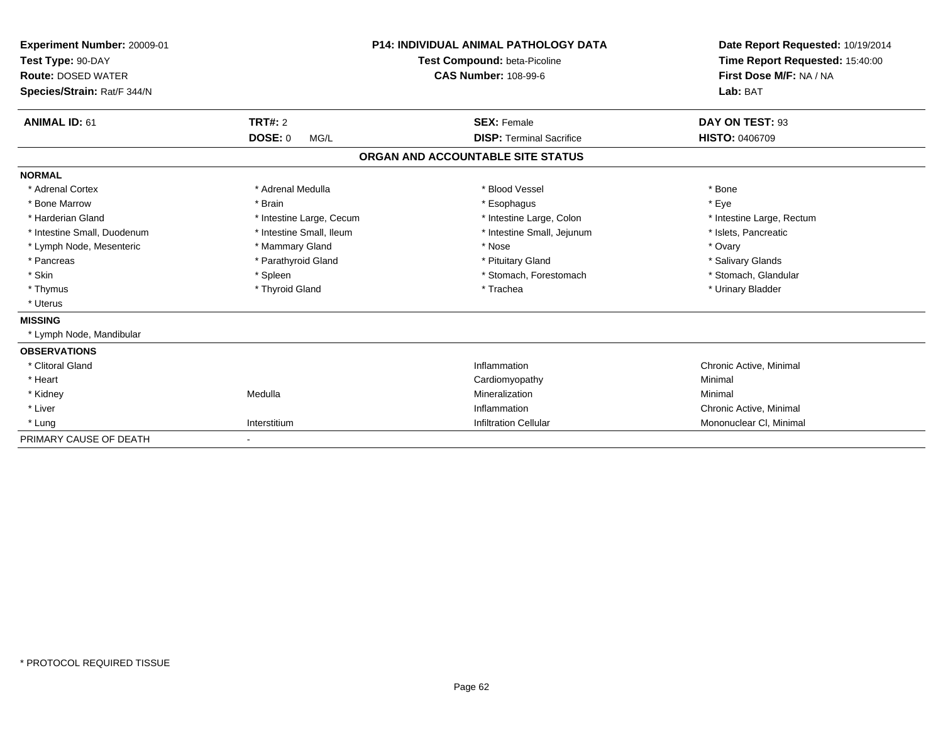| Experiment Number: 20009-01<br>Test Type: 90-DAY<br><b>Route: DOSED WATER</b><br>Species/Strain: Rat/F 344/N |                          | <b>P14: INDIVIDUAL ANIMAL PATHOLOGY DATA</b><br>Test Compound: beta-Picoline<br><b>CAS Number: 108-99-6</b> | Date Report Requested: 10/19/2014<br>Time Report Requested: 15:40:00<br>First Dose M/F: NA / NA<br>Lab: BAT |
|--------------------------------------------------------------------------------------------------------------|--------------------------|-------------------------------------------------------------------------------------------------------------|-------------------------------------------------------------------------------------------------------------|
| <b>ANIMAL ID: 61</b>                                                                                         | <b>TRT#: 2</b>           | <b>SEX: Female</b>                                                                                          | DAY ON TEST: 93                                                                                             |
|                                                                                                              | <b>DOSE: 0</b><br>MG/L   | <b>DISP: Terminal Sacrifice</b>                                                                             | HISTO: 0406709                                                                                              |
|                                                                                                              |                          | ORGAN AND ACCOUNTABLE SITE STATUS                                                                           |                                                                                                             |
| <b>NORMAL</b>                                                                                                |                          |                                                                                                             |                                                                                                             |
| * Adrenal Cortex                                                                                             | * Adrenal Medulla        | * Blood Vessel                                                                                              | * Bone                                                                                                      |
| * Bone Marrow                                                                                                | * Brain                  | * Esophagus                                                                                                 | * Eye                                                                                                       |
| * Harderian Gland                                                                                            | * Intestine Large, Cecum | * Intestine Large, Colon                                                                                    | * Intestine Large, Rectum                                                                                   |
| * Intestine Small, Duodenum                                                                                  | * Intestine Small, Ileum | * Intestine Small, Jejunum                                                                                  | * Islets, Pancreatic                                                                                        |
| * Lymph Node, Mesenteric                                                                                     | * Mammary Gland          | * Nose                                                                                                      | * Ovary                                                                                                     |
| * Pancreas                                                                                                   | * Parathyroid Gland      | * Pituitary Gland                                                                                           | * Salivary Glands                                                                                           |
| * Skin                                                                                                       | * Spleen                 | * Stomach, Forestomach                                                                                      | * Stomach, Glandular                                                                                        |
| * Thymus                                                                                                     | * Thyroid Gland          | * Trachea                                                                                                   | * Urinary Bladder                                                                                           |
| * Uterus                                                                                                     |                          |                                                                                                             |                                                                                                             |
| <b>MISSING</b>                                                                                               |                          |                                                                                                             |                                                                                                             |
| Lymph Node, Mandibular                                                                                       |                          |                                                                                                             |                                                                                                             |
| <b>OBSERVATIONS</b>                                                                                          |                          |                                                                                                             |                                                                                                             |
| * Clitoral Gland                                                                                             |                          | Inflammation                                                                                                | Chronic Active, Minimal                                                                                     |
| * Heart                                                                                                      |                          | Cardiomyopathy                                                                                              | Minimal                                                                                                     |
| * Kidney                                                                                                     | Medulla                  | Mineralization                                                                                              | Minimal                                                                                                     |
| * Liver                                                                                                      |                          | Inflammation                                                                                                | Chronic Active, Minimal                                                                                     |
| * Lung                                                                                                       | Interstitium             | <b>Infiltration Cellular</b>                                                                                | Mononuclear CI, Minimal                                                                                     |
| PRIMARY CAUSE OF DEATH                                                                                       | ٠                        |                                                                                                             |                                                                                                             |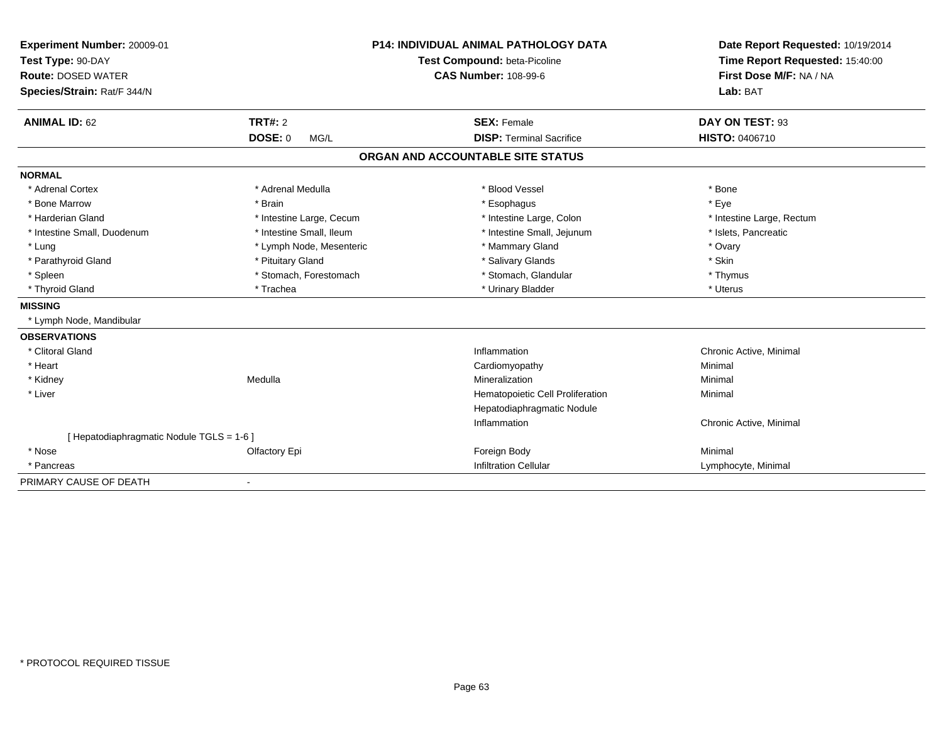| Experiment Number: 20009-01               |                          | <b>P14: INDIVIDUAL ANIMAL PATHOLOGY DATA</b> | Date Report Requested: 10/19/2014 |
|-------------------------------------------|--------------------------|----------------------------------------------|-----------------------------------|
| Test Type: 90-DAY                         |                          | Test Compound: beta-Picoline                 | Time Report Requested: 15:40:00   |
| <b>Route: DOSED WATER</b>                 |                          | <b>CAS Number: 108-99-6</b>                  | First Dose M/F: NA / NA           |
| Species/Strain: Rat/F 344/N               |                          |                                              | Lab: BAT                          |
| <b>ANIMAL ID: 62</b>                      | <b>TRT#: 2</b>           | <b>SEX: Female</b>                           | DAY ON TEST: 93                   |
|                                           | <b>DOSE: 0</b><br>MG/L   | <b>DISP: Terminal Sacrifice</b>              | HISTO: 0406710                    |
|                                           |                          | ORGAN AND ACCOUNTABLE SITE STATUS            |                                   |
| <b>NORMAL</b>                             |                          |                                              |                                   |
| * Adrenal Cortex                          | * Adrenal Medulla        | * Blood Vessel                               | * Bone                            |
| * Bone Marrow                             | * Brain                  | * Esophagus                                  | * Eye                             |
| * Harderian Gland                         | * Intestine Large, Cecum | * Intestine Large, Colon                     | * Intestine Large, Rectum         |
| * Intestine Small, Duodenum               | * Intestine Small, Ileum | * Intestine Small, Jejunum                   | * Islets, Pancreatic              |
| * Lung                                    | * Lymph Node, Mesenteric | * Mammary Gland                              | * Ovary                           |
| * Parathyroid Gland                       | * Pituitary Gland        | * Salivary Glands                            | * Skin                            |
| * Spleen                                  | * Stomach, Forestomach   | * Stomach, Glandular                         | * Thymus                          |
| * Thyroid Gland                           | * Trachea                | * Urinary Bladder                            | * Uterus                          |
| <b>MISSING</b>                            |                          |                                              |                                   |
| * Lymph Node, Mandibular                  |                          |                                              |                                   |
| <b>OBSERVATIONS</b>                       |                          |                                              |                                   |
| * Clitoral Gland                          |                          | Inflammation                                 | Chronic Active, Minimal           |
| * Heart                                   |                          | Cardiomyopathy                               | Minimal                           |
| * Kidney                                  | Medulla                  | Mineralization                               | Minimal                           |
| * Liver                                   |                          | Hematopoietic Cell Proliferation             | Minimal                           |
|                                           |                          | Hepatodiaphragmatic Nodule                   |                                   |
|                                           |                          | Inflammation                                 | Chronic Active, Minimal           |
| [ Hepatodiaphragmatic Nodule TGLS = 1-6 ] |                          |                                              |                                   |
| * Nose                                    | Olfactory Epi            | Foreign Body                                 | Minimal                           |
| * Pancreas                                |                          | <b>Infiltration Cellular</b>                 | Lymphocyte, Minimal               |
| PRIMARY CAUSE OF DEATH                    | $\blacksquare$           |                                              |                                   |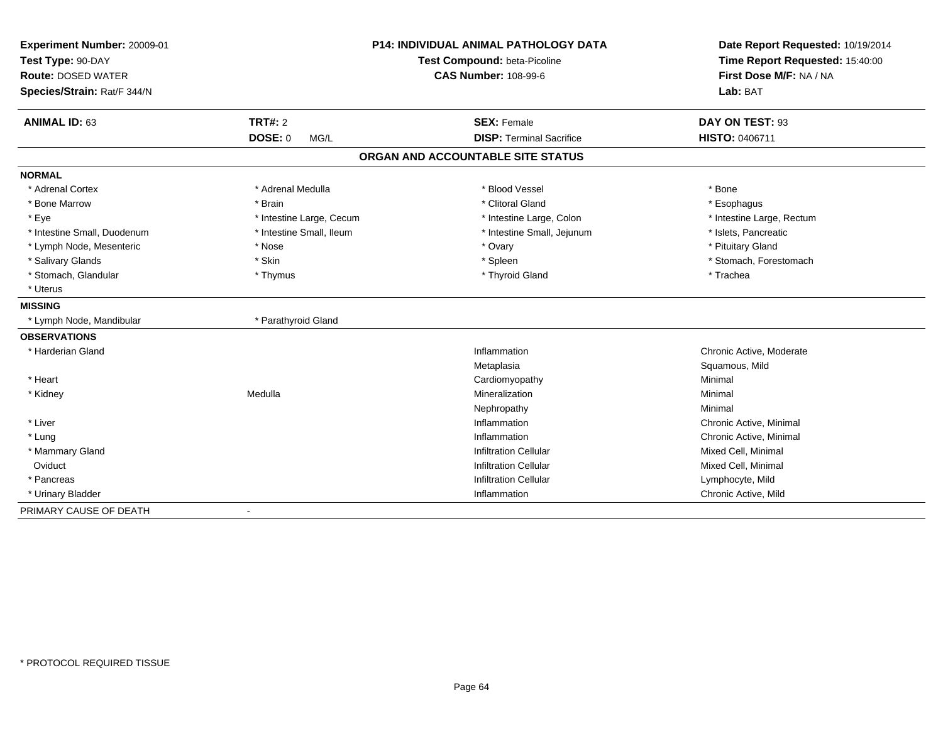| <b>Experiment Number: 20009-01</b><br>Test Type: 90-DAY<br><b>Route: DOSED WATER</b> |                          | <b>P14: INDIVIDUAL ANIMAL PATHOLOGY DATA</b><br>Test Compound: beta-Picoline<br><b>CAS Number: 108-99-6</b> | Date Report Requested: 10/19/2014<br>Time Report Requested: 15:40:00<br>First Dose M/F: NA / NA |
|--------------------------------------------------------------------------------------|--------------------------|-------------------------------------------------------------------------------------------------------------|-------------------------------------------------------------------------------------------------|
| Species/Strain: Rat/F 344/N                                                          |                          |                                                                                                             | Lab: BAT                                                                                        |
| <b>ANIMAL ID: 63</b>                                                                 | <b>TRT#: 2</b>           | <b>SEX: Female</b>                                                                                          | DAY ON TEST: 93                                                                                 |
|                                                                                      | <b>DOSE: 0</b><br>MG/L   | <b>DISP: Terminal Sacrifice</b>                                                                             | <b>HISTO: 0406711</b>                                                                           |
|                                                                                      |                          | ORGAN AND ACCOUNTABLE SITE STATUS                                                                           |                                                                                                 |
| <b>NORMAL</b>                                                                        |                          |                                                                                                             |                                                                                                 |
| * Adrenal Cortex                                                                     | * Adrenal Medulla        | * Blood Vessel                                                                                              | * Bone                                                                                          |
| * Bone Marrow                                                                        | * Brain                  | * Clitoral Gland                                                                                            | * Esophagus                                                                                     |
| * Eye                                                                                | * Intestine Large, Cecum | * Intestine Large, Colon                                                                                    | * Intestine Large, Rectum                                                                       |
| * Intestine Small, Duodenum                                                          | * Intestine Small, Ileum | * Intestine Small, Jejunum                                                                                  | * Islets, Pancreatic                                                                            |
| * Lymph Node, Mesenteric                                                             | * Nose                   | * Ovary                                                                                                     | * Pituitary Gland                                                                               |
| * Salivary Glands                                                                    | * Skin                   | * Spleen                                                                                                    | * Stomach, Forestomach                                                                          |
| * Stomach, Glandular                                                                 | * Thymus                 | * Thyroid Gland                                                                                             | * Trachea                                                                                       |
| * Uterus                                                                             |                          |                                                                                                             |                                                                                                 |
| <b>MISSING</b>                                                                       |                          |                                                                                                             |                                                                                                 |
| * Lymph Node, Mandibular                                                             | * Parathyroid Gland      |                                                                                                             |                                                                                                 |
| <b>OBSERVATIONS</b>                                                                  |                          |                                                                                                             |                                                                                                 |
| * Harderian Gland                                                                    |                          | Inflammation                                                                                                | Chronic Active, Moderate                                                                        |
|                                                                                      |                          | Metaplasia                                                                                                  | Squamous, Mild                                                                                  |
| * Heart                                                                              |                          | Cardiomyopathy                                                                                              | Minimal                                                                                         |
| * Kidney                                                                             | Medulla                  | Mineralization                                                                                              | Minimal                                                                                         |
|                                                                                      |                          | Nephropathy                                                                                                 | Minimal                                                                                         |
| * Liver                                                                              |                          | Inflammation                                                                                                | Chronic Active, Minimal                                                                         |
| * Lung                                                                               |                          | Inflammation                                                                                                | Chronic Active, Minimal                                                                         |
| * Mammary Gland                                                                      |                          | <b>Infiltration Cellular</b>                                                                                | Mixed Cell, Minimal                                                                             |
| Oviduct                                                                              |                          | <b>Infiltration Cellular</b>                                                                                | Mixed Cell, Minimal                                                                             |
| * Pancreas                                                                           |                          | <b>Infiltration Cellular</b>                                                                                | Lymphocyte, Mild                                                                                |
| * Urinary Bladder                                                                    |                          | Inflammation                                                                                                | Chronic Active, Mild                                                                            |
| PRIMARY CAUSE OF DEATH                                                               |                          |                                                                                                             |                                                                                                 |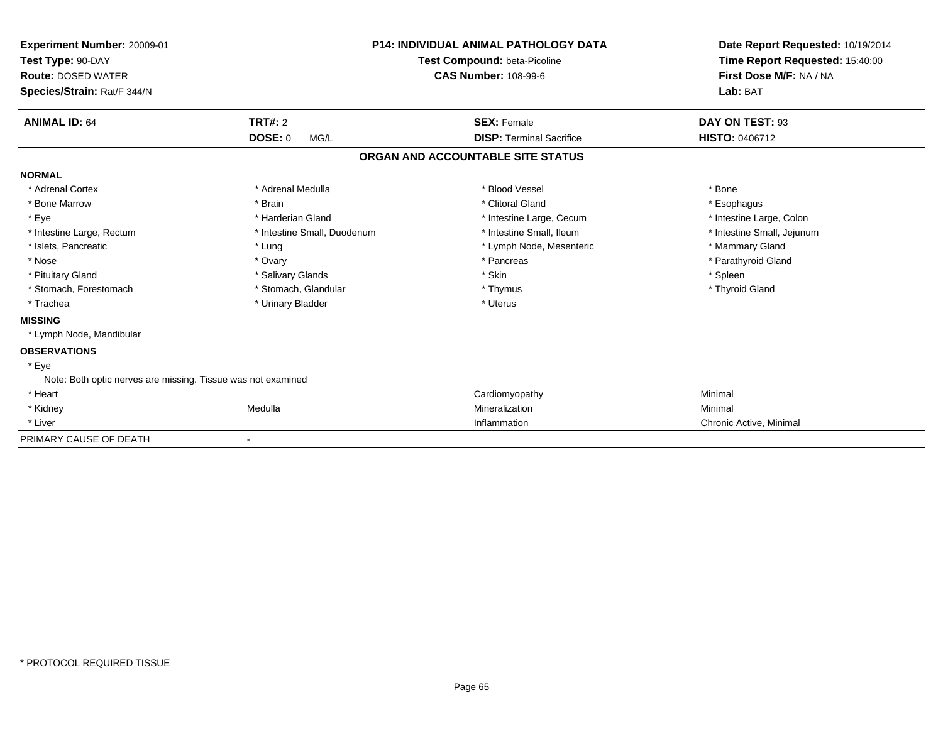| Experiment Number: 20009-01<br>Test Type: 90-DAY<br><b>Route: DOSED WATER</b><br>Species/Strain: Rat/F 344/N |                             | <b>P14: INDIVIDUAL ANIMAL PATHOLOGY DATA</b><br>Test Compound: beta-Picoline<br><b>CAS Number: 108-99-6</b> | Date Report Requested: 10/19/2014<br>Time Report Requested: 15:40:00<br>First Dose M/F: NA / NA<br>Lab: BAT |
|--------------------------------------------------------------------------------------------------------------|-----------------------------|-------------------------------------------------------------------------------------------------------------|-------------------------------------------------------------------------------------------------------------|
| <b>ANIMAL ID: 64</b>                                                                                         | <b>TRT#: 2</b>              | <b>SEX: Female</b>                                                                                          | DAY ON TEST: 93                                                                                             |
|                                                                                                              | <b>DOSE: 0</b><br>MG/L      | <b>DISP: Terminal Sacrifice</b>                                                                             | <b>HISTO: 0406712</b>                                                                                       |
|                                                                                                              |                             | ORGAN AND ACCOUNTABLE SITE STATUS                                                                           |                                                                                                             |
| <b>NORMAL</b>                                                                                                |                             |                                                                                                             |                                                                                                             |
| * Adrenal Cortex                                                                                             | * Adrenal Medulla           | * Blood Vessel                                                                                              | * Bone                                                                                                      |
| * Bone Marrow                                                                                                | * Brain                     | * Clitoral Gland                                                                                            | * Esophagus                                                                                                 |
| * Eye                                                                                                        | * Harderian Gland           | * Intestine Large, Cecum                                                                                    | * Intestine Large, Colon                                                                                    |
| * Intestine Large, Rectum                                                                                    | * Intestine Small, Duodenum | * Intestine Small, Ileum                                                                                    | * Intestine Small, Jejunum                                                                                  |
| * Islets, Pancreatic                                                                                         | * Lung                      | * Lymph Node, Mesenteric                                                                                    | * Mammary Gland                                                                                             |
| * Nose                                                                                                       | * Ovary                     | * Pancreas                                                                                                  | * Parathyroid Gland                                                                                         |
| * Pituitary Gland                                                                                            | * Salivary Glands           | * Skin                                                                                                      | * Spleen                                                                                                    |
| * Stomach, Forestomach                                                                                       | * Stomach, Glandular        | * Thymus                                                                                                    | * Thyroid Gland                                                                                             |
| * Trachea                                                                                                    | * Urinary Bladder           | * Uterus                                                                                                    |                                                                                                             |
| <b>MISSING</b>                                                                                               |                             |                                                                                                             |                                                                                                             |
| * Lymph Node, Mandibular                                                                                     |                             |                                                                                                             |                                                                                                             |
| <b>OBSERVATIONS</b>                                                                                          |                             |                                                                                                             |                                                                                                             |
| * Eye                                                                                                        |                             |                                                                                                             |                                                                                                             |
| Note: Both optic nerves are missing. Tissue was not examined                                                 |                             |                                                                                                             |                                                                                                             |
| * Heart                                                                                                      |                             | Cardiomyopathy                                                                                              | Minimal                                                                                                     |
| * Kidney                                                                                                     | Medulla                     | Mineralization                                                                                              | Minimal                                                                                                     |
| * Liver                                                                                                      |                             | Inflammation                                                                                                | Chronic Active, Minimal                                                                                     |
| PRIMARY CAUSE OF DEATH                                                                                       |                             |                                                                                                             |                                                                                                             |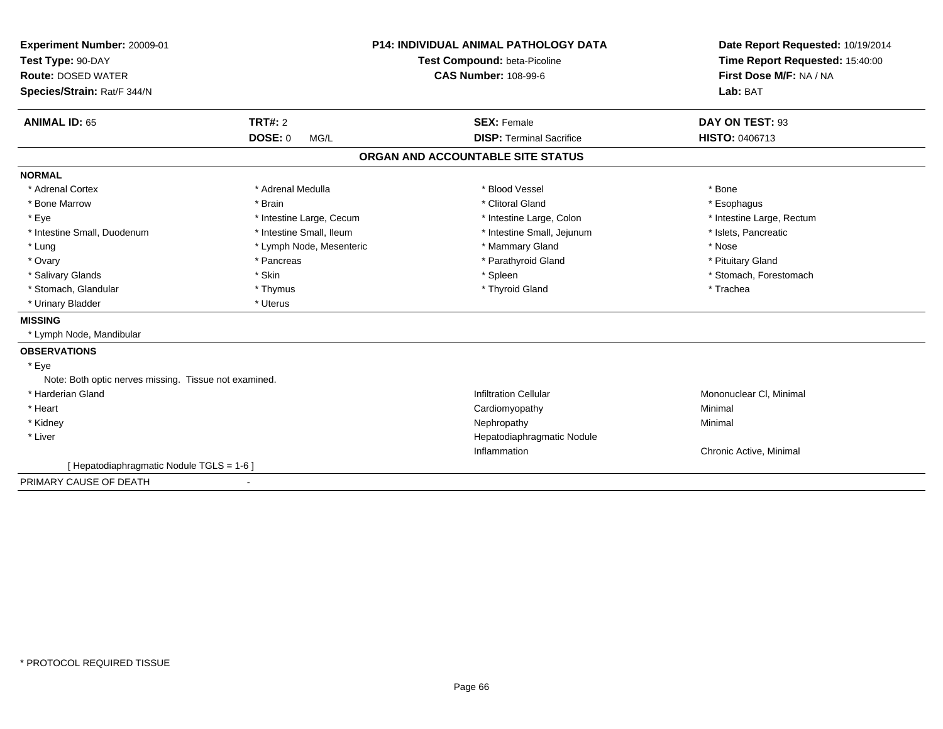| Experiment Number: 20009-01<br>Test Type: 90-DAY      |                              | <b>P14: INDIVIDUAL ANIMAL PATHOLOGY DATA</b> | Date Report Requested: 10/19/2014<br>Time Report Requested: 15:40:00 |
|-------------------------------------------------------|------------------------------|----------------------------------------------|----------------------------------------------------------------------|
|                                                       |                              | Test Compound: beta-Picoline                 |                                                                      |
| <b>Route: DOSED WATER</b>                             |                              | <b>CAS Number: 108-99-6</b>                  | First Dose M/F: NA / NA                                              |
| Species/Strain: Rat/F 344/N                           |                              |                                              | Lab: BAT                                                             |
| <b>ANIMAL ID: 65</b>                                  | <b>TRT#: 2</b>               | <b>SEX: Female</b>                           | DAY ON TEST: 93                                                      |
|                                                       | <b>DOSE: 0</b><br>MG/L       | <b>DISP: Terminal Sacrifice</b>              | HISTO: 0406713                                                       |
|                                                       |                              | ORGAN AND ACCOUNTABLE SITE STATUS            |                                                                      |
| <b>NORMAL</b>                                         |                              |                                              |                                                                      |
| * Adrenal Cortex                                      | * Adrenal Medulla            | * Blood Vessel                               | * Bone                                                               |
| * Bone Marrow                                         | * Brain                      | * Clitoral Gland                             | * Esophagus                                                          |
| * Eye                                                 | * Intestine Large, Cecum     | * Intestine Large, Colon                     | * Intestine Large, Rectum                                            |
| * Intestine Small, Duodenum                           | * Intestine Small, Ileum     | * Intestine Small, Jejunum                   | * Islets, Pancreatic                                                 |
| * Lung                                                | * Lymph Node, Mesenteric     | * Mammary Gland                              | * Nose                                                               |
| * Ovary                                               | * Pancreas                   | * Parathyroid Gland                          | * Pituitary Gland                                                    |
| * Salivary Glands                                     | * Skin                       | * Spleen                                     | * Stomach, Forestomach                                               |
| * Stomach, Glandular                                  | * Thymus                     | * Thyroid Gland                              | * Trachea                                                            |
| * Urinary Bladder                                     | * Uterus                     |                                              |                                                                      |
| <b>MISSING</b>                                        |                              |                                              |                                                                      |
| * Lymph Node, Mandibular                              |                              |                                              |                                                                      |
| <b>OBSERVATIONS</b>                                   |                              |                                              |                                                                      |
| * Eye                                                 |                              |                                              |                                                                      |
| Note: Both optic nerves missing. Tissue not examined. |                              |                                              |                                                                      |
| * Harderian Gland                                     |                              | <b>Infiltration Cellular</b>                 | Mononuclear CI, Minimal                                              |
| * Heart                                               |                              | Cardiomyopathy                               | Minimal                                                              |
| * Kidney                                              |                              | Nephropathy                                  | Minimal                                                              |
| * Liver                                               |                              | Hepatodiaphragmatic Nodule                   |                                                                      |
|                                                       |                              | Inflammation                                 | Chronic Active, Minimal                                              |
| [ Hepatodiaphragmatic Nodule TGLS = 1-6 ]             |                              |                                              |                                                                      |
| PRIMARY CAUSE OF DEATH                                | $\qquad \qquad \blacksquare$ |                                              |                                                                      |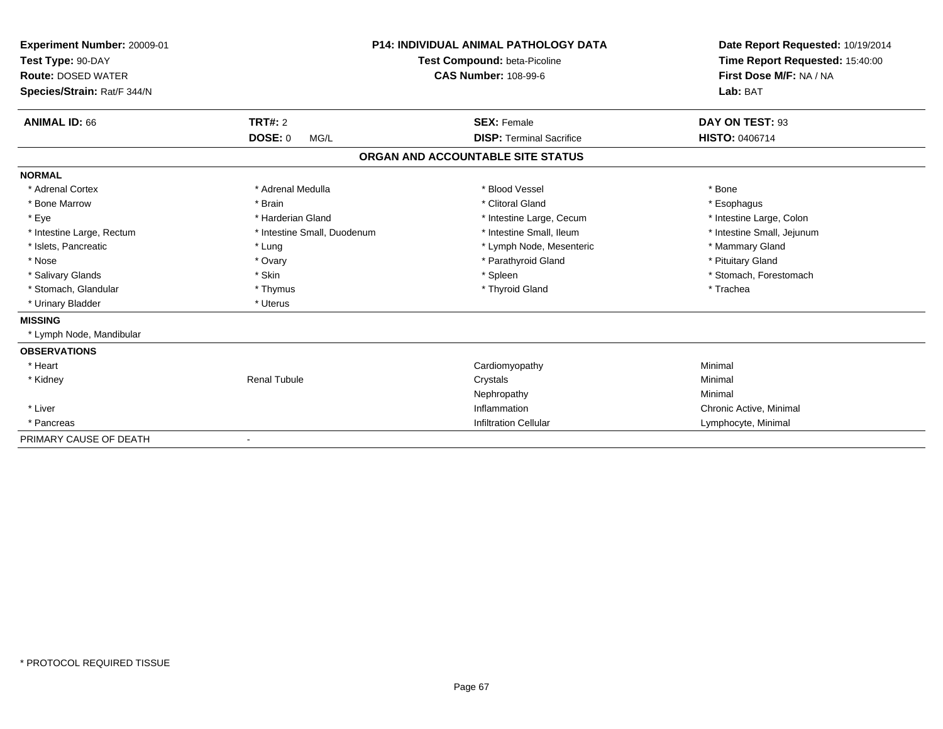| <b>Experiment Number: 20009-01</b><br>Test Type: 90-DAY |                             | <b>P14: INDIVIDUAL ANIMAL PATHOLOGY DATA</b> | Date Report Requested: 10/19/2014 |
|---------------------------------------------------------|-----------------------------|----------------------------------------------|-----------------------------------|
|                                                         |                             | <b>Test Compound: beta-Picoline</b>          | Time Report Requested: 15:40:00   |
| <b>Route: DOSED WATER</b>                               |                             | <b>CAS Number: 108-99-6</b>                  | First Dose M/F: NA / NA           |
| Species/Strain: Rat/F 344/N                             |                             |                                              | Lab: BAT                          |
| <b>ANIMAL ID: 66</b>                                    | <b>TRT#: 2</b>              | <b>SEX: Female</b>                           | DAY ON TEST: 93                   |
|                                                         | <b>DOSE: 0</b><br>MG/L      | <b>DISP: Terminal Sacrifice</b>              | <b>HISTO: 0406714</b>             |
|                                                         |                             | ORGAN AND ACCOUNTABLE SITE STATUS            |                                   |
| <b>NORMAL</b>                                           |                             |                                              |                                   |
| * Adrenal Cortex                                        | * Adrenal Medulla           | * Blood Vessel                               | * Bone                            |
| * Bone Marrow                                           | * Brain                     | * Clitoral Gland                             | * Esophagus                       |
| * Eye                                                   | * Harderian Gland           | * Intestine Large, Cecum                     | * Intestine Large, Colon          |
| * Intestine Large, Rectum                               | * Intestine Small, Duodenum | * Intestine Small, Ileum                     | * Intestine Small, Jejunum        |
| * Islets, Pancreatic                                    | * Lung                      | * Lymph Node, Mesenteric                     | * Mammary Gland                   |
| * Nose                                                  | * Ovary                     | * Parathyroid Gland                          | * Pituitary Gland                 |
| * Salivary Glands                                       | * Skin                      | * Spleen                                     | * Stomach, Forestomach            |
| * Stomach, Glandular                                    | * Thymus                    | * Thyroid Gland                              | * Trachea                         |
| * Urinary Bladder                                       | * Uterus                    |                                              |                                   |
| <b>MISSING</b>                                          |                             |                                              |                                   |
| * Lymph Node, Mandibular                                |                             |                                              |                                   |
| <b>OBSERVATIONS</b>                                     |                             |                                              |                                   |
| * Heart                                                 |                             | Cardiomyopathy                               | Minimal                           |
| * Kidney                                                | <b>Renal Tubule</b>         | Crystals                                     | Minimal                           |
|                                                         |                             | Nephropathy                                  | Minimal                           |
| * Liver                                                 |                             | Inflammation                                 | Chronic Active, Minimal           |
| * Pancreas                                              |                             | <b>Infiltration Cellular</b>                 | Lymphocyte, Minimal               |
| PRIMARY CAUSE OF DEATH                                  |                             |                                              |                                   |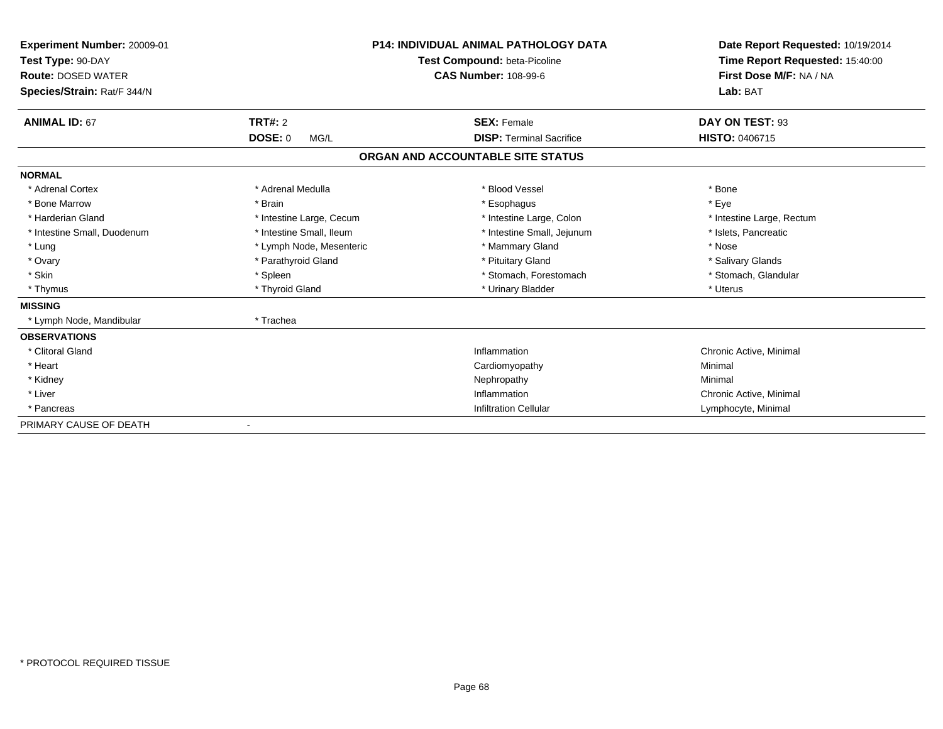| Experiment Number: 20009-01<br>Test Type: 90-DAY<br><b>Route: DOSED WATER</b><br>Species/Strain: Rat/F 344/N |                          | <b>P14: INDIVIDUAL ANIMAL PATHOLOGY DATA</b><br>Test Compound: beta-Picoline<br><b>CAS Number: 108-99-6</b> | Date Report Requested: 10/19/2014<br>Time Report Requested: 15:40:00<br>First Dose M/F: NA / NA<br>Lab: BAT |
|--------------------------------------------------------------------------------------------------------------|--------------------------|-------------------------------------------------------------------------------------------------------------|-------------------------------------------------------------------------------------------------------------|
| <b>ANIMAL ID: 67</b>                                                                                         | TRT#: 2                  | <b>SEX: Female</b>                                                                                          | DAY ON TEST: 93                                                                                             |
|                                                                                                              | <b>DOSE: 0</b><br>MG/L   | <b>DISP: Terminal Sacrifice</b>                                                                             | HISTO: 0406715                                                                                              |
|                                                                                                              |                          | ORGAN AND ACCOUNTABLE SITE STATUS                                                                           |                                                                                                             |
| <b>NORMAL</b>                                                                                                |                          |                                                                                                             |                                                                                                             |
| * Adrenal Cortex                                                                                             | * Adrenal Medulla        | * Blood Vessel                                                                                              | * Bone                                                                                                      |
| * Bone Marrow                                                                                                | * Brain                  | * Esophagus                                                                                                 | * Eye                                                                                                       |
| * Harderian Gland                                                                                            | * Intestine Large, Cecum | * Intestine Large, Colon                                                                                    | * Intestine Large, Rectum                                                                                   |
| * Intestine Small, Duodenum                                                                                  | * Intestine Small, Ileum | * Intestine Small, Jejunum                                                                                  | * Islets, Pancreatic                                                                                        |
| * Lung                                                                                                       | * Lymph Node, Mesenteric | * Mammary Gland                                                                                             | * Nose                                                                                                      |
| * Ovary                                                                                                      | * Parathyroid Gland      | * Pituitary Gland                                                                                           | * Salivary Glands                                                                                           |
| * Skin                                                                                                       | * Spleen                 | * Stomach, Forestomach                                                                                      | * Stomach, Glandular                                                                                        |
| * Thymus                                                                                                     | * Thyroid Gland          | * Urinary Bladder                                                                                           | * Uterus                                                                                                    |
| <b>MISSING</b>                                                                                               |                          |                                                                                                             |                                                                                                             |
| * Lymph Node, Mandibular                                                                                     | * Trachea                |                                                                                                             |                                                                                                             |
| <b>OBSERVATIONS</b>                                                                                          |                          |                                                                                                             |                                                                                                             |
| * Clitoral Gland                                                                                             |                          | Inflammation                                                                                                | Chronic Active, Minimal                                                                                     |
| * Heart                                                                                                      |                          | Cardiomyopathy                                                                                              | Minimal                                                                                                     |
| * Kidney                                                                                                     |                          | Nephropathy                                                                                                 | Minimal                                                                                                     |
| * Liver                                                                                                      |                          | Inflammation                                                                                                | Chronic Active, Minimal                                                                                     |
| * Pancreas                                                                                                   |                          | <b>Infiltration Cellular</b>                                                                                | Lymphocyte, Minimal                                                                                         |
| PRIMARY CAUSE OF DEATH                                                                                       |                          |                                                                                                             |                                                                                                             |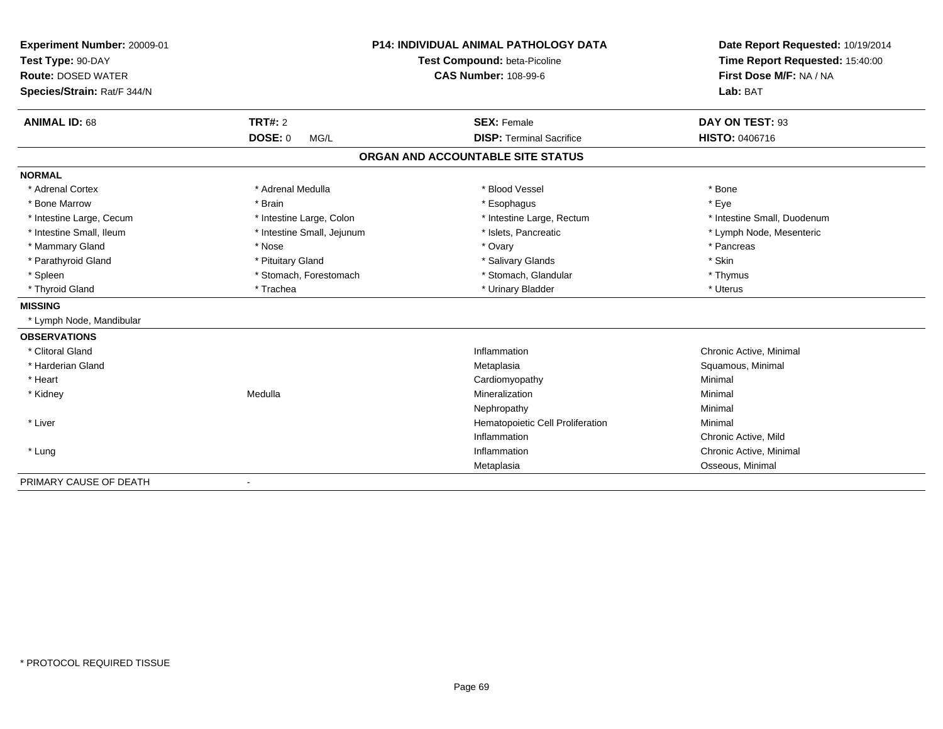| Experiment Number: 20009-01<br>Test Type: 90-DAY |                            | <b>P14: INDIVIDUAL ANIMAL PATHOLOGY DATA</b> | Date Report Requested: 10/19/2014<br>Time Report Requested: 15:40:00 |
|--------------------------------------------------|----------------------------|----------------------------------------------|----------------------------------------------------------------------|
|                                                  |                            | Test Compound: beta-Picoline                 |                                                                      |
| <b>Route: DOSED WATER</b>                        |                            | <b>CAS Number: 108-99-6</b>                  | First Dose M/F: NA / NA                                              |
| Species/Strain: Rat/F 344/N                      |                            |                                              | Lab: BAT                                                             |
| <b>ANIMAL ID: 68</b>                             | <b>TRT#: 2</b>             | <b>SEX: Female</b>                           | DAY ON TEST: 93                                                      |
|                                                  | <b>DOSE: 0</b><br>MG/L     | <b>DISP: Terminal Sacrifice</b>              | <b>HISTO: 0406716</b>                                                |
|                                                  |                            | ORGAN AND ACCOUNTABLE SITE STATUS            |                                                                      |
| <b>NORMAL</b>                                    |                            |                                              |                                                                      |
| * Adrenal Cortex                                 | * Adrenal Medulla          | * Blood Vessel                               | * Bone                                                               |
| * Bone Marrow                                    | * Brain                    | * Esophagus                                  | * Eye                                                                |
| * Intestine Large, Cecum                         | * Intestine Large, Colon   | * Intestine Large, Rectum                    | * Intestine Small, Duodenum                                          |
| * Intestine Small, Ileum                         | * Intestine Small, Jejunum | * Islets, Pancreatic                         | * Lymph Node, Mesenteric                                             |
| * Mammary Gland                                  | * Nose                     | * Ovary                                      | * Pancreas                                                           |
| * Parathyroid Gland                              | * Pituitary Gland          | * Salivary Glands                            | * Skin                                                               |
| * Spleen                                         | * Stomach, Forestomach     | * Stomach, Glandular                         | * Thymus                                                             |
| * Thyroid Gland                                  | * Trachea                  | * Urinary Bladder                            | * Uterus                                                             |
| <b>MISSING</b>                                   |                            |                                              |                                                                      |
| * Lymph Node, Mandibular                         |                            |                                              |                                                                      |
| <b>OBSERVATIONS</b>                              |                            |                                              |                                                                      |
| * Clitoral Gland                                 |                            | Inflammation                                 | Chronic Active, Minimal                                              |
| * Harderian Gland                                |                            | Metaplasia                                   | Squamous, Minimal                                                    |
| * Heart                                          |                            | Cardiomyopathy                               | Minimal                                                              |
| * Kidney                                         | Medulla                    | Mineralization                               | Minimal                                                              |
|                                                  |                            | Nephropathy                                  | Minimal                                                              |
| * Liver                                          |                            | Hematopoietic Cell Proliferation             | Minimal                                                              |
|                                                  |                            | Inflammation                                 | Chronic Active, Mild                                                 |
| * Lung                                           |                            | Inflammation                                 | Chronic Active, Minimal                                              |
|                                                  |                            | Metaplasia                                   | Osseous, Minimal                                                     |
| PRIMARY CAUSE OF DEATH                           | $\blacksquare$             |                                              |                                                                      |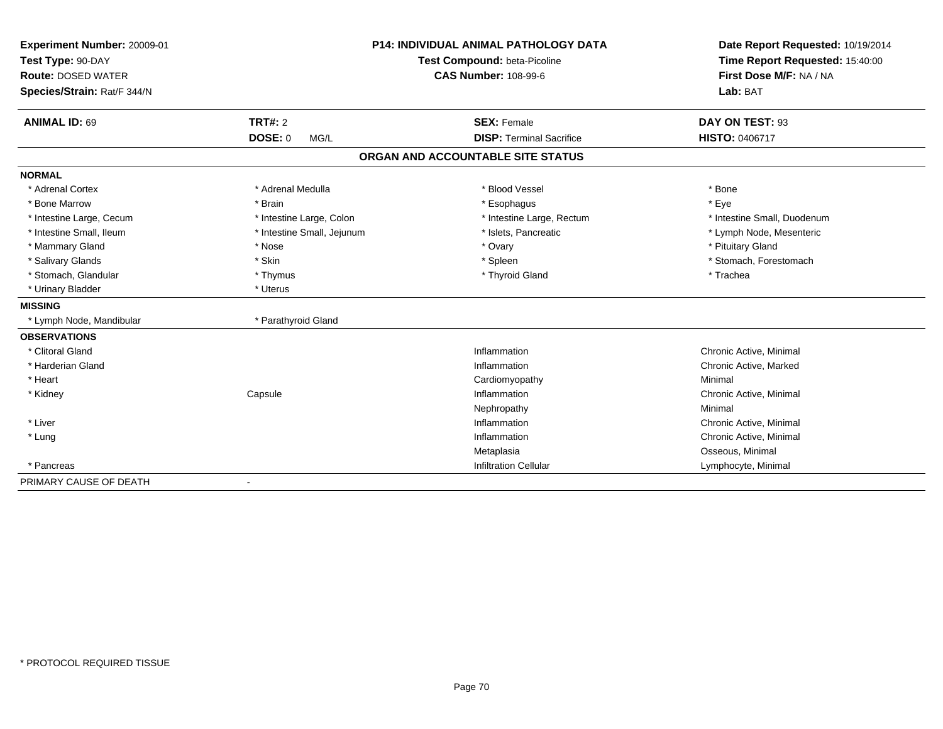| Experiment Number: 20009-01 | <b>P14: INDIVIDUAL ANIMAL PATHOLOGY DATA</b><br>Test Compound: beta-Picoline |                                   | Date Report Requested: 10/19/2014 |  |
|-----------------------------|------------------------------------------------------------------------------|-----------------------------------|-----------------------------------|--|
| Test Type: 90-DAY           |                                                                              |                                   | Time Report Requested: 15:40:00   |  |
| <b>Route: DOSED WATER</b>   |                                                                              | <b>CAS Number: 108-99-6</b>       | First Dose M/F: NA / NA           |  |
| Species/Strain: Rat/F 344/N |                                                                              |                                   | Lab: BAT                          |  |
| <b>ANIMAL ID: 69</b>        | TRT#: 2                                                                      | <b>SEX: Female</b>                | DAY ON TEST: 93                   |  |
|                             | <b>DOSE: 0</b><br>MG/L                                                       | <b>DISP: Terminal Sacrifice</b>   | <b>HISTO: 0406717</b>             |  |
|                             |                                                                              | ORGAN AND ACCOUNTABLE SITE STATUS |                                   |  |
| <b>NORMAL</b>               |                                                                              |                                   |                                   |  |
| * Adrenal Cortex            | * Adrenal Medulla                                                            | * Blood Vessel                    | * Bone                            |  |
| * Bone Marrow               | * Brain                                                                      | * Esophagus                       | * Eye                             |  |
| * Intestine Large, Cecum    | * Intestine Large, Colon                                                     | * Intestine Large, Rectum         | * Intestine Small, Duodenum       |  |
| * Intestine Small, Ileum    | * Intestine Small, Jejunum                                                   | * Islets, Pancreatic              | * Lymph Node, Mesenteric          |  |
| * Mammary Gland             | * Nose                                                                       | * Ovary                           | * Pituitary Gland                 |  |
| * Salivary Glands           | * Skin                                                                       | * Spleen                          | * Stomach, Forestomach            |  |
| * Stomach, Glandular        | * Thymus                                                                     | * Thyroid Gland                   | * Trachea                         |  |
| * Urinary Bladder           | * Uterus                                                                     |                                   |                                   |  |
| <b>MISSING</b>              |                                                                              |                                   |                                   |  |
| * Lymph Node, Mandibular    | * Parathyroid Gland                                                          |                                   |                                   |  |
| <b>OBSERVATIONS</b>         |                                                                              |                                   |                                   |  |
| * Clitoral Gland            |                                                                              | Inflammation                      | Chronic Active, Minimal           |  |
| * Harderian Gland           |                                                                              | Inflammation                      | Chronic Active, Marked            |  |
| * Heart                     |                                                                              | Cardiomyopathy                    | Minimal                           |  |
| * Kidney                    | Capsule                                                                      | Inflammation                      | Chronic Active, Minimal           |  |
|                             |                                                                              | Nephropathy                       | Minimal                           |  |
| * Liver                     |                                                                              | Inflammation                      | Chronic Active, Minimal           |  |
| * Lung                      |                                                                              | Inflammation                      | Chronic Active, Minimal           |  |
|                             |                                                                              | Metaplasia                        | Osseous, Minimal                  |  |
| * Pancreas                  |                                                                              | <b>Infiltration Cellular</b>      | Lymphocyte, Minimal               |  |
| PRIMARY CAUSE OF DEATH      |                                                                              |                                   |                                   |  |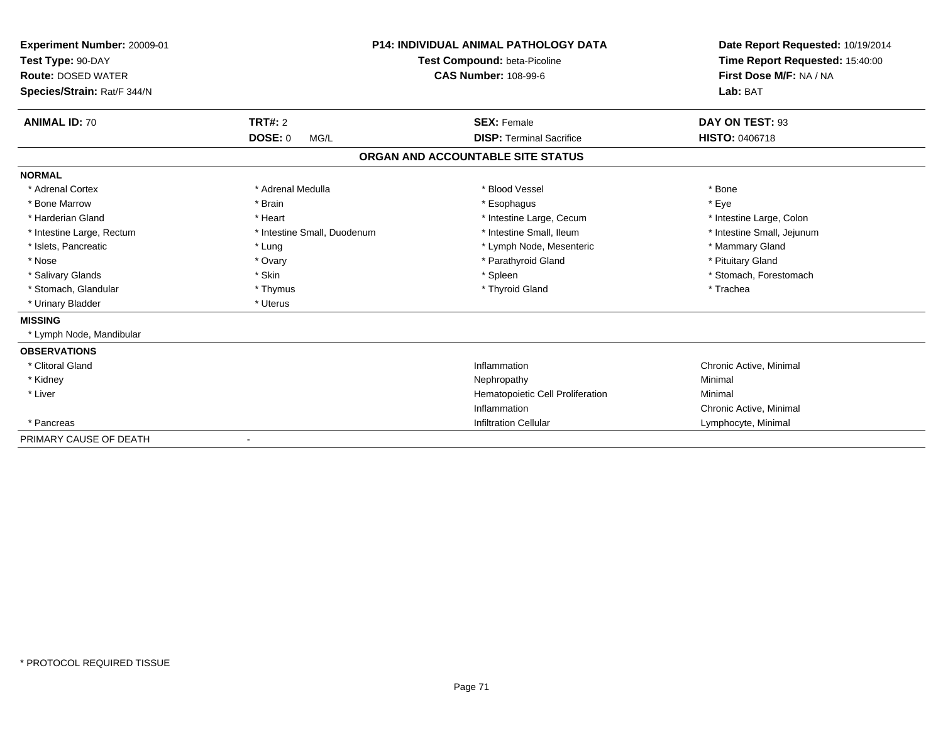| Experiment Number: 20009-01<br>Test Type: 90-DAY<br><b>Route: DOSED WATER</b><br>Species/Strain: Rat/F 344/N |                             | <b>P14: INDIVIDUAL ANIMAL PATHOLOGY DATA</b><br>Test Compound: beta-Picoline<br><b>CAS Number: 108-99-6</b> | Date Report Requested: 10/19/2014<br>Time Report Requested: 15:40:00<br>First Dose M/F: NA / NA<br>Lab: BAT |
|--------------------------------------------------------------------------------------------------------------|-----------------------------|-------------------------------------------------------------------------------------------------------------|-------------------------------------------------------------------------------------------------------------|
| <b>ANIMAL ID: 70</b>                                                                                         | <b>TRT#: 2</b>              | <b>SEX: Female</b>                                                                                          | DAY ON TEST: 93                                                                                             |
|                                                                                                              | <b>DOSE: 0</b><br>MG/L      | <b>DISP: Terminal Sacrifice</b>                                                                             | <b>HISTO: 0406718</b>                                                                                       |
|                                                                                                              |                             | ORGAN AND ACCOUNTABLE SITE STATUS                                                                           |                                                                                                             |
| <b>NORMAL</b>                                                                                                |                             |                                                                                                             |                                                                                                             |
| * Adrenal Cortex                                                                                             | * Adrenal Medulla           | * Blood Vessel                                                                                              | * Bone                                                                                                      |
| * Bone Marrow                                                                                                | * Brain                     | * Esophagus                                                                                                 | * Eye                                                                                                       |
| * Harderian Gland                                                                                            | * Heart                     | * Intestine Large, Cecum                                                                                    | * Intestine Large, Colon                                                                                    |
| * Intestine Large, Rectum                                                                                    | * Intestine Small, Duodenum | * Intestine Small, Ileum                                                                                    | * Intestine Small, Jejunum                                                                                  |
| * Islets, Pancreatic                                                                                         | * Lung                      | * Lymph Node, Mesenteric                                                                                    | * Mammary Gland                                                                                             |
| * Nose                                                                                                       | * Ovary                     | * Parathyroid Gland                                                                                         | * Pituitary Gland                                                                                           |
| * Salivary Glands                                                                                            | * Skin                      | * Spleen                                                                                                    | * Stomach, Forestomach                                                                                      |
| * Stomach, Glandular                                                                                         | * Thymus                    | * Thyroid Gland                                                                                             | * Trachea                                                                                                   |
| * Urinary Bladder                                                                                            | * Uterus                    |                                                                                                             |                                                                                                             |
| <b>MISSING</b>                                                                                               |                             |                                                                                                             |                                                                                                             |
| Lymph Node, Mandibular                                                                                       |                             |                                                                                                             |                                                                                                             |
| <b>OBSERVATIONS</b>                                                                                          |                             |                                                                                                             |                                                                                                             |
| * Clitoral Gland                                                                                             |                             | Inflammation                                                                                                | Chronic Active, Minimal                                                                                     |
| * Kidney                                                                                                     |                             | Nephropathy                                                                                                 | Minimal                                                                                                     |
| * Liver                                                                                                      |                             | Hematopoietic Cell Proliferation                                                                            | Minimal                                                                                                     |
|                                                                                                              |                             | Inflammation                                                                                                | Chronic Active, Minimal                                                                                     |
| * Pancreas                                                                                                   |                             | <b>Infiltration Cellular</b>                                                                                | Lymphocyte, Minimal                                                                                         |
| PRIMARY CAUSE OF DEATH                                                                                       |                             |                                                                                                             |                                                                                                             |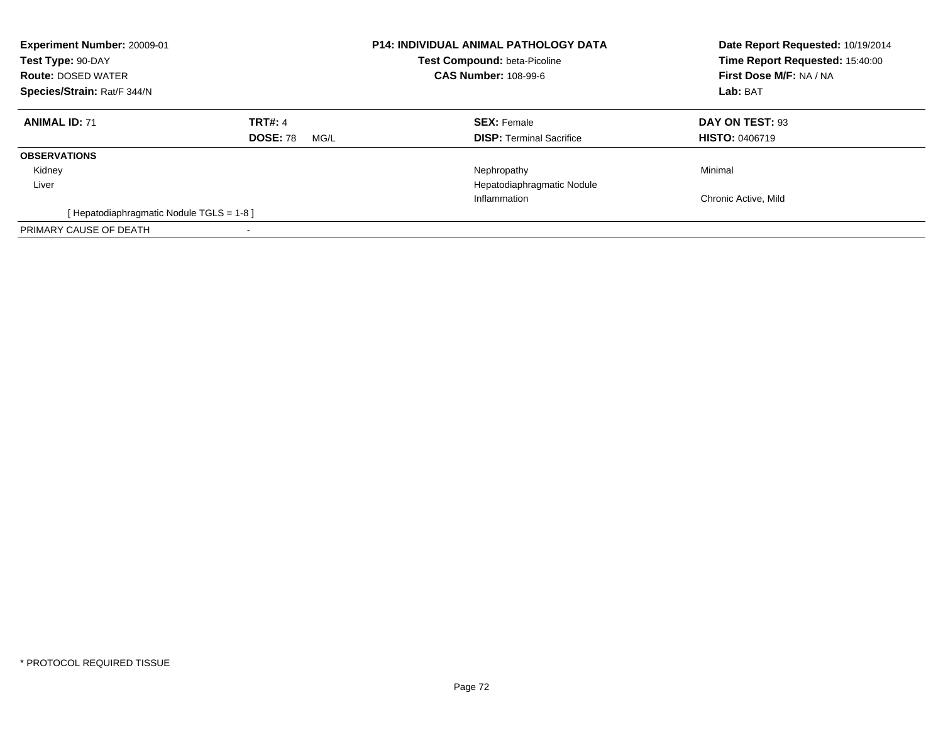| Experiment Number: 20009-01<br>Test Type: 90-DAY<br><b>Route: DOSED WATER</b><br>Species/Strain: Rat/F 344/N |                                           | <b>P14: INDIVIDUAL ANIMAL PATHOLOGY DATA</b><br>Test Compound: beta-Picoline<br><b>CAS Number: 108-99-6</b> | Date Report Requested: 10/19/2014<br>Time Report Requested: 15:40:00<br>First Dose M/F: NA / NA<br>Lab: BAT |
|--------------------------------------------------------------------------------------------------------------|-------------------------------------------|-------------------------------------------------------------------------------------------------------------|-------------------------------------------------------------------------------------------------------------|
| <b>ANIMAL ID: 71</b>                                                                                         | <b>TRT#: 4</b><br><b>DOSE: 78</b><br>MG/L | <b>SEX: Female</b><br><b>DISP:</b> Terminal Sacrifice                                                       | DAY ON TEST: 93<br><b>HISTO: 0406719</b>                                                                    |
| <b>OBSERVATIONS</b>                                                                                          |                                           |                                                                                                             |                                                                                                             |
| Kidney<br>Liver                                                                                              |                                           | Nephropathy<br>Hepatodiaphragmatic Nodule                                                                   | Minimal                                                                                                     |
|                                                                                                              |                                           | Inflammation                                                                                                | Chronic Active, Mild                                                                                        |
| [Hepatodiaphragmatic Nodule TGLS = 1-8]                                                                      |                                           |                                                                                                             |                                                                                                             |
| PRIMARY CAUSE OF DEATH                                                                                       | $\,$                                      |                                                                                                             |                                                                                                             |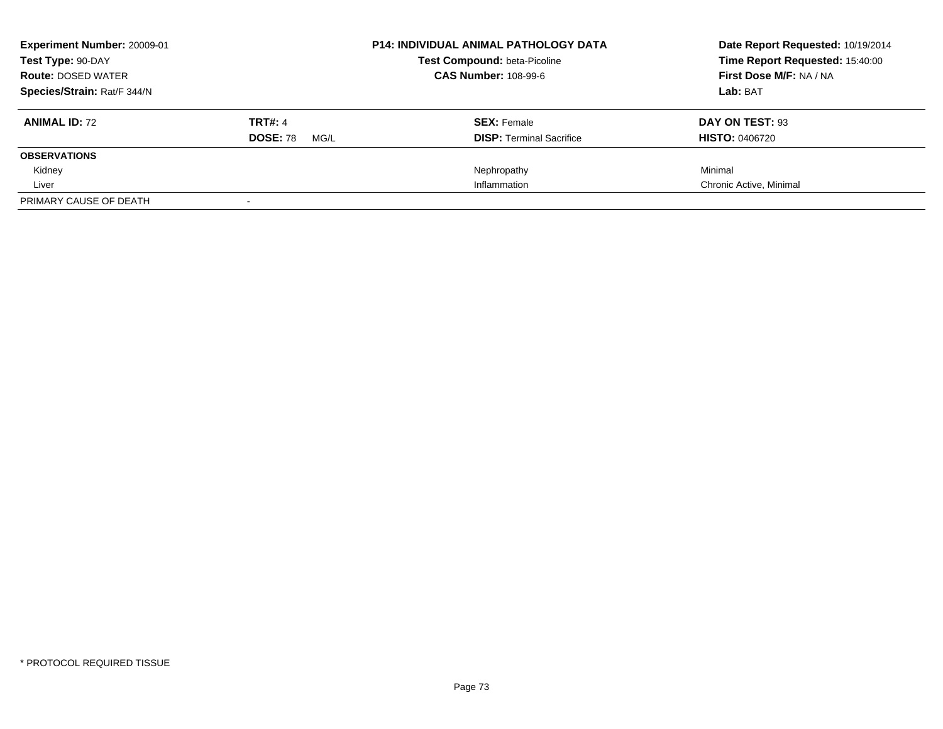| <b>Experiment Number: 20009-01</b> |                         | <b>P14: INDIVIDUAL ANIMAL PATHOLOGY DATA</b>                       | Date Report Requested: 10/19/2014 |
|------------------------------------|-------------------------|--------------------------------------------------------------------|-----------------------------------|
| Test Type: 90-DAY                  |                         | <b>Test Compound: beta-Picoline</b><br><b>CAS Number: 108-99-6</b> | Time Report Requested: 15:40:00   |
| <b>Route: DOSED WATER</b>          |                         |                                                                    | First Dose M/F: NA / NA           |
| Species/Strain: Rat/F 344/N        |                         |                                                                    | Lab: BAT                          |
| <b>ANIMAL ID: 72</b>               | <b>TRT#: 4</b>          | <b>SEX: Female</b>                                                 | DAY ON TEST: 93                   |
|                                    | <b>DOSE: 78</b><br>MG/L | <b>DISP:</b> Terminal Sacrifice                                    | <b>HISTO: 0406720</b>             |
| <b>OBSERVATIONS</b>                |                         |                                                                    |                                   |
| Kidney                             |                         | Nephropathy                                                        | Minimal                           |
| Liver                              |                         | Inflammation                                                       | Chronic Active, Minimal           |
| PRIMARY CAUSE OF DEATH             |                         |                                                                    |                                   |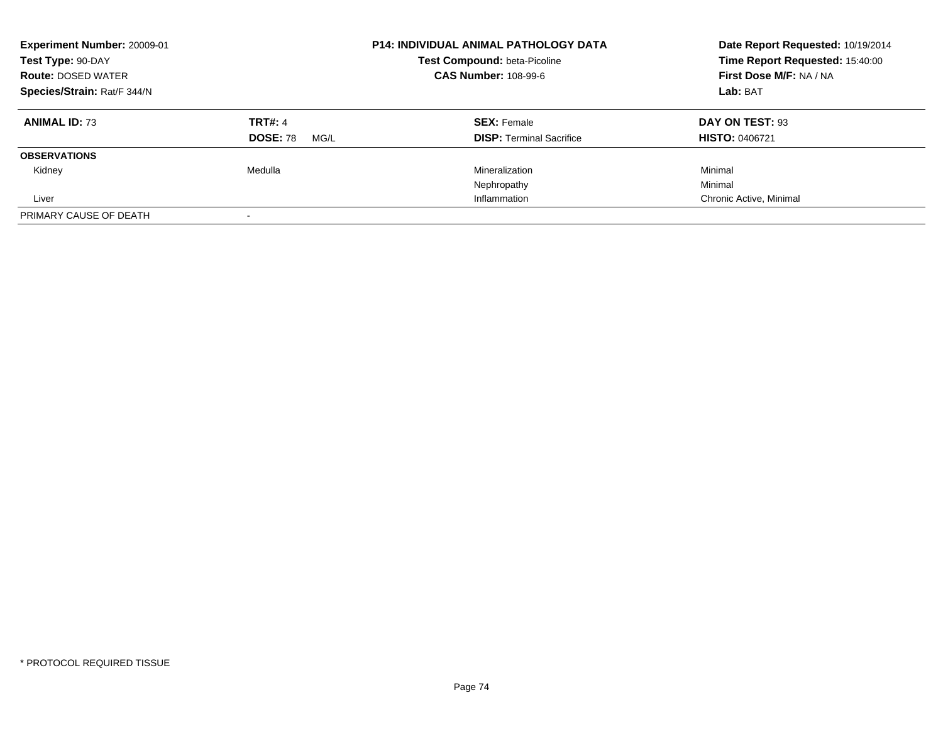| <b>Experiment Number: 20009-01</b><br>Test Type: 90-DAY<br><b>Route: DOSED WATER</b> |                         | <b>P14: INDIVIDUAL ANIMAL PATHOLOGY DATA</b><br>Test Compound: beta-Picoline<br><b>CAS Number: 108-99-6</b> | Date Report Requested: 10/19/2014<br>Time Report Requested: 15:40:00<br>First Dose M/F: NA / NA |
|--------------------------------------------------------------------------------------|-------------------------|-------------------------------------------------------------------------------------------------------------|-------------------------------------------------------------------------------------------------|
| Species/Strain: Rat/F 344/N                                                          |                         |                                                                                                             | Lab: BAT                                                                                        |
| <b>ANIMAL ID: 73</b>                                                                 | <b>TRT#: 4</b>          | <b>SEX: Female</b>                                                                                          | DAY ON TEST: 93                                                                                 |
|                                                                                      | <b>DOSE: 78</b><br>MG/L | <b>DISP:</b> Terminal Sacrifice                                                                             | <b>HISTO: 0406721</b>                                                                           |
| <b>OBSERVATIONS</b>                                                                  |                         |                                                                                                             |                                                                                                 |
| Kidney                                                                               | Medulla                 | Mineralization                                                                                              | Minimal                                                                                         |
|                                                                                      |                         | Nephropathy                                                                                                 | Minimal                                                                                         |
| Liver                                                                                |                         | Inflammation                                                                                                | Chronic Active, Minimal                                                                         |
| PRIMARY CAUSE OF DEATH                                                               |                         |                                                                                                             |                                                                                                 |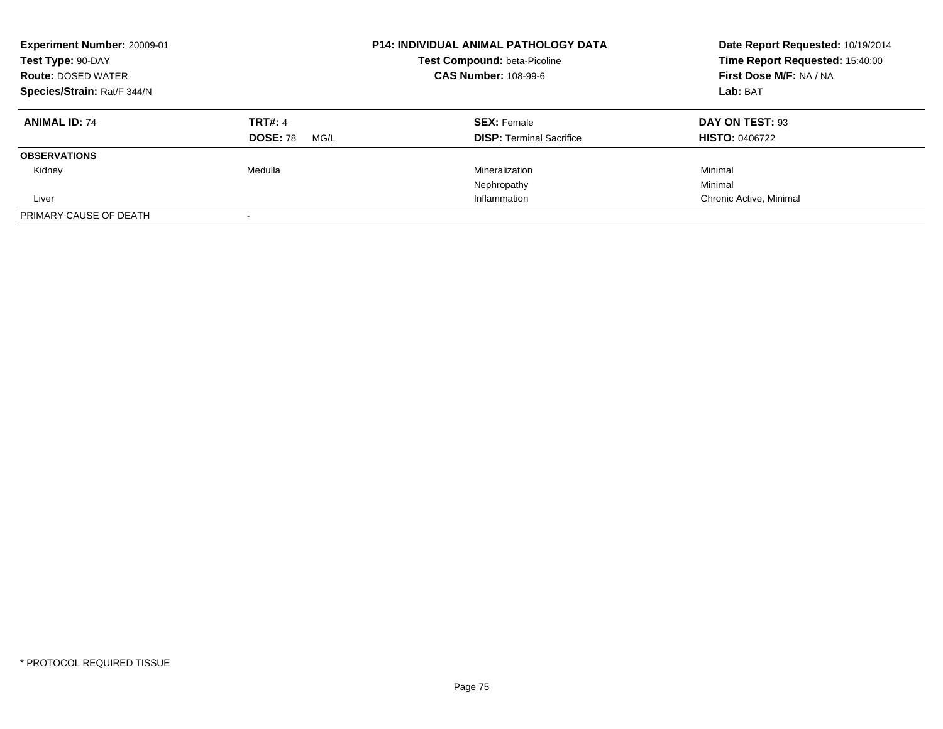| <b>Experiment Number: 20009-01</b><br>Test Type: 90-DAY<br><b>Route: DOSED WATER</b> |                         | <b>P14: INDIVIDUAL ANIMAL PATHOLOGY DATA</b><br>Test Compound: beta-Picoline<br><b>CAS Number: 108-99-6</b> | Date Report Requested: 10/19/2014<br>Time Report Requested: 15:40:00<br>First Dose M/F: NA / NA |
|--------------------------------------------------------------------------------------|-------------------------|-------------------------------------------------------------------------------------------------------------|-------------------------------------------------------------------------------------------------|
| Species/Strain: Rat/F 344/N                                                          |                         |                                                                                                             | Lab: BAT                                                                                        |
| <b>ANIMAL ID: 74</b>                                                                 | <b>TRT#: 4</b>          | <b>SEX: Female</b>                                                                                          | DAY ON TEST: 93                                                                                 |
|                                                                                      | <b>DOSE: 78</b><br>MG/L | <b>DISP:</b> Terminal Sacrifice                                                                             | <b>HISTO: 0406722</b>                                                                           |
| <b>OBSERVATIONS</b>                                                                  |                         |                                                                                                             |                                                                                                 |
| Kidney                                                                               | Medulla                 | Mineralization                                                                                              | Minimal                                                                                         |
|                                                                                      |                         | Nephropathy                                                                                                 | Minimal                                                                                         |
| Liver                                                                                |                         | Inflammation                                                                                                | Chronic Active, Minimal                                                                         |
| PRIMARY CAUSE OF DEATH                                                               |                         |                                                                                                             |                                                                                                 |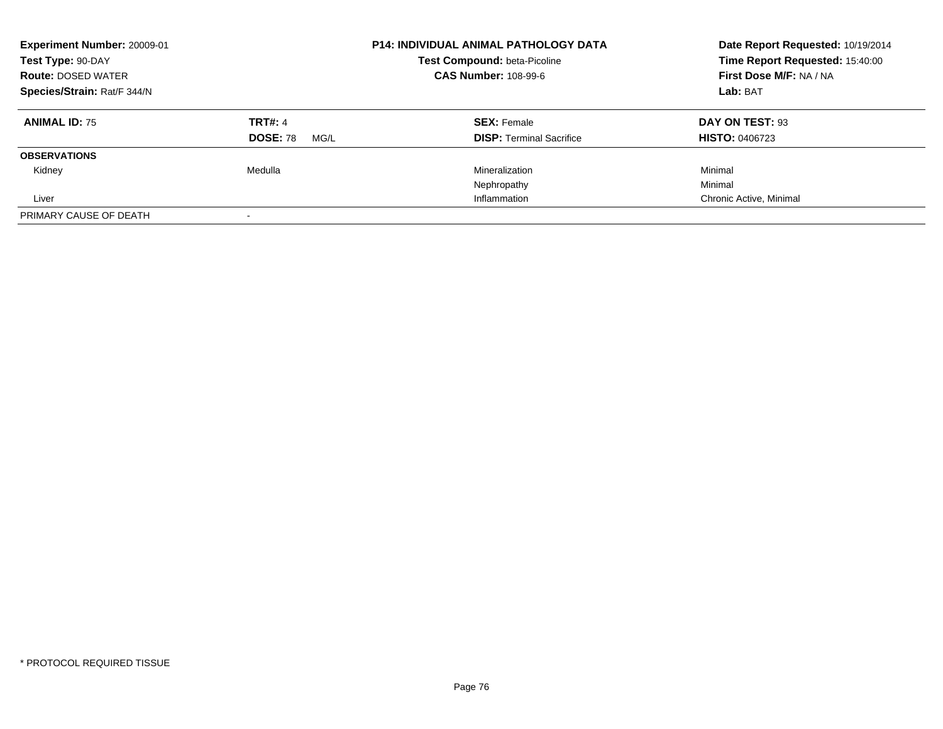| <b>Experiment Number: 20009-01</b><br>Test Type: 90-DAY<br><b>Route: DOSED WATER</b> |                         | <b>P14: INDIVIDUAL ANIMAL PATHOLOGY DATA</b><br>Test Compound: beta-Picoline<br><b>CAS Number: 108-99-6</b> | Date Report Requested: 10/19/2014<br>Time Report Requested: 15:40:00<br>First Dose M/F: NA / NA<br>Lab: BAT |
|--------------------------------------------------------------------------------------|-------------------------|-------------------------------------------------------------------------------------------------------------|-------------------------------------------------------------------------------------------------------------|
| Species/Strain: Rat/F 344/N                                                          |                         |                                                                                                             |                                                                                                             |
| <b>ANIMAL ID: 75</b>                                                                 | <b>TRT#: 4</b>          | <b>SEX: Female</b>                                                                                          | DAY ON TEST: 93                                                                                             |
|                                                                                      | <b>DOSE: 78</b><br>MG/L | <b>DISP:</b> Terminal Sacrifice                                                                             | <b>HISTO: 0406723</b>                                                                                       |
| <b>OBSERVATIONS</b>                                                                  |                         |                                                                                                             |                                                                                                             |
| Kidney                                                                               | Medulla                 | Mineralization                                                                                              | Minimal                                                                                                     |
|                                                                                      |                         | Nephropathy                                                                                                 | Minimal                                                                                                     |
| Liver                                                                                |                         | Inflammation                                                                                                | Chronic Active, Minimal                                                                                     |
| PRIMARY CAUSE OF DEATH                                                               |                         |                                                                                                             |                                                                                                             |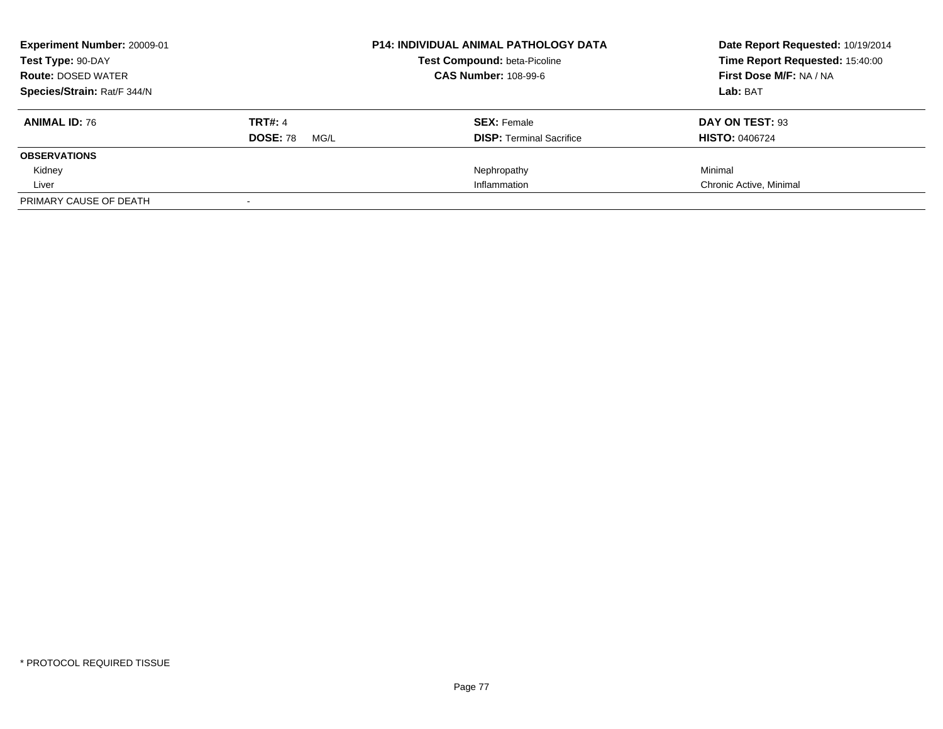| Experiment Number: 20009-01 |                         | <b>P14: INDIVIDUAL ANIMAL PATHOLOGY DATA</b>                       | Date Report Requested: 10/19/2014 |
|-----------------------------|-------------------------|--------------------------------------------------------------------|-----------------------------------|
| Test Type: 90-DAY           |                         | <b>Test Compound: beta-Picoline</b><br><b>CAS Number: 108-99-6</b> | Time Report Requested: 15:40:00   |
| <b>Route: DOSED WATER</b>   |                         |                                                                    | First Dose M/F: NA / NA           |
| Species/Strain: Rat/F 344/N |                         |                                                                    | Lab: BAT                          |
| <b>ANIMAL ID: 76</b>        | <b>TRT#: 4</b>          | <b>SEX: Female</b>                                                 | DAY ON TEST: 93                   |
|                             | <b>DOSE: 78</b><br>MG/L | <b>DISP:</b> Terminal Sacrifice                                    | <b>HISTO: 0406724</b>             |
| <b>OBSERVATIONS</b>         |                         |                                                                    |                                   |
| Kidney                      |                         | Nephropathy                                                        | Minimal                           |
| Liver                       |                         | Inflammation                                                       | Chronic Active, Minimal           |
| PRIMARY CAUSE OF DEATH      |                         |                                                                    |                                   |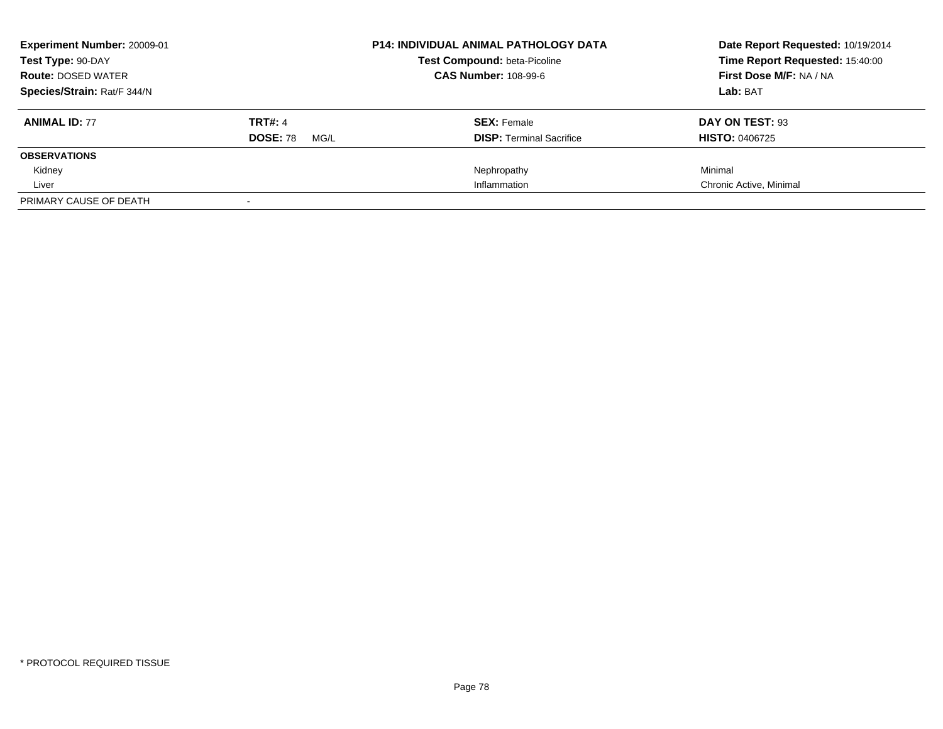| Experiment Number: 20009-01 |                         | <b>P14: INDIVIDUAL ANIMAL PATHOLOGY DATA</b>                       | Date Report Requested: 10/19/2014 |
|-----------------------------|-------------------------|--------------------------------------------------------------------|-----------------------------------|
| Test Type: 90-DAY           |                         | <b>Test Compound: beta-Picoline</b><br><b>CAS Number: 108-99-6</b> | Time Report Requested: 15:40:00   |
| <b>Route: DOSED WATER</b>   |                         |                                                                    | First Dose M/F: NA / NA           |
| Species/Strain: Rat/F 344/N |                         |                                                                    | Lab: BAT                          |
| <b>ANIMAL ID: 77</b>        | <b>TRT#: 4</b>          | <b>SEX: Female</b>                                                 | DAY ON TEST: 93                   |
|                             | <b>DOSE: 78</b><br>MG/L | <b>DISP:</b> Terminal Sacrifice                                    | <b>HISTO: 0406725</b>             |
| <b>OBSERVATIONS</b>         |                         |                                                                    |                                   |
| Kidney                      |                         | Nephropathy                                                        | Minimal                           |
| Liver                       |                         | Inflammation                                                       | Chronic Active, Minimal           |
| PRIMARY CAUSE OF DEATH      |                         |                                                                    |                                   |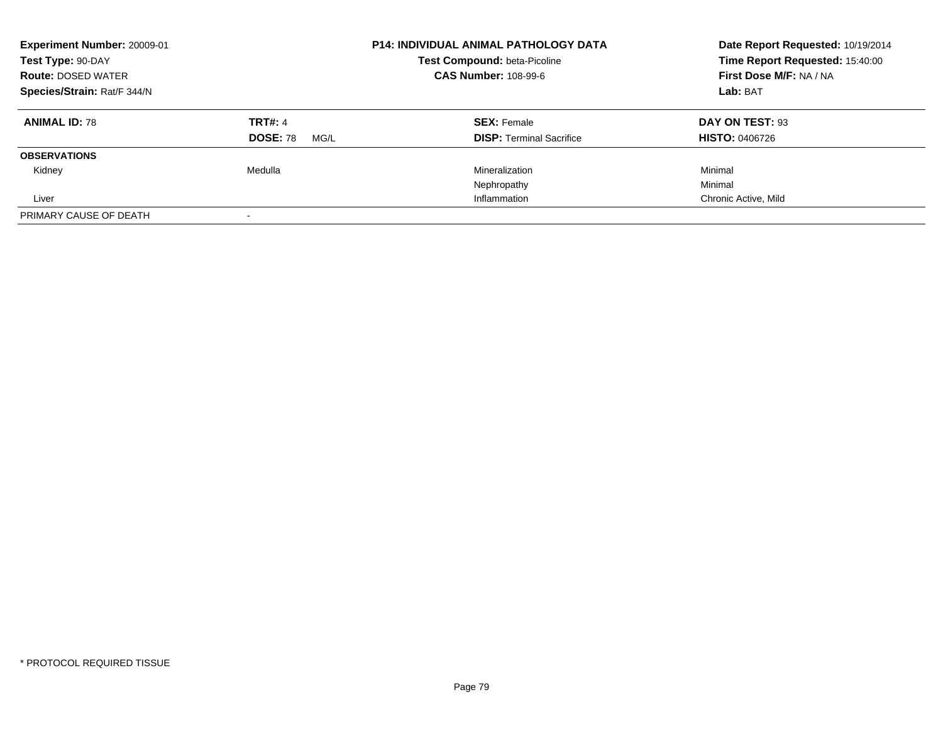| <b>Experiment Number: 20009-01</b><br>Test Type: 90-DAY<br><b>Route: DOSED WATER</b> |                         | <b>P14: INDIVIDUAL ANIMAL PATHOLOGY DATA</b><br>Test Compound: beta-Picoline<br><b>CAS Number: 108-99-6</b> | Date Report Requested: 10/19/2014<br>Time Report Requested: 15:40:00<br>First Dose M/F: NA / NA |
|--------------------------------------------------------------------------------------|-------------------------|-------------------------------------------------------------------------------------------------------------|-------------------------------------------------------------------------------------------------|
| Species/Strain: Rat/F 344/N                                                          |                         |                                                                                                             | Lab: BAT                                                                                        |
| <b>ANIMAL ID: 78</b>                                                                 | <b>TRT#: 4</b>          | <b>SEX: Female</b>                                                                                          | DAY ON TEST: 93                                                                                 |
|                                                                                      | <b>DOSE: 78</b><br>MG/L | <b>DISP:</b> Terminal Sacrifice                                                                             | <b>HISTO: 0406726</b>                                                                           |
| <b>OBSERVATIONS</b>                                                                  |                         |                                                                                                             |                                                                                                 |
| Kidney                                                                               | Medulla                 | Mineralization                                                                                              | Minimal                                                                                         |
|                                                                                      |                         | Nephropathy                                                                                                 | Minimal                                                                                         |
| Liver                                                                                |                         | Inflammation                                                                                                | Chronic Active, Mild                                                                            |
| PRIMARY CAUSE OF DEATH                                                               |                         |                                                                                                             |                                                                                                 |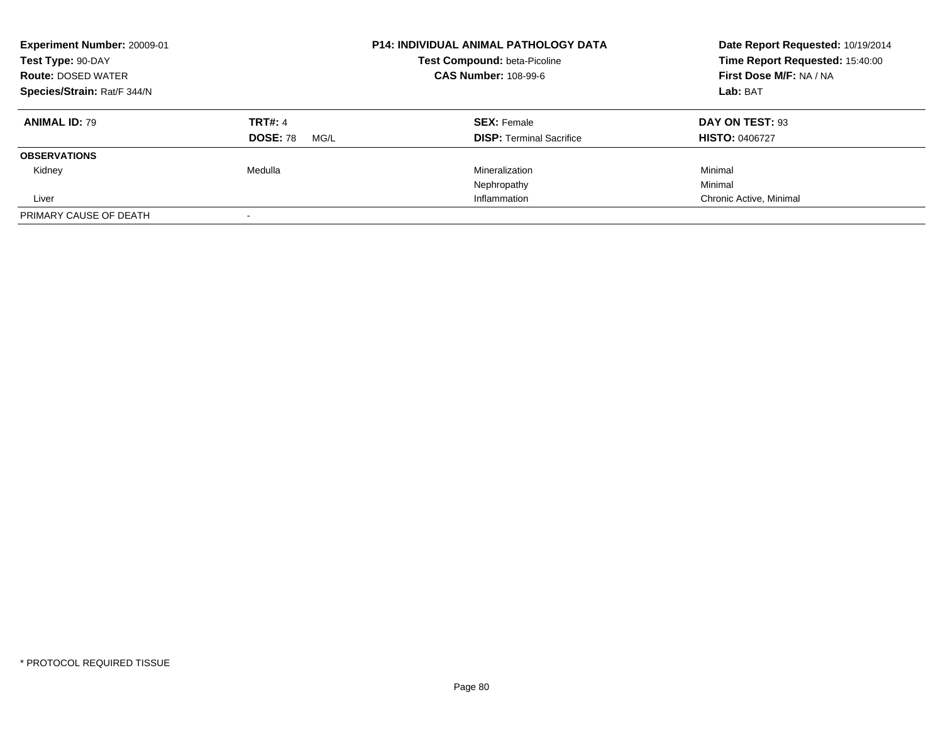| Experiment Number: 20009-01<br>Test Type: 90-DAY<br><b>Route: DOSED WATER</b><br>Species/Strain: Rat/F 344/N |                                           | <b>P14: INDIVIDUAL ANIMAL PATHOLOGY DATA</b><br>Test Compound: beta-Picoline<br><b>CAS Number: 108-99-6</b> | Date Report Requested: 10/19/2014<br>Time Report Requested: 15:40:00<br>First Dose M/F: NA / NA<br>Lab: BAT |
|--------------------------------------------------------------------------------------------------------------|-------------------------------------------|-------------------------------------------------------------------------------------------------------------|-------------------------------------------------------------------------------------------------------------|
| <b>ANIMAL ID: 79</b>                                                                                         | <b>TRT#: 4</b><br><b>DOSE: 78</b><br>MG/L | <b>SEX: Female</b><br><b>DISP: Terminal Sacrifice</b>                                                       | DAY ON TEST: 93<br><b>HISTO: 0406727</b>                                                                    |
| <b>OBSERVATIONS</b>                                                                                          |                                           |                                                                                                             |                                                                                                             |
| Kidney                                                                                                       | Medulla                                   | Mineralization                                                                                              | Minimal                                                                                                     |
|                                                                                                              |                                           | Nephropathy                                                                                                 | Minimal                                                                                                     |
| Liver                                                                                                        |                                           | Inflammation                                                                                                | Chronic Active, Minimal                                                                                     |
| PRIMARY CAUSE OF DEATH                                                                                       |                                           |                                                                                                             |                                                                                                             |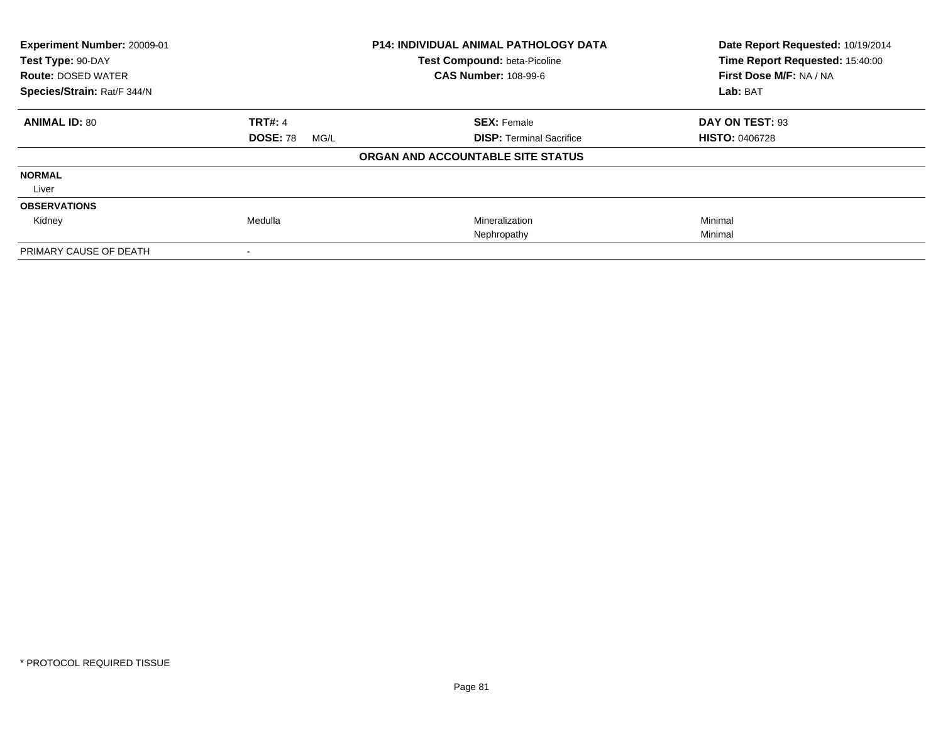| Experiment Number: 20009-01 |                         | <b>P14: INDIVIDUAL ANIMAL PATHOLOGY DATA</b> | Date Report Requested: 10/19/2014 |
|-----------------------------|-------------------------|----------------------------------------------|-----------------------------------|
| Test Type: 90-DAY           |                         | Test Compound: beta-Picoline                 | Time Report Requested: 15:40:00   |
| <b>Route: DOSED WATER</b>   |                         | <b>CAS Number: 108-99-6</b>                  | First Dose M/F: NA / NA           |
| Species/Strain: Rat/F 344/N |                         |                                              | Lab: BAT                          |
| <b>ANIMAL ID: 80</b>        | <b>TRT#: 4</b>          | <b>SEX: Female</b>                           | DAY ON TEST: 93                   |
|                             | <b>DOSE: 78</b><br>MG/L | <b>DISP:</b> Terminal Sacrifice              | <b>HISTO: 0406728</b>             |
|                             |                         | ORGAN AND ACCOUNTABLE SITE STATUS            |                                   |
| <b>NORMAL</b>               |                         |                                              |                                   |
| Liver                       |                         |                                              |                                   |
| <b>OBSERVATIONS</b>         |                         |                                              |                                   |
| Kidney                      | Medulla                 | Mineralization                               | Minimal                           |
|                             |                         | Nephropathy                                  | Minimal                           |
| PRIMARY CAUSE OF DEATH      |                         |                                              |                                   |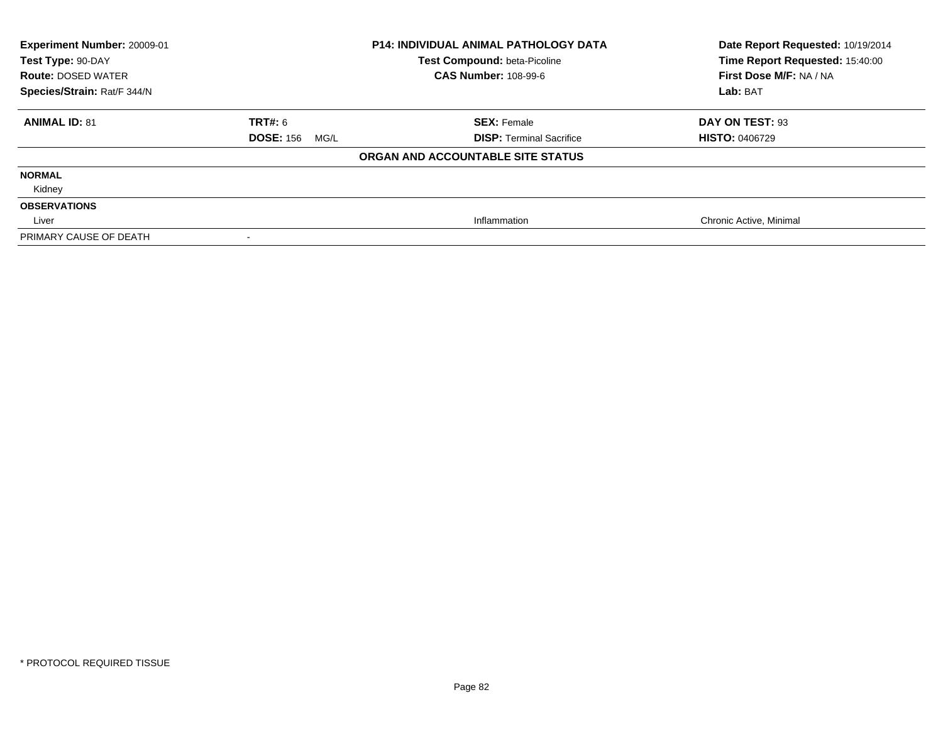| Experiment Number: 20009-01<br>Test Type: 90-DAY<br><b>Route: DOSED WATER</b><br>Species/Strain: Rat/F 344/N |                          | <b>P14: INDIVIDUAL ANIMAL PATHOLOGY DATA</b><br>Test Compound: beta-Picoline<br><b>CAS Number: 108-99-6</b> | Date Report Requested: 10/19/2014<br>Time Report Requested: 15:40:00<br>First Dose M/F: NA / NA<br>Lab: BAT |
|--------------------------------------------------------------------------------------------------------------|--------------------------|-------------------------------------------------------------------------------------------------------------|-------------------------------------------------------------------------------------------------------------|
| <b>ANIMAL ID: 81</b>                                                                                         | TRT#: 6                  | <b>SEX: Female</b>                                                                                          | DAY ON TEST: 93                                                                                             |
|                                                                                                              | <b>DOSE: 156</b><br>MG/L | <b>DISP: Terminal Sacrifice</b>                                                                             | <b>HISTO: 0406729</b>                                                                                       |
|                                                                                                              |                          | ORGAN AND ACCOUNTABLE SITE STATUS                                                                           |                                                                                                             |
| <b>NORMAL</b>                                                                                                |                          |                                                                                                             |                                                                                                             |
| Kidney                                                                                                       |                          |                                                                                                             |                                                                                                             |
| <b>OBSERVATIONS</b>                                                                                          |                          |                                                                                                             |                                                                                                             |
| Liver                                                                                                        |                          | Inflammation                                                                                                | Chronic Active, Minimal                                                                                     |
| PRIMARY CAUSE OF DEATH                                                                                       |                          |                                                                                                             |                                                                                                             |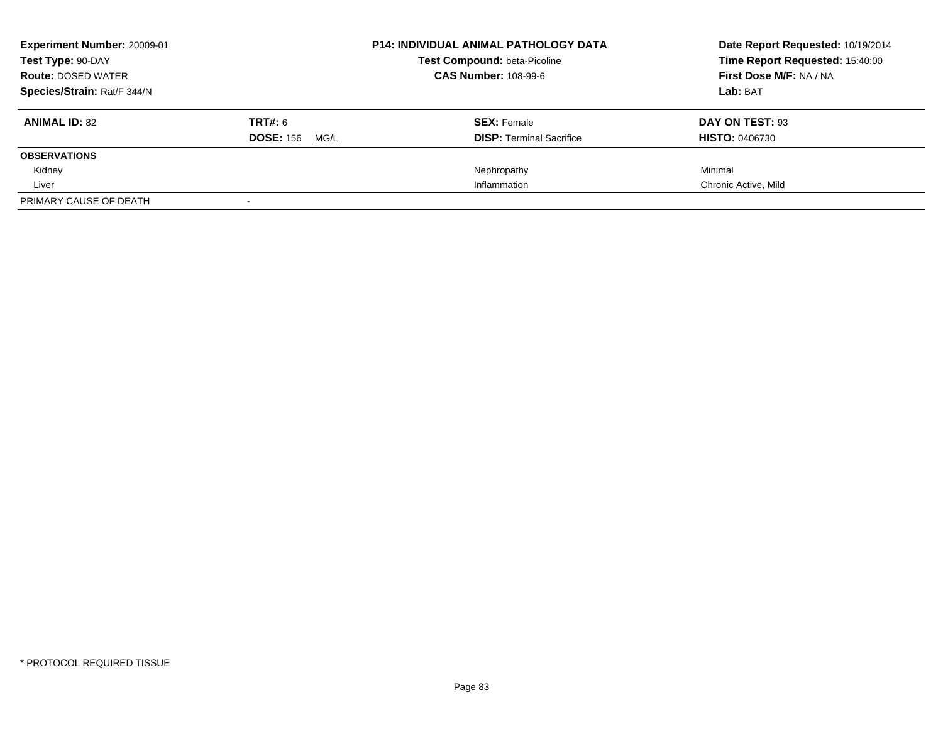| <b>Experiment Number: 20009-01</b> |                          | <b>P14: INDIVIDUAL ANIMAL PATHOLOGY DATA</b> | Date Report Requested: 10/19/2014 |
|------------------------------------|--------------------------|----------------------------------------------|-----------------------------------|
| Test Type: 90-DAY                  |                          | <b>Test Compound: beta-Picoline</b>          | Time Report Requested: 15:40:00   |
| <b>Route: DOSED WATER</b>          |                          | <b>CAS Number: 108-99-6</b>                  | First Dose M/F: NA / NA           |
| Species/Strain: Rat/F 344/N        |                          |                                              | Lab: BAT                          |
| <b>ANIMAL ID: 82</b>               | <b>TRT#: 6</b>           | <b>SEX: Female</b>                           | DAY ON TEST: 93                   |
|                                    | <b>DOSE: 156</b><br>MG/L | <b>DISP:</b> Terminal Sacrifice              | <b>HISTO: 0406730</b>             |
| <b>OBSERVATIONS</b>                |                          |                                              |                                   |
| Kidney                             |                          | Nephropathy                                  | Minimal                           |
| Liver                              |                          | Inflammation                                 | Chronic Active, Mild              |
| PRIMARY CAUSE OF DEATH             |                          |                                              |                                   |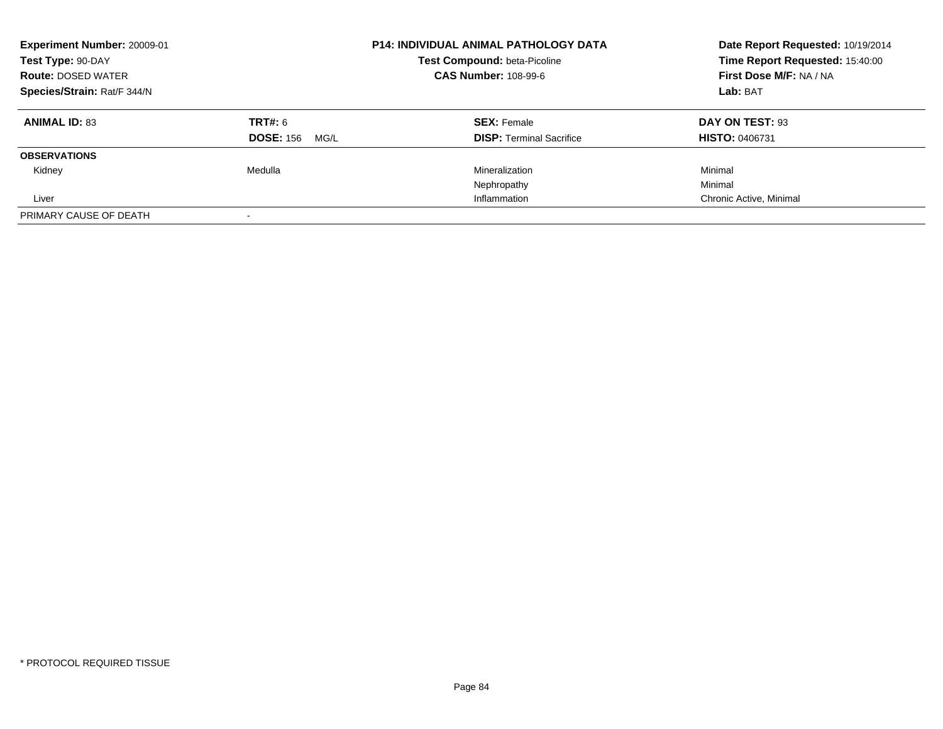| Experiment Number: 20009-01<br>Test Type: 90-DAY<br><b>Route: DOSED WATER</b><br>Species/Strain: Rat/F 344/N |                          | <b>P14: INDIVIDUAL ANIMAL PATHOLOGY DATA</b><br>Test Compound: beta-Picoline<br><b>CAS Number: 108-99-6</b> | Date Report Requested: 10/19/2014<br>Time Report Requested: 15:40:00<br>First Dose M/F: NA / NA<br>Lab: BAT |
|--------------------------------------------------------------------------------------------------------------|--------------------------|-------------------------------------------------------------------------------------------------------------|-------------------------------------------------------------------------------------------------------------|
| <b>ANIMAL ID: 83</b>                                                                                         | TRT#: 6                  | <b>SEX: Female</b>                                                                                          | DAY ON TEST: 93                                                                                             |
|                                                                                                              | <b>DOSE: 156</b><br>MG/L | <b>DISP:</b> Terminal Sacrifice                                                                             | <b>HISTO: 0406731</b>                                                                                       |
| <b>OBSERVATIONS</b>                                                                                          |                          |                                                                                                             |                                                                                                             |
| Kidney                                                                                                       | Medulla                  | Mineralization                                                                                              | Minimal                                                                                                     |
|                                                                                                              |                          | Nephropathy                                                                                                 | Minimal                                                                                                     |
| Liver                                                                                                        |                          | Inflammation                                                                                                | Chronic Active, Minimal                                                                                     |
| PRIMARY CAUSE OF DEATH                                                                                       |                          |                                                                                                             |                                                                                                             |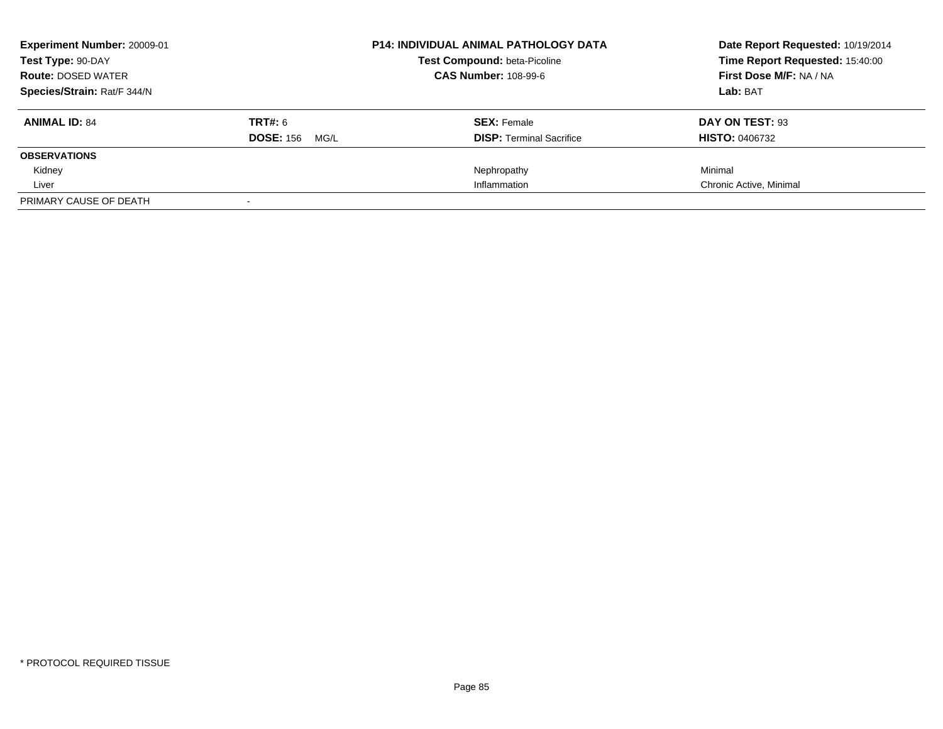| <b>Experiment Number: 20009-01</b> |                          | <b>P14: INDIVIDUAL ANIMAL PATHOLOGY DATA</b> | Date Report Requested: 10/19/2014 |
|------------------------------------|--------------------------|----------------------------------------------|-----------------------------------|
| Test Type: 90-DAY                  |                          | <b>Test Compound: beta-Picoline</b>          | Time Report Requested: 15:40:00   |
| <b>Route: DOSED WATER</b>          |                          | <b>CAS Number: 108-99-6</b>                  | First Dose M/F: NA / NA           |
| Species/Strain: Rat/F 344/N        |                          |                                              | Lab: BAT                          |
| <b>ANIMAL ID: 84</b>               | <b>TRT#: 6</b>           | <b>SEX: Female</b>                           | DAY ON TEST: 93                   |
|                                    | <b>DOSE: 156</b><br>MG/L | <b>DISP:</b> Terminal Sacrifice              | <b>HISTO: 0406732</b>             |
| <b>OBSERVATIONS</b>                |                          |                                              |                                   |
| Kidney                             |                          | Nephropathy                                  | Minimal                           |
| Liver                              |                          | Inflammation                                 | Chronic Active, Minimal           |
| PRIMARY CAUSE OF DEATH             |                          |                                              |                                   |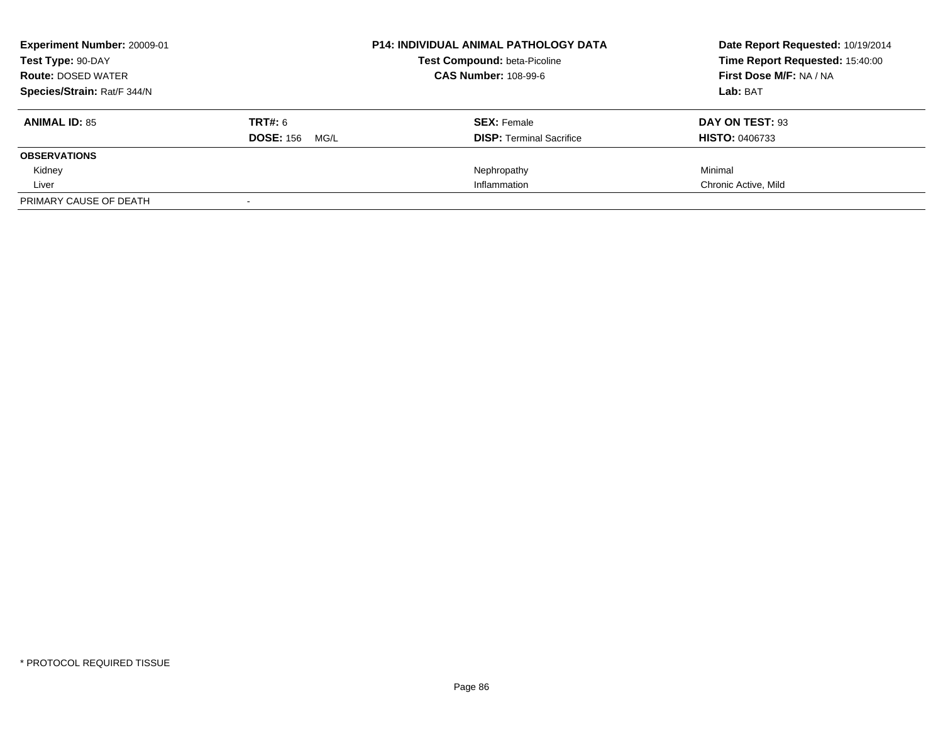| <b>Experiment Number: 20009-01</b> |                          | <b>P14: INDIVIDUAL ANIMAL PATHOLOGY DATA</b> | Date Report Requested: 10/19/2014 |
|------------------------------------|--------------------------|----------------------------------------------|-----------------------------------|
| Test Type: 90-DAY                  |                          | <b>Test Compound: beta-Picoline</b>          | Time Report Requested: 15:40:00   |
| <b>Route: DOSED WATER</b>          |                          | <b>CAS Number: 108-99-6</b>                  | First Dose M/F: NA / NA           |
| Species/Strain: Rat/F 344/N        |                          |                                              | Lab: BAT                          |
| <b>ANIMAL ID: 85</b>               | <b>TRT#: 6</b>           | <b>SEX: Female</b>                           | DAY ON TEST: 93                   |
|                                    | <b>DOSE: 156</b><br>MG/L | <b>DISP:</b> Terminal Sacrifice              | <b>HISTO: 0406733</b>             |
| <b>OBSERVATIONS</b>                |                          |                                              |                                   |
| Kidney                             |                          | Nephropathy                                  | Minimal                           |
| Liver                              |                          | Inflammation                                 | Chronic Active, Mild              |
| PRIMARY CAUSE OF DEATH             |                          |                                              |                                   |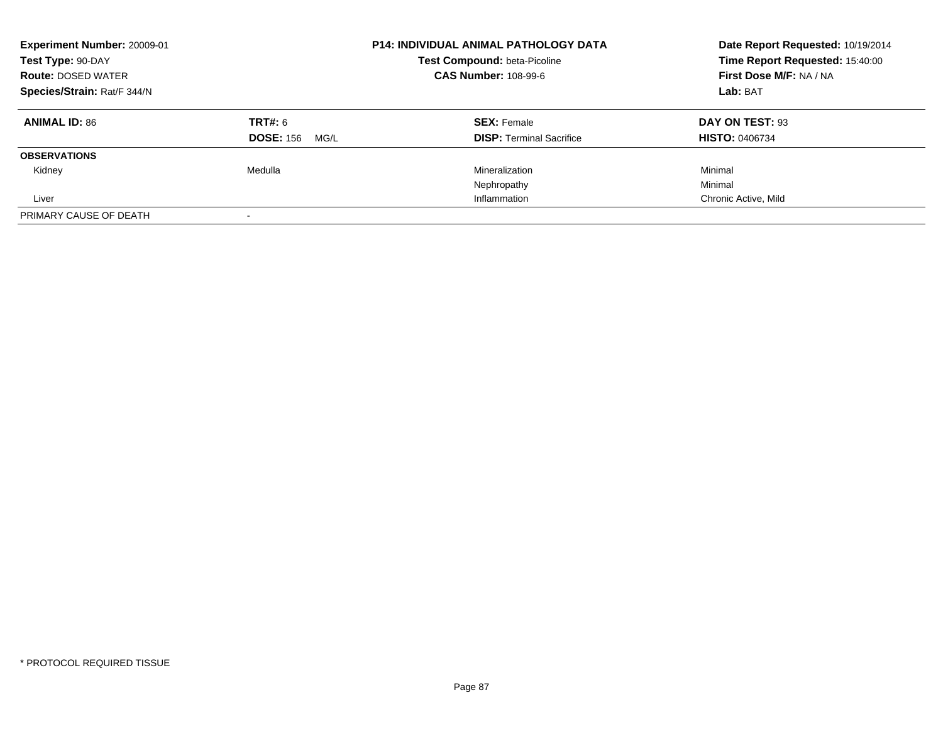| Experiment Number: 20009-01<br>Test Type: 90-DAY<br><b>Route: DOSED WATER</b><br>Species/Strain: Rat/F 344/N |                          | <b>P14: INDIVIDUAL ANIMAL PATHOLOGY DATA</b><br>Test Compound: beta-Picoline<br><b>CAS Number: 108-99-6</b> | Date Report Requested: 10/19/2014<br>Time Report Requested: 15:40:00<br>First Dose M/F: NA / NA<br>Lab: BAT |
|--------------------------------------------------------------------------------------------------------------|--------------------------|-------------------------------------------------------------------------------------------------------------|-------------------------------------------------------------------------------------------------------------|
| <b>ANIMAL ID: 86</b>                                                                                         | TRT#: 6                  | <b>SEX: Female</b>                                                                                          | DAY ON TEST: 93                                                                                             |
|                                                                                                              | <b>DOSE: 156</b><br>MG/L | <b>DISP:</b> Terminal Sacrifice                                                                             | <b>HISTO: 0406734</b>                                                                                       |
| <b>OBSERVATIONS</b>                                                                                          |                          |                                                                                                             |                                                                                                             |
| Kidney                                                                                                       | Medulla                  | Mineralization                                                                                              | Minimal                                                                                                     |
|                                                                                                              |                          | Nephropathy                                                                                                 | Minimal                                                                                                     |
| Liver                                                                                                        |                          | Inflammation                                                                                                | Chronic Active, Mild                                                                                        |
| PRIMARY CAUSE OF DEATH                                                                                       |                          |                                                                                                             |                                                                                                             |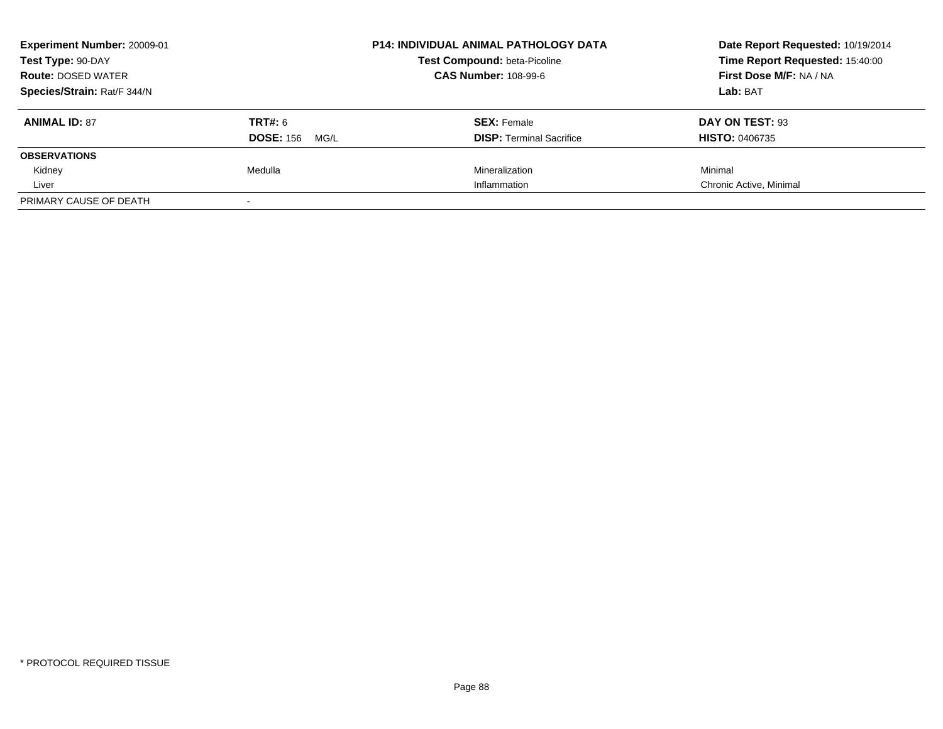| Experiment Number: 20009-01 |                          | <b>P14: INDIVIDUAL ANIMAL PATHOLOGY DATA</b> | Date Report Requested: 10/19/2014 |
|-----------------------------|--------------------------|----------------------------------------------|-----------------------------------|
| Test Type: 90-DAY           |                          | <b>Test Compound: beta-Picoline</b>          | Time Report Requested: 15:40:00   |
| <b>Route: DOSED WATER</b>   |                          | <b>CAS Number: 108-99-6</b>                  | First Dose M/F: NA / NA           |
| Species/Strain: Rat/F 344/N |                          |                                              | Lab: BAT                          |
| <b>ANIMAL ID: 87</b>        | TRT#: 6                  | <b>SEX: Female</b>                           | DAY ON TEST: 93                   |
|                             | <b>DOSE: 156</b><br>MG/L | <b>DISP:</b> Terminal Sacrifice              | <b>HISTO: 0406735</b>             |
| <b>OBSERVATIONS</b>         |                          |                                              |                                   |
| Kidney                      | Medulla                  | Mineralization                               | Minimal                           |
| Liver                       |                          | Inflammation                                 | Chronic Active, Minimal           |
| PRIMARY CAUSE OF DEATH      |                          |                                              |                                   |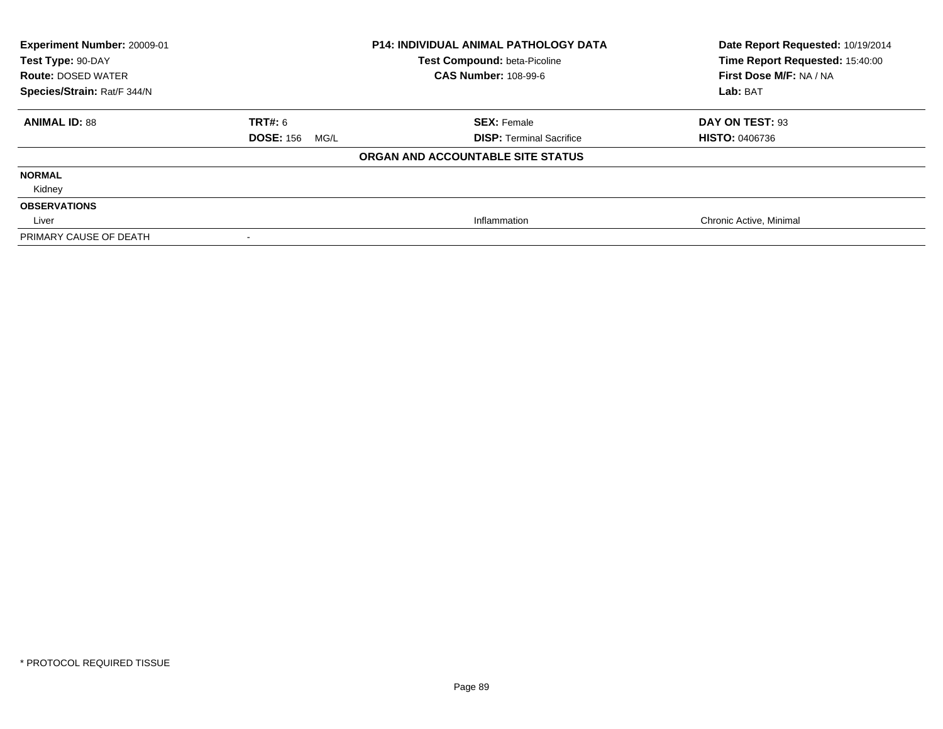| Experiment Number: 20009-01<br>Test Type: 90-DAY<br><b>Route: DOSED WATER</b><br>Species/Strain: Rat/F 344/N |                          | <b>P14: INDIVIDUAL ANIMAL PATHOLOGY DATA</b><br>Test Compound: beta-Picoline<br><b>CAS Number: 108-99-6</b> | Date Report Requested: 10/19/2014<br>Time Report Requested: 15:40:00<br>First Dose M/F: NA / NA<br>Lab: BAT |
|--------------------------------------------------------------------------------------------------------------|--------------------------|-------------------------------------------------------------------------------------------------------------|-------------------------------------------------------------------------------------------------------------|
| <b>ANIMAL ID: 88</b>                                                                                         | TRT#: 6                  | <b>SEX: Female</b>                                                                                          | DAY ON TEST: 93                                                                                             |
|                                                                                                              | <b>DOSE: 156</b><br>MG/L | <b>DISP: Terminal Sacrifice</b>                                                                             | <b>HISTO: 0406736</b>                                                                                       |
|                                                                                                              |                          | ORGAN AND ACCOUNTABLE SITE STATUS                                                                           |                                                                                                             |
| <b>NORMAL</b>                                                                                                |                          |                                                                                                             |                                                                                                             |
| Kidney                                                                                                       |                          |                                                                                                             |                                                                                                             |
| <b>OBSERVATIONS</b>                                                                                          |                          |                                                                                                             |                                                                                                             |
| Liver                                                                                                        |                          | Inflammation                                                                                                | Chronic Active, Minimal                                                                                     |
| PRIMARY CAUSE OF DEATH                                                                                       |                          |                                                                                                             |                                                                                                             |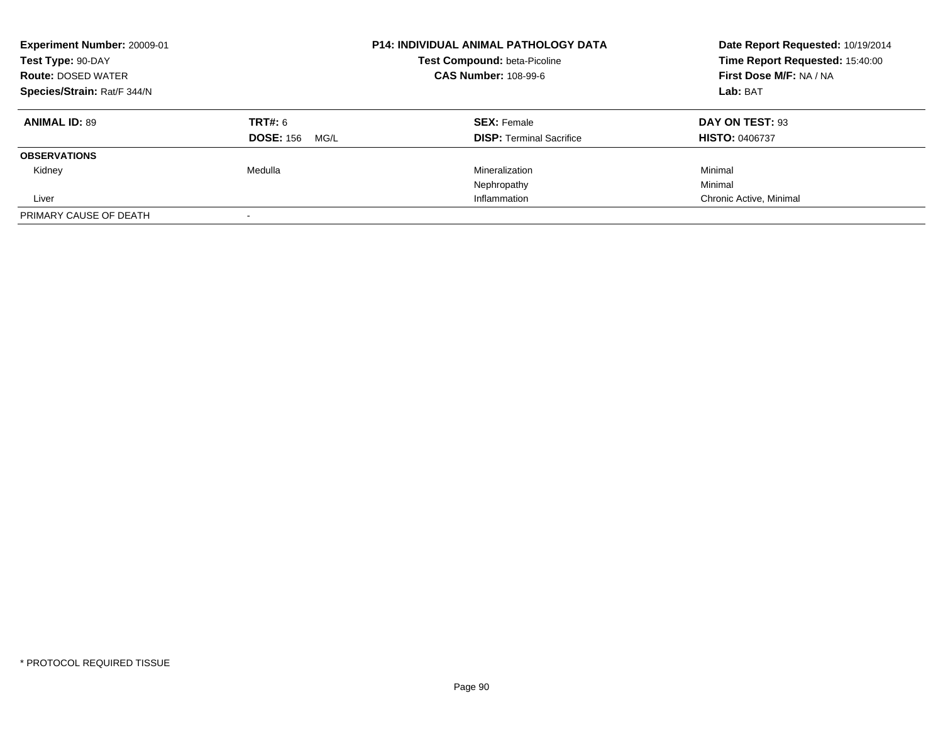| Experiment Number: 20009-01<br>Test Type: 90-DAY<br><b>Route: DOSED WATER</b><br>Species/Strain: Rat/F 344/N |                          | <b>P14: INDIVIDUAL ANIMAL PATHOLOGY DATA</b><br>Test Compound: beta-Picoline<br><b>CAS Number: 108-99-6</b> | Date Report Requested: 10/19/2014<br>Time Report Requested: 15:40:00<br>First Dose M/F: NA / NA<br>Lab: BAT |
|--------------------------------------------------------------------------------------------------------------|--------------------------|-------------------------------------------------------------------------------------------------------------|-------------------------------------------------------------------------------------------------------------|
| <b>ANIMAL ID: 89</b>                                                                                         | TRT#: 6                  | <b>SEX: Female</b>                                                                                          | DAY ON TEST: 93                                                                                             |
|                                                                                                              | <b>DOSE: 156</b><br>MG/L | <b>DISP:</b> Terminal Sacrifice                                                                             | <b>HISTO: 0406737</b>                                                                                       |
| <b>OBSERVATIONS</b>                                                                                          |                          |                                                                                                             |                                                                                                             |
| Kidney                                                                                                       | Medulla                  | Mineralization                                                                                              | Minimal                                                                                                     |
|                                                                                                              |                          | Nephropathy                                                                                                 | Minimal                                                                                                     |
| Liver                                                                                                        |                          | Inflammation                                                                                                | Chronic Active, Minimal                                                                                     |
| PRIMARY CAUSE OF DEATH                                                                                       |                          |                                                                                                             |                                                                                                             |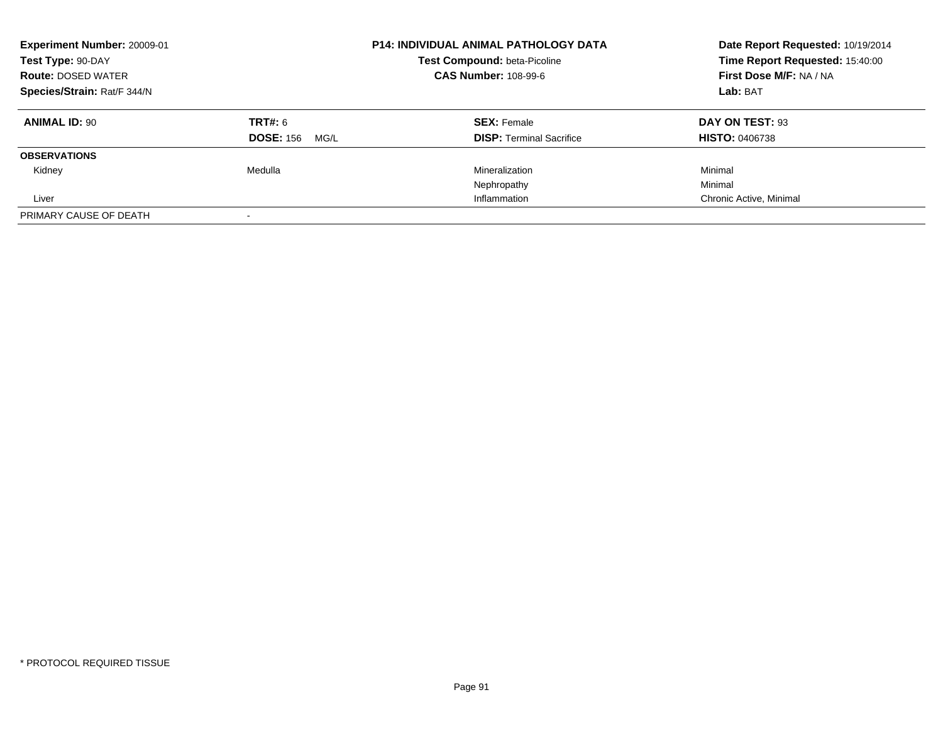| Experiment Number: 20009-01<br>Test Type: 90-DAY<br><b>Route: DOSED WATER</b><br>Species/Strain: Rat/F 344/N |                          | <b>P14: INDIVIDUAL ANIMAL PATHOLOGY DATA</b><br>Test Compound: beta-Picoline<br><b>CAS Number: 108-99-6</b> | Date Report Requested: 10/19/2014<br>Time Report Requested: 15:40:00<br>First Dose M/F: NA / NA<br>Lab: BAT |
|--------------------------------------------------------------------------------------------------------------|--------------------------|-------------------------------------------------------------------------------------------------------------|-------------------------------------------------------------------------------------------------------------|
| <b>ANIMAL ID: 90</b>                                                                                         | TRT#: 6                  | <b>SEX: Female</b>                                                                                          | DAY ON TEST: 93                                                                                             |
|                                                                                                              | <b>DOSE: 156</b><br>MG/L | <b>DISP:</b> Terminal Sacrifice                                                                             | <b>HISTO: 0406738</b>                                                                                       |
| <b>OBSERVATIONS</b>                                                                                          |                          |                                                                                                             |                                                                                                             |
| Kidney                                                                                                       | Medulla                  | Mineralization                                                                                              | Minimal                                                                                                     |
|                                                                                                              |                          | Nephropathy                                                                                                 | Minimal                                                                                                     |
| Liver                                                                                                        |                          | Inflammation                                                                                                | Chronic Active, Minimal                                                                                     |
| PRIMARY CAUSE OF DEATH                                                                                       |                          |                                                                                                             |                                                                                                             |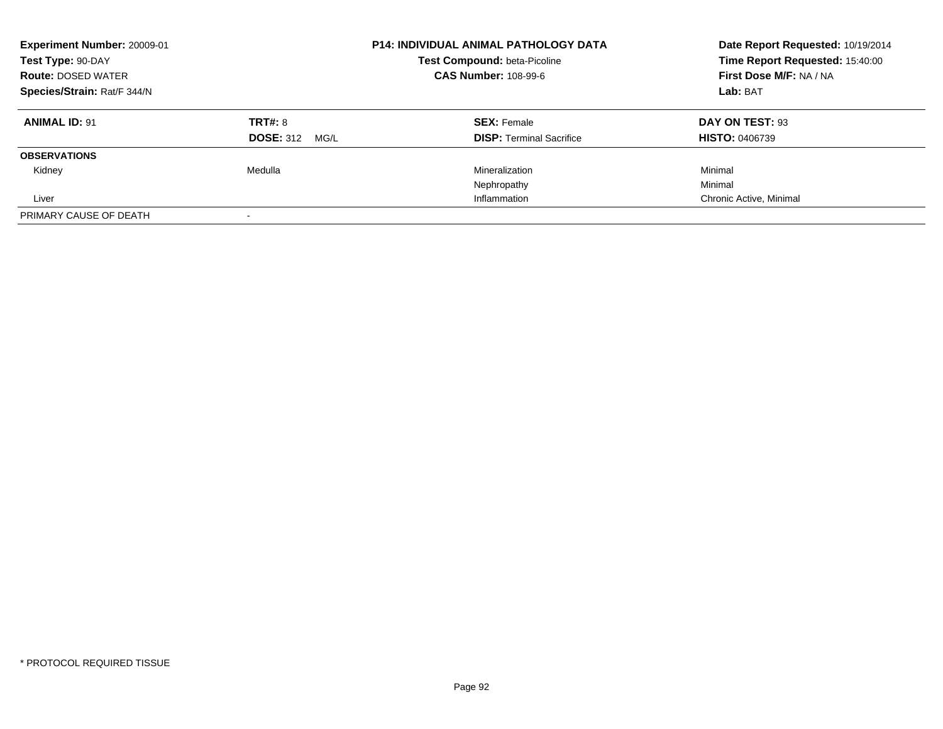| <b>Experiment Number: 20009-01</b><br>Test Type: 90-DAY<br><b>Route: DOSED WATER</b><br>Species/Strain: Rat/F 344/N |                          | <b>P14: INDIVIDUAL ANIMAL PATHOLOGY DATA</b><br>Test Compound: beta-Picoline<br><b>CAS Number: 108-99-6</b> | Date Report Requested: 10/19/2014<br>Time Report Requested: 15:40:00<br>First Dose M/F: NA / NA<br>Lab: BAT |
|---------------------------------------------------------------------------------------------------------------------|--------------------------|-------------------------------------------------------------------------------------------------------------|-------------------------------------------------------------------------------------------------------------|
| <b>ANIMAL ID: 91</b>                                                                                                | TRT#: 8                  | <b>SEX: Female</b>                                                                                          | DAY ON TEST: 93                                                                                             |
|                                                                                                                     | <b>DOSE: 312</b><br>MG/L | <b>DISP:</b> Terminal Sacrifice                                                                             | <b>HISTO: 0406739</b>                                                                                       |
| <b>OBSERVATIONS</b>                                                                                                 |                          |                                                                                                             |                                                                                                             |
| Kidney                                                                                                              | Medulla                  | Mineralization                                                                                              | Minimal                                                                                                     |
|                                                                                                                     |                          | Nephropathy                                                                                                 | Minimal                                                                                                     |
| Liver                                                                                                               |                          | Inflammation                                                                                                | Chronic Active, Minimal                                                                                     |
| PRIMARY CAUSE OF DEATH                                                                                              |                          |                                                                                                             |                                                                                                             |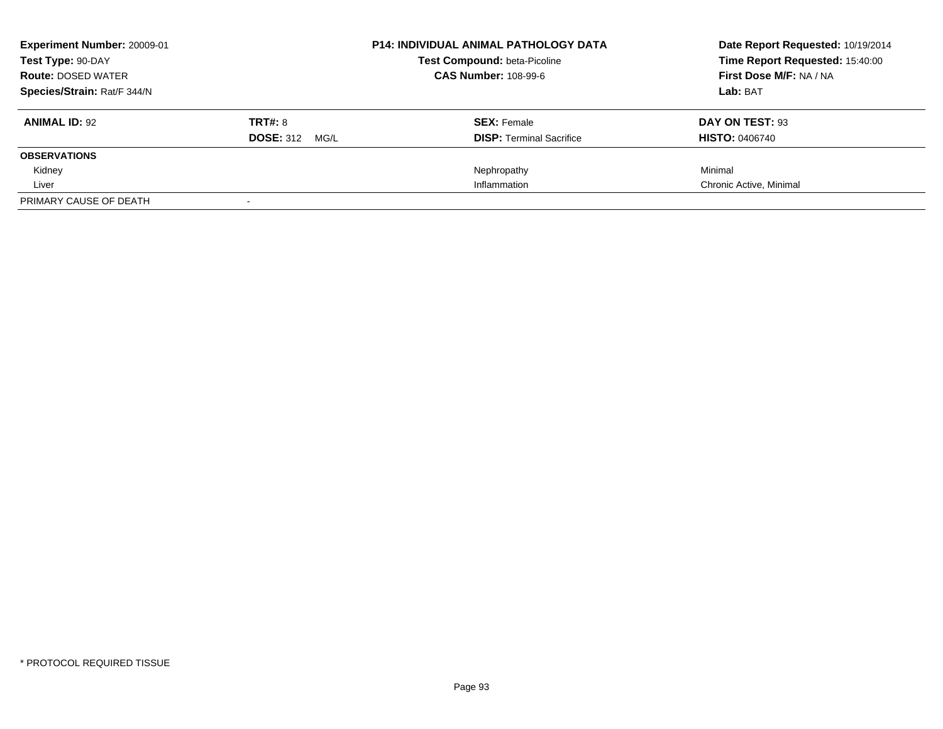| <b>Experiment Number: 20009-01</b> |                       | <b>P14: INDIVIDUAL ANIMAL PATHOLOGY DATA</b> | Date Report Requested: 10/19/2014 |
|------------------------------------|-----------------------|----------------------------------------------|-----------------------------------|
| Test Type: 90-DAY                  |                       | <b>Test Compound: beta-Picoline</b>          | Time Report Requested: 15:40:00   |
| <b>Route: DOSED WATER</b>          |                       | <b>CAS Number: 108-99-6</b>                  | First Dose M/F: NA / NA           |
| Species/Strain: Rat/F 344/N        |                       |                                              | Lab: BAT                          |
| <b>ANIMAL ID: 92</b>               | TRT#: 8               | <b>SEX: Female</b>                           | DAY ON TEST: 93                   |
|                                    | <b>DOSE: 312 MG/L</b> | <b>DISP:</b> Terminal Sacrifice              | <b>HISTO: 0406740</b>             |
| <b>OBSERVATIONS</b>                |                       |                                              |                                   |
| Kidney                             |                       | Nephropathy                                  | Minimal                           |
| Liver                              |                       | Inflammation                                 | Chronic Active, Minimal           |
| PRIMARY CAUSE OF DEATH             |                       |                                              |                                   |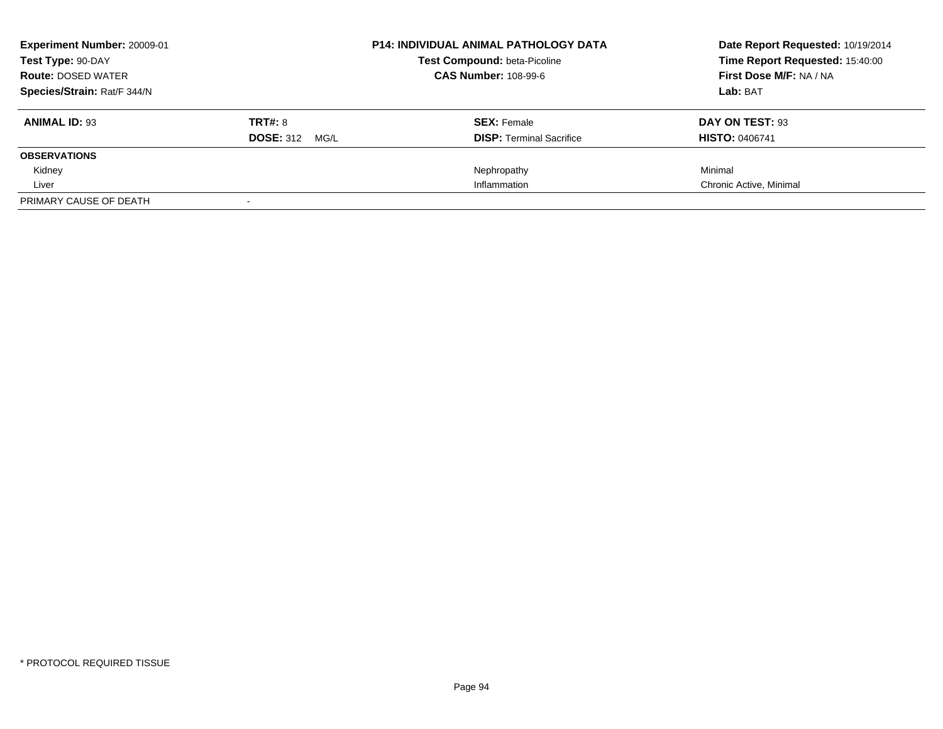| Experiment Number: 20009-01 |                          | <b>P14: INDIVIDUAL ANIMAL PATHOLOGY DATA</b> | Date Report Requested: 10/19/2014 |
|-----------------------------|--------------------------|----------------------------------------------|-----------------------------------|
| Test Type: 90-DAY           |                          | <b>Test Compound: beta-Picoline</b>          | Time Report Requested: 15:40:00   |
| <b>Route: DOSED WATER</b>   |                          | <b>CAS Number: 108-99-6</b>                  | First Dose M/F: NA / NA           |
| Species/Strain: Rat/F 344/N |                          |                                              | Lab: BAT                          |
| <b>ANIMAL ID: 93</b>        | <b>TRT#: 8</b>           | <b>SEX: Female</b>                           | DAY ON TEST: 93                   |
|                             | <b>DOSE: 312</b><br>MG/L | <b>DISP:</b> Terminal Sacrifice              | <b>HISTO: 0406741</b>             |
| <b>OBSERVATIONS</b>         |                          |                                              |                                   |
| Kidney                      |                          | Nephropathy                                  | Minimal                           |
| Liver                       |                          | Inflammation                                 | Chronic Active, Minimal           |
| PRIMARY CAUSE OF DEATH      |                          |                                              |                                   |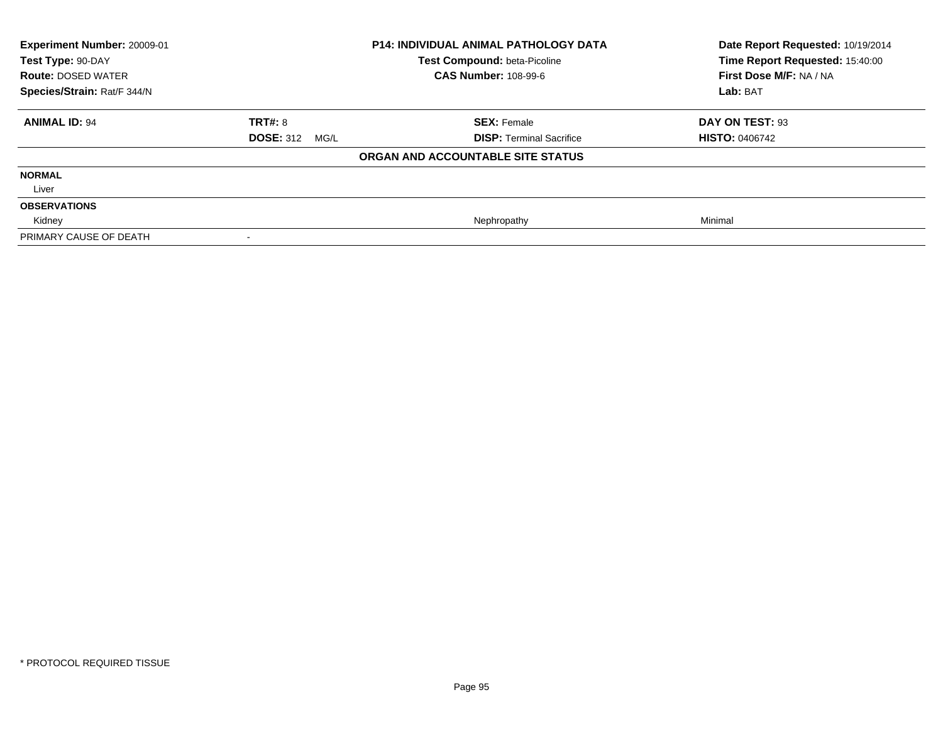| <b>Experiment Number: 20009-01</b><br>Test Type: 90-DAY<br><b>Route: DOSED WATER</b> |                          | <b>P14: INDIVIDUAL ANIMAL PATHOLOGY DATA</b><br>Test Compound: beta-Picoline<br><b>CAS Number: 108-99-6</b> | Date Report Requested: 10/19/2014<br>Time Report Requested: 15:40:00<br>First Dose M/F: NA / NA |
|--------------------------------------------------------------------------------------|--------------------------|-------------------------------------------------------------------------------------------------------------|-------------------------------------------------------------------------------------------------|
| Species/Strain: Rat/F 344/N                                                          |                          |                                                                                                             | Lab: BAT                                                                                        |
| <b>ANIMAL ID: 94</b>                                                                 | <b>TRT#: 8</b>           | <b>SEX: Female</b>                                                                                          | DAY ON TEST: 93                                                                                 |
|                                                                                      | <b>DOSE: 312</b><br>MG/L | <b>DISP: Terminal Sacrifice</b>                                                                             | <b>HISTO: 0406742</b>                                                                           |
|                                                                                      |                          | ORGAN AND ACCOUNTABLE SITE STATUS                                                                           |                                                                                                 |
| <b>NORMAL</b>                                                                        |                          |                                                                                                             |                                                                                                 |
| Liver                                                                                |                          |                                                                                                             |                                                                                                 |
| <b>OBSERVATIONS</b>                                                                  |                          |                                                                                                             |                                                                                                 |
| Kidney                                                                               |                          | Nephropathy                                                                                                 | Minimal                                                                                         |
| PRIMARY CAUSE OF DEATH                                                               |                          |                                                                                                             |                                                                                                 |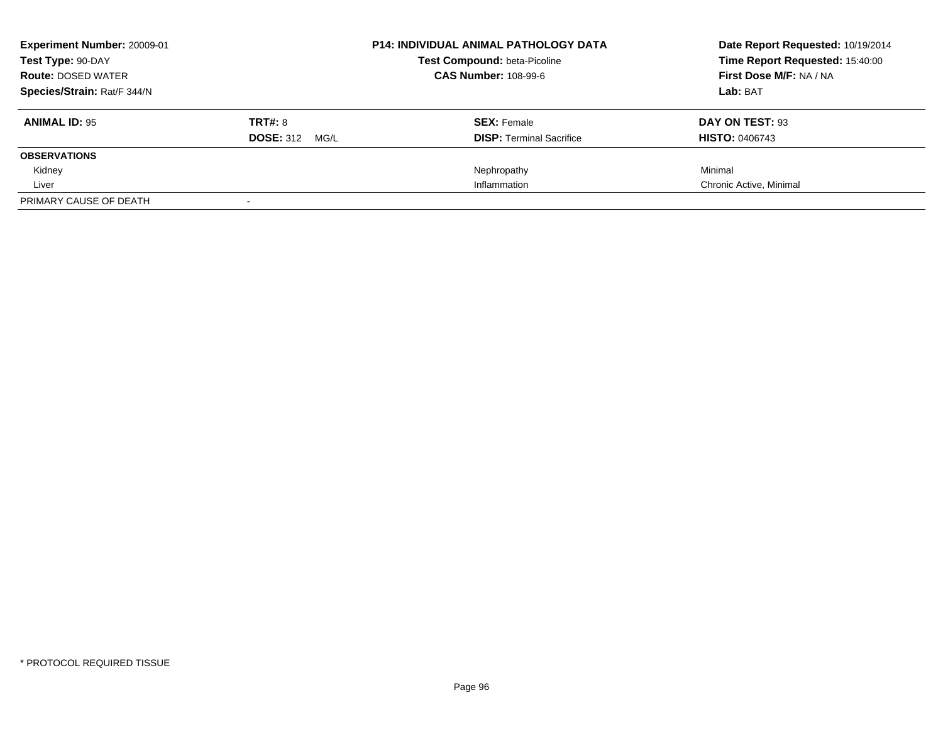| <b>Experiment Number: 20009-01</b> |                       | <b>P14: INDIVIDUAL ANIMAL PATHOLOGY DATA</b> | Date Report Requested: 10/19/2014 |
|------------------------------------|-----------------------|----------------------------------------------|-----------------------------------|
| Test Type: 90-DAY                  |                       | <b>Test Compound: beta-Picoline</b>          | Time Report Requested: 15:40:00   |
| <b>Route: DOSED WATER</b>          |                       | <b>CAS Number: 108-99-6</b>                  | First Dose M/F: NA / NA           |
| Species/Strain: Rat/F 344/N        |                       |                                              | Lab: BAT                          |
| <b>ANIMAL ID: 95</b>               | TRT#: 8               | <b>SEX: Female</b>                           | DAY ON TEST: 93                   |
|                                    | <b>DOSE: 312 MG/L</b> | <b>DISP:</b> Terminal Sacrifice              | <b>HISTO: 0406743</b>             |
| <b>OBSERVATIONS</b>                |                       |                                              |                                   |
| Kidney                             |                       | Nephropathy                                  | Minimal                           |
| Liver                              |                       | Inflammation                                 | Chronic Active, Minimal           |
| PRIMARY CAUSE OF DEATH             |                       |                                              |                                   |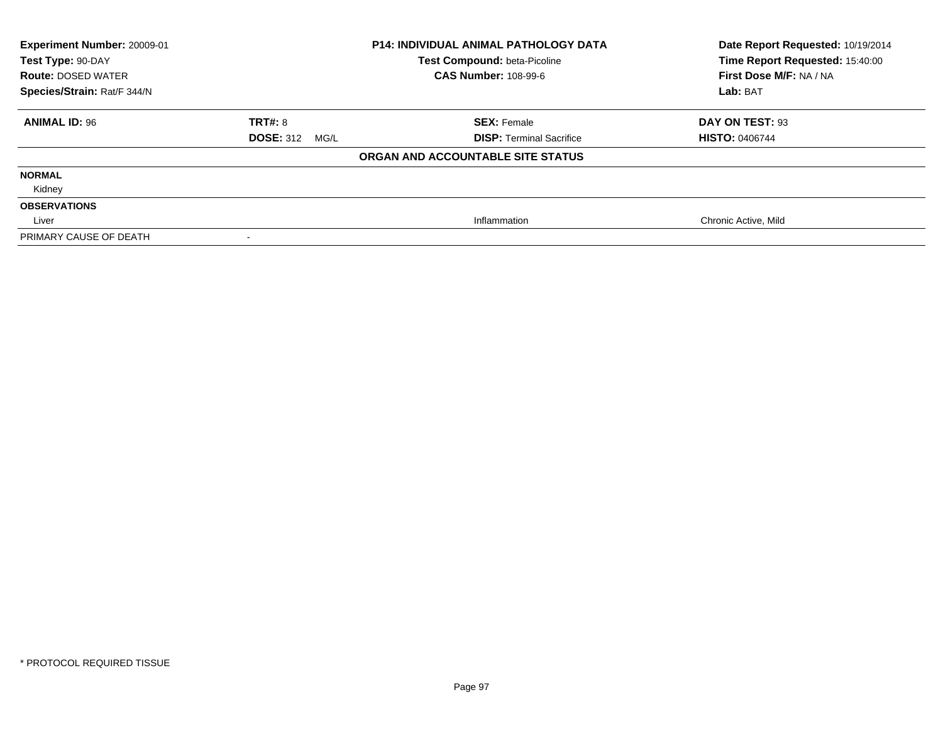| <b>Experiment Number: 20009-01</b><br>Test Type: 90-DAY<br><b>Route: DOSED WATER</b> |                          | <b>P14: INDIVIDUAL ANIMAL PATHOLOGY DATA</b><br>Test Compound: beta-Picoline<br><b>CAS Number: 108-99-6</b> | Date Report Requested: 10/19/2014<br>Time Report Requested: 15:40:00<br>First Dose M/F: NA / NA |
|--------------------------------------------------------------------------------------|--------------------------|-------------------------------------------------------------------------------------------------------------|-------------------------------------------------------------------------------------------------|
| Species/Strain: Rat/F 344/N                                                          |                          |                                                                                                             | Lab: BAT                                                                                        |
| <b>ANIMAL ID: 96</b>                                                                 | <b>TRT#: 8</b>           | <b>SEX: Female</b>                                                                                          | DAY ON TEST: 93                                                                                 |
|                                                                                      | <b>DOSE: 312</b><br>MG/L | <b>DISP: Terminal Sacrifice</b>                                                                             | <b>HISTO: 0406744</b>                                                                           |
|                                                                                      |                          | ORGAN AND ACCOUNTABLE SITE STATUS                                                                           |                                                                                                 |
| <b>NORMAL</b>                                                                        |                          |                                                                                                             |                                                                                                 |
| Kidney                                                                               |                          |                                                                                                             |                                                                                                 |
| <b>OBSERVATIONS</b>                                                                  |                          |                                                                                                             |                                                                                                 |
| Liver                                                                                |                          | Inflammation                                                                                                | Chronic Active, Mild                                                                            |
| PRIMARY CAUSE OF DEATH                                                               |                          |                                                                                                             |                                                                                                 |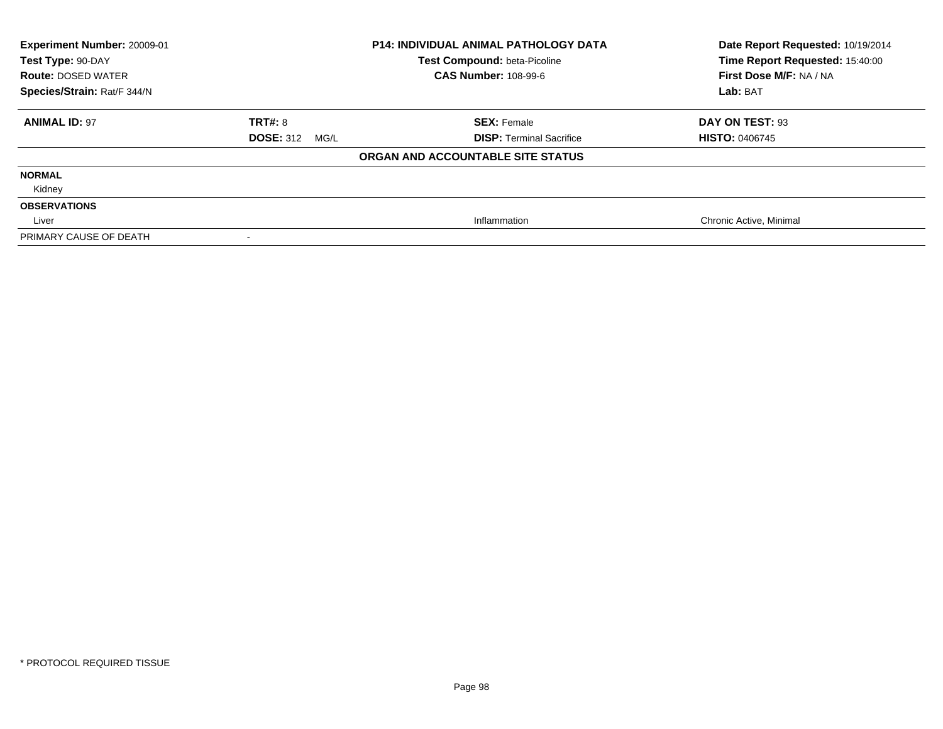| Experiment Number: 20009-01<br>Test Type: 90-DAY<br><b>Route: DOSED WATER</b><br>Species/Strain: Rat/F 344/N |                          | <b>P14: INDIVIDUAL ANIMAL PATHOLOGY DATA</b><br>Test Compound: beta-Picoline<br><b>CAS Number: 108-99-6</b> | Date Report Requested: 10/19/2014<br>Time Report Requested: 15:40:00<br>First Dose M/F: NA / NA<br>Lab: BAT |
|--------------------------------------------------------------------------------------------------------------|--------------------------|-------------------------------------------------------------------------------------------------------------|-------------------------------------------------------------------------------------------------------------|
| <b>ANIMAL ID: 97</b>                                                                                         | TRT#: 8                  | <b>SEX: Female</b>                                                                                          | DAY ON TEST: 93                                                                                             |
|                                                                                                              | <b>DOSE: 312</b><br>MG/L | <b>DISP: Terminal Sacrifice</b>                                                                             | <b>HISTO: 0406745</b>                                                                                       |
|                                                                                                              |                          | ORGAN AND ACCOUNTABLE SITE STATUS                                                                           |                                                                                                             |
| <b>NORMAL</b>                                                                                                |                          |                                                                                                             |                                                                                                             |
| Kidney                                                                                                       |                          |                                                                                                             |                                                                                                             |
| <b>OBSERVATIONS</b>                                                                                          |                          |                                                                                                             |                                                                                                             |
| Liver                                                                                                        |                          | Inflammation                                                                                                | Chronic Active, Minimal                                                                                     |
| PRIMARY CAUSE OF DEATH                                                                                       |                          |                                                                                                             |                                                                                                             |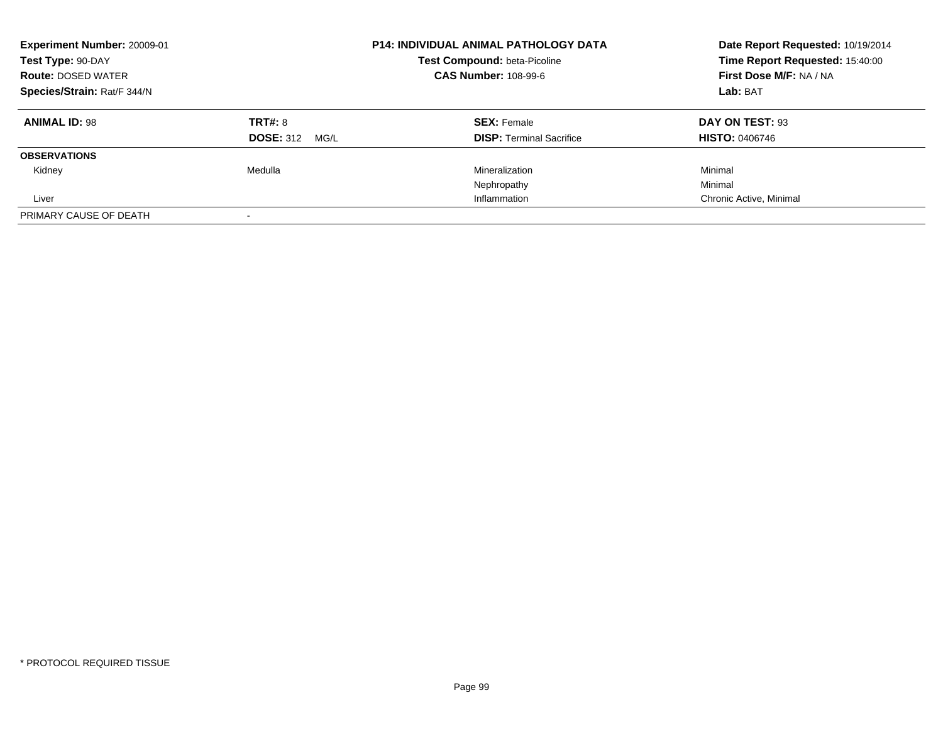| Experiment Number: 20009-01<br>Test Type: 90-DAY<br><b>Route: DOSED WATER</b><br>Species/Strain: Rat/F 344/N |                                     | <b>P14: INDIVIDUAL ANIMAL PATHOLOGY DATA</b><br>Test Compound: beta-Picoline<br><b>CAS Number: 108-99-6</b> | Date Report Requested: 10/19/2014<br>Time Report Requested: 15:40:00<br>First Dose M/F: NA / NA<br>Lab: BAT |
|--------------------------------------------------------------------------------------------------------------|-------------------------------------|-------------------------------------------------------------------------------------------------------------|-------------------------------------------------------------------------------------------------------------|
| <b>ANIMAL ID: 98</b>                                                                                         | TRT#: 8<br><b>DOSE: 312</b><br>MG/L | <b>SEX: Female</b><br><b>DISP: Terminal Sacrifice</b>                                                       | DAY ON TEST: 93<br><b>HISTO: 0406746</b>                                                                    |
| <b>OBSERVATIONS</b>                                                                                          |                                     |                                                                                                             |                                                                                                             |
| Kidney                                                                                                       | Medulla                             | Mineralization                                                                                              | Minimal                                                                                                     |
|                                                                                                              |                                     | Nephropathy                                                                                                 | Minimal                                                                                                     |
| Liver                                                                                                        |                                     | Inflammation                                                                                                | Chronic Active, Minimal                                                                                     |
| PRIMARY CAUSE OF DEATH                                                                                       |                                     |                                                                                                             |                                                                                                             |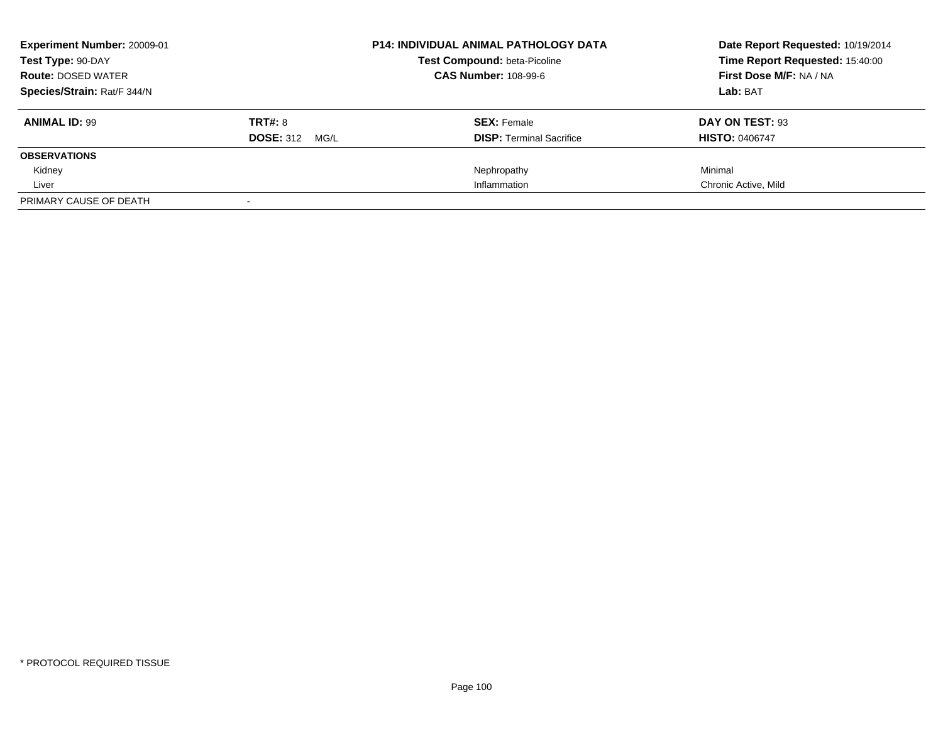| Experiment Number: 20009-01 |                       | <b>P14: INDIVIDUAL ANIMAL PATHOLOGY DATA</b> | Date Report Requested: 10/19/2014<br>Time Report Requested: 15:40:00 |
|-----------------------------|-----------------------|----------------------------------------------|----------------------------------------------------------------------|
| Test Type: 90-DAY           |                       | <b>Test Compound: beta-Picoline</b>          |                                                                      |
| <b>Route: DOSED WATER</b>   |                       | <b>CAS Number: 108-99-6</b>                  | First Dose M/F: NA / NA                                              |
| Species/Strain: Rat/F 344/N |                       |                                              | Lab: BAT                                                             |
| <b>ANIMAL ID: 99</b>        | <b>TRT#: 8</b>        | <b>SEX: Female</b>                           | DAY ON TEST: 93                                                      |
|                             | <b>DOSE: 312 MG/L</b> | <b>DISP:</b> Terminal Sacrifice              | <b>HISTO: 0406747</b>                                                |
| <b>OBSERVATIONS</b>         |                       |                                              |                                                                      |
| Kidney                      |                       | Nephropathy                                  | Minimal                                                              |
| Liver                       |                       | Inflammation                                 | Chronic Active, Mild                                                 |
| PRIMARY CAUSE OF DEATH      |                       |                                              |                                                                      |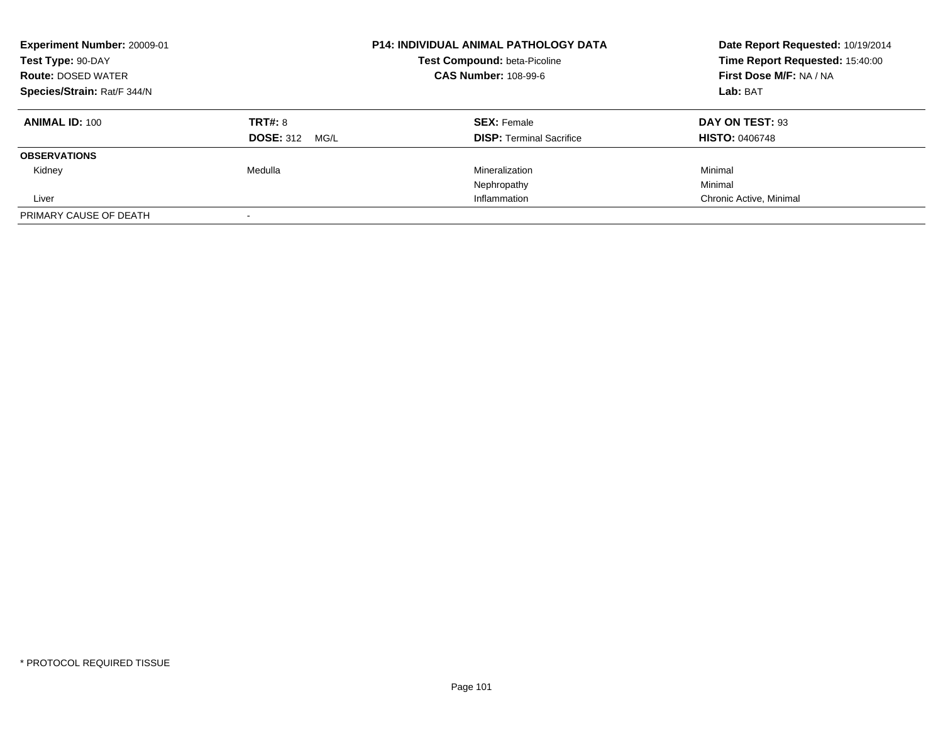| <b>Experiment Number: 20009-01</b><br>Test Type: 90-DAY<br><b>Route: DOSED WATER</b> |                          | <b>P14: INDIVIDUAL ANIMAL PATHOLOGY DATA</b><br>Test Compound: beta-Picoline<br><b>CAS Number: 108-99-6</b> | Date Report Requested: 10/19/2014<br>Time Report Requested: 15:40:00<br>First Dose M/F: NA / NA |
|--------------------------------------------------------------------------------------|--------------------------|-------------------------------------------------------------------------------------------------------------|-------------------------------------------------------------------------------------------------|
| Species/Strain: Rat/F 344/N                                                          |                          |                                                                                                             | Lab: BAT                                                                                        |
| <b>ANIMAL ID: 100</b>                                                                | TRT#: 8                  | <b>SEX: Female</b>                                                                                          | DAY ON TEST: 93                                                                                 |
|                                                                                      | <b>DOSE: 312</b><br>MG/L | <b>DISP:</b> Terminal Sacrifice                                                                             | <b>HISTO: 0406748</b>                                                                           |
| <b>OBSERVATIONS</b>                                                                  |                          |                                                                                                             |                                                                                                 |
| Kidney                                                                               | Medulla                  | Mineralization                                                                                              | Minimal                                                                                         |
|                                                                                      |                          | Nephropathy                                                                                                 | Minimal                                                                                         |
| Liver                                                                                |                          | Inflammation                                                                                                | Chronic Active, Minimal                                                                         |
| PRIMARY CAUSE OF DEATH                                                               |                          |                                                                                                             |                                                                                                 |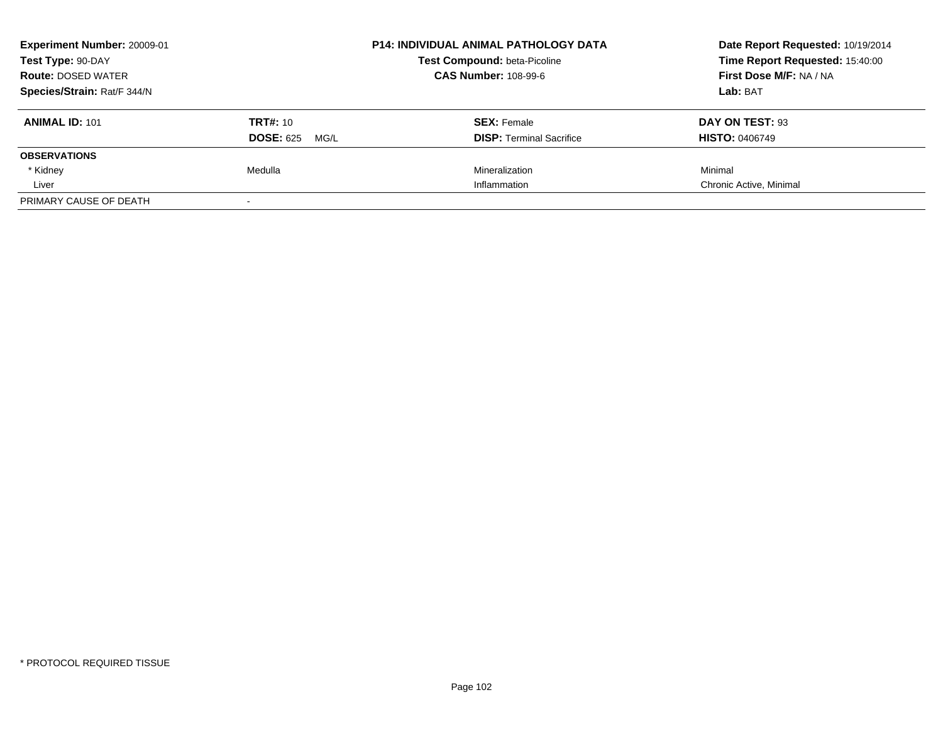| Experiment Number: 20009-01 |                          | <b>P14: INDIVIDUAL ANIMAL PATHOLOGY DATA</b> | Date Report Requested: 10/19/2014 |
|-----------------------------|--------------------------|----------------------------------------------|-----------------------------------|
| Test Type: 90-DAY           |                          | <b>Test Compound: beta-Picoline</b>          | Time Report Requested: 15:40:00   |
| <b>Route: DOSED WATER</b>   |                          | <b>CAS Number: 108-99-6</b>                  | <b>First Dose M/F: NA / NA</b>    |
| Species/Strain: Rat/F 344/N |                          |                                              | Lab: BAT                          |
| <b>ANIMAL ID: 101</b>       | <b>TRT#: 10</b>          | <b>SEX: Female</b>                           | DAY ON TEST: 93                   |
|                             | <b>DOSE: 625</b><br>MG/L | <b>DISP:</b> Terminal Sacrifice              | <b>HISTO: 0406749</b>             |
| <b>OBSERVATIONS</b>         |                          |                                              |                                   |
| * Kidney                    | Medulla                  | Mineralization                               | Minimal                           |
| Liver                       |                          | Inflammation                                 | Chronic Active, Minimal           |
| PRIMARY CAUSE OF DEATH      |                          |                                              |                                   |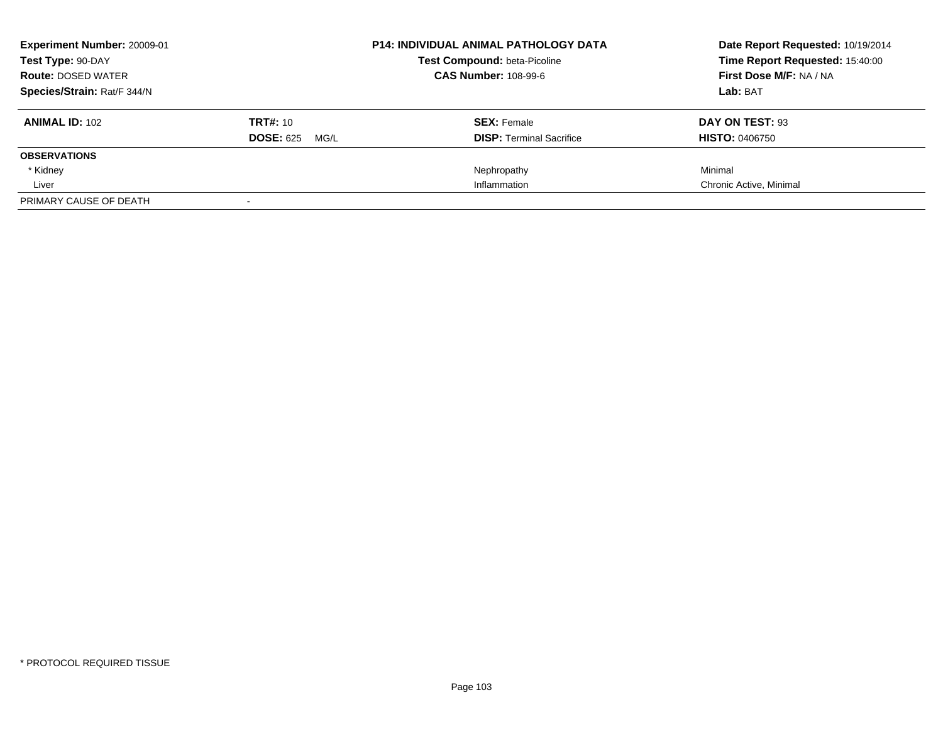| <b>Experiment Number: 20009-01</b> |                          | <b>P14: INDIVIDUAL ANIMAL PATHOLOGY DATA</b> | Date Report Requested: 10/19/2014 |
|------------------------------------|--------------------------|----------------------------------------------|-----------------------------------|
| Test Type: 90-DAY                  |                          | <b>Test Compound: beta-Picoline</b>          | Time Report Requested: 15:40:00   |
| <b>Route: DOSED WATER</b>          |                          | <b>CAS Number: 108-99-6</b>                  | First Dose M/F: NA / NA           |
| Species/Strain: Rat/F 344/N        |                          |                                              | Lab: BAT                          |
| <b>ANIMAL ID: 102</b>              | <b>TRT#: 10</b>          | <b>SEX: Female</b>                           | DAY ON TEST: 93                   |
|                                    | <b>DOSE: 625</b><br>MG/L | <b>DISP:</b> Terminal Sacrifice              | <b>HISTO: 0406750</b>             |
| <b>OBSERVATIONS</b>                |                          |                                              |                                   |
| * Kidney                           |                          | Nephropathy                                  | Minimal                           |
| Liver                              |                          | Inflammation                                 | Chronic Active, Minimal           |
| PRIMARY CAUSE OF DEATH             |                          |                                              |                                   |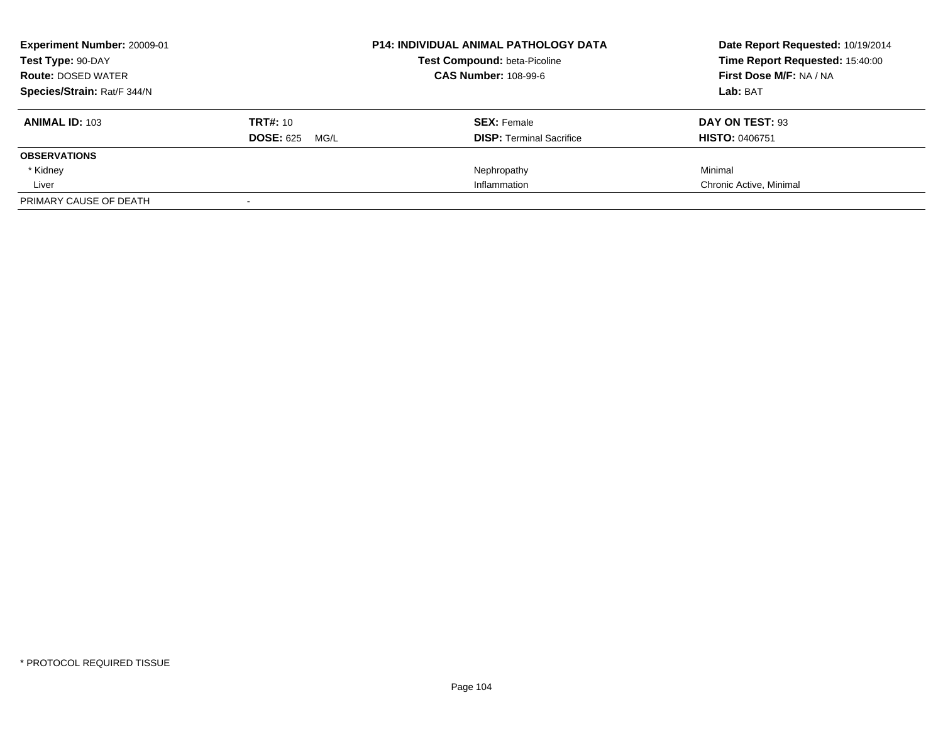| <b>Experiment Number: 20009-01</b> |                          | <b>P14: INDIVIDUAL ANIMAL PATHOLOGY DATA</b> | Date Report Requested: 10/19/2014 |
|------------------------------------|--------------------------|----------------------------------------------|-----------------------------------|
| Test Type: 90-DAY                  |                          | <b>Test Compound: beta-Picoline</b>          | Time Report Requested: 15:40:00   |
| <b>Route: DOSED WATER</b>          |                          | <b>CAS Number: 108-99-6</b>                  | First Dose M/F: NA / NA           |
| Species/Strain: Rat/F 344/N        |                          |                                              | Lab: BAT                          |
| <b>ANIMAL ID: 103</b>              | <b>TRT#: 10</b>          | <b>SEX: Female</b>                           | DAY ON TEST: 93                   |
|                                    | <b>DOSE: 625</b><br>MG/L | <b>DISP:</b> Terminal Sacrifice              | <b>HISTO: 0406751</b>             |
| <b>OBSERVATIONS</b>                |                          |                                              |                                   |
| * Kidney                           |                          | Nephropathy                                  | Minimal                           |
| Liver                              |                          | Inflammation                                 | Chronic Active, Minimal           |
| PRIMARY CAUSE OF DEATH             |                          |                                              |                                   |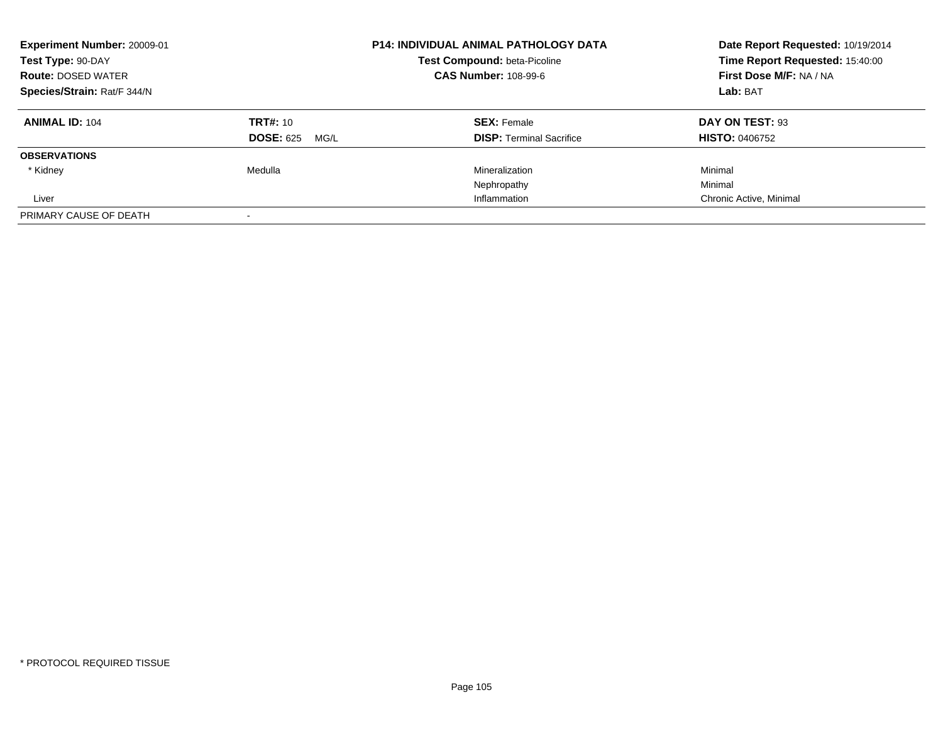| Experiment Number: 20009-01<br>Test Type: 90-DAY<br><b>Route: DOSED WATER</b><br>Species/Strain: Rat/F 344/N |                                             | <b>P14: INDIVIDUAL ANIMAL PATHOLOGY DATA</b><br>Test Compound: beta-Picoline<br><b>CAS Number: 108-99-6</b> | Date Report Requested: 10/19/2014<br>Time Report Requested: 15:40:00<br>First Dose M/F: NA / NA<br>Lab: BAT |
|--------------------------------------------------------------------------------------------------------------|---------------------------------------------|-------------------------------------------------------------------------------------------------------------|-------------------------------------------------------------------------------------------------------------|
| <b>ANIMAL ID: 104</b>                                                                                        | <b>TRT#: 10</b><br><b>DOSE: 625</b><br>MG/L | <b>SEX: Female</b><br><b>DISP: Terminal Sacrifice</b>                                                       | DAY ON TEST: 93<br><b>HISTO: 0406752</b>                                                                    |
| <b>OBSERVATIONS</b>                                                                                          |                                             |                                                                                                             |                                                                                                             |
| * Kidney                                                                                                     | Medulla                                     | Mineralization<br>Nephropathy                                                                               | Minimal<br>Minimal                                                                                          |
| Liver                                                                                                        |                                             | Inflammation                                                                                                | Chronic Active, Minimal                                                                                     |
| PRIMARY CAUSE OF DEATH                                                                                       |                                             |                                                                                                             |                                                                                                             |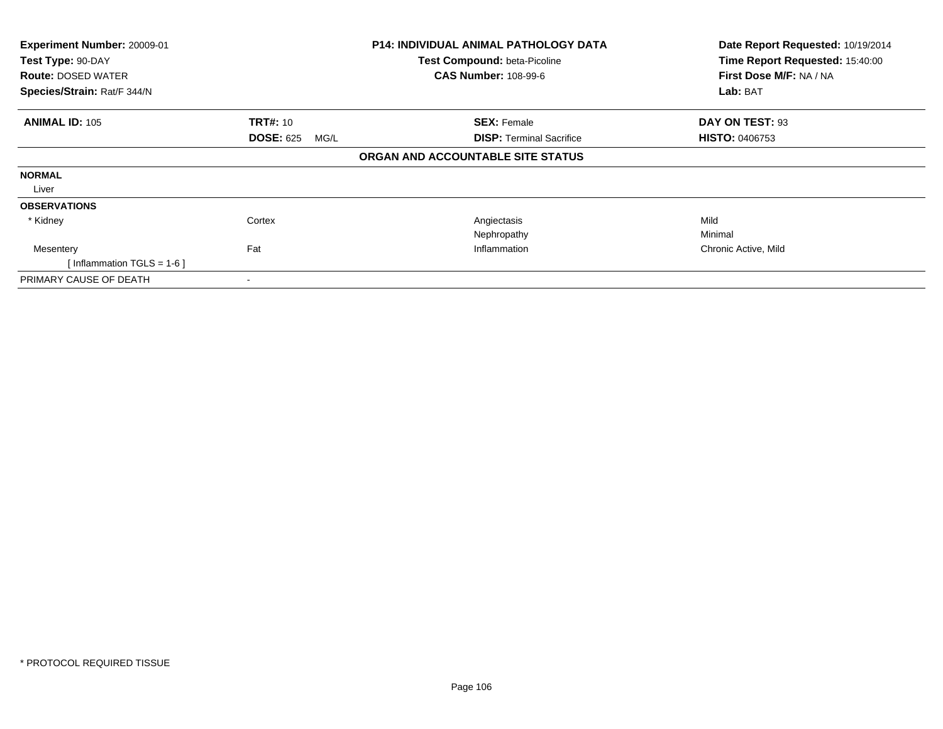| Experiment Number: 20009-01<br>Test Type: 90-DAY<br><b>Route: DOSED WATER</b> |                          | <b>P14: INDIVIDUAL ANIMAL PATHOLOGY DATA</b><br>Test Compound: beta-Picoline<br><b>CAS Number: 108-99-6</b> | Date Report Requested: 10/19/2014<br>Time Report Requested: 15:40:00<br>First Dose M/F: NA / NA |
|-------------------------------------------------------------------------------|--------------------------|-------------------------------------------------------------------------------------------------------------|-------------------------------------------------------------------------------------------------|
| Species/Strain: Rat/F 344/N                                                   |                          |                                                                                                             | Lab: BAT                                                                                        |
| <b>ANIMAL ID: 105</b>                                                         | <b>TRT#:</b> 10          | <b>SEX: Female</b>                                                                                          | DAY ON TEST: 93                                                                                 |
|                                                                               | <b>DOSE: 625</b><br>MG/L | <b>DISP: Terminal Sacrifice</b>                                                                             | <b>HISTO: 0406753</b>                                                                           |
|                                                                               |                          | ORGAN AND ACCOUNTABLE SITE STATUS                                                                           |                                                                                                 |
| <b>NORMAL</b>                                                                 |                          |                                                                                                             |                                                                                                 |
| Liver                                                                         |                          |                                                                                                             |                                                                                                 |
| <b>OBSERVATIONS</b>                                                           |                          |                                                                                                             |                                                                                                 |
| * Kidney                                                                      | Cortex                   | Angiectasis                                                                                                 | Mild                                                                                            |
|                                                                               |                          | Nephropathy                                                                                                 | Minimal                                                                                         |
| Mesentery                                                                     | Fat                      | Inflammation                                                                                                | Chronic Active, Mild                                                                            |
| [Inflammation TGLS = $1-6$ ]                                                  |                          |                                                                                                             |                                                                                                 |
| PRIMARY CAUSE OF DEATH                                                        |                          |                                                                                                             |                                                                                                 |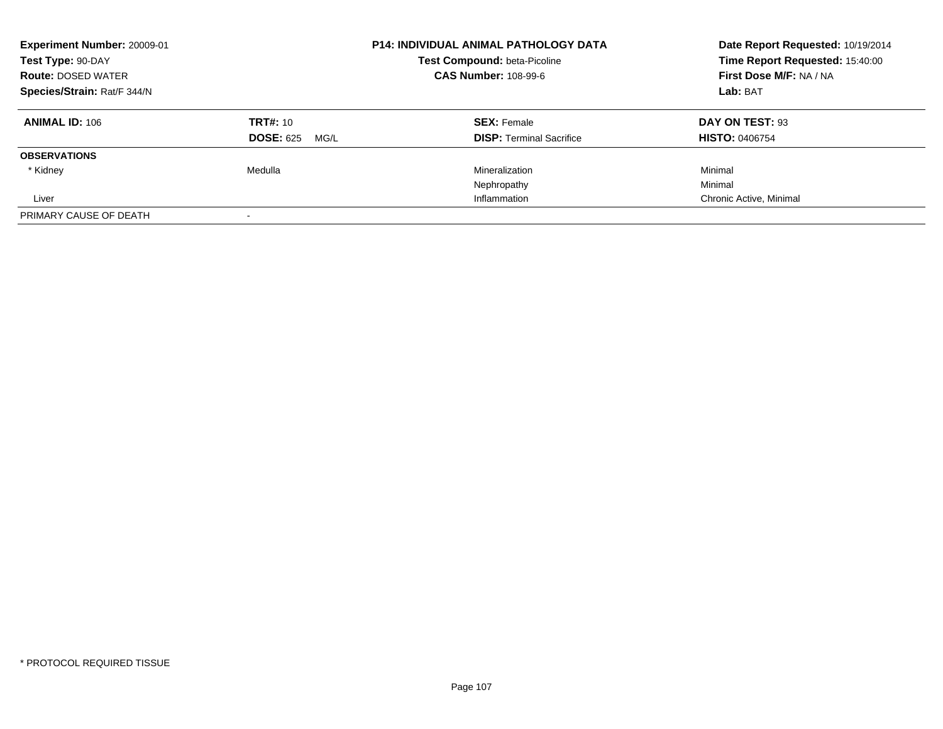| <b>Experiment Number: 20009-01</b><br>Test Type: 90-DAY<br><b>Route: DOSED WATER</b><br>Species/Strain: Rat/F 344/N |                          | <b>P14: INDIVIDUAL ANIMAL PATHOLOGY DATA</b><br><b>Test Compound: beta-Picoline</b><br><b>CAS Number: 108-99-6</b> | Date Report Requested: 10/19/2014<br>Time Report Requested: 15:40:00<br>First Dose M/F: NA / NA<br>Lab: BAT |
|---------------------------------------------------------------------------------------------------------------------|--------------------------|--------------------------------------------------------------------------------------------------------------------|-------------------------------------------------------------------------------------------------------------|
|                                                                                                                     |                          |                                                                                                                    |                                                                                                             |
| <b>ANIMAL ID: 106</b>                                                                                               | <b>TRT#: 10</b>          | <b>SEX: Female</b>                                                                                                 | DAY ON TEST: 93                                                                                             |
|                                                                                                                     | <b>DOSE: 625</b><br>MG/L | <b>DISP:</b> Terminal Sacrifice                                                                                    | <b>HISTO: 0406754</b>                                                                                       |
| <b>OBSERVATIONS</b>                                                                                                 |                          |                                                                                                                    |                                                                                                             |
| * Kidney                                                                                                            | Medulla                  | Mineralization                                                                                                     | Minimal                                                                                                     |
|                                                                                                                     |                          | Nephropathy                                                                                                        | Minimal                                                                                                     |
| Liver                                                                                                               |                          | Inflammation                                                                                                       | Chronic Active, Minimal                                                                                     |
| PRIMARY CAUSE OF DEATH                                                                                              |                          |                                                                                                                    |                                                                                                             |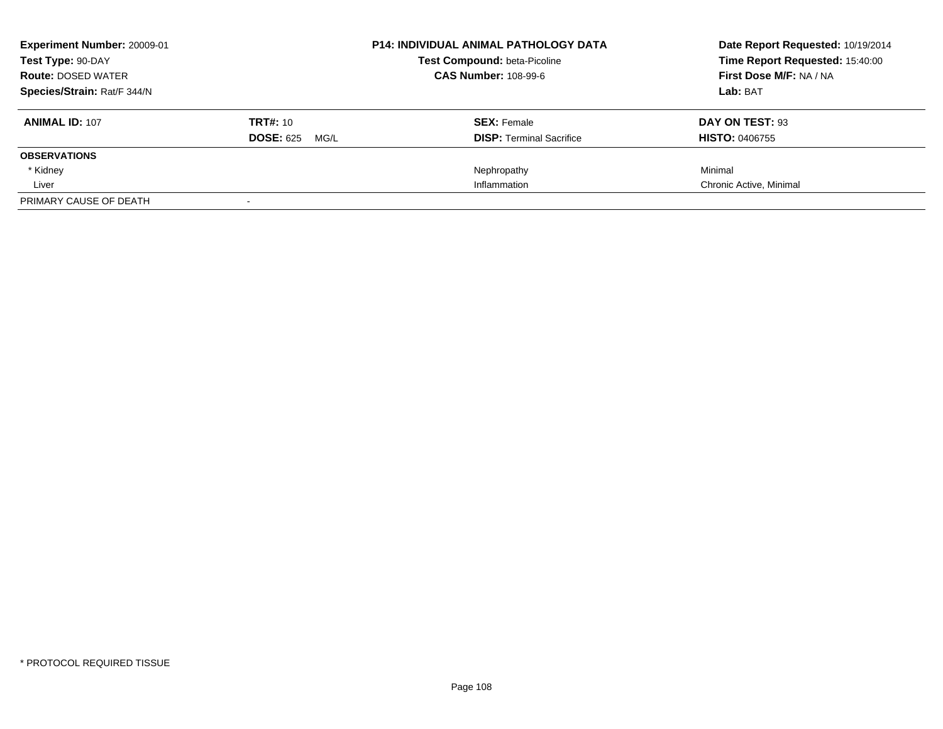| <b>Experiment Number: 20009-01</b> |                          | <b>P14: INDIVIDUAL ANIMAL PATHOLOGY DATA</b> | Date Report Requested: 10/19/2014 |
|------------------------------------|--------------------------|----------------------------------------------|-----------------------------------|
| Test Type: 90-DAY                  |                          | <b>Test Compound: beta-Picoline</b>          | Time Report Requested: 15:40:00   |
| <b>Route: DOSED WATER</b>          |                          | <b>CAS Number: 108-99-6</b>                  | First Dose M/F: NA / NA           |
| Species/Strain: Rat/F 344/N        |                          |                                              | Lab: BAT                          |
| <b>ANIMAL ID: 107</b>              | <b>TRT#: 10</b>          | <b>SEX: Female</b>                           | DAY ON TEST: 93                   |
|                                    | <b>DOSE: 625</b><br>MG/L | <b>DISP:</b> Terminal Sacrifice              | <b>HISTO: 0406755</b>             |
| <b>OBSERVATIONS</b>                |                          |                                              |                                   |
| * Kidney                           |                          | Nephropathy                                  | Minimal                           |
| Liver                              |                          | Inflammation                                 | Chronic Active, Minimal           |
| PRIMARY CAUSE OF DEATH             |                          |                                              |                                   |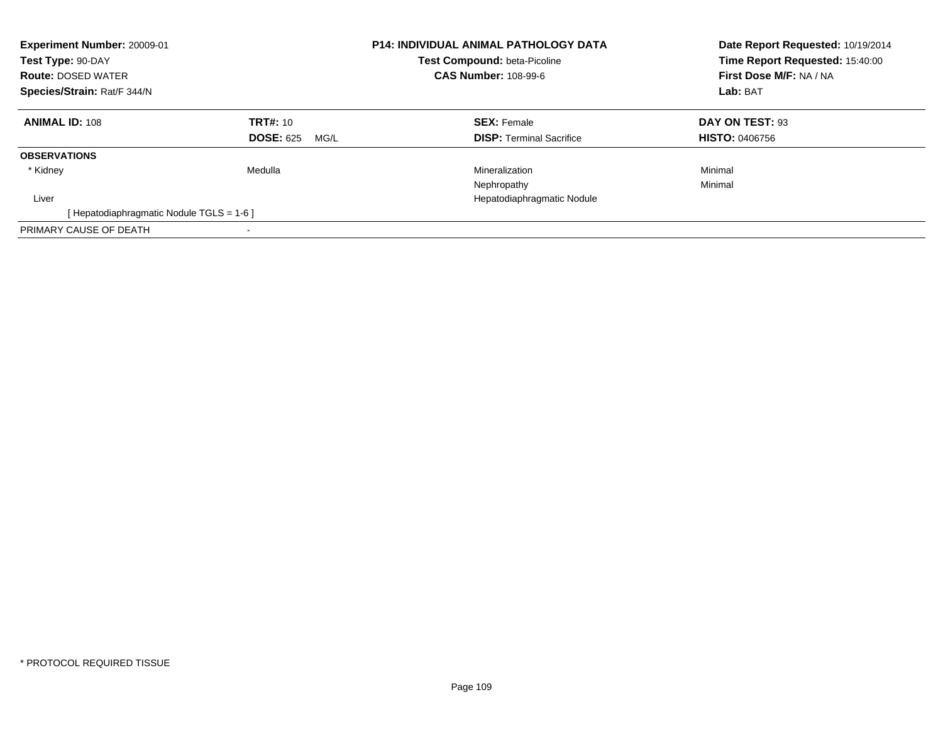| Experiment Number: 20009-01<br>Test Type: 90-DAY<br><b>Route: DOSED WATER</b><br>Species/Strain: Rat/F 344/N |                                             | <b>P14: INDIVIDUAL ANIMAL PATHOLOGY DATA</b><br>Test Compound: beta-Picoline<br><b>CAS Number: 108-99-6</b> | Date Report Requested: 10/19/2014<br>Time Report Requested: 15:40:00<br>First Dose M/F: NA / NA<br>Lab: BAT |
|--------------------------------------------------------------------------------------------------------------|---------------------------------------------|-------------------------------------------------------------------------------------------------------------|-------------------------------------------------------------------------------------------------------------|
| <b>ANIMAL ID: 108</b>                                                                                        | <b>TRT#: 10</b><br><b>DOSE: 625</b><br>MG/L | <b>SEX: Female</b><br><b>DISP:</b> Terminal Sacrifice                                                       | DAY ON TEST: 93<br><b>HISTO: 0406756</b>                                                                    |
| <b>OBSERVATIONS</b>                                                                                          |                                             |                                                                                                             |                                                                                                             |
| * Kidney                                                                                                     | Medulla                                     | Mineralization<br>Nephropathy                                                                               | Minimal<br>Minimal                                                                                          |
| Liver                                                                                                        |                                             | Hepatodiaphragmatic Nodule                                                                                  |                                                                                                             |
| [ Hepatodiaphragmatic Nodule TGLS = 1-6 ]                                                                    |                                             |                                                                                                             |                                                                                                             |
| PRIMARY CAUSE OF DEATH                                                                                       |                                             |                                                                                                             |                                                                                                             |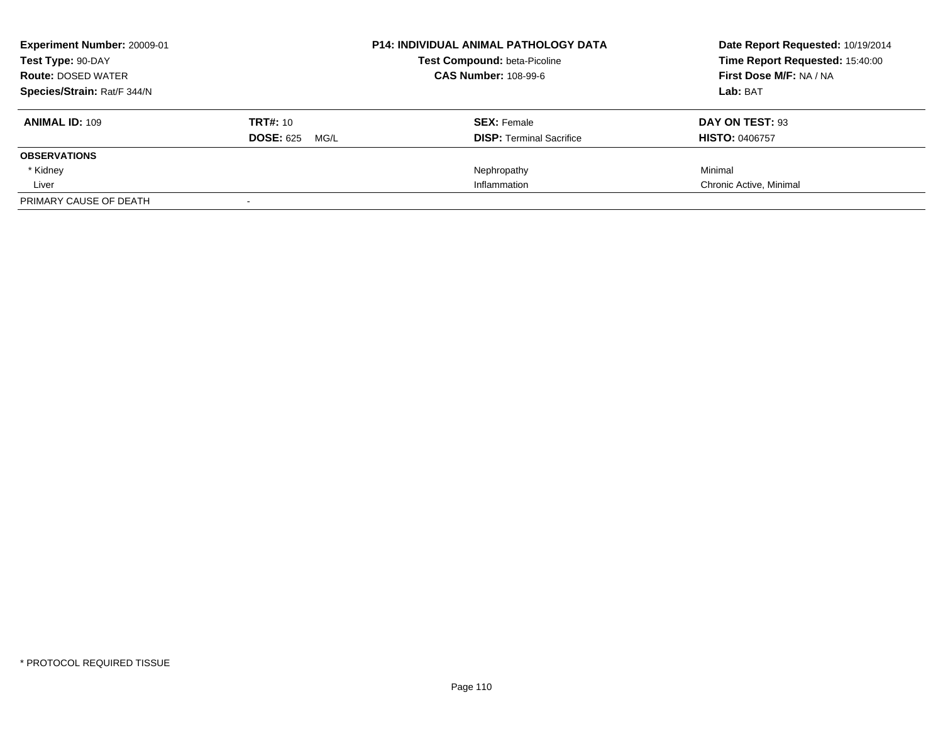| <b>Experiment Number: 20009-01</b>             |                          | <b>P14: INDIVIDUAL ANIMAL PATHOLOGY DATA</b> | Date Report Requested: 10/19/2014 |
|------------------------------------------------|--------------------------|----------------------------------------------|-----------------------------------|
| Test Type: 90-DAY<br><b>Route: DOSED WATER</b> |                          | <b>Test Compound: beta-Picoline</b>          | Time Report Requested: 15:40:00   |
|                                                |                          | <b>CAS Number: 108-99-6</b>                  | First Dose M/F: NA / NA           |
| Species/Strain: Rat/F 344/N                    |                          |                                              | Lab: BAT                          |
| <b>ANIMAL ID: 109</b>                          | <b>TRT#: 10</b>          | <b>SEX: Female</b>                           | DAY ON TEST: 93                   |
|                                                | <b>DOSE: 625</b><br>MG/L | <b>DISP:</b> Terminal Sacrifice              | <b>HISTO: 0406757</b>             |
| <b>OBSERVATIONS</b>                            |                          |                                              |                                   |
| * Kidney                                       |                          | Nephropathy                                  | Minimal                           |
| Liver                                          |                          | Inflammation                                 | Chronic Active, Minimal           |
| PRIMARY CAUSE OF DEATH                         |                          |                                              |                                   |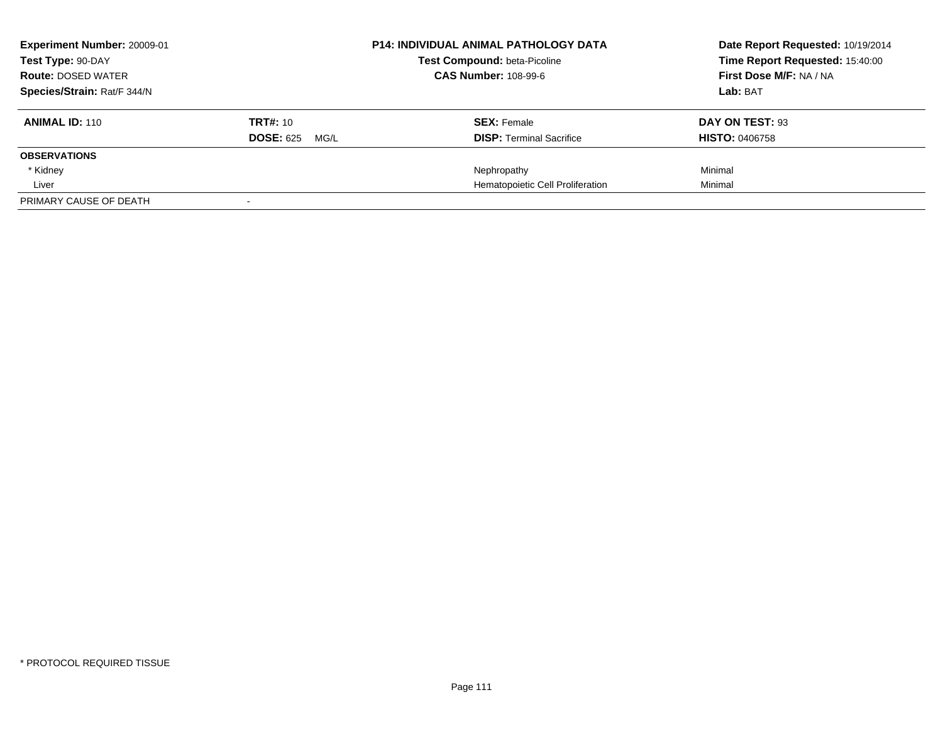| <b>Experiment Number: 20009-01</b>             |                          | <b>P14: INDIVIDUAL ANIMAL PATHOLOGY DATA</b> | Date Report Requested: 10/19/2014 |
|------------------------------------------------|--------------------------|----------------------------------------------|-----------------------------------|
| Test Type: 90-DAY<br><b>Route: DOSED WATER</b> |                          | <b>Test Compound: beta-Picoline</b>          | Time Report Requested: 15:40:00   |
|                                                |                          | <b>CAS Number: 108-99-6</b>                  | First Dose M/F: NA / NA           |
| Species/Strain: Rat/F 344/N                    |                          |                                              | Lab: BAT                          |
| <b>ANIMAL ID: 110</b>                          | <b>TRT#: 10</b>          | <b>SEX: Female</b>                           | DAY ON TEST: 93                   |
|                                                | <b>DOSE: 625</b><br>MG/L | <b>DISP:</b> Terminal Sacrifice              | <b>HISTO: 0406758</b>             |
| <b>OBSERVATIONS</b>                            |                          |                                              |                                   |
| * Kidney                                       |                          | Nephropathy                                  | Minimal                           |
| Liver                                          |                          | Hematopoietic Cell Proliferation             | Minimal                           |
| PRIMARY CAUSE OF DEATH                         |                          |                                              |                                   |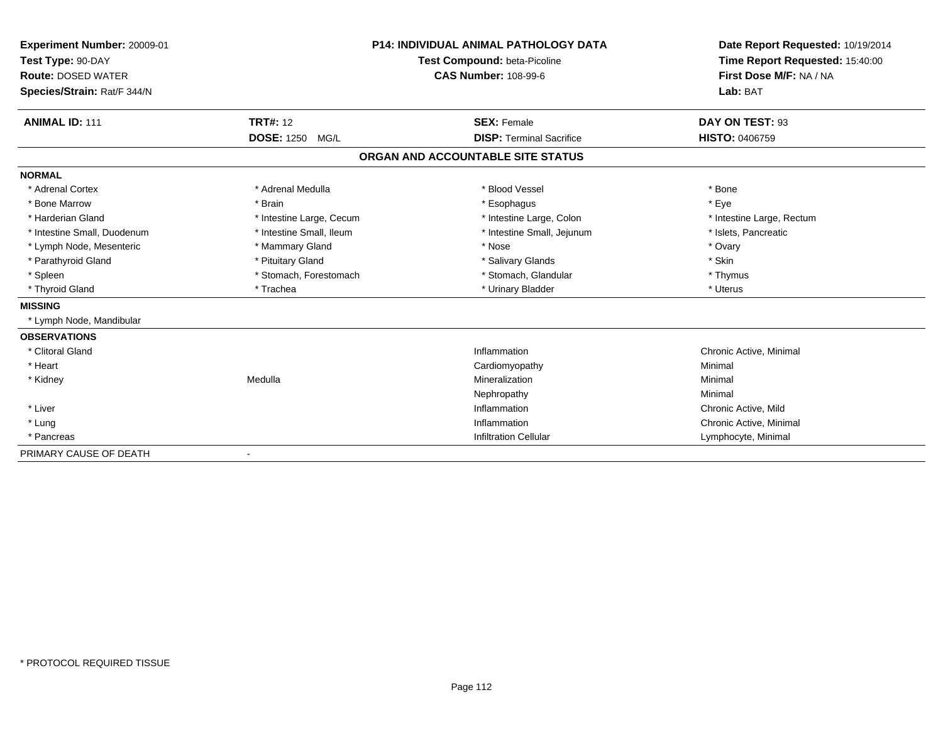| Experiment Number: 20009-01<br>Test Type: 90-DAY<br><b>Route: DOSED WATER</b><br>Species/Strain: Rat/F 344/N |                                              | <b>P14: INDIVIDUAL ANIMAL PATHOLOGY DATA</b><br>Test Compound: beta-Picoline<br><b>CAS Number: 108-99-6</b> | Date Report Requested: 10/19/2014<br>Time Report Requested: 15:40:00<br>First Dose M/F: NA / NA<br>Lab: BAT |
|--------------------------------------------------------------------------------------------------------------|----------------------------------------------|-------------------------------------------------------------------------------------------------------------|-------------------------------------------------------------------------------------------------------------|
| <b>ANIMAL ID: 111</b>                                                                                        | <b>TRT#: 12</b><br><b>DOSE: 1250</b><br>MG/L | <b>SEX: Female</b><br><b>DISP: Terminal Sacrifice</b>                                                       | DAY ON TEST: 93<br><b>HISTO: 0406759</b>                                                                    |
|                                                                                                              |                                              | ORGAN AND ACCOUNTABLE SITE STATUS                                                                           |                                                                                                             |
| <b>NORMAL</b>                                                                                                |                                              |                                                                                                             |                                                                                                             |
| * Adrenal Cortex                                                                                             | * Adrenal Medulla                            | * Blood Vessel                                                                                              | * Bone                                                                                                      |
| * Bone Marrow                                                                                                | * Brain                                      | * Esophagus                                                                                                 | * Eye                                                                                                       |
| * Harderian Gland                                                                                            | * Intestine Large, Cecum                     | * Intestine Large, Colon                                                                                    | * Intestine Large, Rectum                                                                                   |
| * Intestine Small, Duodenum                                                                                  | * Intestine Small. Ileum                     | * Intestine Small, Jejunum                                                                                  | * Islets. Pancreatic                                                                                        |
| * Lymph Node, Mesenteric                                                                                     | * Mammary Gland                              | * Nose                                                                                                      | * Ovary                                                                                                     |
| * Parathyroid Gland                                                                                          | * Pituitary Gland                            | * Salivary Glands                                                                                           | * Skin                                                                                                      |
| * Spleen                                                                                                     | * Stomach, Forestomach                       | * Stomach, Glandular                                                                                        | * Thymus                                                                                                    |
| * Thyroid Gland                                                                                              | * Trachea                                    | * Urinary Bladder                                                                                           | * Uterus                                                                                                    |
| <b>MISSING</b>                                                                                               |                                              |                                                                                                             |                                                                                                             |
| * Lymph Node, Mandibular                                                                                     |                                              |                                                                                                             |                                                                                                             |
| <b>OBSERVATIONS</b>                                                                                          |                                              |                                                                                                             |                                                                                                             |
| * Clitoral Gland                                                                                             |                                              | Inflammation                                                                                                | Chronic Active, Minimal                                                                                     |
| * Heart                                                                                                      |                                              | Cardiomyopathy                                                                                              | Minimal                                                                                                     |
| * Kidney                                                                                                     | Medulla                                      | Mineralization                                                                                              | Minimal                                                                                                     |
|                                                                                                              |                                              | Nephropathy                                                                                                 | Minimal                                                                                                     |
| * Liver                                                                                                      |                                              | Inflammation                                                                                                | Chronic Active, Mild                                                                                        |
| * Lung                                                                                                       |                                              | Inflammation                                                                                                | Chronic Active, Minimal                                                                                     |
| * Pancreas                                                                                                   |                                              | <b>Infiltration Cellular</b>                                                                                | Lymphocyte, Minimal                                                                                         |
| PRIMARY CAUSE OF DEATH                                                                                       | $\overline{\phantom{a}}$                     |                                                                                                             |                                                                                                             |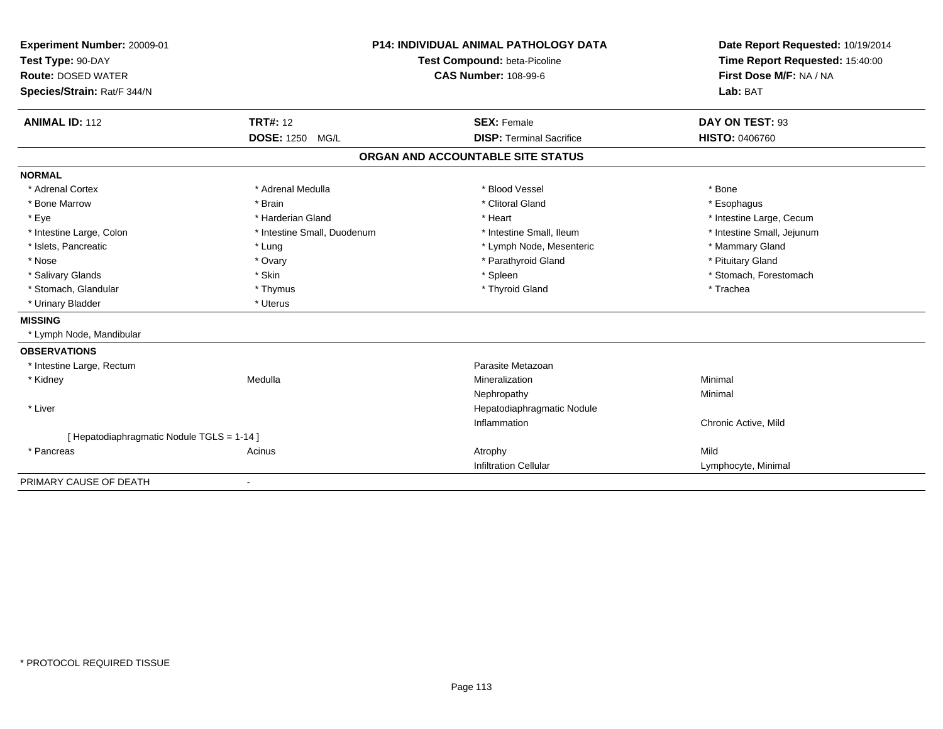| Experiment Number: 20009-01              |                             | <b>P14: INDIVIDUAL ANIMAL PATHOLOGY DATA</b> | Date Report Requested: 10/19/2014 |
|------------------------------------------|-----------------------------|----------------------------------------------|-----------------------------------|
| Test Type: 90-DAY                        |                             | Test Compound: beta-Picoline                 | Time Report Requested: 15:40:00   |
| <b>Route: DOSED WATER</b>                |                             | <b>CAS Number: 108-99-6</b>                  | First Dose M/F: NA / NA           |
| Species/Strain: Rat/F 344/N              |                             |                                              | Lab: BAT                          |
|                                          |                             |                                              |                                   |
| <b>ANIMAL ID: 112</b>                    | <b>TRT#: 12</b>             | <b>SEX: Female</b>                           | DAY ON TEST: 93                   |
|                                          | <b>DOSE: 1250</b><br>MG/L   | <b>DISP: Terminal Sacrifice</b>              | <b>HISTO: 0406760</b>             |
|                                          |                             | ORGAN AND ACCOUNTABLE SITE STATUS            |                                   |
| <b>NORMAL</b>                            |                             |                                              |                                   |
| * Adrenal Cortex                         | * Adrenal Medulla           | * Blood Vessel                               | * Bone                            |
| * Bone Marrow                            | * Brain                     | * Clitoral Gland                             | * Esophagus                       |
| * Eye                                    | * Harderian Gland           | * Heart                                      | * Intestine Large, Cecum          |
| * Intestine Large, Colon                 | * Intestine Small, Duodenum | * Intestine Small, Ileum                     | * Intestine Small, Jejunum        |
| * Islets, Pancreatic                     | * Lung                      | * Lymph Node, Mesenteric                     | * Mammary Gland                   |
| * Nose                                   | * Ovary                     | * Parathyroid Gland                          | * Pituitary Gland                 |
| * Salivary Glands                        | * Skin                      | * Spleen                                     | * Stomach, Forestomach            |
| * Stomach, Glandular                     | * Thymus                    | * Thyroid Gland                              | * Trachea                         |
| * Urinary Bladder                        | * Uterus                    |                                              |                                   |
| <b>MISSING</b>                           |                             |                                              |                                   |
| * Lymph Node, Mandibular                 |                             |                                              |                                   |
| <b>OBSERVATIONS</b>                      |                             |                                              |                                   |
| * Intestine Large, Rectum                |                             | Parasite Metazoan                            |                                   |
| * Kidney                                 | Medulla                     | Mineralization                               | Minimal                           |
|                                          |                             | Nephropathy                                  | Minimal                           |
| * Liver                                  |                             | Hepatodiaphragmatic Nodule                   |                                   |
|                                          |                             | Inflammation                                 | Chronic Active, Mild              |
| [Hepatodiaphragmatic Nodule TGLS = 1-14] |                             |                                              |                                   |
| * Pancreas                               | Acinus                      | Atrophy                                      | Mild                              |
|                                          |                             | <b>Infiltration Cellular</b>                 | Lymphocyte, Minimal               |
| PRIMARY CAUSE OF DEATH                   | $\overline{\phantom{a}}$    |                                              |                                   |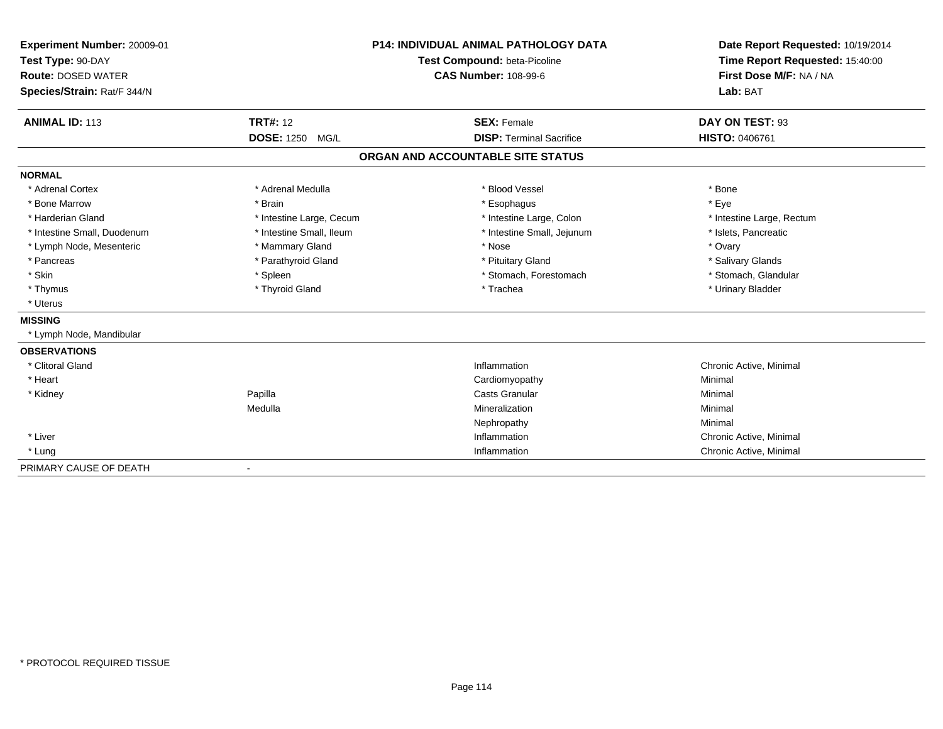| Experiment Number: 20009-01<br>Test Type: 90-DAY<br><b>Route: DOSED WATER</b><br>Species/Strain: Rat/F 344/N |                          | <b>P14: INDIVIDUAL ANIMAL PATHOLOGY DATA</b><br>Test Compound: beta-Picoline<br><b>CAS Number: 108-99-6</b> | Date Report Requested: 10/19/2014<br>Time Report Requested: 15:40:00<br>First Dose M/F: NA / NA<br>Lab: BAT |
|--------------------------------------------------------------------------------------------------------------|--------------------------|-------------------------------------------------------------------------------------------------------------|-------------------------------------------------------------------------------------------------------------|
| <b>ANIMAL ID: 113</b>                                                                                        | <b>TRT#: 12</b>          | <b>SEX: Female</b>                                                                                          | DAY ON TEST: 93                                                                                             |
|                                                                                                              | <b>DOSE: 1250 MG/L</b>   | <b>DISP: Terminal Sacrifice</b>                                                                             | <b>HISTO: 0406761</b>                                                                                       |
|                                                                                                              |                          | ORGAN AND ACCOUNTABLE SITE STATUS                                                                           |                                                                                                             |
| <b>NORMAL</b>                                                                                                |                          |                                                                                                             |                                                                                                             |
| * Adrenal Cortex                                                                                             | * Adrenal Medulla        | * Blood Vessel                                                                                              | * Bone                                                                                                      |
| * Bone Marrow                                                                                                | * Brain                  | * Esophagus                                                                                                 | * Eye                                                                                                       |
| * Harderian Gland                                                                                            | * Intestine Large, Cecum | * Intestine Large, Colon                                                                                    | * Intestine Large, Rectum                                                                                   |
| * Intestine Small, Duodenum                                                                                  | * Intestine Small, Ileum | * Intestine Small, Jejunum                                                                                  | * Islets, Pancreatic                                                                                        |
| * Lymph Node, Mesenteric                                                                                     | * Mammary Gland          | * Nose                                                                                                      | * Ovary                                                                                                     |
| * Pancreas                                                                                                   | * Parathyroid Gland      | * Pituitary Gland                                                                                           | * Salivary Glands                                                                                           |
| * Skin                                                                                                       | * Spleen                 | * Stomach, Forestomach                                                                                      | * Stomach, Glandular                                                                                        |
| * Thymus                                                                                                     | * Thyroid Gland          | * Trachea                                                                                                   | * Urinary Bladder                                                                                           |
| * Uterus                                                                                                     |                          |                                                                                                             |                                                                                                             |
| <b>MISSING</b>                                                                                               |                          |                                                                                                             |                                                                                                             |
| * Lymph Node, Mandibular                                                                                     |                          |                                                                                                             |                                                                                                             |
| <b>OBSERVATIONS</b>                                                                                          |                          |                                                                                                             |                                                                                                             |
| * Clitoral Gland                                                                                             |                          | Inflammation                                                                                                | Chronic Active, Minimal                                                                                     |
| * Heart                                                                                                      |                          | Cardiomyopathy                                                                                              | Minimal                                                                                                     |
| * Kidney                                                                                                     | Papilla                  | <b>Casts Granular</b>                                                                                       | Minimal                                                                                                     |
|                                                                                                              | Medulla                  | Mineralization                                                                                              | Minimal                                                                                                     |
|                                                                                                              |                          | Nephropathy                                                                                                 | Minimal                                                                                                     |
| * Liver                                                                                                      |                          | Inflammation                                                                                                | Chronic Active, Minimal                                                                                     |
| * Lung                                                                                                       |                          | Inflammation                                                                                                | Chronic Active, Minimal                                                                                     |
| PRIMARY CAUSE OF DEATH                                                                                       | $\blacksquare$           |                                                                                                             |                                                                                                             |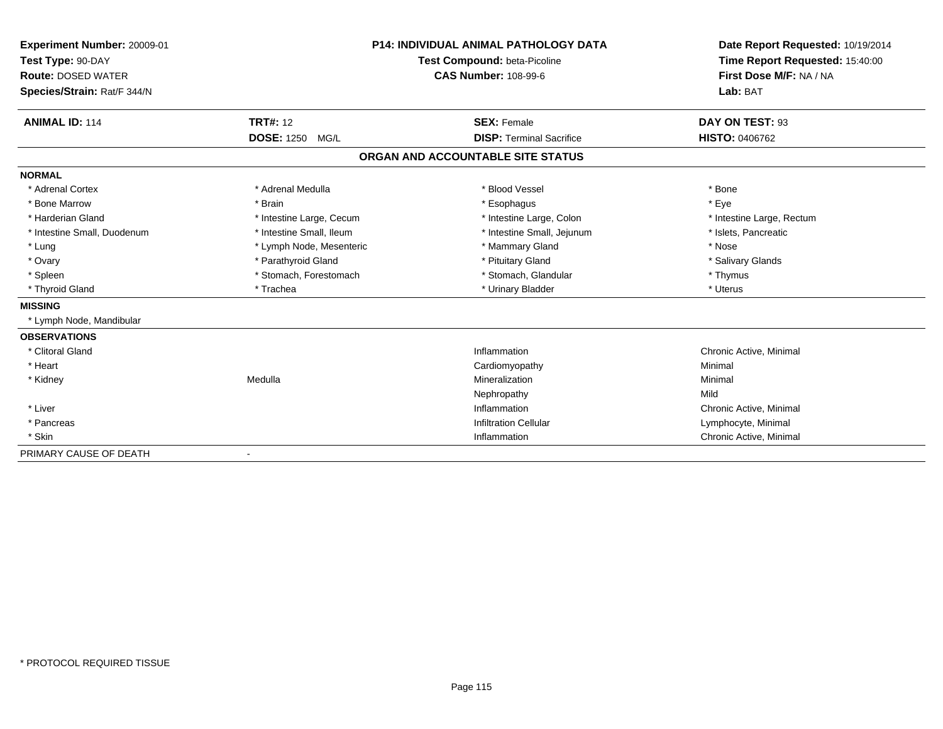| Experiment Number: 20009-01<br>Test Type: 90-DAY<br><b>Route: DOSED WATER</b><br>Species/Strain: Rat/F 344/N |                           | <b>P14: INDIVIDUAL ANIMAL PATHOLOGY DATA</b><br>Test Compound: beta-Picoline<br><b>CAS Number: 108-99-6</b> | Date Report Requested: 10/19/2014<br>Time Report Requested: 15:40:00<br>First Dose M/F: NA / NA<br>Lab: BAT |
|--------------------------------------------------------------------------------------------------------------|---------------------------|-------------------------------------------------------------------------------------------------------------|-------------------------------------------------------------------------------------------------------------|
| <b>ANIMAL ID: 114</b>                                                                                        | <b>TRT#: 12</b>           | <b>SEX: Female</b>                                                                                          | DAY ON TEST: 93                                                                                             |
|                                                                                                              | <b>DOSE: 1250</b><br>MG/L | <b>DISP: Terminal Sacrifice</b>                                                                             | <b>HISTO: 0406762</b>                                                                                       |
|                                                                                                              |                           | ORGAN AND ACCOUNTABLE SITE STATUS                                                                           |                                                                                                             |
| <b>NORMAL</b>                                                                                                |                           |                                                                                                             |                                                                                                             |
| * Adrenal Cortex                                                                                             | * Adrenal Medulla         | * Blood Vessel                                                                                              | * Bone                                                                                                      |
| * Bone Marrow                                                                                                | * Brain                   | * Esophagus                                                                                                 | * Eye                                                                                                       |
| * Harderian Gland                                                                                            | * Intestine Large, Cecum  | * Intestine Large, Colon                                                                                    | * Intestine Large, Rectum                                                                                   |
| * Intestine Small, Duodenum                                                                                  | * Intestine Small, Ileum  | * Intestine Small, Jejunum                                                                                  | * Islets, Pancreatic                                                                                        |
| * Lung                                                                                                       | * Lymph Node, Mesenteric  | * Mammary Gland                                                                                             | * Nose                                                                                                      |
| * Ovary                                                                                                      | * Parathyroid Gland       | * Pituitary Gland                                                                                           | * Salivary Glands                                                                                           |
| * Spleen                                                                                                     | * Stomach, Forestomach    | * Stomach, Glandular                                                                                        | * Thymus                                                                                                    |
| * Thyroid Gland                                                                                              | * Trachea                 | * Urinary Bladder                                                                                           | * Uterus                                                                                                    |
| <b>MISSING</b>                                                                                               |                           |                                                                                                             |                                                                                                             |
| * Lymph Node, Mandibular                                                                                     |                           |                                                                                                             |                                                                                                             |
| <b>OBSERVATIONS</b>                                                                                          |                           |                                                                                                             |                                                                                                             |
| * Clitoral Gland                                                                                             |                           | Inflammation                                                                                                | Chronic Active, Minimal                                                                                     |
| * Heart                                                                                                      |                           | Cardiomyopathy                                                                                              | Minimal                                                                                                     |
| * Kidney                                                                                                     | Medulla                   | Mineralization                                                                                              | Minimal                                                                                                     |
|                                                                                                              |                           | Nephropathy                                                                                                 | Mild                                                                                                        |
| * Liver                                                                                                      |                           | Inflammation                                                                                                | Chronic Active, Minimal                                                                                     |
| * Pancreas                                                                                                   |                           | <b>Infiltration Cellular</b>                                                                                | Lymphocyte, Minimal                                                                                         |
| * Skin                                                                                                       |                           | Inflammation                                                                                                | Chronic Active, Minimal                                                                                     |
| PRIMARY CAUSE OF DEATH                                                                                       | $\overline{\phantom{a}}$  |                                                                                                             |                                                                                                             |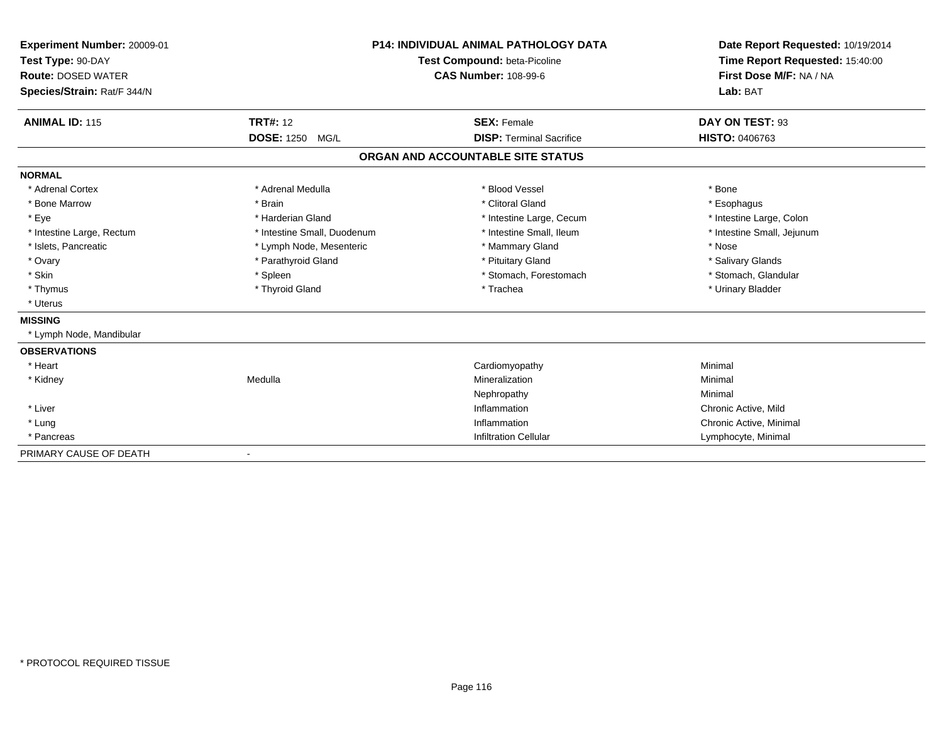| Experiment Number: 20009-01<br>Test Type: 90-DAY<br><b>Route: DOSED WATER</b><br>Species/Strain: Rat/F 344/N |                             | <b>P14: INDIVIDUAL ANIMAL PATHOLOGY DATA</b><br>Test Compound: beta-Picoline<br><b>CAS Number: 108-99-6</b> | Date Report Requested: 10/19/2014<br>Time Report Requested: 15:40:00<br>First Dose M/F: NA / NA<br>Lab: BAT |
|--------------------------------------------------------------------------------------------------------------|-----------------------------|-------------------------------------------------------------------------------------------------------------|-------------------------------------------------------------------------------------------------------------|
| <b>ANIMAL ID: 115</b>                                                                                        | <b>TRT#: 12</b>             | <b>SEX: Female</b>                                                                                          | DAY ON TEST: 93                                                                                             |
|                                                                                                              | DOSE: 1250 MG/L             | <b>DISP: Terminal Sacrifice</b>                                                                             | <b>HISTO: 0406763</b>                                                                                       |
|                                                                                                              |                             | ORGAN AND ACCOUNTABLE SITE STATUS                                                                           |                                                                                                             |
| <b>NORMAL</b>                                                                                                |                             |                                                                                                             |                                                                                                             |
| * Adrenal Cortex                                                                                             | * Adrenal Medulla           | * Blood Vessel                                                                                              | * Bone                                                                                                      |
| * Bone Marrow                                                                                                | * Brain                     | * Clitoral Gland                                                                                            | * Esophagus                                                                                                 |
| * Eye                                                                                                        | * Harderian Gland           | * Intestine Large, Cecum                                                                                    | * Intestine Large, Colon                                                                                    |
| * Intestine Large, Rectum                                                                                    | * Intestine Small, Duodenum | * Intestine Small, Ileum                                                                                    | * Intestine Small, Jejunum                                                                                  |
| * Islets, Pancreatic                                                                                         | * Lymph Node, Mesenteric    | * Mammary Gland                                                                                             | * Nose                                                                                                      |
| * Ovary                                                                                                      | * Parathyroid Gland         | * Pituitary Gland                                                                                           | * Salivary Glands                                                                                           |
| * Skin                                                                                                       | * Spleen                    | * Stomach, Forestomach                                                                                      | * Stomach, Glandular                                                                                        |
| * Thymus                                                                                                     | * Thyroid Gland             | * Trachea                                                                                                   | * Urinary Bladder                                                                                           |
| * Uterus                                                                                                     |                             |                                                                                                             |                                                                                                             |
| <b>MISSING</b>                                                                                               |                             |                                                                                                             |                                                                                                             |
| * Lymph Node, Mandibular                                                                                     |                             |                                                                                                             |                                                                                                             |
| <b>OBSERVATIONS</b>                                                                                          |                             |                                                                                                             |                                                                                                             |
| * Heart                                                                                                      |                             | Cardiomyopathy                                                                                              | Minimal                                                                                                     |
| * Kidney                                                                                                     | Medulla                     | Mineralization                                                                                              | Minimal                                                                                                     |
|                                                                                                              |                             | Nephropathy                                                                                                 | Minimal                                                                                                     |
| * Liver                                                                                                      |                             | Inflammation                                                                                                | Chronic Active, Mild                                                                                        |
| * Lung                                                                                                       |                             | Inflammation                                                                                                | Chronic Active, Minimal                                                                                     |
| * Pancreas                                                                                                   |                             | <b>Infiltration Cellular</b>                                                                                | Lymphocyte, Minimal                                                                                         |
| PRIMARY CAUSE OF DEATH                                                                                       | $\blacksquare$              |                                                                                                             |                                                                                                             |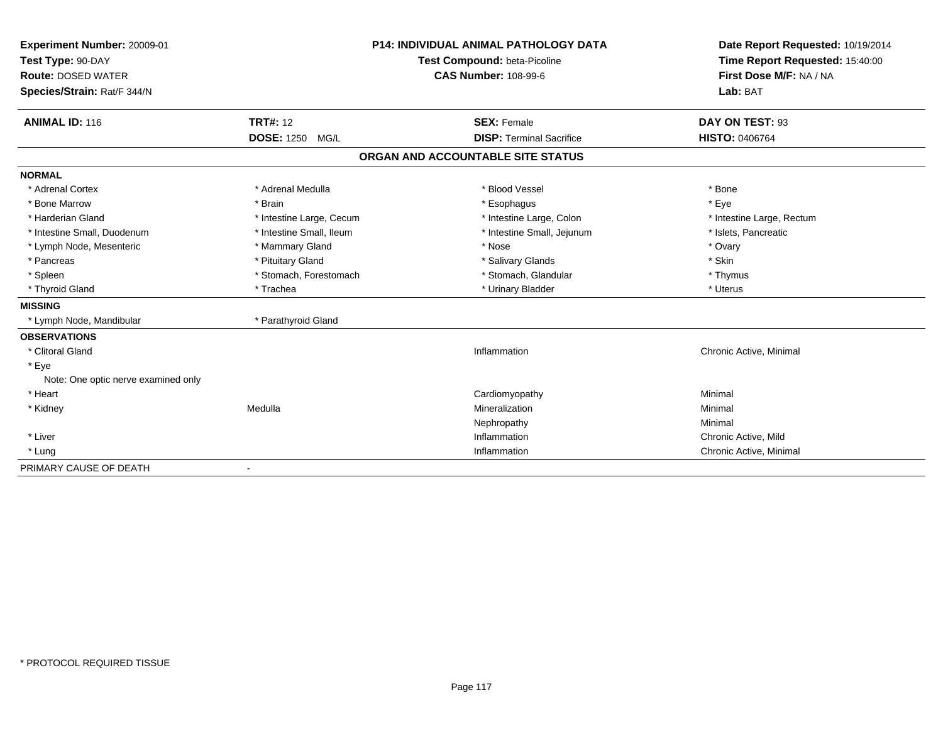| Experiment Number: 20009-01<br>Test Type: 90-DAY<br><b>Route: DOSED WATER</b><br>Species/Strain: Rat/F 344/N<br><b>ANIMAL ID: 116</b> | <b>TRT#: 12</b>          | <b>P14: INDIVIDUAL ANIMAL PATHOLOGY DATA</b><br>Test Compound: beta-Picoline<br><b>CAS Number: 108-99-6</b> | Date Report Requested: 10/19/2014<br>Time Report Requested: 15:40:00<br>First Dose M/F: NA / NA<br>Lab: BAT |
|---------------------------------------------------------------------------------------------------------------------------------------|--------------------------|-------------------------------------------------------------------------------------------------------------|-------------------------------------------------------------------------------------------------------------|
|                                                                                                                                       | <b>DOSE: 1250 MG/L</b>   | <b>SEX: Female</b><br><b>DISP: Terminal Sacrifice</b>                                                       | DAY ON TEST: 93<br><b>HISTO: 0406764</b>                                                                    |
|                                                                                                                                       |                          |                                                                                                             |                                                                                                             |
|                                                                                                                                       |                          | ORGAN AND ACCOUNTABLE SITE STATUS                                                                           |                                                                                                             |
| <b>NORMAL</b>                                                                                                                         |                          |                                                                                                             |                                                                                                             |
| * Adrenal Cortex                                                                                                                      | * Adrenal Medulla        | * Blood Vessel                                                                                              | * Bone                                                                                                      |
| * Bone Marrow                                                                                                                         | * Brain                  | * Esophagus                                                                                                 | * Eye                                                                                                       |
| * Harderian Gland                                                                                                                     | * Intestine Large, Cecum | * Intestine Large, Colon                                                                                    | * Intestine Large, Rectum                                                                                   |
| * Intestine Small, Duodenum                                                                                                           | * Intestine Small, Ileum | * Intestine Small, Jejunum                                                                                  | * Islets, Pancreatic                                                                                        |
| * Lymph Node, Mesenteric                                                                                                              | * Mammary Gland          | * Nose                                                                                                      | * Ovary                                                                                                     |
| * Pancreas                                                                                                                            | * Pituitary Gland        | * Salivary Glands                                                                                           | * Skin                                                                                                      |
| * Spleen                                                                                                                              | * Stomach, Forestomach   | * Stomach, Glandular                                                                                        | * Thymus                                                                                                    |
| * Thyroid Gland                                                                                                                       | * Trachea                | * Urinary Bladder                                                                                           | * Uterus                                                                                                    |
| <b>MISSING</b>                                                                                                                        |                          |                                                                                                             |                                                                                                             |
| * Lymph Node, Mandibular                                                                                                              | * Parathyroid Gland      |                                                                                                             |                                                                                                             |
| <b>OBSERVATIONS</b>                                                                                                                   |                          |                                                                                                             |                                                                                                             |
| * Clitoral Gland                                                                                                                      |                          | Inflammation                                                                                                | Chronic Active, Minimal                                                                                     |
| * Eye                                                                                                                                 |                          |                                                                                                             |                                                                                                             |
| Note: One optic nerve examined only                                                                                                   |                          |                                                                                                             |                                                                                                             |
| * Heart                                                                                                                               |                          | Cardiomyopathy                                                                                              | Minimal                                                                                                     |
| * Kidney                                                                                                                              | Medulla                  | Mineralization                                                                                              | Minimal                                                                                                     |
|                                                                                                                                       |                          | Nephropathy                                                                                                 | Minimal                                                                                                     |
| * Liver                                                                                                                               |                          | Inflammation                                                                                                | Chronic Active, Mild                                                                                        |
| * Lung                                                                                                                                |                          | Inflammation                                                                                                | Chronic Active, Minimal                                                                                     |
| PRIMARY CAUSE OF DEATH                                                                                                                |                          |                                                                                                             |                                                                                                             |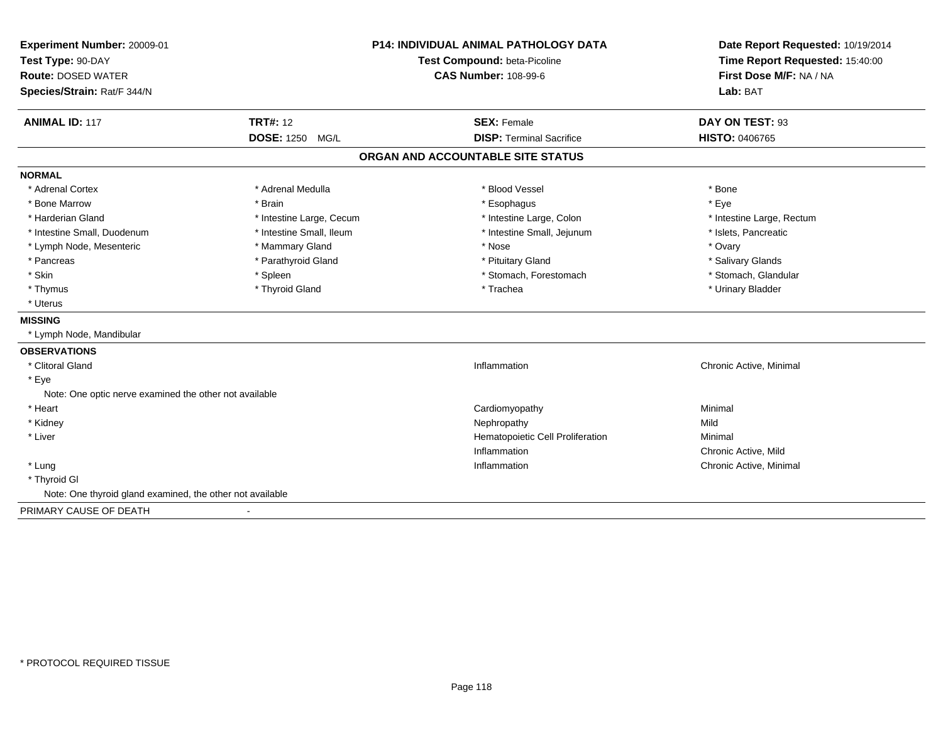| <b>Experiment Number: 20009-01</b><br>Test Type: 90-DAY   |                          | <b>P14: INDIVIDUAL ANIMAL PATHOLOGY DATA</b><br>Test Compound: beta-Picoline | Date Report Requested: 10/19/2014<br>Time Report Requested: 15:40:00<br>First Dose M/F: NA / NA |
|-----------------------------------------------------------|--------------------------|------------------------------------------------------------------------------|-------------------------------------------------------------------------------------------------|
| <b>Route: DOSED WATER</b>                                 |                          | <b>CAS Number: 108-99-6</b>                                                  |                                                                                                 |
| Species/Strain: Rat/F 344/N                               |                          |                                                                              | Lab: BAT                                                                                        |
| <b>ANIMAL ID: 117</b>                                     | <b>TRT#: 12</b>          | <b>SEX: Female</b>                                                           | DAY ON TEST: 93                                                                                 |
|                                                           | <b>DOSE: 1250 MG/L</b>   | <b>DISP: Terminal Sacrifice</b>                                              | <b>HISTO: 0406765</b>                                                                           |
|                                                           |                          | ORGAN AND ACCOUNTABLE SITE STATUS                                            |                                                                                                 |
| <b>NORMAL</b>                                             |                          |                                                                              |                                                                                                 |
| * Adrenal Cortex                                          | * Adrenal Medulla        | * Blood Vessel                                                               | * Bone                                                                                          |
| * Bone Marrow                                             | * Brain                  | * Esophagus                                                                  | * Eye                                                                                           |
| * Harderian Gland                                         | * Intestine Large, Cecum | * Intestine Large, Colon                                                     | * Intestine Large, Rectum                                                                       |
| * Intestine Small, Duodenum                               | * Intestine Small, Ileum | * Intestine Small, Jejunum                                                   | * Islets, Pancreatic                                                                            |
| * Lymph Node, Mesenteric                                  | * Mammary Gland          | * Nose                                                                       | * Ovary                                                                                         |
| * Pancreas                                                | * Parathyroid Gland      | * Pituitary Gland                                                            | * Salivary Glands                                                                               |
| * Skin                                                    | * Spleen                 | * Stomach, Forestomach                                                       | * Stomach, Glandular                                                                            |
| * Thymus                                                  | * Thyroid Gland          | * Trachea                                                                    | * Urinary Bladder                                                                               |
| * Uterus                                                  |                          |                                                                              |                                                                                                 |
| <b>MISSING</b>                                            |                          |                                                                              |                                                                                                 |
| * Lymph Node, Mandibular                                  |                          |                                                                              |                                                                                                 |
| <b>OBSERVATIONS</b>                                       |                          |                                                                              |                                                                                                 |
| * Clitoral Gland                                          |                          | Inflammation                                                                 | Chronic Active, Minimal                                                                         |
| * Eye                                                     |                          |                                                                              |                                                                                                 |
| Note: One optic nerve examined the other not available    |                          |                                                                              |                                                                                                 |
| * Heart                                                   |                          | Cardiomyopathy                                                               | Minimal                                                                                         |
| * Kidney                                                  |                          | Nephropathy                                                                  | Mild                                                                                            |
| * Liver                                                   |                          | Hematopoietic Cell Proliferation                                             | Minimal                                                                                         |
|                                                           |                          | Inflammation                                                                 | Chronic Active, Mild                                                                            |
| * Lung                                                    |                          | Inflammation                                                                 | Chronic Active, Minimal                                                                         |
| * Thyroid GI                                              |                          |                                                                              |                                                                                                 |
| Note: One thyroid gland examined, the other not available |                          |                                                                              |                                                                                                 |
| PRIMARY CAUSE OF DEATH                                    |                          |                                                                              |                                                                                                 |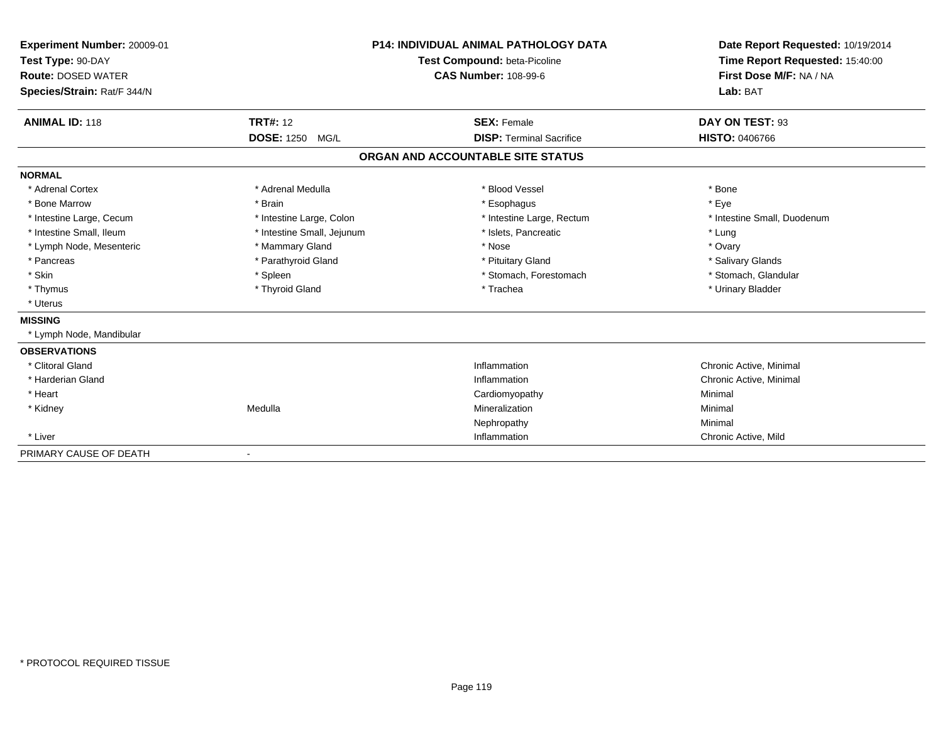| Experiment Number: 20009-01<br>Test Type: 90-DAY<br><b>Route: DOSED WATER</b><br>Species/Strain: Rat/F 344/N |                            | <b>P14: INDIVIDUAL ANIMAL PATHOLOGY DATA</b><br>Test Compound: beta-Picoline<br><b>CAS Number: 108-99-6</b> | Date Report Requested: 10/19/2014<br>Time Report Requested: 15:40:00<br>First Dose M/F: NA / NA<br>Lab: BAT |
|--------------------------------------------------------------------------------------------------------------|----------------------------|-------------------------------------------------------------------------------------------------------------|-------------------------------------------------------------------------------------------------------------|
| <b>ANIMAL ID: 118</b>                                                                                        | <b>TRT#: 12</b>            | <b>SEX: Female</b>                                                                                          | DAY ON TEST: 93                                                                                             |
|                                                                                                              | <b>DOSE: 1250</b><br>MG/L  | <b>DISP: Terminal Sacrifice</b>                                                                             | <b>HISTO: 0406766</b>                                                                                       |
|                                                                                                              |                            | ORGAN AND ACCOUNTABLE SITE STATUS                                                                           |                                                                                                             |
| <b>NORMAL</b>                                                                                                |                            |                                                                                                             |                                                                                                             |
| * Adrenal Cortex                                                                                             | * Adrenal Medulla          | * Blood Vessel                                                                                              | * Bone                                                                                                      |
| * Bone Marrow                                                                                                | * Brain                    | * Esophagus                                                                                                 | * Eye                                                                                                       |
| * Intestine Large, Cecum                                                                                     | * Intestine Large, Colon   | * Intestine Large, Rectum                                                                                   | * Intestine Small, Duodenum                                                                                 |
| * Intestine Small, Ileum                                                                                     | * Intestine Small, Jejunum | * Islets, Pancreatic                                                                                        | * Lung                                                                                                      |
| * Lymph Node, Mesenteric                                                                                     | * Mammary Gland            | * Nose                                                                                                      | * Ovary                                                                                                     |
| * Pancreas                                                                                                   | * Parathyroid Gland        | * Pituitary Gland                                                                                           | * Salivary Glands                                                                                           |
| * Skin                                                                                                       | * Spleen                   | * Stomach, Forestomach                                                                                      | * Stomach, Glandular                                                                                        |
| * Thymus                                                                                                     | * Thyroid Gland            | * Trachea                                                                                                   | * Urinary Bladder                                                                                           |
| * Uterus                                                                                                     |                            |                                                                                                             |                                                                                                             |
| <b>MISSING</b>                                                                                               |                            |                                                                                                             |                                                                                                             |
| * Lymph Node, Mandibular                                                                                     |                            |                                                                                                             |                                                                                                             |
| <b>OBSERVATIONS</b>                                                                                          |                            |                                                                                                             |                                                                                                             |
| * Clitoral Gland                                                                                             |                            | Inflammation                                                                                                | Chronic Active, Minimal                                                                                     |
| * Harderian Gland                                                                                            |                            | Inflammation                                                                                                | Chronic Active, Minimal                                                                                     |
| * Heart                                                                                                      |                            | Cardiomyopathy                                                                                              | Minimal                                                                                                     |
| * Kidney                                                                                                     | Medulla                    | Mineralization                                                                                              | Minimal                                                                                                     |
|                                                                                                              |                            | Nephropathy                                                                                                 | Minimal                                                                                                     |
| * Liver                                                                                                      |                            | Inflammation                                                                                                | Chronic Active, Mild                                                                                        |
| PRIMARY CAUSE OF DEATH                                                                                       | $\blacksquare$             |                                                                                                             |                                                                                                             |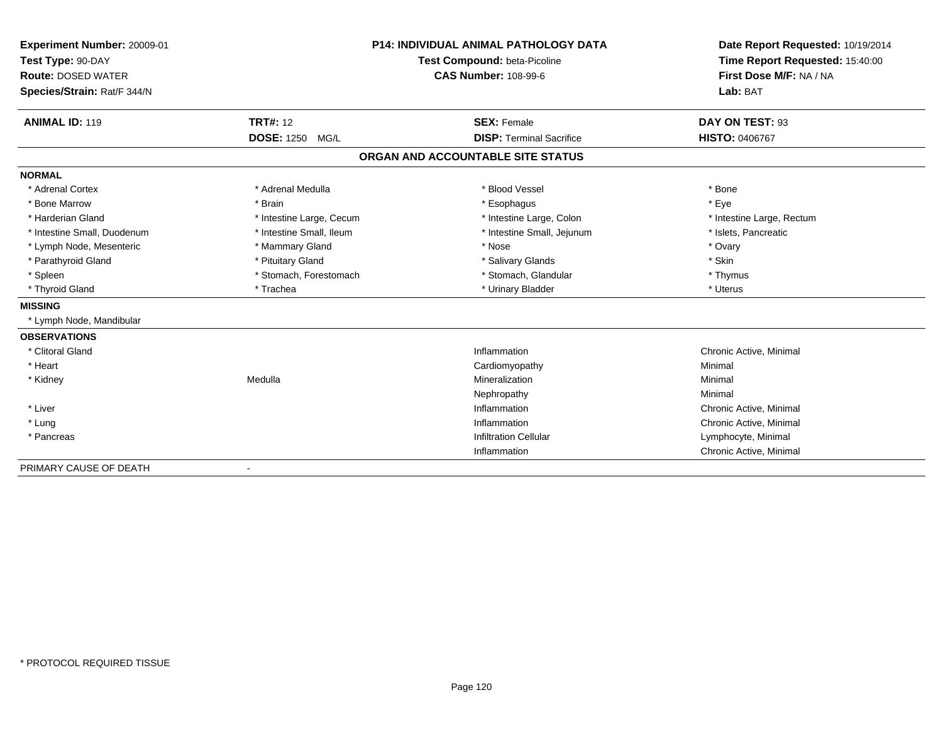| Experiment Number: 20009-01 |                          | <b>P14: INDIVIDUAL ANIMAL PATHOLOGY DATA</b> | Date Report Requested: 10/19/2014<br>Time Report Requested: 15:40:00<br>First Dose M/F: NA / NA |
|-----------------------------|--------------------------|----------------------------------------------|-------------------------------------------------------------------------------------------------|
| Test Type: 90-DAY           |                          | Test Compound: beta-Picoline                 |                                                                                                 |
| <b>Route: DOSED WATER</b>   |                          | <b>CAS Number: 108-99-6</b>                  |                                                                                                 |
| Species/Strain: Rat/F 344/N |                          |                                              | Lab: BAT                                                                                        |
|                             |                          |                                              |                                                                                                 |
| <b>ANIMAL ID: 119</b>       | <b>TRT#: 12</b>          | <b>SEX: Female</b>                           | DAY ON TEST: 93                                                                                 |
|                             | DOSE: 1250 MG/L          | <b>DISP: Terminal Sacrifice</b>              | <b>HISTO: 0406767</b>                                                                           |
|                             |                          | ORGAN AND ACCOUNTABLE SITE STATUS            |                                                                                                 |
| <b>NORMAL</b>               |                          |                                              |                                                                                                 |
| * Adrenal Cortex            | * Adrenal Medulla        | * Blood Vessel                               | * Bone                                                                                          |
| * Bone Marrow               | * Brain                  | * Esophagus                                  | * Eve                                                                                           |
| * Harderian Gland           | * Intestine Large, Cecum | * Intestine Large, Colon                     | * Intestine Large, Rectum                                                                       |
| * Intestine Small, Duodenum | * Intestine Small, Ileum | * Intestine Small, Jejunum                   | * Islets, Pancreatic                                                                            |
| * Lymph Node, Mesenteric    | * Mammary Gland          | * Nose                                       | * Ovary                                                                                         |
| * Parathyroid Gland         | * Pituitary Gland        | * Salivary Glands                            | * Skin                                                                                          |
| * Spleen                    | * Stomach, Forestomach   | * Stomach, Glandular                         | * Thymus                                                                                        |
| * Thyroid Gland             | * Trachea                | * Urinary Bladder                            | * Uterus                                                                                        |
| <b>MISSING</b>              |                          |                                              |                                                                                                 |
| * Lymph Node, Mandibular    |                          |                                              |                                                                                                 |
| <b>OBSERVATIONS</b>         |                          |                                              |                                                                                                 |
| * Clitoral Gland            |                          | Inflammation                                 | Chronic Active, Minimal                                                                         |
| * Heart                     |                          | Cardiomyopathy                               | Minimal                                                                                         |
| * Kidney                    | Medulla                  | Mineralization                               | Minimal                                                                                         |
|                             |                          | Nephropathy                                  | Minimal                                                                                         |
| * Liver                     |                          | Inflammation                                 | Chronic Active, Minimal                                                                         |
| * Lung                      |                          | Inflammation                                 | Chronic Active, Minimal                                                                         |
| * Pancreas                  |                          | <b>Infiltration Cellular</b>                 | Lymphocyte, Minimal                                                                             |
|                             |                          | Inflammation                                 | Chronic Active, Minimal                                                                         |
| PRIMARY CAUSE OF DEATH      |                          |                                              |                                                                                                 |

-